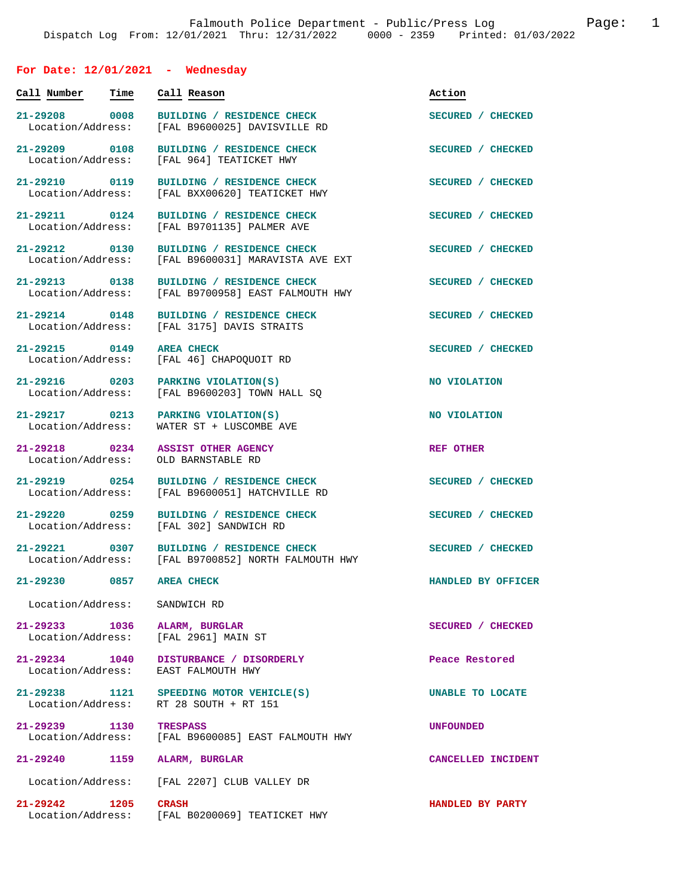## **For Date: 12/01/2021 - Wednesday**

| Call Number                            | Time | Call Reason                                                                       | Action                  |
|----------------------------------------|------|-----------------------------------------------------------------------------------|-------------------------|
| 21-29208 0008<br>Location/Address:     |      | BUILDING / RESIDENCE CHECK<br>[FAL B9600025] DAVISVILLE RD                        | SECURED / CHECKED       |
| 21-29209 0108<br>Location/Address:     |      | BUILDING / RESIDENCE CHECK<br>[FAL 964] TEATICKET HWY                             | SECURED / CHECKED       |
| 21-29210 0119<br>Location/Address:     |      | BUILDING / RESIDENCE CHECK<br>[FAL BXX00620] TEATICKET HWY                        | SECURED / CHECKED       |
| 21-29211 0124<br>Location/Address:     |      | BUILDING / RESIDENCE CHECK<br>[FAL B9701135] PALMER AVE                           | SECURED / CHECKED       |
| $21 - 29212$ 0130<br>Location/Address: |      | BUILDING / RESIDENCE CHECK<br>[FAL B9600031] MARAVISTA AVE EXT                    | SECURED / CHECKED       |
| 21-29213 0138<br>Location/Address:     |      | BUILDING / RESIDENCE CHECK<br>[FAL B9700958] EAST FALMOUTH HWY                    | SECURED / CHECKED       |
| 21-29214 0148<br>Location/Address:     |      | BUILDING / RESIDENCE CHECK<br>[FAL 3175] DAVIS STRAITS                            | SECURED / CHECKED       |
| 21-29215 0149<br>Location/Address:     |      | <b>AREA CHECK</b><br>[FAL 46] CHAPOQUOIT RD                                       | SECURED / CHECKED       |
| 21-29216 0203<br>Location/Address:     |      | PARKING VIOLATION(S)<br>[FAL B9600203] TOWN HALL SQ                               | NO VIOLATION            |
| 21-29217 0213<br>Location/Address:     |      | PARKING VIOLATION(S)<br>WATER ST + LUSCOMBE AVE                                   | NO VIOLATION            |
| 21-29218 0234<br>Location/Address:     |      | <b>ASSIST OTHER AGENCY</b><br>OLD BARNSTABLE RD                                   | REF OTHER               |
| 21-29219 0254<br>Location/Address:     |      | BUILDING / RESIDENCE CHECK<br>[FAL B9600051] HATCHVILLE RD                        | SECURED / CHECKED       |
| 21-29220 0259<br>Location/Address:     |      | BUILDING / RESIDENCE CHECK<br>[FAL 302] SANDWICH RD                               | SECURED / CHECKED       |
| 21-29221 0307<br>Location/Address:     |      | BUILDING / RESIDENCE CHECK<br>[FAL B9700852] NORTH FALMOUTH HWY                   | SECURED / CHECKED       |
| 21-29230 0857                          |      | <b>AREA CHECK</b>                                                                 | HANDLED BY OFFICER      |
| Location/Address:                      |      | SANDWICH RD                                                                       |                         |
| Location/Address:                      |      | 21-29233 1036 ALARM, BURGLAR<br>[FAL 2961] MAIN ST                                | SECURED / CHECKED       |
| 21-29234 1040<br>Location/Address:     |      | DISTURBANCE / DISORDERLY<br>EAST FALMOUTH HWY                                     | Peace Restored          |
|                                        |      | 21-29238 1121 SPEEDING MOTOR VEHICLE(S)<br>Location/Address: RT 28 SOUTH + RT 151 | UNABLE TO LOCATE        |
| 21-29239 1130                          |      | <b>TRESPASS</b><br>Location/Address: [FAL B9600085] EAST FALMOUTH HWY             | <b>UNFOUNDED</b>        |
| 21-29240                               | 1159 | ALARM, BURGLAR                                                                    | CANCELLED INCIDENT      |
| Location/Address:                      |      | [FAL 2207] CLUB VALLEY DR                                                         |                         |
| 21-29242 1205 CRASH                    |      | Location/Address: [FAL B0200069] TEATICKET HWY                                    | <b>HANDLED BY PARTY</b> |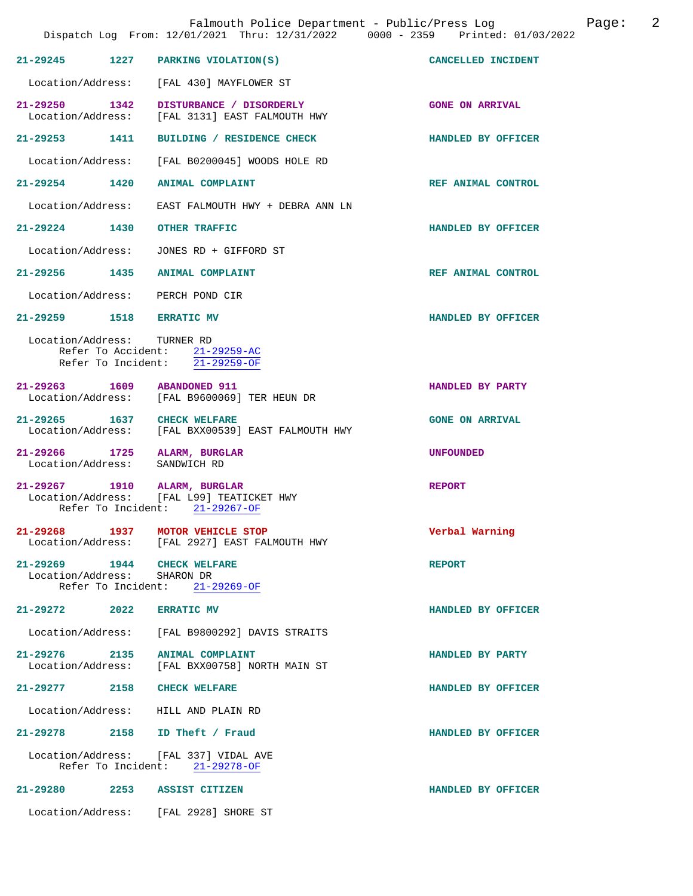|                                                            | Falmouth Police Department - Public/Press Log<br>Dispatch Log From: 12/01/2021 Thru: 12/31/2022 0000 - 2359 Printed: 01/03/2022 |                        | 2<br>Page: |
|------------------------------------------------------------|---------------------------------------------------------------------------------------------------------------------------------|------------------------|------------|
| 21-29245 1227                                              | PARKING VIOLATION(S)                                                                                                            | CANCELLED INCIDENT     |            |
|                                                            | Location/Address: [FAL 430] MAYFLOWER ST                                                                                        |                        |            |
| 21-29250 1342<br>Location/Address:                         | DISTURBANCE / DISORDERLY<br>[FAL 3131] EAST FALMOUTH HWY                                                                        | <b>GONE ON ARRIVAL</b> |            |
| 21-29253 1411                                              | BUILDING / RESIDENCE CHECK                                                                                                      | HANDLED BY OFFICER     |            |
| Location/Address:                                          | [FAL B0200045] WOODS HOLE RD                                                                                                    |                        |            |
| 21-29254 1420 ANIMAL COMPLAINT                             |                                                                                                                                 | REF ANIMAL CONTROL     |            |
| Location/Address:                                          | EAST FALMOUTH HWY + DEBRA ANN LN                                                                                                |                        |            |
| 21-29224 1430                                              | <b>OTHER TRAFFIC</b>                                                                                                            | HANDLED BY OFFICER     |            |
| Location/Address:                                          | JONES RD + GIFFORD ST                                                                                                           |                        |            |
| 21-29256 1435                                              | ANIMAL COMPLAINT                                                                                                                | REF ANIMAL CONTROL     |            |
| Location/Address: PERCH POND CIR                           |                                                                                                                                 |                        |            |
| 21-29259 1518 ERRATIC MV                                   |                                                                                                                                 | HANDLED BY OFFICER     |            |
| Location/Address: TURNER RD                                | Refer To Accident: 21-29259-AC<br>Refer To Incident: 21-29259-OF                                                                |                        |            |
| 21-29263 1609                                              | <b>ABANDONED 911</b><br>Location/Address: [FAL B9600069] TER HEUN DR                                                            | HANDLED BY PARTY       |            |
| 21-29265 1637                                              | <b>CHECK WELFARE</b><br>Location/Address: [FAL BXX00539] EAST FALMOUTH HWY                                                      | <b>GONE ON ARRIVAL</b> |            |
| 21-29266 1725 ALARM, BURGLAR<br>Location/Address:          | SANDWICH RD                                                                                                                     | <b>UNFOUNDED</b>       |            |
| 21-29267 1910 ALARM, BURGLAR                               | Location/Address: [FAL L99] TEATICKET HWY<br>Refer To Incident: 21-29267-OF                                                     | <b>REPORT</b>          |            |
| 21-29268 1937 MOTOR VEHICLE STOP                           | Location/Address: [FAL 2927] EAST FALMOUTH HWY                                                                                  | Verbal Warning         |            |
| 21-29269 1944 CHECK WELFARE<br>Location/Address: SHARON DR | Refer To Incident: 21-29269-OF                                                                                                  | <b>REPORT</b>          |            |
| $21 - 29272$ 2022                                          | <b>ERRATIC MV</b>                                                                                                               | HANDLED BY OFFICER     |            |
|                                                            | Location/Address: [FAL B9800292] DAVIS STRAITS                                                                                  |                        |            |
| 21-29276 2135 ANIMAL COMPLAINT                             | Location/Address: [FAL BXX00758] NORTH MAIN ST                                                                                  | HANDLED BY PARTY       |            |
| $21 - 29277$                                               | 2158 CHECK WELFARE                                                                                                              | HANDLED BY OFFICER     |            |
| Location/Address: HILL AND PLAIN RD                        |                                                                                                                                 |                        |            |
| 21-29278 2158 ID Theft / Fraud                             |                                                                                                                                 | HANDLED BY OFFICER     |            |
|                                                            | Location/Address: [FAL 337] VIDAL AVE<br>Refer To Incident: 21-29278-OF                                                         |                        |            |
| 21-29280 2253 ASSIST CITIZEN                               |                                                                                                                                 | HANDLED BY OFFICER     |            |
|                                                            | Location/Address: [FAL 2928] SHORE ST                                                                                           |                        |            |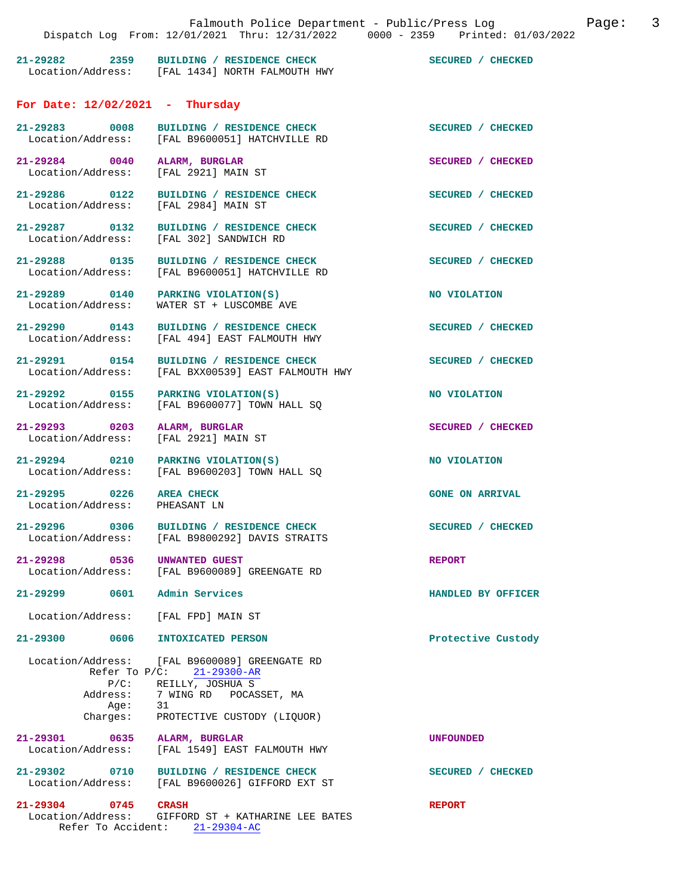|                                                                      |                                                                                                                                                                       | Dispatch Log From: 12/01/2021 Thru: 12/31/2022 0000 - 2359 Printed: 01/03/2022 |
|----------------------------------------------------------------------|-----------------------------------------------------------------------------------------------------------------------------------------------------------------------|--------------------------------------------------------------------------------|
|                                                                      | 21-29282 2359 BUILDING / RESIDENCE CHECK<br>Location/Address: [FAL 1434] NORTH FALMOUTH HWY                                                                           | SECURED / CHECKED                                                              |
| For Date: $12/02/2021$ - Thursday                                    |                                                                                                                                                                       |                                                                                |
|                                                                      | 21-29283 0008 BUILDING / RESIDENCE CHECK<br>Location/Address: [FAL B9600051] HATCHVILLE RD                                                                            | SECURED / CHECKED                                                              |
| 21-29284 0040 ALARM, BURGLAR<br>Location/Address: [FAL 2921] MAIN ST |                                                                                                                                                                       | SECURED / CHECKED                                                              |
| Location/Address: [FAL 2984] MAIN ST                                 | 21-29286 0122 BUILDING / RESIDENCE CHECK                                                                                                                              | SECURED / CHECKED                                                              |
|                                                                      | 21-29287 0132 BUILDING / RESIDENCE CHECK<br>Location/Address: [FAL 302] SANDWICH RD                                                                                   | SECURED / CHECKED                                                              |
|                                                                      | 21-29288 0135 BUILDING / RESIDENCE CHECK<br>Location/Address: [FAL B9600051] HATCHVILLE RD                                                                            | SECURED / CHECKED                                                              |
|                                                                      | 21-29289 0140 PARKING VIOLATION(S)<br>Location/Address: WATER ST + LUSCOMBE AVE                                                                                       | <b>NO VIOLATION</b>                                                            |
|                                                                      | 21-29290 0143 BUILDING / RESIDENCE CHECK<br>Location/Address: [FAL 494] EAST FALMOUTH HWY                                                                             | SECURED / CHECKED                                                              |
|                                                                      | 21-29291 0154 BUILDING / RESIDENCE CHECK<br>Location/Address: [FAL BXX00539] EAST FALMOUTH HWY                                                                        | SECURED / CHECKED                                                              |
|                                                                      | 21-29292 0155 PARKING VIOLATION(S)<br>Location/Address: [FAL B9600077] TOWN HALL SQ                                                                                   | <b>NO VIOLATION</b>                                                            |
| 21-29293 0203 ALARM, BURGLAR<br>Location/Address: [FAL 2921] MAIN ST |                                                                                                                                                                       | SECURED / CHECKED                                                              |
|                                                                      | 21-29294 0210 PARKING VIOLATION(S)<br>Location/Address: [FAL B9600203] TOWN HALL SQ                                                                                   | NO VIOLATION                                                                   |
| 21-29295 0226 AREA CHECK<br>Location/Address: PHEASANT LN            |                                                                                                                                                                       | <b>GONE ON ARRIVAL</b>                                                         |
| 21-29296                                                             | 0306 BUILDING / RESIDENCE CHECK<br>Location/Address: [FAL B9800292] DAVIS STRAITS                                                                                     | SECURED / CHECKED                                                              |
| 21-29298 0536                                                        | UNWANTED GUEST<br>Location/Address: [FAL B9600089] GREENGATE RD                                                                                                       | <b>REPORT</b>                                                                  |
| 21-29299                                                             | 0601 Admin Services                                                                                                                                                   | HANDLED BY OFFICER                                                             |
| Location/Address: [FAL FPD] MAIN ST                                  |                                                                                                                                                                       |                                                                                |
| 21-29300 0606 INTOXICATED PERSON                                     |                                                                                                                                                                       | Protective Custody                                                             |
| Address:<br>Age: 31                                                  | Location/Address: [FAL B9600089] GREENGATE RD<br>Refer To P/C: 21-29300-AR<br>P/C: REILLY, JOSHUA S<br>7 WING RD POCASSET, MA<br>Charges: PROTECTIVE CUSTODY (LIQUOR) |                                                                                |
| 21-29301                                                             | 0635 ALARM, BURGLAR<br>Location/Address: [FAL 1549] EAST FALMOUTH HWY                                                                                                 | <b>UNFOUNDED</b>                                                               |
|                                                                      | 21-29302 0710 BUILDING / RESIDENCE CHECK<br>Location/Address: [FAL B9600026] GIFFORD EXT ST                                                                           | SECURED / CHECKED                                                              |
| 21-29304 0745 CRASH                                                  | Location/Address: GIFFORD ST + KATHARINE LEE BATES<br>Refer To Accident: 21-29304-AC                                                                                  | <b>REPORT</b>                                                                  |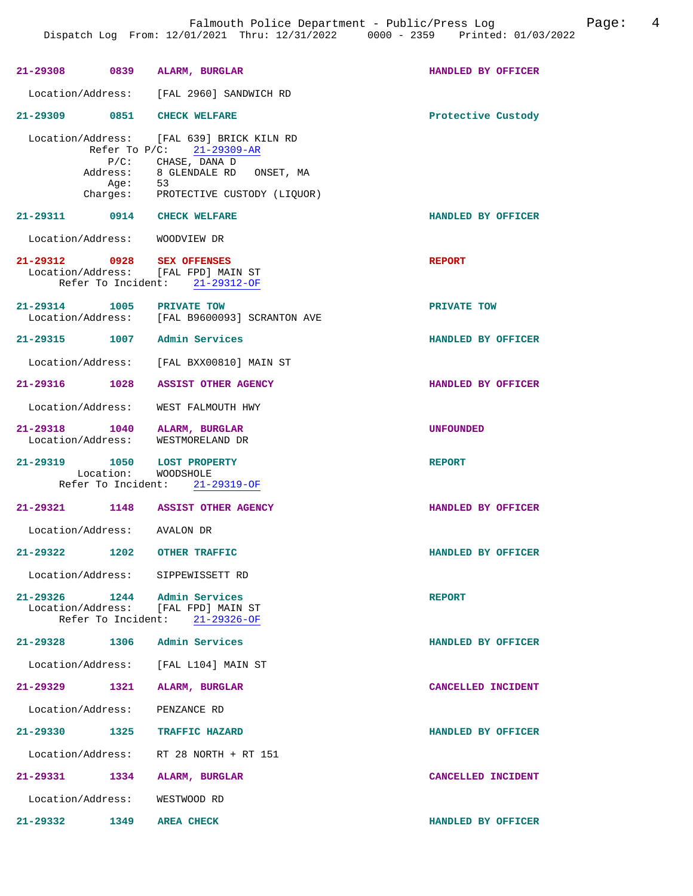|                               |      | 21-29308 0839 ALARM, BURGLAR                                                                                                                                                   | HANDLED BY OFFICER |
|-------------------------------|------|--------------------------------------------------------------------------------------------------------------------------------------------------------------------------------|--------------------|
|                               |      | Location/Address: [FAL 2960] SANDWICH RD                                                                                                                                       |                    |
| 21-29309 0851 CHECK WELFARE   |      |                                                                                                                                                                                | Protective Custody |
|                               | Aqe: | Location/Address: [FAL 639] BRICK KILN RD<br>Refer To P/C: 21-29309-AR<br>P/C: CHASE, DANA D<br>Address: 8 GLENDALE RD ONSET, MA<br>53<br>Charges: PROTECTIVE CUSTODY (LIQUOR) |                    |
| 21-29311 0914 CHECK WELFARE   |      |                                                                                                                                                                                | HANDLED BY OFFICER |
| Location/Address: WOODVIEW DR |      |                                                                                                                                                                                |                    |
| 21-29312 0928 SEX OFFENSES    |      | Location/Address: [FAL FPD] MAIN ST<br>Refer To Incident: 21-29312-OF                                                                                                          | <b>REPORT</b>      |
| 21-29314 1005 PRIVATE TOW     |      | Le 20011<br>Location/Address: [FAL B9600093] SCRANTON AVE                                                                                                                      | PRIVATE TOW        |
|                               |      | 21-29315 1007 Admin Services                                                                                                                                                   | HANDLED BY OFFICER |
|                               |      | Location/Address: [FAL BXX00810] MAIN ST                                                                                                                                       |                    |
|                               |      | 21-29316 1028 ASSIST OTHER AGENCY                                                                                                                                              | HANDLED BY OFFICER |
|                               |      | Location/Address: WEST FALMOUTH HWY                                                                                                                                            |                    |
|                               |      | 21-29318 1040 ALARM, BURGLAR<br>Location/Address: WESTMORELAND DR                                                                                                              | <b>UNFOUNDED</b>   |
| 21-29319 1050 LOST PROPERTY   |      | Location: WOODSHOLE                                                                                                                                                            | <b>REPORT</b>      |
|                               |      | Refer To Incident: 21-29319-OF                                                                                                                                                 |                    |
|                               |      | 21-29321 1148 ASSIST OTHER AGENCY                                                                                                                                              | HANDLED BY OFFICER |
| Location/Address: AVALON DR   |      |                                                                                                                                                                                |                    |
| 21-29322                      | 1202 | OTHER TRAFFIC                                                                                                                                                                  | HANDLED BY OFFICER |
|                               |      | Location/Address: SIPPEWISSETT RD                                                                                                                                              |                    |
|                               |      | 21-29326 1244 Admin Services<br>Location/Address: [FAL FPD] MAIN ST<br>Refer To Incident: 21-29326-OF                                                                          | <b>REPORT</b>      |
| 21-29328 1306                 |      | Admin Services                                                                                                                                                                 | HANDLED BY OFFICER |
|                               |      | Location/Address: [FAL L104] MAIN ST                                                                                                                                           |                    |
| 21-29329 1321                 |      | ALARM, BURGLAR                                                                                                                                                                 | CANCELLED INCIDENT |
| Location/Address: PENZANCE RD |      |                                                                                                                                                                                |                    |
| 21-29330                      | 1325 | TRAFFIC HAZARD                                                                                                                                                                 | HANDLED BY OFFICER |
|                               |      | Location/Address: RT 28 NORTH + RT 151                                                                                                                                         |                    |
| 21-29331 1334                 |      | <b>ALARM, BURGLAR</b>                                                                                                                                                          | CANCELLED INCIDENT |
| Location/Address:             |      | WESTWOOD RD                                                                                                                                                                    |                    |
| $21 - 29332$<br>1349          |      | <b>AREA CHECK</b>                                                                                                                                                              | HANDLED BY OFFICER |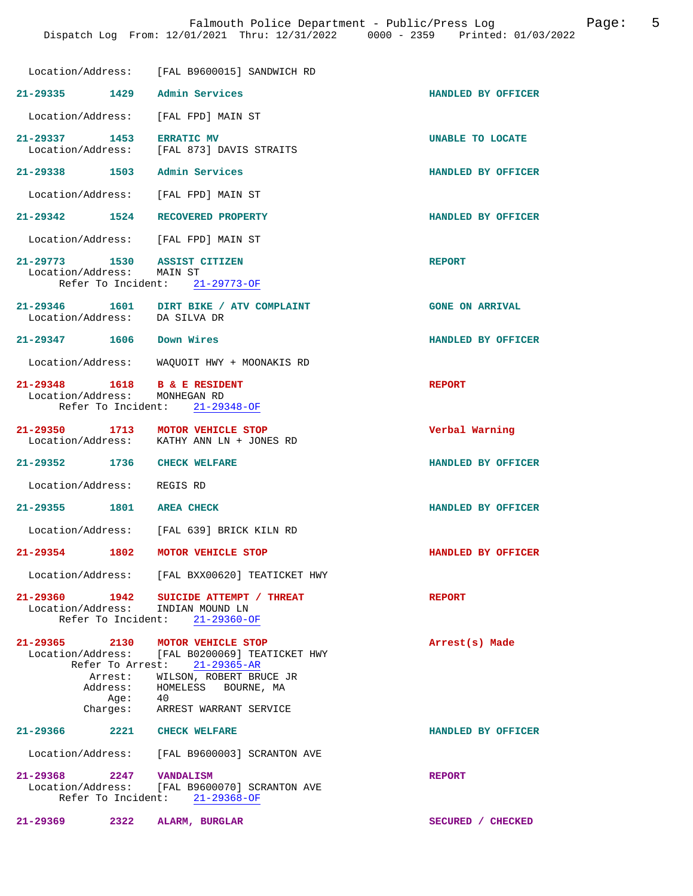|                                                               | Location/Address: [FAL B9600015] SANDWICH RD                                    |                        |
|---------------------------------------------------------------|---------------------------------------------------------------------------------|------------------------|
| 21-29335 1429 Admin Services                                  |                                                                                 | HANDLED BY OFFICER     |
| Location/Address:                                             | [FAL FPD] MAIN ST                                                               |                        |
| 21-29337 1453                                                 | <b>ERRATIC MV</b><br>Location/Address: [FAL 873] DAVIS STRAITS                  | UNABLE TO LOCATE       |
| 21-29338 1503                                                 | Admin Services                                                                  | HANDLED BY OFFICER     |
| Location/Address: [FAL FPD] MAIN ST                           |                                                                                 |                        |
| 21-29342 1524                                                 | RECOVERED PROPERTY                                                              | HANDLED BY OFFICER     |
| Location/Address: [FAL FPD] MAIN ST                           |                                                                                 |                        |
| 21-29773 1530 ASSIST CITIZEN<br>Location/Address: MAIN ST     | Refer To Incident: 21-29773-OF                                                  | <b>REPORT</b>          |
| Location/Address: DA SILVA DR                                 | 21-29346   1601   DIRT BIKE / ATV COMPLAINT                                     | <b>GONE ON ARRIVAL</b> |
| 21-29347 1606                                                 | Down Wires                                                                      | HANDLED BY OFFICER     |
|                                                               | Location/Address: WAQUOIT HWY + MOONAKIS RD                                     |                        |
| 21-29348 1618 B & E RESIDENT<br>Location/Address: MONHEGAN RD | Refer To Incident: 21-29348-OF                                                  | <b>REPORT</b>          |
| 21-29350 1713<br>Location/Address:                            | MOTOR VEHICLE STOP<br>KATHY ANN LN + JONES RD                                   | Verbal Warning         |
| 21-29352 1736 CHECK WELFARE                                   |                                                                                 | HANDLED BY OFFICER     |
| Location/Address: REGIS RD                                    |                                                                                 |                        |
| 21-29355 1801                                                 | <b>AREA CHECK</b>                                                               | HANDLED BY OFFICER     |
|                                                               | Location/Address: [FAL 639] BRICK KILN RD                                       |                        |
| $21 - 29354$<br>1802                                          | MOTOR VEHICLE STOP                                                              | HANDLED BY OFFICER     |
|                                                               | Location/Address: [FAL BXX00620] TEATICKET HWY                                  |                        |
| 21-29360 1942<br>Location/Address: INDIAN MOUND LN            | SUICIDE ATTEMPT / THREAT<br>Refer To Incident: 21-29360-OF                      | <b>REPORT</b>          |
| 21-29365 2130 MOTOR VEHICLE STOP                              | Location/Address: [FAL B0200069] TEATICKET HWY<br>Refer To Arrest: 21-29365-AR  | Arrest(s) Made         |
|                                                               | Arrest: WILSON, ROBERT BRUCE JR<br>Address: HOMELESS BOURNE, MA                 |                        |
|                                                               | Age: 40<br>Charges: ARREST WARRANT SERVICE                                      |                        |
| 21-29366 2221 CHECK WELFARE                                   |                                                                                 | HANDLED BY OFFICER     |
|                                                               | Location/Address: [FAL B9600003] SCRANTON AVE                                   |                        |
| 21-29368 2247 VANDALISM                                       | Location/Address: [FAL B9600070] SCRANTON AVE<br>Refer To Incident: 21-29368-OF | <b>REPORT</b>          |
| $21 - 29369$<br>2322                                          | ALARM, BURGLAR                                                                  | SECURED / CHECKED      |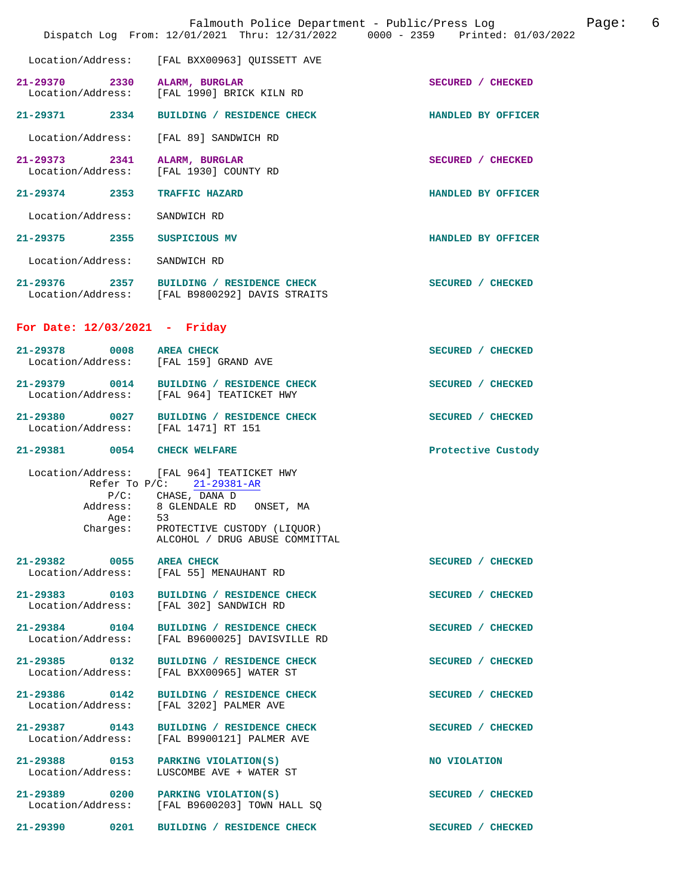|                                                      |                                                                                                                                                                                                         | Dispatch Log From: 12/01/2021 Thru: 12/31/2022 0000 - 2359 Printed: 01/03/2022 |
|------------------------------------------------------|---------------------------------------------------------------------------------------------------------------------------------------------------------------------------------------------------------|--------------------------------------------------------------------------------|
| Location/Address:                                    | [FAL BXX00963] QUISSETT AVE                                                                                                                                                                             |                                                                                |
| 21-29370 2330<br>Location/Address:                   | ALARM, BURGLAR<br>[FAL 1990] BRICK KILN RD                                                                                                                                                              | SECURED / CHECKED                                                              |
| 21-29371 2334                                        | BUILDING / RESIDENCE CHECK                                                                                                                                                                              | HANDLED BY OFFICER                                                             |
| Location/Address:                                    | [FAL 89] SANDWICH RD                                                                                                                                                                                    |                                                                                |
| 21-29373 2341<br>Location/Address:                   | ALARM, BURGLAR<br>[FAL 1930] COUNTY RD                                                                                                                                                                  | SECURED / CHECKED                                                              |
| 21-29374 2353                                        | <b>TRAFFIC HAZARD</b>                                                                                                                                                                                   | HANDLED BY OFFICER                                                             |
| Location/Address:                                    | SANDWICH RD                                                                                                                                                                                             |                                                                                |
| 21-29375 2355                                        | SUSPICIOUS MV                                                                                                                                                                                           | HANDLED BY OFFICER                                                             |
| Location/Address: SANDWICH RD                        |                                                                                                                                                                                                         |                                                                                |
|                                                      | 21-29376 2357 BUILDING / RESIDENCE CHECK<br>Location/Address: [FAL B9800292] DAVIS STRAITS                                                                                                              | SECURED / CHECKED                                                              |
| For Date: $12/03/2021$ - Friday                      |                                                                                                                                                                                                         |                                                                                |
| 21-29378                                             | 0008 AREA CHECK<br>Location/Address: [FAL 159] GRAND AVE                                                                                                                                                | SECURED / CHECKED                                                              |
|                                                      | 21-29379 0014 BUILDING / RESIDENCE CHECK<br>Location/Address: [FAL 964] TEATICKET HWY                                                                                                                   | SECURED / CHECKED                                                              |
| 21-29380 0027<br>Location/Address: [FAL 1471] RT 151 | BUILDING / RESIDENCE CHECK                                                                                                                                                                              | SECURED / CHECKED                                                              |
| 21-29381 0054 CHECK WELFARE                          |                                                                                                                                                                                                         | Protective Custody                                                             |
| Address:<br>Age:                                     | Location/Address: [FAL 964] TEATICKET HWY<br>Refer To P/C: 21-29381-AR<br>P/C: CHASE, DANA D<br>8 GLENDALE RD ONSET, MA<br>53<br>Charges: PROTECTIVE CUSTODY (LIQUOR)<br>ALCOHOL / DRUG ABUSE COMMITTAL |                                                                                |
| 21-29382 0055<br>Location/Address:                   | <b>AREA CHECK</b><br>[FAL 55] MENAUHANT RD                                                                                                                                                              | SECURED / CHECKED                                                              |
| Location/Address:                                    | 21-29383 0103 BUILDING / RESIDENCE CHECK<br>[FAL 302] SANDWICH RD                                                                                                                                       | SECURED / CHECKED                                                              |
| 21-29384 0104<br>Location/Address:                   | BUILDING / RESIDENCE CHECK<br>[FAL B9600025] DAVISVILLE RD                                                                                                                                              | SECURED / CHECKED                                                              |
| 21-29385 0132<br>Location/Address:                   | BUILDING / RESIDENCE CHECK<br>[FAL BXX00965] WATER ST                                                                                                                                                   | SECURED / CHECKED                                                              |
| 21-29386 0142<br>Location/Address:                   | BUILDING / RESIDENCE CHECK<br>[FAL 3202] PALMER AVE                                                                                                                                                     | SECURED / CHECKED                                                              |
| 21-29387 0143<br>Location/Address:                   | BUILDING / RESIDENCE CHECK<br>[FAL B9900121] PALMER AVE                                                                                                                                                 | SECURED / CHECKED                                                              |
| 21-29388 0153<br>Location/Address:                   | PARKING VIOLATION(S)<br>LUSCOMBE AVE + WATER ST                                                                                                                                                         | NO VIOLATION                                                                   |
|                                                      | 21-29389 0200 PARKING VIOLATION(S)<br>Location/Address: [FAL B9600203] TOWN HALL SQ                                                                                                                     | SECURED / CHECKED                                                              |
| 21-29390<br>0201                                     | BUILDING / RESIDENCE CHECK                                                                                                                                                                              | SECURED / CHECKED                                                              |

Falmouth Police Department - Public/Press Log Fage: 6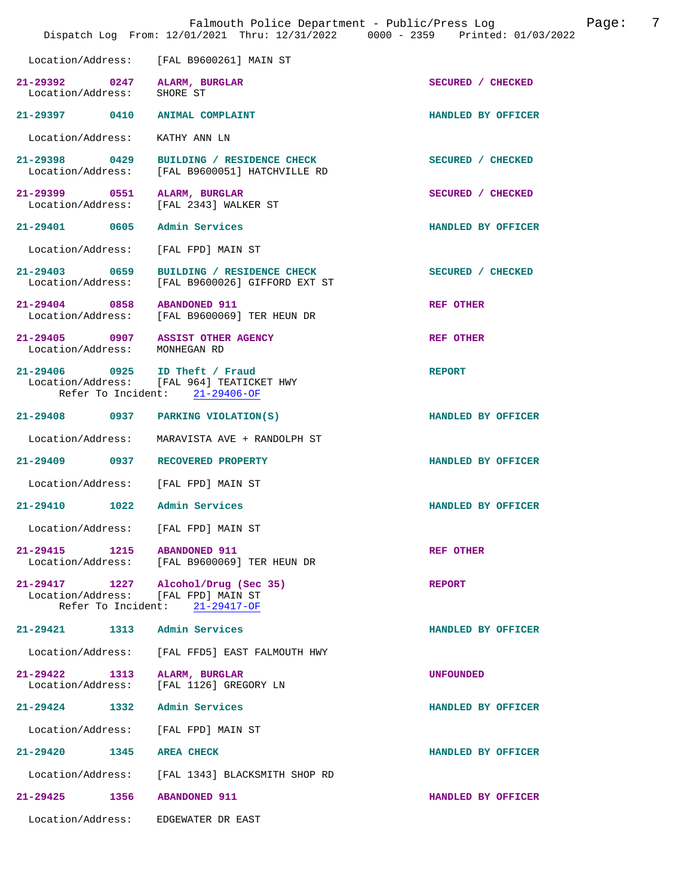|                                                            | Dispatch Log From: 12/01/2021 Thru: 12/31/2022 0000 - 2359 Printed: 01/03/2022                                | Falmouth Police Department - Public/Press Log | 7<br>Page: |
|------------------------------------------------------------|---------------------------------------------------------------------------------------------------------------|-----------------------------------------------|------------|
| Location/Address:                                          | [FAL B9600261] MAIN ST                                                                                        |                                               |            |
| 21-29392 0247 ALARM, BURGLAR<br>Location/Address: SHORE ST |                                                                                                               | SECURED / CHECKED                             |            |
| 21-29397 0410 ANIMAL COMPLAINT                             |                                                                                                               | HANDLED BY OFFICER                            |            |
| Location/Address:                                          | KATHY ANN LN                                                                                                  |                                               |            |
| 21-29398 0429<br>Location/Address:                         | BUILDING / RESIDENCE CHECK<br>[FAL B9600051] HATCHVILLE RD                                                    | SECURED / CHECKED                             |            |
| 21-29399 0551 ALARM, BURGLAR                               | Location/Address: [FAL 2343] WALKER ST                                                                        | SECURED / CHECKED                             |            |
| 21-29401 0605                                              | Admin Services                                                                                                | HANDLED BY OFFICER                            |            |
| Location/Address:                                          | [FAL FPD] MAIN ST                                                                                             |                                               |            |
| 21-29403 0659<br>Location/Address:                         | BUILDING / RESIDENCE CHECK<br>[FAL B9600026] GIFFORD EXT ST                                                   | SECURED / CHECKED                             |            |
| 21-29404 0858 ABANDONED 911                                | Location/Address: [FAL B9600069] TER HEUN DR                                                                  | <b>REF OTHER</b>                              |            |
| Location/Address: MONHEGAN RD                              | 21-29405 0907 ASSIST OTHER AGENCY                                                                             | <b>REF OTHER</b>                              |            |
|                                                            | 21-29406 0925 ID Theft / Fraud<br>Location/Address: [FAL 964] TEATICKET HWY<br>Refer To Incident: 21-29406-OF | <b>REPORT</b>                                 |            |
|                                                            | 21-29408 0937 PARKING VIOLATION(S)                                                                            | HANDLED BY OFFICER                            |            |
| Location/Address:                                          | MARAVISTA AVE + RANDOLPH ST                                                                                   |                                               |            |
|                                                            | 21-29409 0937 RECOVERED PROPERTY                                                                              | HANDLED BY OFFICER                            |            |
|                                                            | Location/Address: [FAL FPD] MAIN ST                                                                           |                                               |            |
| 1022<br>21-29410                                           | Admin Services                                                                                                | HANDLED BY OFFICER                            |            |
| Location/Address:                                          | [FAL FPD] MAIN ST                                                                                             |                                               |            |
| 21-29415 1215                                              | <b>ABANDONED 911</b><br>Location/Address: [FAL B9600069] TER HEUN DR                                          | <b>REF OTHER</b>                              |            |
| 21-29417 1227<br>Refer To Incident:                        | Alcohol/Drug (Sec 35)<br>Location/Address: [FAL FPD] MAIN ST<br>21-29417-OF                                   | <b>REPORT</b>                                 |            |
| 21-29421 1313                                              | Admin Services                                                                                                | HANDLED BY OFFICER                            |            |
| Location/Address:                                          | [FAL FFD5] EAST FALMOUTH HWY                                                                                  |                                               |            |
| 21-29422 1313<br>Location/Address:                         | ALARM, BURGLAR<br>[FAL 1126] GREGORY LN                                                                       | <b>UNFOUNDED</b>                              |            |
| 21-29424 1332                                              | Admin Services                                                                                                | HANDLED BY OFFICER                            |            |
| Location/Address:                                          | [FAL FPD] MAIN ST                                                                                             |                                               |            |
| 21-29420<br>1345                                           | <b>AREA CHECK</b>                                                                                             | HANDLED BY OFFICER                            |            |
| Location/Address:                                          | [FAL 1343] BLACKSMITH SHOP RD                                                                                 |                                               |            |
| $21 - 29425$<br>1356                                       | <b>ABANDONED 911</b>                                                                                          | HANDLED BY OFFICER                            |            |
| Location/Address:                                          | EDGEWATER DR EAST                                                                                             |                                               |            |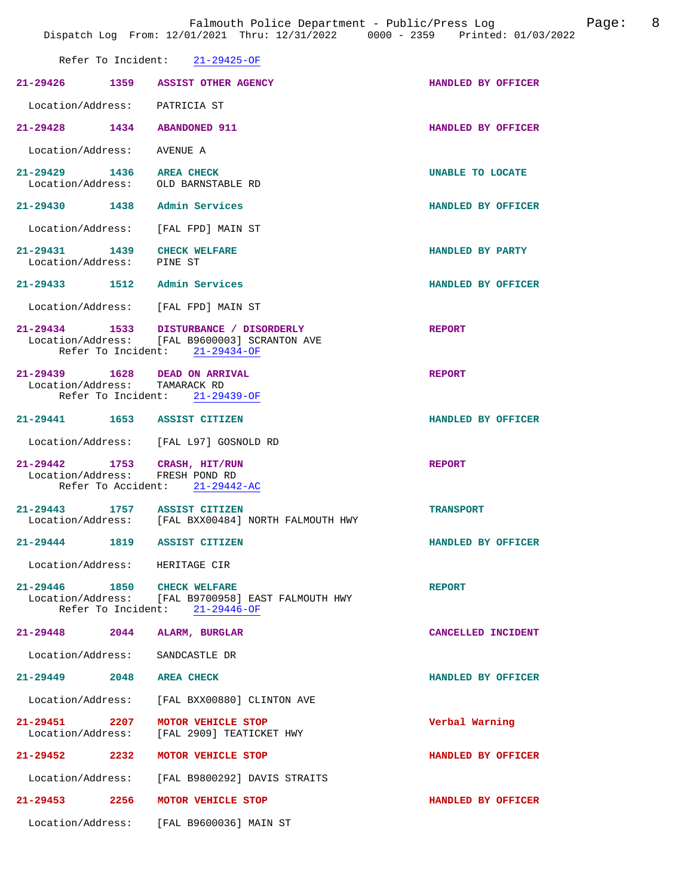|                                                                    | Refer To Incident: 21-29425-OF                                                                                            |                         |
|--------------------------------------------------------------------|---------------------------------------------------------------------------------------------------------------------------|-------------------------|
| 21-29426 1359 ASSIST OTHER AGENCY                                  |                                                                                                                           | HANDLED BY OFFICER      |
| Location/Address: PATRICIA ST                                      |                                                                                                                           |                         |
| 21-29428                                                           | 1434 ABANDONED 911                                                                                                        | HANDLED BY OFFICER      |
| Location/Address: AVENUE A                                         |                                                                                                                           |                         |
| 21-29429 1436 AREA CHECK<br>Location/Address: OLD BARNSTABLE RD    |                                                                                                                           | <b>UNABLE TO LOCATE</b> |
| 21-29430 1438 Admin Services                                       |                                                                                                                           | HANDLED BY OFFICER      |
| Location/Address: [FAL FPD] MAIN ST                                |                                                                                                                           |                         |
| 21-29431 1439<br>Location/Address: PINE ST                         | <b>CHECK WELFARE</b>                                                                                                      | HANDLED BY PARTY        |
| 21-29433 1512                                                      | Admin Services                                                                                                            | HANDLED BY OFFICER      |
| Location/Address: [FAL FPD] MAIN ST                                |                                                                                                                           |                         |
|                                                                    | 21-29434 1533 DISTURBANCE / DISORDERLY<br>Location/Address: [FAL B9600003] SCRANTON AVE<br>Refer To Incident: 21-29434-OF | <b>REPORT</b>           |
| 21-29439   1628   DEAD ON ARRIVAL<br>Location/Address: TAMARACK RD | Refer To Incident: 21-29439-OF                                                                                            | <b>REPORT</b>           |
| 21-29441 1653 ASSIST CITIZEN                                       |                                                                                                                           | HANDLED BY OFFICER      |
|                                                                    | Location/Address: [FAL L97] GOSNOLD RD                                                                                    |                         |
| 21-29442 1753 CRASH, HIT/RUN<br>Location/Address: FRESH POND RD    | Refer To Accident: 21-29442-AC                                                                                            | <b>REPORT</b>           |
|                                                                    | 21-29443 1757 ASSIST CITIZEN<br>Location/Address: [FAL BXX00484] NORTH FALMOUTH HWY                                       | <b>TRANSPORT</b>        |
| 21-29444 1819 ASSIST CITIZEN                                       |                                                                                                                           | HANDLED BY OFFICER      |
| Location/Address: HERITAGE CIR                                     |                                                                                                                           |                         |
| 21-29446 1850 CHECK WELFARE                                        | Location/Address: [FAL B9700958] EAST FALMOUTH HWY<br>Refer To Incident: 21-29446-OF                                      | <b>REPORT</b>           |
| $21 - 29448$ 2044                                                  | <b>ALARM, BURGLAR</b>                                                                                                     | CANCELLED INCIDENT      |
| Location/Address:                                                  | SANDCASTLE DR                                                                                                             |                         |
| $21 - 29449$<br>2048                                               | <b>AREA CHECK</b>                                                                                                         | HANDLED BY OFFICER      |
|                                                                    | Location/Address: [FAL BXX00880] CLINTON AVE                                                                              |                         |
| 21-29451 2207<br>Location/Address:                                 | MOTOR VEHICLE STOP<br>[FAL 2909] TEATICKET HWY                                                                            | Verbal Warning          |
| 21–29452 2232                                                      | MOTOR VEHICLE STOP                                                                                                        | HANDLED BY OFFICER      |
|                                                                    | Location/Address: [FAL B9800292] DAVIS STRAITS                                                                            |                         |
| 21-29453<br>2256                                                   | MOTOR VEHICLE STOP                                                                                                        | HANDLED BY OFFICER      |

Location/Address: [FAL B9600036] MAIN ST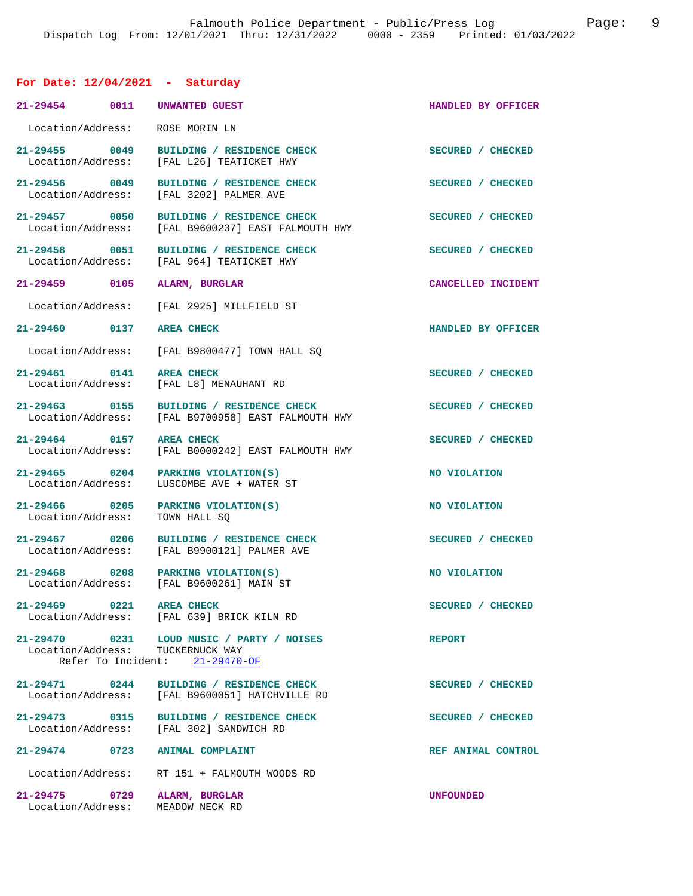## **For Date: 12/04/2021 - Saturday**

|                                    | 21-29454 0011 UNWANTED GUEST                                                                                    | HANDLED BY OFFICER |
|------------------------------------|-----------------------------------------------------------------------------------------------------------------|--------------------|
| Location/Address:                  | ROSE MORIN LN                                                                                                   |                    |
|                                    | 21-29455 0049 BUILDING / RESIDENCE CHECK<br>Location/Address: [FAL L26] TEATICKET HWY                           | SECURED / CHECKED  |
| 21-29456 0049                      | BUILDING / RESIDENCE CHECK<br>Location/Address: [FAL 3202] PALMER AVE                                           | SECURED / CHECKED  |
|                                    | 21-29457 0050 BUILDING / RESIDENCE CHECK<br>Location/Address: [FAL B9600237] EAST FALMOUTH HWY                  | SECURED / CHECKED  |
| 21-29458 0051                      | BUILDING / RESIDENCE CHECK<br>Location/Address: [FAL 964] TEATICKET HWY                                         | SECURED / CHECKED  |
| 21-29459 0105                      | ALARM, BURGLAR                                                                                                  | CANCELLED INCIDENT |
| Location/Address:                  | [FAL 2925] MILLFIELD ST                                                                                         |                    |
| 21-29460 0137 AREA CHECK           |                                                                                                                 | HANDLED BY OFFICER |
|                                    | Location/Address: [FAL B9800477] TOWN HALL SO                                                                   |                    |
| 21-29461 0141 AREA CHECK           | Location/Address: [FAL L8] MENAUHANT RD                                                                         | SECURED / CHECKED  |
|                                    | 21-29463 0155 BUILDING / RESIDENCE CHECK<br>Location/Address: [FAL B9700958] EAST FALMOUTH HWY                  | SECURED / CHECKED  |
| 21-29464 0157                      | <b>AREA CHECK</b>                                                                                               | SECURED / CHECKED  |
| Location/Address:                  | [FAL B0000242] EAST FALMOUTH HWY                                                                                |                    |
| 21-29465 0204<br>Location/Address: | PARKING VIOLATION(S)<br>LUSCOMBE AVE + WATER ST                                                                 | NO VIOLATION       |
| 21-29466 0205<br>Location/Address: | PARKING VIOLATION(S)<br>TOWN HALL SO                                                                            | NO VIOLATION       |
| 21-29467 0206                      | BUILDING / RESIDENCE CHECK<br>Location/Address: [FAL B9900121] PALMER AVE                                       | SECURED / CHECKED  |
|                                    | $21-29468$ 0208 PARKING VIOLATION(S)<br>Location/Address: [FAL B9600261] MAIN ST                                | NO VIOLATION       |
| 21-29469 0221 AREA CHECK           | Location/Address: [FAL 639] BRICK KILN RD                                                                       | SECURED / CHECKED  |
|                                    | 21-29470 0231 LOUD MUSIC / PARTY / NOISES<br>Location/Address: TUCKERNUCK WAY<br>Refer To Incident: 21-29470-OF | <b>REPORT</b>      |
|                                    | 21-29471 0244 BUILDING / RESIDENCE CHECK<br>Location/Address: [FAL B9600051] HATCHVILLE RD                      | SECURED / CHECKED  |
| 21-29473 0315                      | BUILDING / RESIDENCE CHECK<br>Location/Address: [FAL 302] SANDWICH RD                                           | SECURED / CHECKED  |
|                                    | 21-29474 0723 ANIMAL COMPLAINT                                                                                  | REF ANIMAL CONTROL |
| Location/Address:                  | RT 151 + FALMOUTH WOODS RD                                                                                      |                    |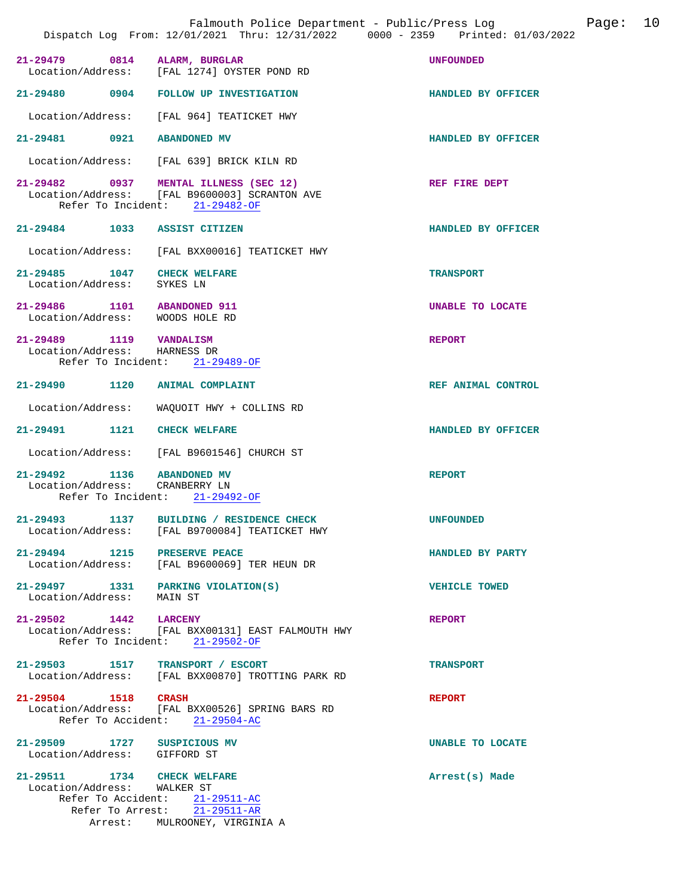| Falmouth Police Department - Public/Press Log<br>Page:<br>Dispatch Log From: 12/01/2021 Thru: 12/31/2022 0000 - 2359 Printed: 01/03/2022 |                                                                                                       |                      |
|------------------------------------------------------------------------------------------------------------------------------------------|-------------------------------------------------------------------------------------------------------|----------------------|
| $21 - 29479$<br>0814                                                                                                                     | ALARM, BURGLAR<br>Location/Address: [FAL 1274] OYSTER POND RD                                         | <b>UNFOUNDED</b>     |
|                                                                                                                                          | 21-29480 0904 FOLLOW UP INVESTIGATION                                                                 | HANDLED BY OFFICER   |
|                                                                                                                                          | Location/Address: [FAL 964] TEATICKET HWY                                                             |                      |
| 21-29481<br>0921                                                                                                                         | <b>ABANDONED MV</b>                                                                                   | HANDLED BY OFFICER   |
| Location/Address:                                                                                                                        | [FAL 639] BRICK KILN RD                                                                               |                      |
| Refer To Incident:                                                                                                                       | 21-29482 0937 MENTAL ILLNESS (SEC 12)<br>Location/Address: [FAL B9600003] SCRANTON AVE<br>21-29482-OF | REF FIRE DEPT        |
| 21-29484 1033                                                                                                                            | <b>ASSIST CITIZEN</b>                                                                                 | HANDLED BY OFFICER   |
|                                                                                                                                          | Location/Address: [FAL BXX00016] TEATICKET HWY                                                        |                      |
| 21-29485 1047<br>Location/Address:                                                                                                       | <b>CHECK WELFARE</b><br>SYKES LN                                                                      | <b>TRANSPORT</b>     |
| 21-29486<br>1101<br>Location/Address: WOODS HOLE RD                                                                                      | <b>ABANDONED 911</b>                                                                                  | UNABLE TO LOCATE     |
| 21-29489 1119<br>Location/Address:                                                                                                       | <b>VANDALISM</b><br>HARNESS DR<br>Refer To Incident: 21-29489-OF                                      | <b>REPORT</b>        |
| 21-29490<br>1120                                                                                                                         | <b>ANIMAL COMPLAINT</b>                                                                               | REF ANIMAL CONTROL   |
| Location/Address:                                                                                                                        | WAQUOIT HWY + COLLINS RD                                                                              |                      |
| 21-29491<br>1121                                                                                                                         | <b>CHECK WELFARE</b>                                                                                  | HANDLED BY OFFICER   |
| Location/Address:                                                                                                                        | [FAL B9601546] CHURCH ST                                                                              |                      |
| 21-29492 1136<br>Location/Address:                                                                                                       | <b>ABANDONED MV</b><br>CRANBERRY LN<br>Refer To Incident: 21-29492-OF                                 | <b>REPORT</b>        |
| 21-29493<br>1137<br>Location/Address:                                                                                                    | BUILDING / RESIDENCE CHECK<br>[FAL B9700084] TEATICKET HWY                                            | <b>UNFOUNDED</b>     |
| 21-29494 1215 PRESERVE PEACE                                                                                                             | Location/Address: [FAL B9600069] TER HEUN DR                                                          | HANDLED BY PARTY     |
| 21-29497 1331<br>Location/Address:                                                                                                       | PARKING VIOLATION(S)<br>MAIN ST                                                                       | <b>VEHICLE TOWED</b> |
| $21 - 29502$ 1442<br>Refer To Incident:                                                                                                  | <b>LARCENY</b><br>Location/Address: [FAL BXX00131] EAST FALMOUTH HWY<br>21-29502-OF                   | <b>REPORT</b>        |
| 21-29503 1517                                                                                                                            | TRANSPORT / ESCORT<br>Location/Address: [FAL BXX00870] TROTTING PARK RD                               | <b>TRANSPORT</b>     |
| 21-29504 1518 CRASH                                                                                                                      | Location/Address: [FAL BXX00526] SPRING BARS RD<br>Refer To Accident: 21-29504-AC                     | <b>REPORT</b>        |
| 21-29509 1727 SUSPICIOUS MV<br>Location/Address: GIFFORD ST                                                                              |                                                                                                       | UNABLE TO LOCATE     |
| 21-29511 1734 CHECK WELFARE<br>Location/Address: WALKER ST<br>Arrest:                                                                    | Refer To Accident: 21-29511-AC<br>Refer To Arrest: 21-29511-AR<br>MULROONEY, VIRGINIA A               | Arrest(s) Made       |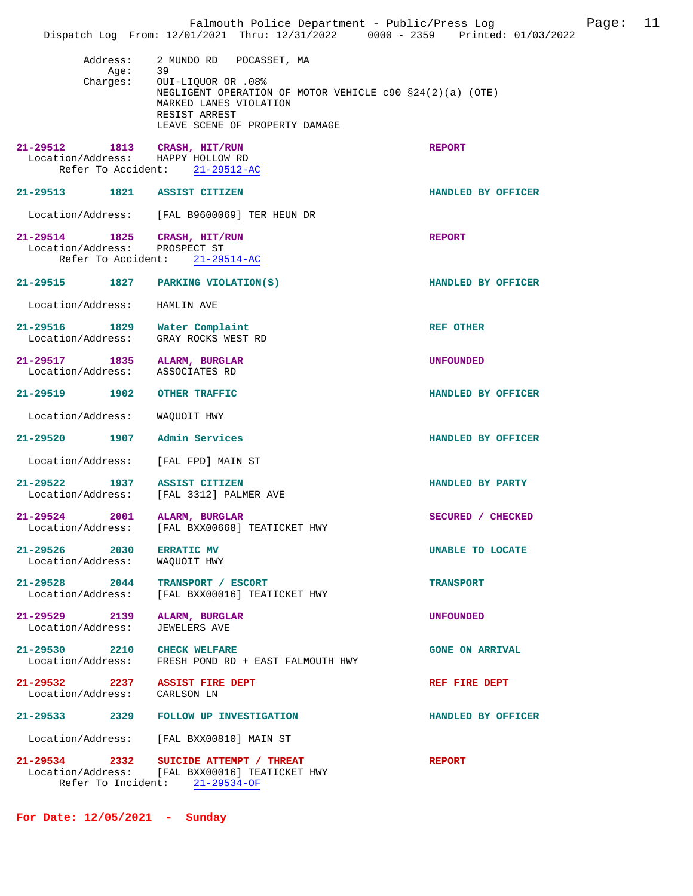|                                    |                              | Falmouth Police Department - Public/Press Log<br>Dispatch Log From: 12/01/2021 Thru: 12/31/2022 0000 - 2359 Printed: 01/03/2022                                                                            |                        | Page: | 11 |
|------------------------------------|------------------------------|------------------------------------------------------------------------------------------------------------------------------------------------------------------------------------------------------------|------------------------|-------|----|
|                                    | Address:<br>Aqe:<br>Charges: | 2 MUNDO RD<br>POCASSET, MA<br>39<br>Out<br>OUI-LIQUOR OR .08%<br>NEGLIGENT OPERATION OF MOTOR VEHICLE $c90$ $$24(2)(a)$ (OTE)<br>MARKED LANES VIOLATION<br>RESIST ARREST<br>LEAVE SCENE OF PROPERTY DAMAGE |                        |       |    |
|                                    |                              | 21-29512 1813 CRASH, HIT/RUN<br>Location/Address: HAPPY HOLLOW RD<br>Refer To Accident: 21-29512-AC                                                                                                        | <b>REPORT</b>          |       |    |
| $21 - 29513$                       |                              | 1821 ASSIST CITIZEN                                                                                                                                                                                        | HANDLED BY OFFICER     |       |    |
|                                    |                              | Location/Address: [FAL B9600069] TER HEUN DR                                                                                                                                                               |                        |       |    |
| Location/Address: PROSPECT ST      |                              | 21-29514 1825 CRASH, HIT/RUN<br>Refer To Accident: 21-29514-AC                                                                                                                                             | <b>REPORT</b>          |       |    |
|                                    |                              | 21-29515 1827 PARKING VIOLATION(S)                                                                                                                                                                         | HANDLED BY OFFICER     |       |    |
| Location/Address:                  |                              | HAMLIN AVE                                                                                                                                                                                                 |                        |       |    |
| Location/Address:                  |                              | 21-29516 1829 Water Complaint<br>GRAY ROCKS WEST RD                                                                                                                                                        | <b>REF OTHER</b>       |       |    |
| 21-29517 1835<br>Location/Address: |                              | ALARM, BURGLAR<br>ASSOCIATES RD                                                                                                                                                                            | <b>UNFOUNDED</b>       |       |    |
|                                    |                              | 21-29519 1902 OTHER TRAFFIC                                                                                                                                                                                | HANDLED BY OFFICER     |       |    |
| Location/Address:                  |                              | WAQUOIT HWY                                                                                                                                                                                                |                        |       |    |
| 21-29520                           | 1907                         | Admin Services                                                                                                                                                                                             | HANDLED BY OFFICER     |       |    |
| Location/Address:                  |                              | [FAL FPD] MAIN ST                                                                                                                                                                                          |                        |       |    |
| $21 - 29522$<br>Location/Address:  | 1937                         | <b>ASSIST CITIZEN</b><br>[FAL 3312] PALMER AVE                                                                                                                                                             | HANDLED BY PARTY       |       |    |
| 21-29524<br>Location/Address:      | 2001                         | ALARM, BURGLAR<br>[FAL BXX00668] TEATICKET HWY                                                                                                                                                             | SECURED / CHECKED      |       |    |
| 21-29526 2030<br>Location/Address: |                              | <b>ERRATIC MV</b><br>WAQUOIT HWY                                                                                                                                                                           | UNABLE TO LOCATE       |       |    |
| 21-29528 2044<br>Location/Address: |                              | TRANSPORT / ESCORT<br>[FAL BXX00016] TEATICKET HWY                                                                                                                                                         | <b>TRANSPORT</b>       |       |    |
| 21-29529 2139<br>Location/Address: |                              | ALARM, BURGLAR<br><b>JEWELERS AVE</b>                                                                                                                                                                      | UNFOUNDED              |       |    |
| Location/Address:                  |                              | 21-29530 2210 CHECK WELFARE<br>FRESH POND RD + EAST FALMOUTH HWY                                                                                                                                           | <b>GONE ON ARRIVAL</b> |       |    |
| Location/Address:                  |                              | 21-29532 2237 ASSIST FIRE DEPT<br>CARLSON LN                                                                                                                                                               | REF FIRE DEPT          |       |    |
| $21 - 29533$                       |                              | 2329 FOLLOW UP INVESTIGATION                                                                                                                                                                               | HANDLED BY OFFICER     |       |    |
| Location/Address:                  |                              | [FAL BXX00810] MAIN ST                                                                                                                                                                                     |                        |       |    |
|                                    | Refer To Incident:           | 21-29534 2332 SUICIDE ATTEMPT / THREAT<br>Location/Address: [FAL BXX00016] TEATICKET HWY<br>$21 - 29534 - OF$                                                                                              | <b>REPORT</b>          |       |    |

**For Date: 12/05/2021 - Sunday**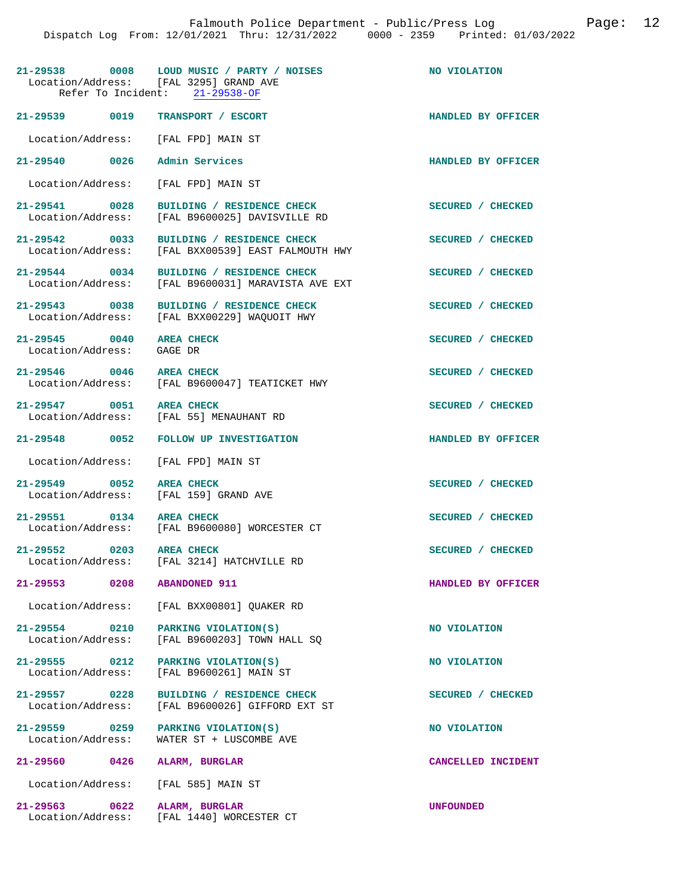|                                               | 21-29538 0008 LOUD MUSIC / PARTY / NOISES<br>Location/Address: [FAL 3295] GRAND AVE<br>Refer To Incident: 21-29538-OF | NO VIOLATION       |
|-----------------------------------------------|-----------------------------------------------------------------------------------------------------------------------|--------------------|
| 21-29539 0019                                 | TRANSPORT / ESCORT                                                                                                    | HANDLED BY OFFICER |
| Location/Address: [FAL FPD] MAIN ST           |                                                                                                                       |                    |
| 21-29540 0026                                 | Admin Services                                                                                                        | HANDLED BY OFFICER |
| Location/Address:                             | [FAL FPD] MAIN ST                                                                                                     |                    |
| 21-29541 0028<br>Location/Address:            | BUILDING / RESIDENCE CHECK<br>[FAL B9600025] DAVISVILLE RD                                                            | SECURED / CHECKED  |
| 21-29542 0033<br>Location/Address:            | BUILDING / RESIDENCE CHECK<br>[FAL BXX00539] EAST FALMOUTH HWY                                                        | SECURED / CHECKED  |
| $21 - 29544$ 0034                             | BUILDING / RESIDENCE CHECK<br>Location/Address: [FAL B9600031] MARAVISTA AVE EXT                                      | SECURED / CHECKED  |
|                                               | 21-29543 0038 BUILDING / RESIDENCE CHECK<br>Location/Address: [FAL BXX00229] WAQUOIT HWY                              | SECURED / CHECKED  |
| 21-29545 0040<br>Location/Address: GAGE DR    | <b>AREA CHECK</b>                                                                                                     | SECURED / CHECKED  |
| 21-29546 0046 AREA CHECK                      | Location/Address: [FAL B9600047] TEATICKET HWY                                                                        | SECURED / CHECKED  |
| 21-29547 0051 AREA CHECK                      | Location/Address: [FAL 55] MENAUHANT RD                                                                               | SECURED / CHECKED  |
| 21-29548 0052                                 | <b>FOLLOW UP INVESTIGATION</b>                                                                                        | HANDLED BY OFFICER |
| Location/Address: [FAL FPD] MAIN ST           |                                                                                                                       |                    |
| 21-29549 0052<br>Location/Address:            | <b>AREA CHECK</b><br>[FAL 159] GRAND AVE                                                                              | SECURED / CHECKED  |
| 21-29551 0134 AREA CHECK                      | Location/Address: [FAL B9600080] WORCESTER CT                                                                         | SECURED / CHECKED  |
| 21-29552 0203 AREA CHECK<br>Location/Address: | [FAL 3214] HATCHVILLE RD                                                                                              | SECURED / CHECKED  |
| 21-29553<br>0208                              | <b>ABANDONED 911</b>                                                                                                  | HANDLED BY OFFICER |
| Location/Address:                             | [FAL BXX00801] OUAKER RD                                                                                              |                    |
| 21-29554 0210<br>Location/Address:            | PARKING VIOLATION(S)<br>[FAL B9600203] TOWN HALL SO                                                                   | NO VIOLATION       |
| $21 - 29555$ 0212<br>Location/Address:        | PARKING VIOLATION(S)<br>[FAL B9600261] MAIN ST                                                                        | NO VIOLATION       |
| 21-29557 0228<br>Location/Address:            | BUILDING / RESIDENCE CHECK<br>[FAL B9600026] GIFFORD EXT ST                                                           | SECURED / CHECKED  |
| 21-29559 0259<br>Location/Address:            | PARKING VIOLATION(S)<br>WATER ST + LUSCOMBE AVE                                                                       | NO VIOLATION       |
| $21 - 29560$<br>0426                          | ALARM, BURGLAR                                                                                                        | CANCELLED INCIDENT |
| Location/Address:                             | [FAL 585] MAIN ST                                                                                                     |                    |
| 21-29563<br>0622<br>Location/Address:         | ALARM, BURGLAR<br>[FAL 1440] WORCESTER CT                                                                             | <b>UNFOUNDED</b>   |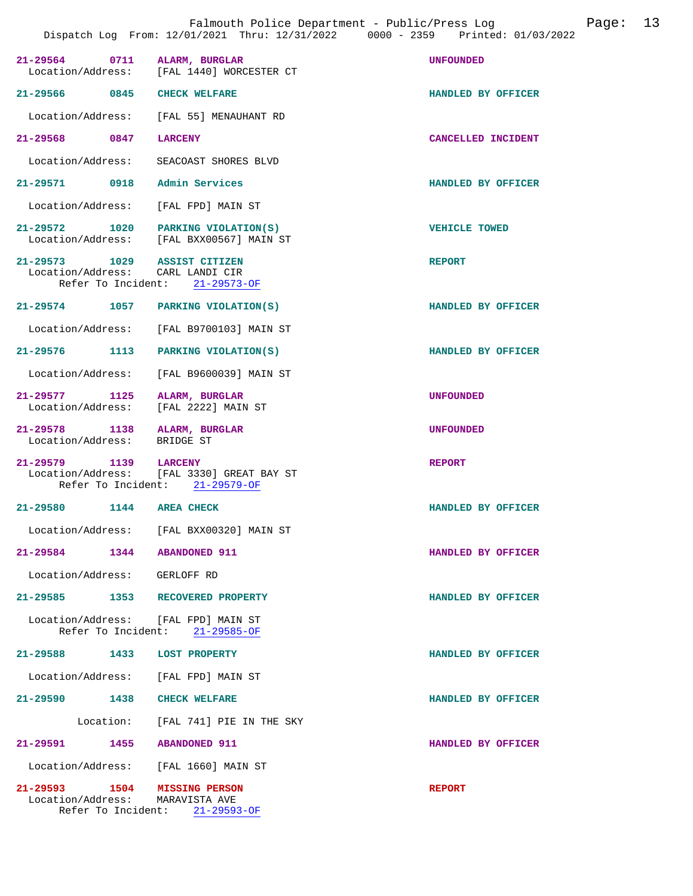| ില<br>Э. |  |
|----------|--|
|----------|--|

| 21-29564 0711 ALARM, BURGLAR                                     | Location/Address: [FAL 1440] WORCESTER CT                                   | <b>UNFOUNDED</b>     |
|------------------------------------------------------------------|-----------------------------------------------------------------------------|----------------------|
| 21-29566 0845                                                    | <b>CHECK WELFARE</b>                                                        | HANDLED BY OFFICER   |
|                                                                  | Location/Address: [FAL 55] MENAUHANT RD                                     |                      |
| 21-29568 0847                                                    | LARCENY                                                                     | CANCELLED INCIDENT   |
|                                                                  | Location/Address: SEACOAST SHORES BLVD                                      |                      |
| 21-29571 0918 Admin Services                                     |                                                                             | HANDLED BY OFFICER   |
| Location/Address: [FAL FPD] MAIN ST                              |                                                                             |                      |
| 21-29572 1020                                                    | PARKING VIOLATION(S)<br>Location/Address: [FAL BXX00567] MAIN ST            | <b>VEHICLE TOWED</b> |
| 21-29573 1029 ASSIST CITIZEN<br>Location/Address: CARL LANDI CIR | Refer To Incident: 21-29573-OF                                              | <b>REPORT</b>        |
| 21-29574 1057 PARKING VIOLATION(S)                               |                                                                             | HANDLED BY OFFICER   |
|                                                                  | Location/Address: [FAL B9700103] MAIN ST                                    |                      |
| 21-29576 1113 PARKING VIOLATION(S)                               |                                                                             | HANDLED BY OFFICER   |
|                                                                  | Location/Address: [FAL B9600039] MAIN ST                                    |                      |
| 21-29577 1125<br>Location/Address:                               | ALARM, BURGLAR<br>[FAL 2222] MAIN ST                                        | <b>UNFOUNDED</b>     |
| 21-29578 1138 ALARM, BURGLAR<br>Location/Address: BRIDGE ST      |                                                                             | <b>UNFOUNDED</b>     |
| 21-29579 1139 LARCENY                                            | Location/Address: [FAL 3330] GREAT BAY ST<br>Refer To Incident: 21-29579-OF | <b>REPORT</b>        |
| 21-29580 1144 AREA CHECK                                         |                                                                             | HANDLED BY OFFICER   |
|                                                                  | Location/Address: [FAL BXX00320] MAIN ST                                    |                      |
| 21-29584<br>1344                                                 | <b>ABANDONED 911</b>                                                        | HANDLED BY OFFICER   |
| Location/Address: GERLOFF RD                                     |                                                                             |                      |
| 21-29585 1353 RECOVERED PROPERTY                                 |                                                                             | HANDLED BY OFFICER   |
| Location/Address: [FAL FPD] MAIN ST<br>Refer To Incident:        | 21-29585-OF                                                                 |                      |
| 21-29588 1433 LOST PROPERTY                                      |                                                                             | HANDLED BY OFFICER   |
| Location/Address: [FAL FPD] MAIN ST                              |                                                                             |                      |
| 21-29590 1438                                                    | <b>CHECK WELFARE</b>                                                        | HANDLED BY OFFICER   |
|                                                                  | Location: [FAL 741] PIE IN THE SKY                                          |                      |
| 21-29591 1455 ABANDONED 911                                      |                                                                             | HANDLED BY OFFICER   |
| Location/Address: [FAL 1660] MAIN ST                             |                                                                             |                      |
| 21-29593 1504 MISSING PERSON<br>Location/Address:                | MARAVISTA AVE<br>Refer To Incident: $21-29593-OF$                           | <b>REPORT</b>        |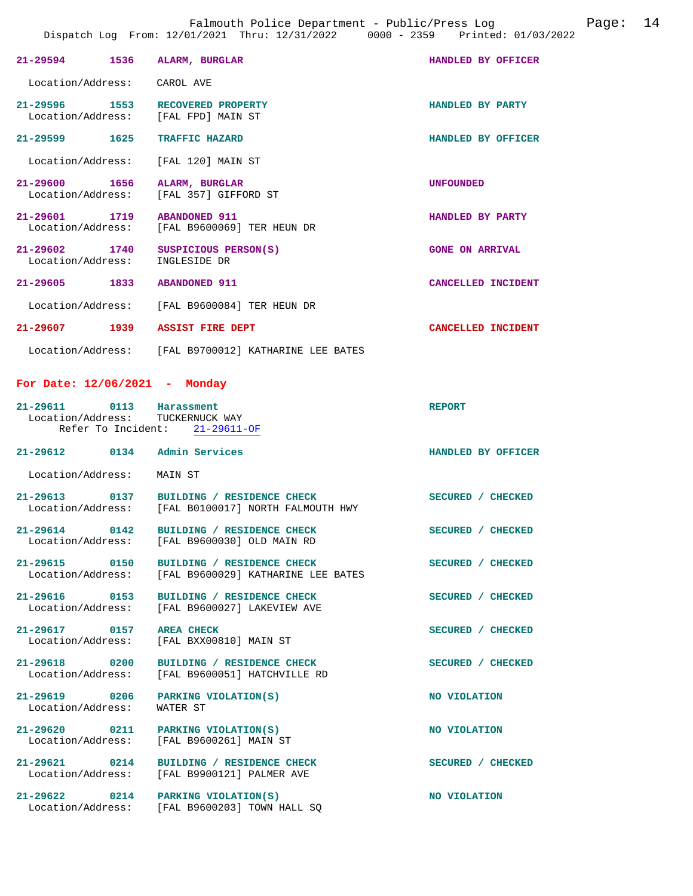|                                    |      | 21-29594 1536 ALARM, BURGLAR                                            | HANDLED BY OFFICER     |  |
|------------------------------------|------|-------------------------------------------------------------------------|------------------------|--|
| Location/Address: CAROL AVE        |      |                                                                         |                        |  |
|                                    |      | 21-29596 1553 RECOVERED PROPERTY<br>Location/Address: [FAL FPD] MAIN ST | HANDLED BY PARTY       |  |
| 21-29599 1625                      |      | <b>TRAFFIC HAZARD</b>                                                   | HANDLED BY OFFICER     |  |
|                                    |      | Location/Address: [FAL 120] MAIN ST                                     |                        |  |
|                                    |      | 21-29600 1656 ALARM, BURGLAR<br>Location/Address: [FAL 357] GIFFORD ST  | <b>UNFOUNDED</b>       |  |
| 21-29601 1719 ABANDONED 911        |      | Location/Address: [FAL B9600069] TER HEUN DR                            | HANDLED BY PARTY       |  |
| 21-29602 1740<br>Location/Address: |      | SUSPICIOUS PERSON(S)<br>INGLESIDE DR                                    | <b>GONE ON ARRIVAL</b> |  |
| $21 - 29605$                       |      | 1833 ABANDONED 911                                                      | CANCELLED INCIDENT     |  |
|                                    |      | Location/Address: [FAL B9600084] TER HEUN DR                            |                        |  |
| 21-29607                           | 1939 | <b>ASSIST FIRE DEPT</b>                                                 | CANCELLED INCIDENT     |  |
|                                    |      | Location/Address: [FAL B9700012] KATHARINE LEE BATES                    |                        |  |

## **For Date: 12/06/2021 - Monday**

| 21-29611 0113<br>Location/Address: TUCKERNUCK WAY | Harassment<br>Refer To Incident: 21-29611-OF                                       | <b>REPORT</b>      |
|---------------------------------------------------|------------------------------------------------------------------------------------|--------------------|
| 21-29612 0134 Admin Services                      |                                                                                    | HANDLED BY OFFICER |
| Location/Address:                                 | MAIN ST                                                                            |                    |
| 21-29613 0137                                     | BUILDING / RESIDENCE CHECK<br>Location/Address: [FAL B0100017] NORTH FALMOUTH HWY  | SECURED / CHECKED  |
| 21-29614 0142<br>Location/Address:                | BUILDING / RESIDENCE CHECK<br>[FAL B9600030] OLD MAIN RD                           | SECURED / CHECKED  |
| 21-29615 0150                                     | BUILDING / RESIDENCE CHECK<br>Location/Address: [FAL B9600029] KATHARINE LEE BATES | SECURED / CHECKED  |
| 21-29616 0153                                     | BUILDING / RESIDENCE CHECK<br>Location/Address: [FAL B9600027] LAKEVIEW AVE        | SECURED / CHECKED  |
| 21-29617 0157                                     | <b>AREA CHECK</b><br>Location/Address: [FAL BXX00810] MAIN ST                      | SECURED / CHECKED  |
| 21-29618 0200                                     | BUILDING / RESIDENCE CHECK<br>Location/Address: [FAL B9600051] HATCHVILLE RD       | SECURED / CHECKED  |
| 21-29619 0206<br>Location/Address:                | PARKING VIOLATION(S)<br>WATER ST                                                   | NO VIOLATION       |
| 21-29620 0211                                     | PARKING VIOLATION(S)<br>Location/Address: [FAL B9600261] MAIN ST                   | NO VIOLATION       |
| 21-29621 0214                                     | BUILDING / RESIDENCE CHECK<br>Location/Address: [FAL B9900121] PALMER AVE          | SECURED / CHECKED  |
| 21-29622 0214                                     | PARKING VIOLATION(S)<br>Location/Address: [FAL B9600203] TOWN HALL SQ              | NO VIOLATION       |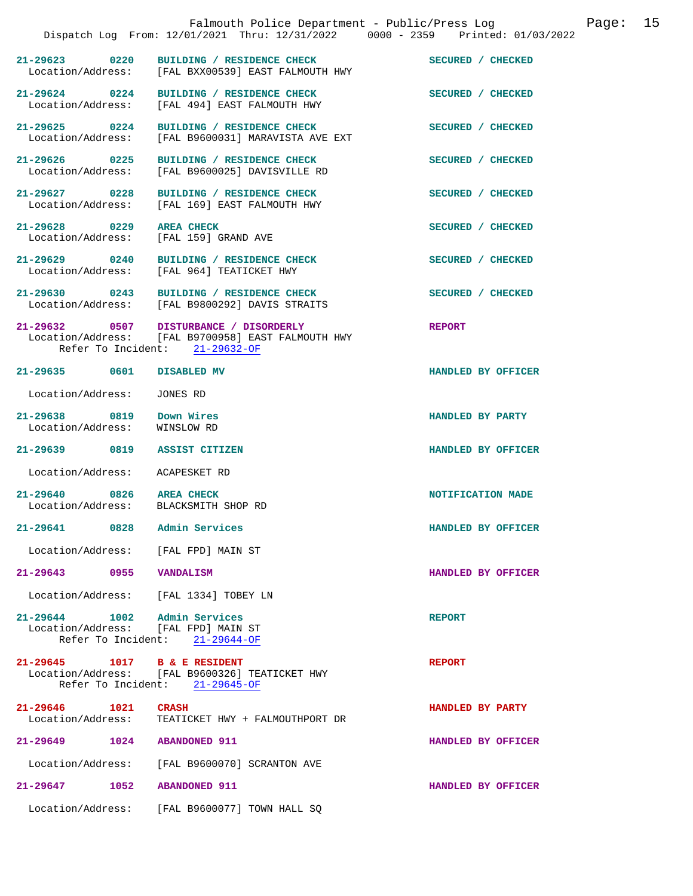|                                                                     | Falmouth Police Department - Public/Press Log<br>Dispatch Log From: 12/01/2021 Thru: 12/31/2022 0000 - 2359 Printed: 01/03/2022 |                    | Page: 15 |  |
|---------------------------------------------------------------------|---------------------------------------------------------------------------------------------------------------------------------|--------------------|----------|--|
|                                                                     | 21-29623 0220 BUILDING / RESIDENCE CHECK<br>Location/Address: [FAL BXX00539] EAST FALMOUTH HWY                                  | SECURED / CHECKED  |          |  |
| $21 - 29624$ 0224                                                   | BUILDING / RESIDENCE CHECK<br>Location/Address: [FAL 494] EAST FALMOUTH HWY                                                     | SECURED / CHECKED  |          |  |
|                                                                     | 21-29625 0224 BUILDING / RESIDENCE CHECK<br>Location/Address: [FAL B9600031] MARAVISTA AVE EXT                                  | SECURED / CHECKED  |          |  |
|                                                                     | 21-29626 0225 BUILDING / RESIDENCE CHECK<br>Location/Address: [FAL B9600025] DAVISVILLE RD                                      | SECURED / CHECKED  |          |  |
|                                                                     | 21-29627 0228 BUILDING / RESIDENCE CHECK<br>Location/Address: [FAL 169] EAST FALMOUTH HWY                                       | SECURED / CHECKED  |          |  |
| 21-29628 0229 AREA CHECK<br>Location/Address: [FAL 159] GRAND AVE   |                                                                                                                                 | SECURED / CHECKED  |          |  |
|                                                                     | 21-29629 0240 BUILDING / RESIDENCE CHECK<br>Location/Address: [FAL 964] TEATICKET HWY                                           | SECURED / CHECKED  |          |  |
|                                                                     | 21-29630 0243 BUILDING / RESIDENCE CHECK<br>Location/Address: [FAL B9800292] DAVIS STRAITS                                      | SECURED / CHECKED  |          |  |
|                                                                     | 21-29632 0507 DISTURBANCE / DISORDERLY<br>Location/Address: [FAL B9700958] EAST FALMOUTH HWY<br>Refer To Incident: 21-29632-OF  | <b>REPORT</b>      |          |  |
| 21-29635 0601 DISABLED MV                                           |                                                                                                                                 | HANDLED BY OFFICER |          |  |
| Location/Address: JONES RD                                          |                                                                                                                                 |                    |          |  |
| 21-29638 0819 Down Wires<br>Location/Address: WINSLOW RD            |                                                                                                                                 | HANDLED BY PARTY   |          |  |
| 21-29639 0819 ASSIST CITIZEN                                        |                                                                                                                                 | HANDLED BY OFFICER |          |  |
| Location/Address: ACAPESKET RD                                      |                                                                                                                                 |                    |          |  |
| 21-29640 0826 AREA CHECK<br>Location/Address: BLACKSMITH SHOP RD    |                                                                                                                                 | NOTIFICATION MADE  |          |  |
| 21-29641 0828                                                       | Admin Services                                                                                                                  | HANDLED BY OFFICER |          |  |
| Location/Address: [FAL FPD] MAIN ST                                 |                                                                                                                                 |                    |          |  |
| 21-29643 0955 VANDALISM                                             |                                                                                                                                 | HANDLED BY OFFICER |          |  |
| Location/Address: [FAL 1334] TOBEY LN                               |                                                                                                                                 |                    |          |  |
| 21-29644 1002 Admin Services<br>Location/Address: [FAL FPD] MAIN ST | Refer To Incident: 21-29644-OF                                                                                                  | <b>REPORT</b>      |          |  |
| 21-29645 1017 B & E RESIDENT                                        | Location/Address: [FAL B9600326] TEATICKET HWY<br>Refer To Incident: 21-29645-OF                                                | <b>REPORT</b>      |          |  |
| 21-29646 1021 CRASH                                                 | Location/Address: TEATICKET HWY + FALMOUTHPORT DR                                                                               | HANDLED BY PARTY   |          |  |
| 21-29649 1024 ABANDONED 911                                         |                                                                                                                                 | HANDLED BY OFFICER |          |  |
|                                                                     | Location/Address: [FAL B9600070] SCRANTON AVE                                                                                   |                    |          |  |
| 1052<br>21-29647                                                    | <b>ABANDONED 911</b>                                                                                                            | HANDLED BY OFFICER |          |  |
|                                                                     | Location/Address: [FAL B9600077] TOWN HALL SQ                                                                                   |                    |          |  |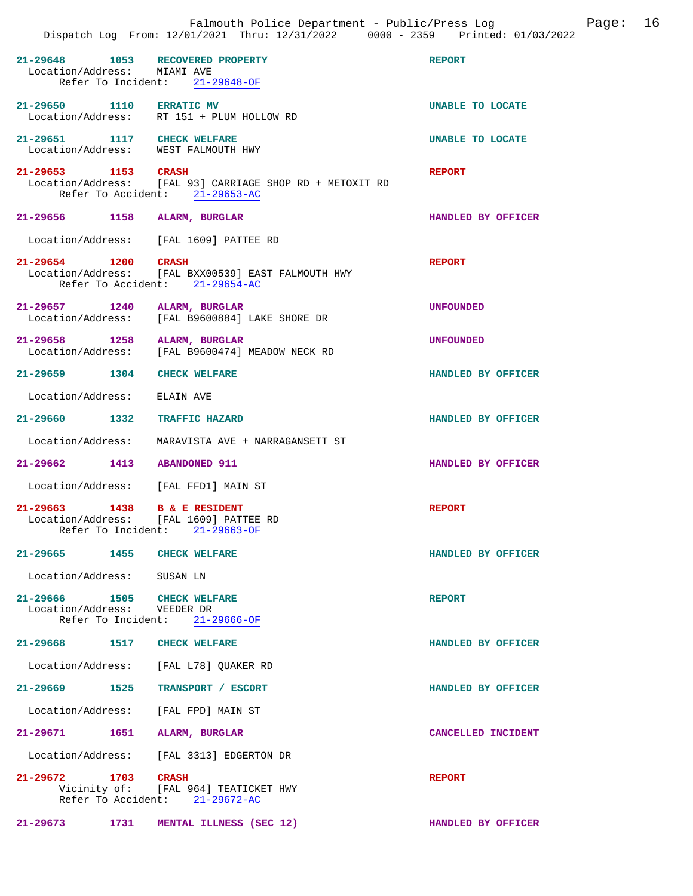|                                                            |      | Falmouth Police Department - Public/Press Log<br>Dispatch Log From: 12/01/2021 Thru: 12/31/2022 0000 - 2359 Printed: 01/03/2022 | Page: 16           |  |
|------------------------------------------------------------|------|---------------------------------------------------------------------------------------------------------------------------------|--------------------|--|
| Location/Address: MIAMI AVE                                |      | 21-29648 1053 RECOVERED PROPERTY<br>Refer To Incident: 21-29648-OF                                                              | <b>REPORT</b>      |  |
| 21-29650 1110 ERRATIC MV                                   |      | Location/Address: RT 151 + PLUM HOLLOW RD                                                                                       | UNABLE TO LOCATE   |  |
|                                                            |      | 21-29651 1117 CHECK WELFARE<br>Location/Address: WEST FALMOUTH HWY                                                              | UNABLE TO LOCATE   |  |
| 21-29653 1153 CRASH                                        |      | Location/Address: [FAL 93] CARRIAGE SHOP RD + METOXIT RD<br>Refer To Accident: 21-29653-AC                                      | <b>REPORT</b>      |  |
|                                                            |      | 21-29656 1158 ALARM, BURGLAR                                                                                                    | HANDLED BY OFFICER |  |
|                                                            |      | Location/Address: [FAL 1609] PATTEE RD                                                                                          |                    |  |
| 21-29654 1200 CRASH                                        |      | Location/Address: [FAL BXX00539] EAST FALMOUTH HWY<br>Refer To Accident: 21-29654-AC                                            | <b>REPORT</b>      |  |
|                                                            |      | 21-29657 1240 ALARM, BURGLAR<br>Location/Address: [FAL B9600884] LAKE SHORE DR                                                  | <b>UNFOUNDED</b>   |  |
|                                                            |      | 21-29658 1258 ALARM, BURGLAR<br>Location/Address: [FAL B9600474] MEADOW NECK RD                                                 | <b>UNFOUNDED</b>   |  |
| 21-29659 1304 CHECK WELFARE                                |      |                                                                                                                                 | HANDLED BY OFFICER |  |
| Location/Address:                                          |      | ELAIN AVE                                                                                                                       |                    |  |
|                                                            |      | 21-29660 1332 TRAFFIC HAZARD                                                                                                    | HANDLED BY OFFICER |  |
| Location/Address:                                          |      | MARAVISTA AVE + NARRAGANSETT ST                                                                                                 |                    |  |
| 21-29662 1413 ABANDONED 911                                |      |                                                                                                                                 | HANDLED BY OFFICER |  |
|                                                            |      | Location/Address: [FAL FFD1] MAIN ST                                                                                            |                    |  |
| Location/Address:                                          |      | 21-29663 1438 B & E RESIDENT<br>[FAL 1609] PATTEE RD<br>Refer To Incident: 21-29663-OF                                          | <b>REPORT</b>      |  |
| 21-29665                                                   | 1455 | <b>CHECK WELFARE</b>                                                                                                            | HANDLED BY OFFICER |  |
| Location/Address: SUSAN LN                                 |      |                                                                                                                                 |                    |  |
| 21-29666 1505 CHECK WELFARE<br>Location/Address: VEEDER DR |      | Refer To Incident: 21-29666-OF                                                                                                  | <b>REPORT</b>      |  |
| 21-29668 1517 CHECK WELFARE                                |      |                                                                                                                                 | HANDLED BY OFFICER |  |
|                                                            |      | Location/Address: [FAL L78] QUAKER RD                                                                                           |                    |  |
| 21-29669                                                   | 1525 | TRANSPORT / ESCORT                                                                                                              | HANDLED BY OFFICER |  |
| Location/Address:                                          |      | [FAL FPD] MAIN ST                                                                                                               |                    |  |
| 21-29671 1651                                              |      | ALARM, BURGLAR                                                                                                                  | CANCELLED INCIDENT |  |
|                                                            |      | Location/Address: [FAL 3313] EDGERTON DR                                                                                        |                    |  |
| 21-29672 1703 CRASH                                        |      | Vicinity of: [FAL 964] TEATICKET HWY<br>Refer To Accident: 21-29672-AC                                                          | <b>REPORT</b>      |  |
| $21 - 29673$                                               | 1731 | MENTAL ILLNESS (SEC 12)                                                                                                         | HANDLED BY OFFICER |  |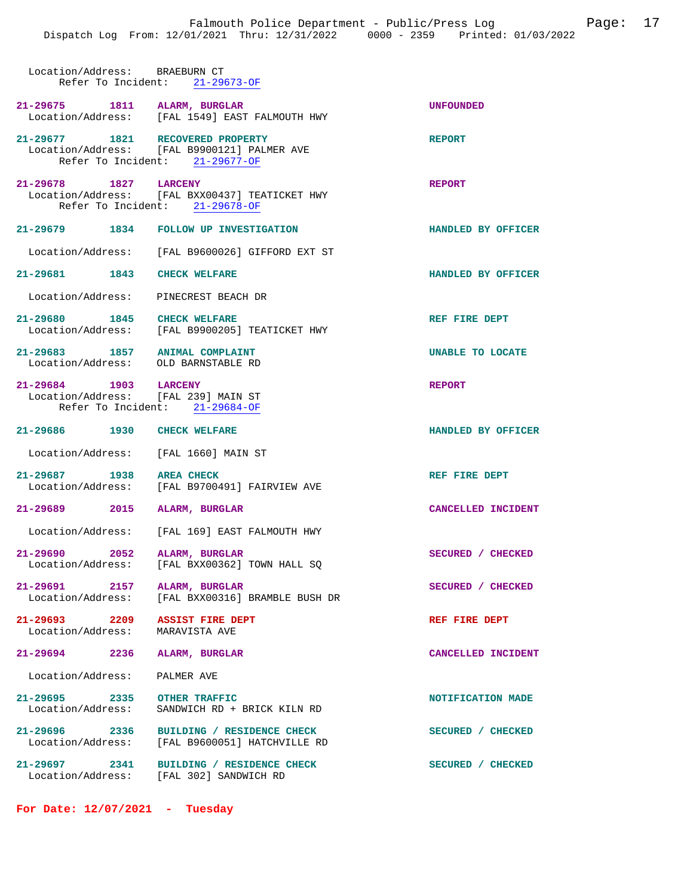| Location/Address: BRAEBURN CT                                         | Refer To Incident: 21-29673-OF                                                                                    |                    |
|-----------------------------------------------------------------------|-------------------------------------------------------------------------------------------------------------------|--------------------|
| 21-29675 1811 ALARM, BURGLAR                                          | Location/Address: [FAL 1549] EAST FALMOUTH HWY                                                                    | <b>UNFOUNDED</b>   |
|                                                                       | 21-29677 1821 RECOVERED PROPERTY<br>Location/Address: [FAL B9900121] PALMER AVE<br>Refer To Incident: 21-29677-OF | <b>REPORT</b>      |
| 21-29678 1827 LARCENY                                                 | Location/Address: [FAL BXX00437] TEATICKET HWY<br>Refer To Incident: 21-29678-OF                                  | <b>REPORT</b>      |
|                                                                       | 21-29679 1834 FOLLOW UP INVESTIGATION                                                                             | HANDLED BY OFFICER |
|                                                                       | Location/Address: [FAL B9600026] GIFFORD EXT ST                                                                   |                    |
| 21-29681 1843 CHECK WELFARE                                           |                                                                                                                   | HANDLED BY OFFICER |
|                                                                       | Location/Address: PINECREST BEACH DR                                                                              |                    |
|                                                                       | 21-29680 1845 CHECK WELFARE<br>Location/Address: [FAL B9900205] TEATICKET HWY                                     | REF FIRE DEPT      |
| 21-29683 1857 ANIMAL COMPLAINT<br>Location/Address: OLD BARNSTABLE RD |                                                                                                                   | UNABLE TO LOCATE   |
| 21-29684 1903 LARCENY<br>Location/Address: [FAL 239] MAIN ST          | Refer To Incident: 21-29684-OF                                                                                    | <b>REPORT</b>      |
| 21-29686 1930 CHECK WELFARE                                           |                                                                                                                   | HANDLED BY OFFICER |
|                                                                       | Location/Address: [FAL 1660] MAIN ST                                                                              |                    |
| 21-29687 1938 AREA CHECK                                              | Location/Address: [FAL B9700491] FAIRVIEW AVE                                                                     | REF FIRE DEPT      |
| 21-29689 2015 ALARM, BURGLAR                                          |                                                                                                                   | CANCELLED INCIDENT |
|                                                                       | Location/Address: [FAL 169] EAST FALMOUTH HWY                                                                     |                    |
| 21-29690 2052 ALARM, BURGLAR                                          | Location/Address: [FAL BXX00362] TOWN HALL SQ                                                                     | SECURED / CHECKED  |
|                                                                       | 21-29691 2157 ALARM, BURGLAR<br>Location/Address: [FAL BXX00316] BRAMBLE BUSH DR                                  | SECURED / CHECKED  |
| 21-29693 2209 ASSIST FIRE DEPT<br>Location/Address: MARAVISTA AVE     |                                                                                                                   | REF FIRE DEPT      |
| 21-29694 2236 ALARM, BURGLAR                                          |                                                                                                                   | CANCELLED INCIDENT |
| Location/Address:                                                     | PALMER AVE                                                                                                        |                    |
| 21-29695 2335 OTHER TRAFFIC<br>Location/Address:                      | SANDWICH RD + BRICK KILN RD                                                                                       | NOTIFICATION MADE  |
|                                                                       | 21-29696 2336 BUILDING / RESIDENCE CHECK<br>Location/Address: [FAL B9600051] HATCHVILLE RD                        | SECURED / CHECKED  |
|                                                                       | 21-29697 2341 BUILDING / RESIDENCE CHECK<br>Location/Address: [FAL 302] SANDWICH RD                               | SECURED / CHECKED  |

**For Date: 12/07/2021 - Tuesday**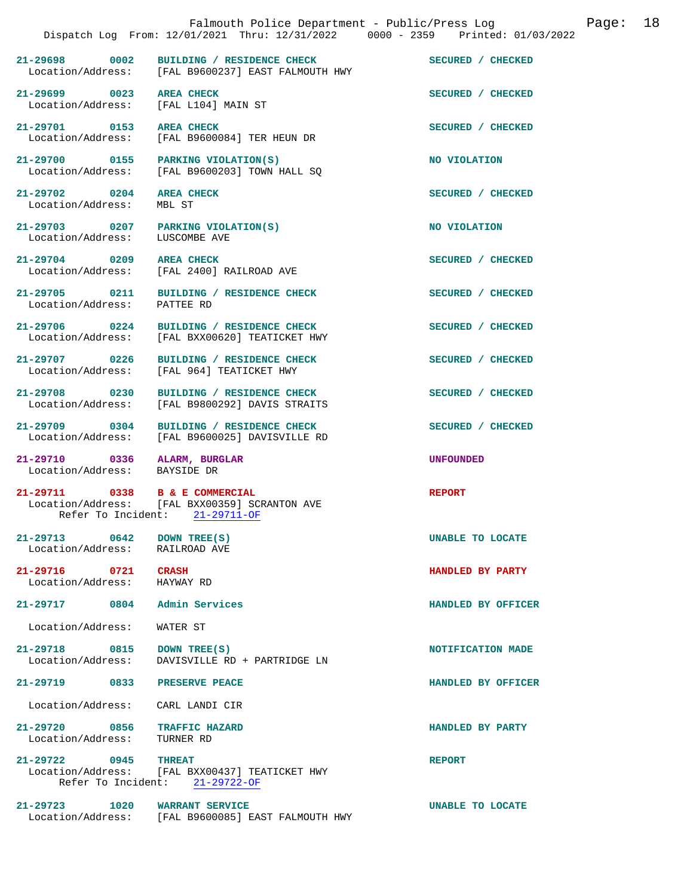|                                                              | Falmouth Police Department - Public/Press Log<br>Dispatch Log From: 12/01/2021 Thru: 12/31/2022 0000 - 2359 Printed: 01/03/2022 |                    | Page: | 18 |
|--------------------------------------------------------------|---------------------------------------------------------------------------------------------------------------------------------|--------------------|-------|----|
|                                                              | 21-29698 0002 BUILDING / RESIDENCE CHECK<br>Location/Address: [FAL B9600237] EAST FALMOUTH HWY                                  | SECURED / CHECKED  |       |    |
| 21-29699 0023<br>Location/Address:                           | <b>AREA CHECK</b><br>[FAL L104] MAIN ST                                                                                         | SECURED / CHECKED  |       |    |
| 21-29701 0153                                                | <b>AREA CHECK</b><br>Location/Address: [FAL B9600084] TER HEUN DR                                                               | SECURED / CHECKED  |       |    |
| 21-29700 0155 PARKING VIOLATION(S)                           | Location/Address: [FAL B9600203] TOWN HALL SO                                                                                   | NO VIOLATION       |       |    |
| 21-29702 0204<br>Location/Address:                           | <b>AREA CHECK</b><br>MBL ST                                                                                                     | SECURED / CHECKED  |       |    |
| 21-29703 0207<br>Location/Address:                           | PARKING VIOLATION(S)<br>LUSCOMBE AVE                                                                                            | NO VIOLATION       |       |    |
| 21-29704 0209                                                | <b>AREA CHECK</b><br>Location/Address: [FAL 2400] RAILROAD AVE                                                                  | SECURED / CHECKED  |       |    |
| 21-29705 0211<br>Location/Address:                           | BUILDING / RESIDENCE CHECK<br>PATTEE RD                                                                                         | SECURED / CHECKED  |       |    |
| 21-29706 0224                                                | BUILDING / RESIDENCE CHECK<br>Location/Address: [FAL BXX00620] TEATICKET HWY                                                    | SECURED / CHECKED  |       |    |
| 21-29707 0226<br>Location/Address:                           | BUILDING / RESIDENCE CHECK<br>[FAL 964] TEATICKET HWY                                                                           | SECURED / CHECKED  |       |    |
| 21-29708 0230<br>Location/Address:                           | BUILDING / RESIDENCE CHECK<br>[FAL B9800292] DAVIS STRAITS                                                                      | SECURED / CHECKED  |       |    |
| 21-29709 0304                                                | BUILDING / RESIDENCE CHECK<br>Location/Address: [FAL B9600025] DAVISVILLE RD                                                    | SECURED / CHECKED  |       |    |
| 21-29710 0336 ALARM, BURGLAR<br>Location/Address: BAYSIDE DR |                                                                                                                                 | <b>UNFOUNDED</b>   |       |    |
| 21-29711 0338 B & E COMMERCIAL                               | Location/Address: [FAL BXX00359] SCRANTON AVE<br>Refer To Incident: 21-29711-OF                                                 | <b>REPORT</b>      |       |    |
| 21-29713 0642<br>Location/Address: RAILROAD AVE              | DOWN TREE(S)                                                                                                                    | UNABLE TO LOCATE   |       |    |
| 21-29716 0721<br>Location/Address:                           | <b>CRASH</b><br>HAYWAY RD                                                                                                       | HANDLED BY PARTY   |       |    |
| 21-29717 0804                                                | Admin Services                                                                                                                  | HANDLED BY OFFICER |       |    |
| Location/Address:                                            | WATER ST                                                                                                                        |                    |       |    |
| 21-29718 0815<br>Location/Address:                           | DOWN TREE(S)<br>DAVISVILLE RD + PARTRIDGE LN                                                                                    | NOTIFICATION MADE  |       |    |
| 21-29719 0833                                                | PRESERVE PEACE                                                                                                                  | HANDLED BY OFFICER |       |    |
| Location/Address:                                            | CARL LANDI CIR                                                                                                                  |                    |       |    |
| 21-29720 0856<br>Location/Address:                           | <b>TRAFFIC HAZARD</b><br>TURNER RD                                                                                              | HANDLED BY PARTY   |       |    |
| 21-29722 0945<br>Refer To Incident:                          | <b>THREAT</b><br>Location/Address: [FAL BXX00437] TEATICKET HWY<br>$21 - 29722 - OF$                                            | <b>REPORT</b>      |       |    |
| 21-29723 1020                                                | <b>WARRANT SERVICE</b><br>Location/Address: [FAL B9600085] EAST FALMOUTH HWY                                                    | UNABLE TO LOCATE   |       |    |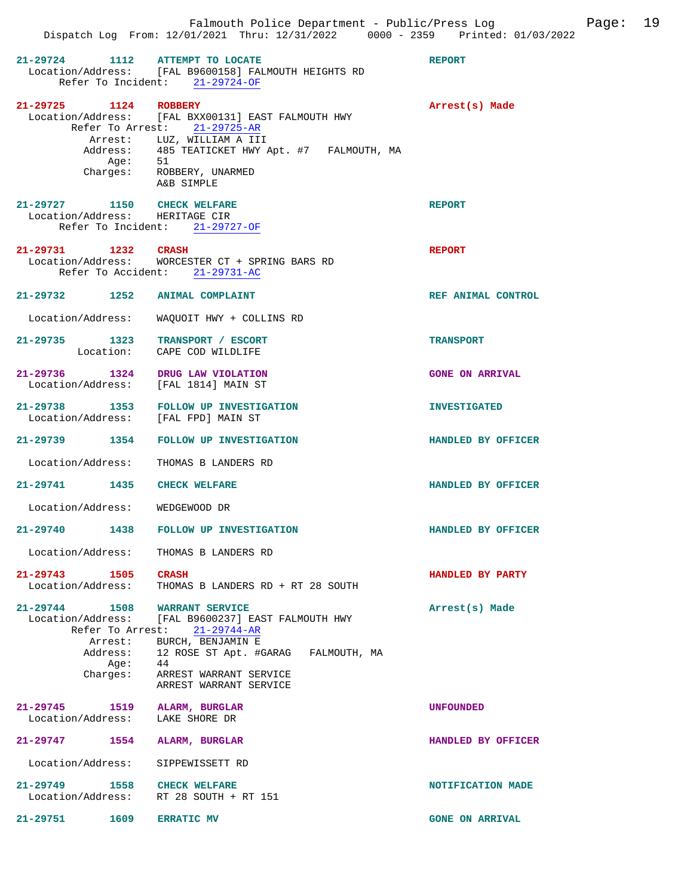| 21-29724 1112 ATTEMPT TO LOCATE                                          | Location/Address: [FAL B9600158] FALMOUTH HEIGHTS RD<br>Refer To Incident: 21-29724-OF                                                                                                                                    | <b>REPORT</b>          |
|--------------------------------------------------------------------------|---------------------------------------------------------------------------------------------------------------------------------------------------------------------------------------------------------------------------|------------------------|
| 21-29725 1124 ROBBERY                                                    | Location/Address: [FAL BXX00131] EAST FALMOUTH HWY<br>Refer To Arrest: 21-29725-AR<br>Arrest: LUZ, WILLIAM A III<br>Address: 485 TEATICKET HWY Apt. #7 FALMOUTH, MA<br>Age: 51<br>Charges: ROBBERY, UNARMED<br>A&B SIMPLE | Arrest(s) Made         |
| 21-29727 1150 CHECK WELFARE<br>Location/Address: HERITAGE CIR            | Refer To Incident: 21-29727-OF                                                                                                                                                                                            | <b>REPORT</b>          |
| 21-29731 1232 CRASH                                                      | Location/Address: WORCESTER CT + SPRING BARS RD<br>Refer To Accident: 21-29731-AC                                                                                                                                         | <b>REPORT</b>          |
| 21-29732 1252 ANIMAL COMPLAINT                                           |                                                                                                                                                                                                                           | REF ANIMAL CONTROL     |
|                                                                          | Location/Address: WAQUOIT HWY + COLLINS RD                                                                                                                                                                                |                        |
| 21-29735 1323 TRANSPORT / ESCORT                                         | Location: CAPE COD WILDLIFE                                                                                                                                                                                               | <b>TRANSPORT</b>       |
| 21-29736 1324 DRUG LAW VIOLATION<br>Location/Address: [FAL 1814] MAIN ST |                                                                                                                                                                                                                           | <b>GONE ON ARRIVAL</b> |
| Location/Address: [FAL FPD] MAIN ST                                      | 21-29738 1353 FOLLOW UP INVESTIGATION                                                                                                                                                                                     | <b>INVESTIGATED</b>    |
|                                                                          | 21-29739 1354 FOLLOW UP INVESTIGATION                                                                                                                                                                                     | HANDLED BY OFFICER     |
| Location/Address: THOMAS B LANDERS RD                                    |                                                                                                                                                                                                                           |                        |
| 21-29741 1435 CHECK WELFARE                                              |                                                                                                                                                                                                                           | HANDLED BY OFFICER     |
| Location/Address: WEDGEWOOD DR                                           |                                                                                                                                                                                                                           |                        |
|                                                                          | 21-29740 1438 FOLLOW UP INVESTIGATION                                                                                                                                                                                     | HANDLED BY OFFICER     |
| Location/Address:                                                        | THOMAS B LANDERS RD                                                                                                                                                                                                       |                        |
| 21-29743 1505<br>Location/Address:                                       | <b>CRASH</b><br>THOMAS B LANDERS RD + RT 28 SOUTH                                                                                                                                                                         | HANDLED BY PARTY       |
| $21-29744$ 1508 WARRANT SERVICE                                          | Location/Address: [FAL B9600237] EAST FALMOUTH HWY<br>Refer To Arrest: 21-29744-AR                                                                                                                                        | Arrest(s) Made         |
| Address:<br>Age: 44                                                      | Arrest: BURCH, BENJAMIN E<br>12 ROSE ST Apt. #GARAG FALMOUTH, MA                                                                                                                                                          |                        |
| Charges:                                                                 | ARREST WARRANT SERVICE<br>ARREST WARRANT SERVICE                                                                                                                                                                          |                        |
| 21-29745<br>1519<br>Location/Address: LAKE SHORE DR                      | ALARM, BURGLAR                                                                                                                                                                                                            | <b>UNFOUNDED</b>       |
| 21-29747 1554                                                            | ALARM, BURGLAR                                                                                                                                                                                                            | HANDLED BY OFFICER     |
| Location/Address:                                                        | SIPPEWISSETT RD                                                                                                                                                                                                           |                        |
| 21-29749                                                                 | 1558 CHECK WELFARE<br>Location/Address: RT 28 SOUTH + RT 151                                                                                                                                                              | NOTIFICATION MADE      |
| 21-29751 1609                                                            | <b>ERRATIC MV</b>                                                                                                                                                                                                         | <b>GONE ON ARRIVAL</b> |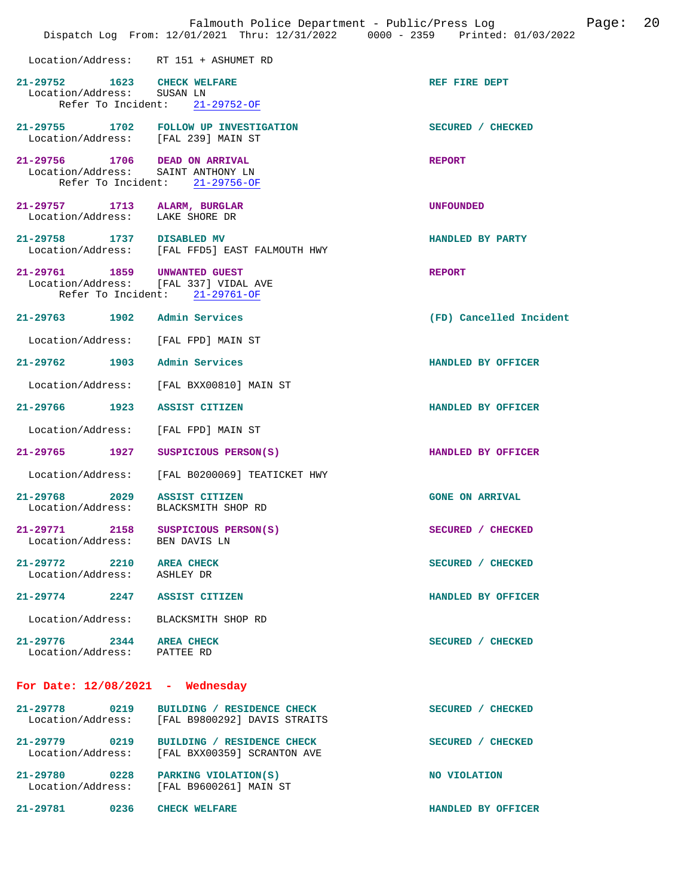|                                                                 |      | Falmouth Police Department - Public/Press Log<br>Dispatch Log From: 12/01/2021 Thru: 12/31/2022 0000 - 2359 Printed: 01/03/2022 |                         | Page: | 20 |
|-----------------------------------------------------------------|------|---------------------------------------------------------------------------------------------------------------------------------|-------------------------|-------|----|
|                                                                 |      | Location/Address: RT 151 + ASHUMET RD                                                                                           |                         |       |    |
| 21-29752 1623 CHECK WELFARE<br>Location/Address: SUSAN LN       |      | Refer To Incident: 21-29752-OF                                                                                                  | REF FIRE DEPT           |       |    |
|                                                                 |      | 21-29755 1702 FOLLOW UP INVESTIGATION<br>Location/Address: [FAL 239] MAIN ST                                                    | SECURED / CHECKED       |       |    |
| Location/Address:                                               |      | 21-29756 1706 DEAD ON ARRIVAL<br>SAINT ANTHONY LN<br>Refer To Incident: 21-29756-OF                                             | <b>REPORT</b>           |       |    |
| 21-29757 1713 ALARM, BURGLAR<br>Location/Address: LAKE SHORE DR |      |                                                                                                                                 | <b>UNFOUNDED</b>        |       |    |
| 21-29758 1737 DISABLED MV                                       |      | Location/Address: [FAL FFD5] EAST FALMOUTH HWY                                                                                  | HANDLED BY PARTY        |       |    |
| 21-29761 1859 UNWANTED GUEST                                    |      | Location/Address: [FAL 337] VIDAL AVE<br>Refer To Incident: 21-29761-OF                                                         | <b>REPORT</b>           |       |    |
| 21-29763 1902 Admin Services                                    |      |                                                                                                                                 | (FD) Cancelled Incident |       |    |
|                                                                 |      | Location/Address: [FAL FPD] MAIN ST                                                                                             |                         |       |    |
| 21-29762 1903 Admin Services                                    |      |                                                                                                                                 | HANDLED BY OFFICER      |       |    |
| Location/Address:                                               |      | [FAL BXX00810] MAIN ST                                                                                                          |                         |       |    |
| 21-29766 1923                                                   |      | <b>ASSIST CITIZEN</b>                                                                                                           | HANDLED BY OFFICER      |       |    |
| Location/Address:                                               |      | [FAL FPD] MAIN ST                                                                                                               |                         |       |    |
| 21-29765 1927                                                   |      | SUSPICIOUS PERSON(S)                                                                                                            | HANDLED BY OFFICER      |       |    |
| Location/Address:                                               |      | [FAL B0200069] TEATICKET HWY                                                                                                    |                         |       |    |
| 21-29768 2029<br>Location/Address:                              |      | <b>ASSIST CITIZEN</b><br>BLACKSMITH SHOP RD                                                                                     | <b>GONE ON ARRIVAL</b>  |       |    |
| 21-29771 2158<br>Location/Address:                              |      | SUSPICIOUS PERSON(S)<br>BEN DAVIS LN                                                                                            | SECURED / CHECKED       |       |    |
| 21-29772 2210 AREA CHECK<br>Location/Address: ASHLEY DR         |      |                                                                                                                                 | SECURED / CHECKED       |       |    |
|                                                                 |      | 21-29774 2247 ASSIST CITIZEN                                                                                                    | HANDLED BY OFFICER      |       |    |
| Location/Address:                                               |      | BLACKSMITH SHOP RD                                                                                                              |                         |       |    |
| 21-29776 2344 AREA CHECK<br>Location/Address: PATTEE RD         |      |                                                                                                                                 | SECURED / CHECKED       |       |    |
|                                                                 |      | For Date: $12/08/2021$ - Wednesday                                                                                              |                         |       |    |
| $21 - 29778$                                                    | 0219 | BUILDING / RESIDENCE CHECK<br>Location/Address: [FAL B9800292] DAVIS STRAITS                                                    | SECURED / CHECKED       |       |    |
| Location/Address:                                               |      | 21-29779 0219 BUILDING / RESIDENCE CHECK<br>[FAL BXX00359] SCRANTON AVE                                                         | SECURED / CHECKED       |       |    |
| 21-29780 0228<br>Location/Address:                              |      | PARKING VIOLATION(S)<br>[FAL B9600261] MAIN ST                                                                                  | NO VIOLATION            |       |    |
| 21-29781                                                        | 0236 | <b>CHECK WELFARE</b>                                                                                                            | HANDLED BY OFFICER      |       |    |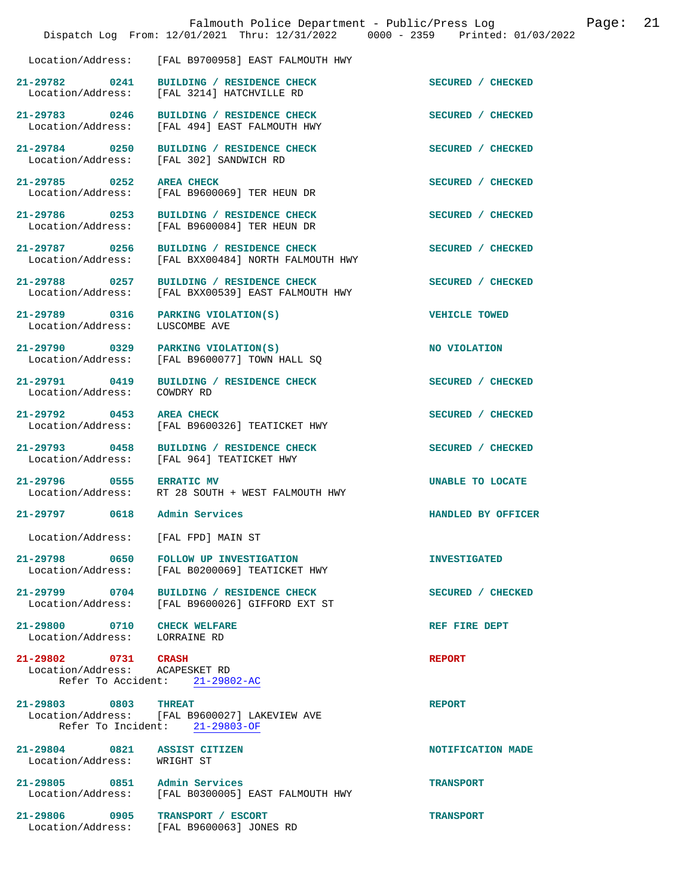|                                                              | Falmouth Police Department - Public/Press Log<br>Dispatch Log From: 12/01/2021 Thru: 12/31/2022 0000 - 2359 Printed: 01/03/2022 |                      | Page: | 21 |
|--------------------------------------------------------------|---------------------------------------------------------------------------------------------------------------------------------|----------------------|-------|----|
|                                                              | Location/Address: [FAL B9700958] EAST FALMOUTH HWY                                                                              |                      |       |    |
| 21-29782 0241                                                | BUILDING / RESIDENCE CHECK<br>Location/Address: [FAL 3214] HATCHVILLE RD                                                        | SECURED / CHECKED    |       |    |
| 21-29783 0246<br>Location/Address:                           | BUILDING / RESIDENCE CHECK<br>[FAL 494] EAST FALMOUTH HWY                                                                       | SECURED / CHECKED    |       |    |
| 21-29784 0250                                                | BUILDING / RESIDENCE CHECK<br>Location/Address: [FAL 302] SANDWICH RD                                                           | SECURED / CHECKED    |       |    |
| 21-29785 0252<br>Location/Address:                           | <b>AREA CHECK</b><br>[FAL B9600069] TER HEUN DR                                                                                 | SECURED / CHECKED    |       |    |
| 21-29786 0253<br>Location/Address:                           | BUILDING / RESIDENCE CHECK<br>[FAL B9600084] TER HEUN DR                                                                        | SECURED / CHECKED    |       |    |
| 21-29787 0256<br>Location/Address:                           | BUILDING / RESIDENCE CHECK<br>[FAL BXX00484] NORTH FALMOUTH HWY                                                                 | SECURED / CHECKED    |       |    |
| 21-29788 0257<br>Location/Address:                           | BUILDING / RESIDENCE CHECK<br>[FAL BXX00539] EAST FALMOUTH HWY                                                                  | SECURED / CHECKED    |       |    |
| 21-29789 0316<br>Location/Address:                           | PARKING VIOLATION(S)<br>LUSCOMBE AVE                                                                                            | <b>VEHICLE TOWED</b> |       |    |
| 21-29790 0329<br>Location/Address:                           | PARKING VIOLATION(S)<br>[FAL B9600077] TOWN HALL SQ                                                                             | NO VIOLATION         |       |    |
| 21-29791 0419<br>Location/Address:                           | BUILDING / RESIDENCE CHECK<br>COWDRY RD                                                                                         | SECURED / CHECKED    |       |    |
| 21-29792 0453                                                | <b>AREA CHECK</b><br>Location/Address: [FAL B9600326] TEATICKET HWY                                                             | SECURED / CHECKED    |       |    |
| 21-29793 0458                                                | BUILDING / RESIDENCE CHECK<br>Location/Address: [FAL 964] TEATICKET HWY                                                         | SECURED / CHECKED    |       |    |
| 21-29796 0555 ERRATIC MV<br>Location/Address:                | RT 28 SOUTH + WEST FALMOUTH HWY                                                                                                 | UNABLE TO LOCATE     |       |    |
| 21-29797 0618                                                | Admin Services                                                                                                                  | HANDLED BY OFFICER   |       |    |
| Location/Address: [FAL FPD] MAIN ST                          |                                                                                                                                 |                      |       |    |
| 21-29798 0650<br>Location/Address:                           | <b>FOLLOW UP INVESTIGATION</b><br>[FAL B0200069] TEATICKET HWY                                                                  | <b>INVESTIGATED</b>  |       |    |
| 21–29799 0704                                                | BUILDING / RESIDENCE CHECK<br>Location/Address: [FAL B9600026] GIFFORD EXT ST                                                   | SECURED / CHECKED    |       |    |
| 21-29800 0710 CHECK WELFARE<br>Location/Address: LORRAINE RD |                                                                                                                                 | REF FIRE DEPT        |       |    |
| 21-29802 0731 CRASH<br>Location/Address: ACAPESKET RD        | Refer To Accident: 21-29802-AC                                                                                                  | <b>REPORT</b>        |       |    |
| 21-29803 0803 THREAT                                         | Location/Address: [FAL B9600027] LAKEVIEW AVE<br>Refer To Incident: 21-29803-OF                                                 | <b>REPORT</b>        |       |    |
| 21-29804 0821 ASSIST CITIZEN<br>Location/Address:            | WRIGHT ST                                                                                                                       | NOTIFICATION MADE    |       |    |
| 21-29805 0851 Admin Services                                 | Location/Address: [FAL B0300005] EAST FALMOUTH HWY                                                                              | <b>TRANSPORT</b>     |       |    |
| 21-29806 0905                                                | TRANSPORT / ESCORT<br>Location/Address: [FAL B9600063] JONES RD                                                                 | <b>TRANSPORT</b>     |       |    |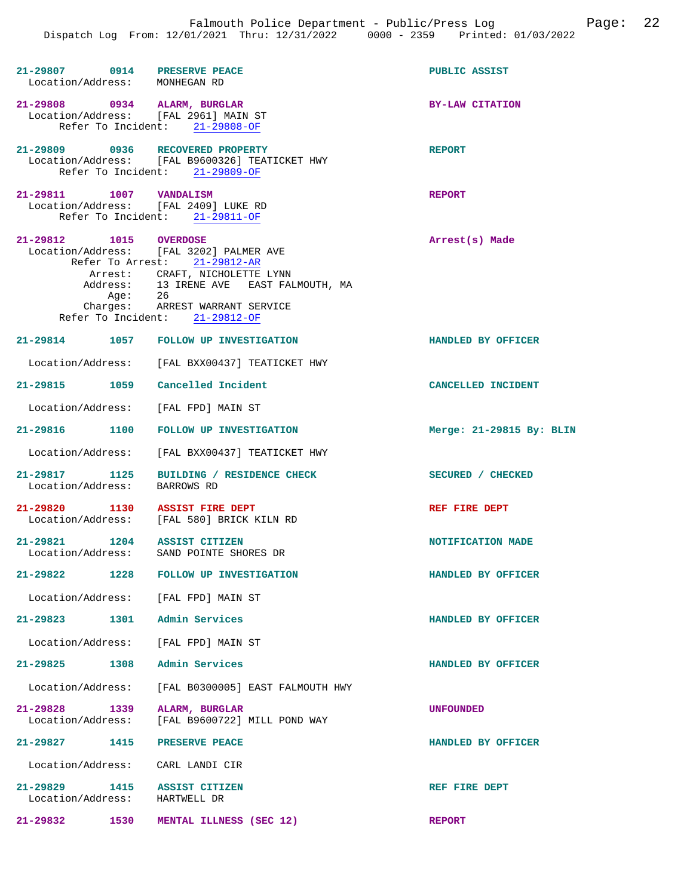| 21-29807 0914 PRESERVE PEACE<br>Location/Address: MONHEGAN RD        |                                                                                                                                                                                                                           | PUBLIC ASSIST            |
|----------------------------------------------------------------------|---------------------------------------------------------------------------------------------------------------------------------------------------------------------------------------------------------------------------|--------------------------|
| 21-29808 0934 ALARM, BURGLAR<br>Location/Address: [FAL 2961] MAIN ST | Refer To Incident: 21-29808-OF                                                                                                                                                                                            | <b>BY-LAW CITATION</b>   |
| 21-29809 0936 RECOVERED PROPERTY                                     | Location/Address: [FAL B9600326] TEATICKET HWY<br>Refer To Incident: 21-29809-OF                                                                                                                                          | <b>REPORT</b>            |
| 21-29811 1007 VANDALISM<br>Location/Address: [FAL 2409] LUKE RD      | Refer To Incident: 21-29811-OF                                                                                                                                                                                            | <b>REPORT</b>            |
| 21-29812 1015 OVERDOSE<br>Age: 26                                    | Location/Address: [FAL 3202] PALMER AVE<br>Refer To Arrest: 21-29812-AR<br>Arrest: CRAFT, NICHOLETTE LYNN<br>Address: 13 IRENE AVE EAST FALMOUTH, MA<br>Charges: ARREST WARRANT SERVICE<br>Refer To Incident: 21-29812-OF | Arrest(s) Made           |
|                                                                      | 21-29814 1057 FOLLOW UP INVESTIGATION                                                                                                                                                                                     | HANDLED BY OFFICER       |
|                                                                      | Location/Address: [FAL BXX00437] TEATICKET HWY                                                                                                                                                                            |                          |
| 21-29815 1059 Cancelled Incident                                     |                                                                                                                                                                                                                           | CANCELLED INCIDENT       |
| Location/Address: [FAL FPD] MAIN ST                                  |                                                                                                                                                                                                                           |                          |
| 21-29816 1100                                                        | FOLLOW UP INVESTIGATION                                                                                                                                                                                                   | Merge: 21-29815 By: BLIN |
| Location/Address:                                                    | [FAL BXX00437] TEATICKET HWY                                                                                                                                                                                              |                          |
| 21-29817 1125<br>Location/Address:                                   | BUILDING / RESIDENCE CHECK<br>BARROWS RD                                                                                                                                                                                  | SECURED / CHECKED        |
| 21-29820 1130 ASSIST FIRE DEPT                                       | Location/Address: [FAL 580] BRICK KILN RD                                                                                                                                                                                 | REF FIRE DEPT            |
| 21-29821 1204 ASSIST CITIZEN<br>Location/Address:                    | SAND POINTE SHORES DR                                                                                                                                                                                                     | NOTIFICATION MADE        |
| $21 - 29822$<br>1228                                                 | FOLLOW UP INVESTIGATION                                                                                                                                                                                                   | HANDLED BY OFFICER       |
| Location/Address: [FAL FPD] MAIN ST                                  |                                                                                                                                                                                                                           |                          |
| 21-29823 1301 Admin Services                                         |                                                                                                                                                                                                                           | HANDLED BY OFFICER       |
| Location/Address:                                                    | [FAL FPD] MAIN ST                                                                                                                                                                                                         |                          |
| 1308<br>21-29825                                                     | Admin Services                                                                                                                                                                                                            | HANDLED BY OFFICER       |
| Location/Address:                                                    | [FAL B0300005] EAST FALMOUTH HWY                                                                                                                                                                                          |                          |
| $21 - 29828$<br>1339<br>Location/Address:                            | ALARM, BURGLAR<br>[FAL B9600722] MILL POND WAY                                                                                                                                                                            | <b>UNFOUNDED</b>         |
| 21-29827 1415                                                        | PRESERVE PEACE                                                                                                                                                                                                            | HANDLED BY OFFICER       |
| Location/Address:                                                    | CARL LANDI CIR                                                                                                                                                                                                            |                          |
| 21-29829<br>1415<br>Location/Address:                                | <b>ASSIST CITIZEN</b><br>HARTWELL DR                                                                                                                                                                                      | REF FIRE DEPT            |
| 21-29832<br>1530                                                     | MENTAL ILLNESS (SEC 12)                                                                                                                                                                                                   | <b>REPORT</b>            |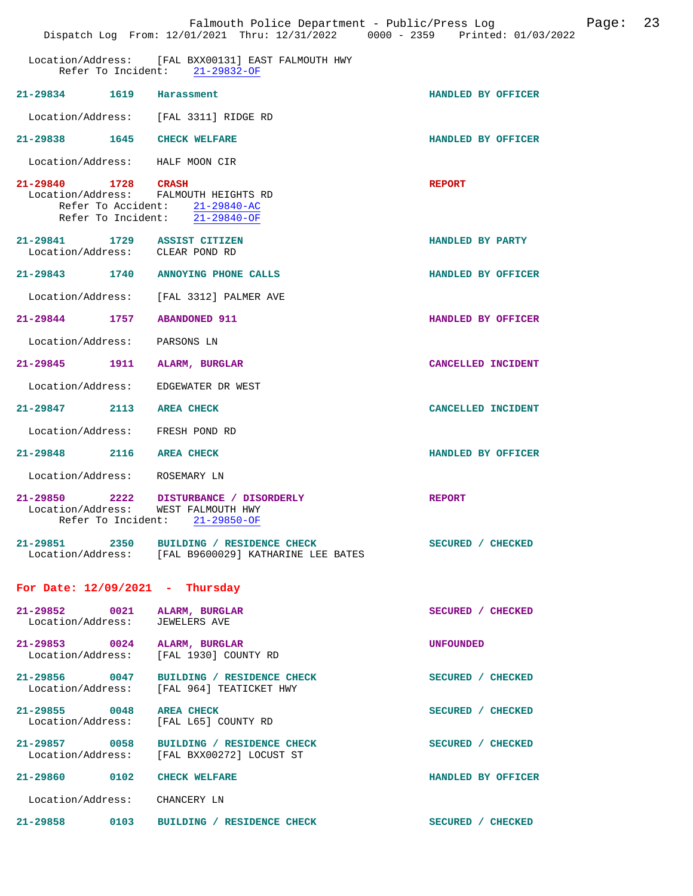|                          |      | Falmouth Police Department - Public/Press Log<br>Dispatch Log From: 12/01/2021 Thru: 12/31/2022 0000 - 2359 Printed: 01/03/2022 |                    | Page: 23 |  |
|--------------------------|------|---------------------------------------------------------------------------------------------------------------------------------|--------------------|----------|--|
|                          |      | Location/Address: [FAL BXX00131] EAST FALMOUTH HWY<br>Refer To Incident: 21-29832-OF                                            |                    |          |  |
| 21-29834 1619 Harassment |      |                                                                                                                                 | HANDLED BY OFFICER |          |  |
|                          |      | Location/Address: [FAL 3311] RIDGE RD                                                                                           |                    |          |  |
|                          |      | 21-29838 1645 CHECK WELFARE                                                                                                     | HANDLED BY OFFICER |          |  |
|                          |      | Location/Address: HALF MOON CIR                                                                                                 |                    |          |  |
| 21-29840 1728 CRASH      |      | Location/Address: FALMOUTH HEIGHTS RD<br>Refer To Accident: 21-29840-AC<br>Refer To Incident: 21-29840-OF                       | <b>REPORT</b>      |          |  |
|                          |      | 21-29841 1729 ASSIST CITIZEN<br>Location/Address: CLEAR POND RD                                                                 | HANDLED BY PARTY   |          |  |
|                          |      | 21-29843 1740 ANNOYING PHONE CALLS                                                                                              | HANDLED BY OFFICER |          |  |
|                          |      | Location/Address: [FAL 3312] PALMER AVE                                                                                         |                    |          |  |
|                          |      | 21-29844 1757 ABANDONED 911                                                                                                     | HANDLED BY OFFICER |          |  |
|                          |      | Location/Address: PARSONS LN                                                                                                    |                    |          |  |
| 21-29845                 | 1911 | ALARM, BURGLAR                                                                                                                  | CANCELLED INCIDENT |          |  |
| Location/Address:        |      | EDGEWATER DR WEST                                                                                                               |                    |          |  |
|                          |      | 21-29847 2113 AREA CHECK                                                                                                        | CANCELLED INCIDENT |          |  |
|                          |      | Location/Address: FRESH POND RD                                                                                                 |                    |          |  |
|                          |      | 21-29848 2116 AREA CHECK                                                                                                        | HANDLED BY OFFICER |          |  |
|                          |      | Location/Address: ROSEMARY LN                                                                                                   |                    |          |  |
|                          |      | 21-29850 2222 DISTURBANCE / DISORDERLY<br>Location/Address: WEST FALMOUTH HWY<br>Refer To Incident: 21-29850-OF                 | <b>REPORT</b>      |          |  |
|                          |      | 21-29851 2350 BUILDING / RESIDENCE CHECK<br>Location/Address: [FAL B9600029] KATHARINE LEE BATES                                | SECURED / CHECKED  |          |  |
|                          |      | For Date: $12/09/2021$ - Thursday                                                                                               |                    |          |  |
|                          |      | 21-29852 0021 ALARM, BURGLAR<br>Location/Address: JEWELERS AVE                                                                  | SECURED / CHECKED  |          |  |
|                          |      | 21-29853 0024 ALARM, BURGLAR<br>Location/Address: [FAL 1930] COUNTY RD                                                          | UNFOUNDED          |          |  |
|                          |      | 21-29856 0047 BUILDING / RESIDENCE CHECK<br>Location/Address: [FAL 964] TEATICKET HWY                                           | SECURED / CHECKED  |          |  |
|                          |      | 21-29855 0048 AREA CHECK<br>Location/Address: [FAL L65] COUNTY RD                                                               | SECURED / CHECKED  |          |  |
|                          |      | 21-29857 0058 BUILDING / RESIDENCE CHECK<br>Location/Address: [FAL BXX00272] LOCUST ST                                          | SECURED / CHECKED  |          |  |
|                          |      | 21-29860 0102 CHECK WELFARE                                                                                                     | HANDLED BY OFFICER |          |  |
|                          |      | Location/Address: CHANCERY LN                                                                                                   |                    |          |  |
|                          |      | 21-29858 0103 BUILDING / RESIDENCE CHECK                                                                                        | SECURED / CHECKED  |          |  |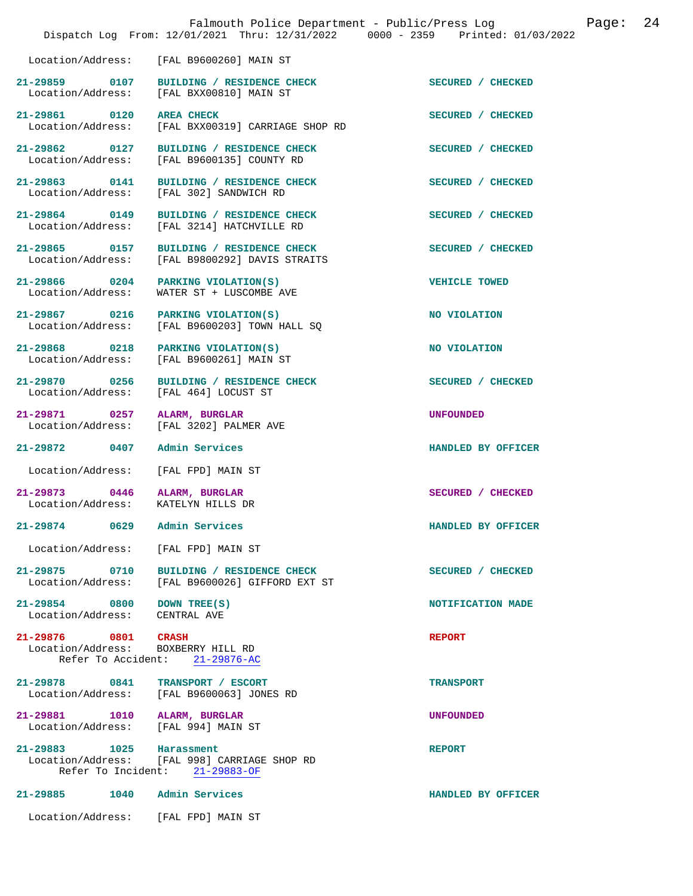|                                                                     |                                                                                                        | Dispatch Log From: 12/01/2021 Thru: 12/31/2022 0000 - 2359 Printed: 01/03/2022 |
|---------------------------------------------------------------------|--------------------------------------------------------------------------------------------------------|--------------------------------------------------------------------------------|
|                                                                     | Location/Address: [FAL B9600260] MAIN ST                                                               |                                                                                |
|                                                                     | 21-29859 0107 BUILDING / RESIDENCE CHECK SECURED / CHECKED<br>Location/Address: [FAL BXX00810] MAIN ST |                                                                                |
| 21-29861 0120 AREA CHECK                                            | Location/Address: [FAL BXX00319] CARRIAGE SHOP RD                                                      | SECURED / CHECKED                                                              |
|                                                                     | 21-29862 0127 BUILDING / RESIDENCE CHECK<br>Location/Address: [FAL B9600135] COUNTY RD                 | SECURED / CHECKED                                                              |
|                                                                     | 21-29863 0141 BUILDING / RESIDENCE CHECK<br>Location/Address: [FAL 302] SANDWICH RD                    | SECURED / CHECKED                                                              |
|                                                                     | 21-29864 0149 BUILDING / RESIDENCE CHECK<br>Location/Address: [FAL 3214] HATCHVILLE RD                 | SECURED / CHECKED                                                              |
|                                                                     | 21-29865 0157 BUILDING / RESIDENCE CHECK<br>Location/Address: [FAL B9800292] DAVIS STRAITS             | SECURED / CHECKED                                                              |
| Location/Address:                                                   | 21-29866 0204 PARKING VIOLATION(S)<br>WATER ST + LUSCOMBE AVE                                          | <b>VEHICLE TOWED</b>                                                           |
|                                                                     | 21-29867 0216 PARKING VIOLATION(S)<br>Location/Address: [FAL B9600203] TOWN HALL SQ                    | <b>NO VIOLATION</b>                                                            |
| Location/Address:                                                   | 21-29868 0218 PARKING VIOLATION(S)<br>[FAL B9600261] MAIN ST                                           | NO VIOLATION                                                                   |
| Location/Address: [FAL 464] LOCUST ST                               | 21-29870 0256 BUILDING / RESIDENCE CHECK                                                               | SECURED / CHECKED                                                              |
| 21-29871 0257 ALARM, BURGLAR<br>Location/Address:                   | [FAL 3202] PALMER AVE                                                                                  | UNFOUNDED                                                                      |
| 21-29872 0407 Admin Services                                        |                                                                                                        | HANDLED BY OFFICER                                                             |
| Location/Address:                                                   | [FAL FPD] MAIN ST                                                                                      |                                                                                |
| 21-29873 0446 ALARM, BURGLAR<br>Location/Address: KATELYN HILLS DR  |                                                                                                        | SECURED / CHECKED                                                              |
| 21-29874 0629 Admin Services                                        |                                                                                                        | HANDLED BY OFFICER                                                             |
| Location/Address: [FAL FPD] MAIN ST                                 |                                                                                                        |                                                                                |
|                                                                     | 21-29875 0710 BUILDING / RESIDENCE CHECK<br>Location/Address: [FAL B9600026] GIFFORD EXT ST            | SECURED / CHECKED                                                              |
| 21-29854 0800 DOWN TREE(S)<br>Location/Address: CENTRAL AVE         |                                                                                                        | NOTIFICATION MADE                                                              |
| 21-29876 0801 CRASH<br>Location/Address: BOXBERRY HILL RD           | Refer To Accident: 21-29876-AC                                                                         | <b>REPORT</b>                                                                  |
| 21-29878 0841 TRANSPORT / ESCORT                                    | Location/Address: [FAL B9600063] JONES RD                                                              | <b>TRANSPORT</b>                                                               |
| 21-29881 1010 ALARM, BURGLAR<br>Location/Address: [FAL 994] MAIN ST |                                                                                                        | <b>UNFOUNDED</b>                                                               |
| 21-29883 1025 Harassment                                            | Location/Address: [FAL 998] CARRIAGE SHOP RD<br>Refer To Incident: 21-29883-OF                         | <b>REPORT</b>                                                                  |
| 21-29885 1040 Admin Services                                        |                                                                                                        | HANDLED BY OFFICER                                                             |
| Location/Address: [FAL FPD] MAIN ST                                 |                                                                                                        |                                                                                |

Falmouth Police Department - Public/Press Log Page: 24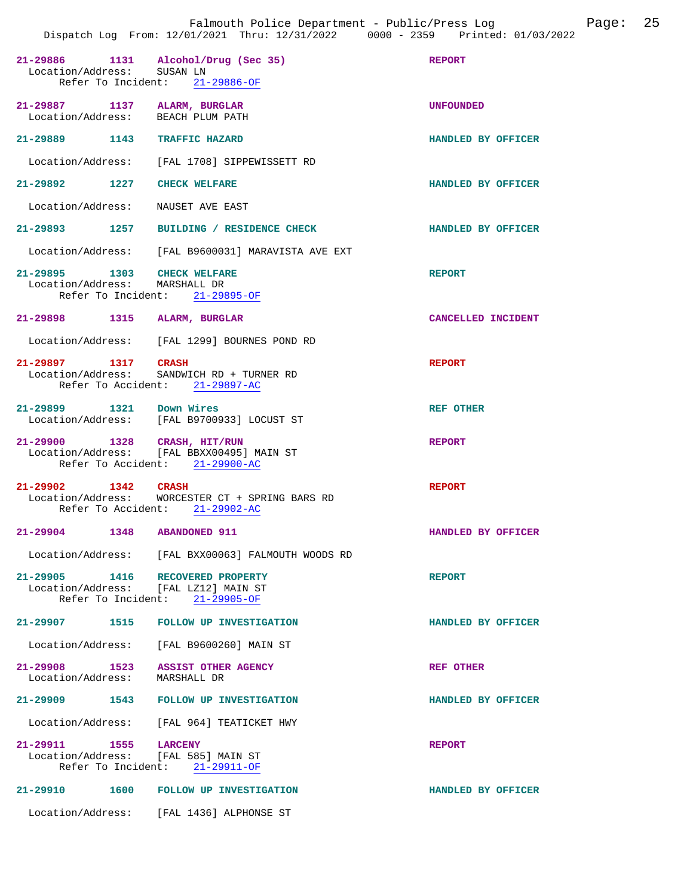|                               |                                                                                                             | Dispatch Log From: 12/01/2021 Thru: 12/31/2022 0000 - 2359 Printed: 01/03/2022 |
|-------------------------------|-------------------------------------------------------------------------------------------------------------|--------------------------------------------------------------------------------|
| Location/Address: SUSAN LN    | 21-29886 1131 Alcohol/Drug (Sec 35)<br>Refer To Incident: 21-29886-OF                                       | <b>REPORT</b>                                                                  |
|                               | 21-29887 1137 ALARM, BURGLAR<br>Location/Address: BEACH PLUM PATH                                           | <b>UNFOUNDED</b>                                                               |
|                               | 21-29889 1143 TRAFFIC HAZARD                                                                                | HANDLED BY OFFICER                                                             |
|                               | Location/Address: [FAL 1708] SIPPEWISSETT RD                                                                |                                                                                |
|                               | 21-29892 1227 CHECK WELFARE                                                                                 | HANDLED BY OFFICER                                                             |
|                               | Location/Address: NAUSET AVE EAST                                                                           |                                                                                |
|                               | 21-29893 1257 BUILDING / RESIDENCE CHECK                                                                    | <b>HANDLED BY OFFICER</b>                                                      |
|                               | Location/Address: [FAL B9600031] MARAVISTA AVE EXT                                                          |                                                                                |
| Location/Address: MARSHALL DR | 21-29895 1303 CHECK WELFARE<br>Refer To Incident: 21-29895-OF                                               | <b>REPORT</b>                                                                  |
|                               | 21-29898 1315 ALARM, BURGLAR                                                                                | CANCELLED INCIDENT                                                             |
|                               | Location/Address: [FAL 1299] BOURNES POND RD                                                                |                                                                                |
| 21-29897 1317 CRASH           | Location/Address: SANDWICH RD + TURNER RD<br>Refer To Accident: 21-29897-AC                                 | <b>REPORT</b>                                                                  |
| 21-29899 1321 Down Wires      | Location/Address: [FAL B9700933] LOCUST ST                                                                  | <b>REF OTHER</b>                                                               |
|                               | 21-29900 1328 CRASH, HIT/RUN<br>Location/Address: [FAL BBXX00495] MAIN ST<br>Refer To Accident: 21-29900-AC | <b>REPORT</b>                                                                  |
| 21-29902 1342 CRASH           | Location/Address: WORCESTER CT + SPRING BARS RD<br>Refer To Accident: 21-29902-AC                           | <b>REPORT</b>                                                                  |
|                               | 21-29904 1348 ABANDONED 911                                                                                 | HANDLED BY OFFICER                                                             |
|                               | Location/Address: [FAL BXX00063] FALMOUTH WOODS RD                                                          |                                                                                |
|                               | 21-29905 1416 RECOVERED PROPERTY<br>Location/Address: [FAL LZ12] MAIN ST<br>Refer To Incident: 21-29905-OF  | <b>REPORT</b>                                                                  |
|                               | 21-29907 1515 FOLLOW UP INVESTIGATION                                                                       | HANDLED BY OFFICER                                                             |
|                               | Location/Address: [FAL B9600260] MAIN ST                                                                    |                                                                                |
| Location/Address: MARSHALL DR | 21-29908 1523 ASSIST OTHER AGENCY                                                                           | <b>REF OTHER</b>                                                               |
|                               | 21-29909 1543 FOLLOW UP INVESTIGATION                                                                       | HANDLED BY OFFICER                                                             |
|                               | Location/Address: [FAL 964] TEATICKET HWY                                                                   |                                                                                |
| 21-29911 1555 LARCENY         | Location/Address: [FAL 585] MAIN ST<br>Refer To Incident: 21-29911-OF                                       | <b>REPORT</b>                                                                  |
|                               | 21-29910 1600 FOLLOW UP INVESTIGATION                                                                       | HANDLED BY OFFICER                                                             |
|                               | Location/Address: [FAL 1436] ALPHONSE ST                                                                    |                                                                                |

Falmouth Police Department - Public/Press Log Page: 25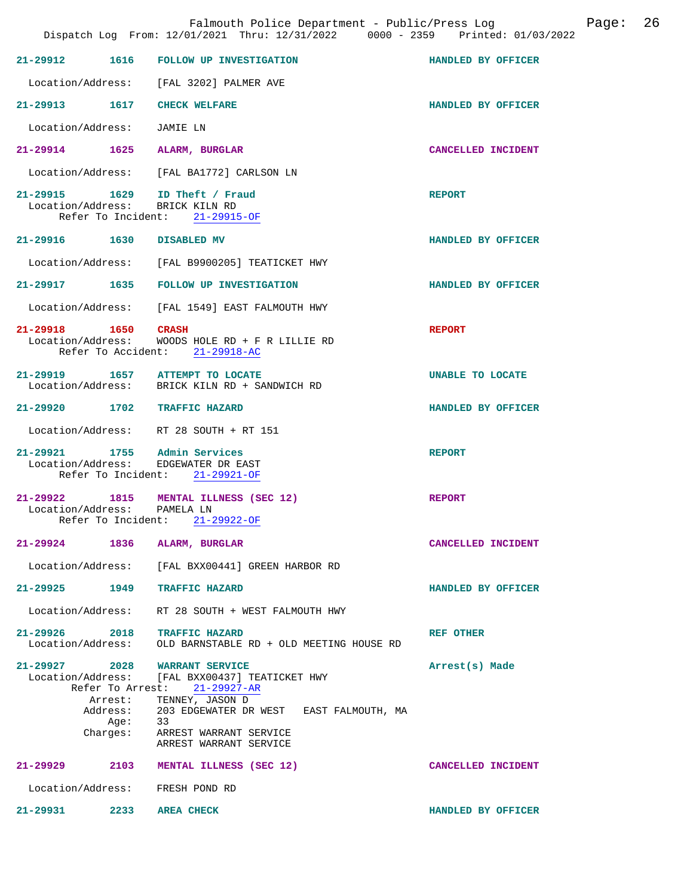|                                                                                       | Dispatch Log From: 12/01/2021 Thru: 12/31/2022 0000 - 2359 Printed: 01/03/2022                                                                                                                              |                    |
|---------------------------------------------------------------------------------------|-------------------------------------------------------------------------------------------------------------------------------------------------------------------------------------------------------------|--------------------|
|                                                                                       | 21-29912 1616 FOLLOW UP INVESTIGATION                                                                                                                                                                       | HANDLED BY OFFICER |
|                                                                                       | Location/Address: [FAL 3202] PALMER AVE                                                                                                                                                                     |                    |
| 21-29913 1617 CHECK WELFARE                                                           |                                                                                                                                                                                                             | HANDLED BY OFFICER |
| Location/Address: JAMIE LN                                                            |                                                                                                                                                                                                             |                    |
| 21-29914 1625 ALARM, BURGLAR                                                          |                                                                                                                                                                                                             | CANCELLED INCIDENT |
|                                                                                       | Location/Address: [FAL BA1772] CARLSON LN                                                                                                                                                                   |                    |
| 21-29915 1629 ID Theft / Fraud<br>Location/Address: BRICK KILN RD                     | Refer To Incident: 21-29915-OF                                                                                                                                                                              | <b>REPORT</b>      |
| 21-29916 1630 DISABLED MV                                                             |                                                                                                                                                                                                             | HANDLED BY OFFICER |
|                                                                                       | Location/Address: [FAL B9900205] TEATICKET HWY                                                                                                                                                              |                    |
|                                                                                       | 21-29917 1635 FOLLOW UP INVESTIGATION                                                                                                                                                                       | HANDLED BY OFFICER |
|                                                                                       | Location/Address: [FAL 1549] EAST FALMOUTH HWY                                                                                                                                                              |                    |
| 21-29918 1650 CRASH                                                                   | Location/Address: WOODS HOLE RD + F R LILLIE RD<br>Refer To Accident: 21-29918-AC                                                                                                                           | <b>REPORT</b>      |
| 21-29919 1657 ATTEMPT TO LOCATE                                                       | Location/Address: BRICK KILN RD + SANDWICH RD                                                                                                                                                               | UNABLE TO LOCATE   |
| 21-29920 1702 TRAFFIC HAZARD                                                          |                                                                                                                                                                                                             | HANDLED BY OFFICER |
|                                                                                       | Location/Address: RT 28 SOUTH + RT 151                                                                                                                                                                      |                    |
| 21-29921 1755 Admin Services                                                          | Location/Address: EDGEWATER DR EAST<br>Refer To Incident: 21-29921-OF                                                                                                                                       | <b>REPORT</b>      |
|                                                                                       | 21-29922 1815 MENTAL ILLNESS (SEC 12)<br>Location/Address: PAMELA LN<br>Refer To Incident: 21-29922-OF                                                                                                      | <b>REPORT</b>      |
| 21-29924<br>1836                                                                      | ALARM, BURGLAR                                                                                                                                                                                              | CANCELLED INCIDENT |
| Location/Address:                                                                     | [FAL BXX00441] GREEN HARBOR RD                                                                                                                                                                              |                    |
| 21-29925 1949                                                                         | <b>TRAFFIC HAZARD</b>                                                                                                                                                                                       | HANDLED BY OFFICER |
| Location/Address:                                                                     | RT 28 SOUTH + WEST FALMOUTH HWY                                                                                                                                                                             |                    |
| 21-29926<br>2018<br>Location/Address:                                                 | <b>TRAFFIC HAZARD</b><br>OLD BARNSTABLE RD + OLD MEETING HOUSE RD                                                                                                                                           | <b>REF OTHER</b>   |
| 21-29927 2028<br>Location/Address:<br>Refer To Arrest:<br>Arrest:<br>Aqe:<br>Charges: | <b>WARRANT SERVICE</b><br>FAL BXX004371 TEATICKET HWY<br>$21 - 29927 - AR$<br>TENNEY, JASON D<br>Address: 203 EDGEWATER DR WEST EAST FALMOUTH, MA<br>33<br>ARREST WARRANT SERVICE<br>ARREST WARRANT SERVICE | Arrest(s) Made     |
|                                                                                       | 21-29929 2103 MENTAL ILLNESS (SEC 12)                                                                                                                                                                       | CANCELLED INCIDENT |
| Location/Address:                                                                     | FRESH POND RD                                                                                                                                                                                               |                    |
| 2233<br>21-29931                                                                      | <b>AREA CHECK</b>                                                                                                                                                                                           | HANDLED BY OFFICER |

Falmouth Police Department - Public/Press Log Page: 26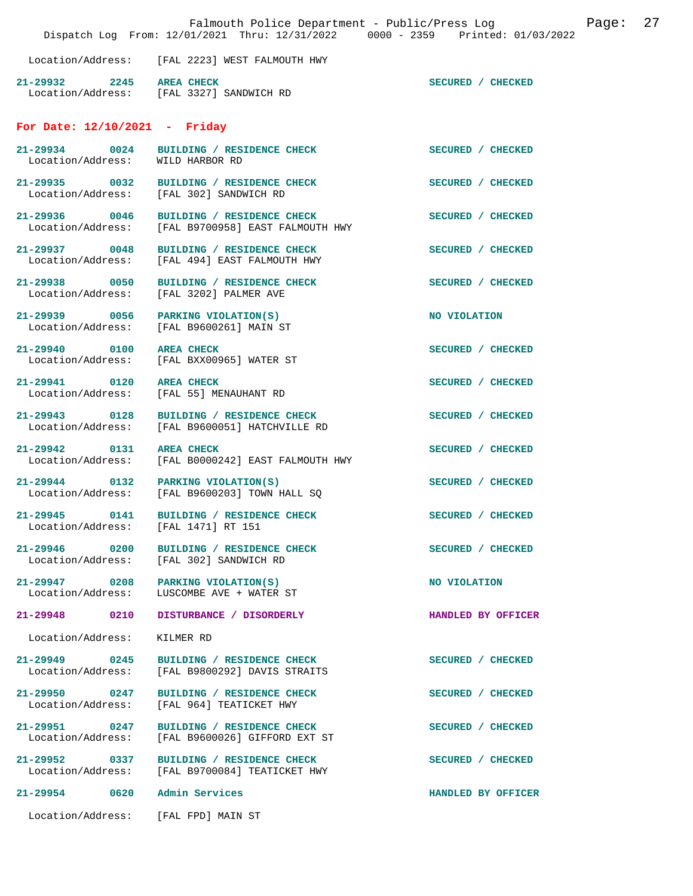|                                       |                                                                                                | Falmouth Police Department - Public/Press Log<br>Dispatch Log From: 12/01/2021 Thru: 12/31/2022 0000 - 2359 Printed: 01/03/2022 | Page: | 27 |
|---------------------------------------|------------------------------------------------------------------------------------------------|---------------------------------------------------------------------------------------------------------------------------------|-------|----|
|                                       | Location/Address: [FAL 2223] WEST FALMOUTH HWY                                                 |                                                                                                                                 |       |    |
| 21-29932 2245 AREA CHECK              | Location/Address: [FAL 3327] SANDWICH RD                                                       | SECURED / CHECKED                                                                                                               |       |    |
| For Date: $12/10/2021$ - Friday       |                                                                                                |                                                                                                                                 |       |    |
| Location/Address: WILD HARBOR RD      | 21-29934 0024 BUILDING / RESIDENCE CHECK                                                       | SECURED / CHECKED                                                                                                               |       |    |
| 21-29935 0032                         | BUILDING / RESIDENCE CHECK<br>Location/Address: [FAL 302] SANDWICH RD                          | SECURED / CHECKED                                                                                                               |       |    |
|                                       | 21-29936 0046 BUILDING / RESIDENCE CHECK<br>Location/Address: [FAL B9700958] EAST FALMOUTH HWY | SECURED / CHECKED                                                                                                               |       |    |
| 21-29937 0048                         | BUILDING / RESIDENCE CHECK<br>Location/Address: [FAL 494] EAST FALMOUTH HWY                    | SECURED / CHECKED                                                                                                               |       |    |
| 21-29938 0050                         | BUILDING / RESIDENCE CHECK<br>Location/Address: [FAL 3202] PALMER AVE                          | SECURED / CHECKED                                                                                                               |       |    |
| 21-29939 0056 PARKING VIOLATION(S)    | Location/Address: [FAL B9600261] MAIN ST                                                       | NO VIOLATION                                                                                                                    |       |    |
| 21-29940 0100                         | <b>AREA CHECK</b><br>Location/Address: [FAL BXX00965] WATER ST                                 | SECURED / CHECKED                                                                                                               |       |    |
| 21-29941 0120 AREA CHECK              | Location/Address: [FAL 55] MENAUHANT RD                                                        | SECURED / CHECKED                                                                                                               |       |    |
| 21-29943 0128                         | BUILDING / RESIDENCE CHECK<br>Location/Address: [FAL B9600051] HATCHVILLE RD                   | SECURED / CHECKED                                                                                                               |       |    |
| 21-29942 0131 AREA CHECK              | Location/Address: [FAL B0000242] EAST FALMOUTH HWY                                             | SECURED / CHECKED                                                                                                               |       |    |
| $21-29944$ 0132 PARKING VIOLATION(S)  | Location/Address: [FAL B9600203] TOWN HALL SQ                                                  | SECURED / CHECKED                                                                                                               |       |    |
| 21-29945<br>0141<br>Location/Address: | BUILDING / RESIDENCE CHECK<br>[FAL 1471] RT 151                                                | SECURED / CHECKED                                                                                                               |       |    |
| 21-29946 0200<br>Location/Address:    | BUILDING / RESIDENCE CHECK<br>[FAL 302] SANDWICH RD                                            | SECURED / CHECKED                                                                                                               |       |    |
| 21-29947 0208<br>Location/Address:    | PARKING VIOLATION(S)<br>LUSCOMBE AVE + WATER ST                                                | NO VIOLATION                                                                                                                    |       |    |
| 21-29948<br>0210                      | DISTURBANCE / DISORDERLY                                                                       | HANDLED BY OFFICER                                                                                                              |       |    |
| Location/Address:                     | KILMER RD                                                                                      |                                                                                                                                 |       |    |
| 21-29949 0245<br>Location/Address:    | BUILDING / RESIDENCE CHECK<br>[FAL B9800292] DAVIS STRAITS                                     | SECURED / CHECKED                                                                                                               |       |    |
| 21-29950 0247<br>Location/Address:    | BUILDING / RESIDENCE CHECK<br>[FAL 964] TEATICKET HWY                                          | SECURED / CHECKED                                                                                                               |       |    |
| 21-29951 0247<br>Location/Address:    | BUILDING / RESIDENCE CHECK<br>[FAL B9600026] GIFFORD EXT ST                                    | SECURED / CHECKED                                                                                                               |       |    |
| 21-29952 0337<br>Location/Address:    | BUILDING / RESIDENCE CHECK<br>[FAL B9700084] TEATICKET HWY                                     | SECURED / CHECKED                                                                                                               |       |    |
| 21-29954<br>0620                      | Admin Services                                                                                 | HANDLED BY OFFICER                                                                                                              |       |    |
| Location/Address:                     | [FAL FPD] MAIN ST                                                                              |                                                                                                                                 |       |    |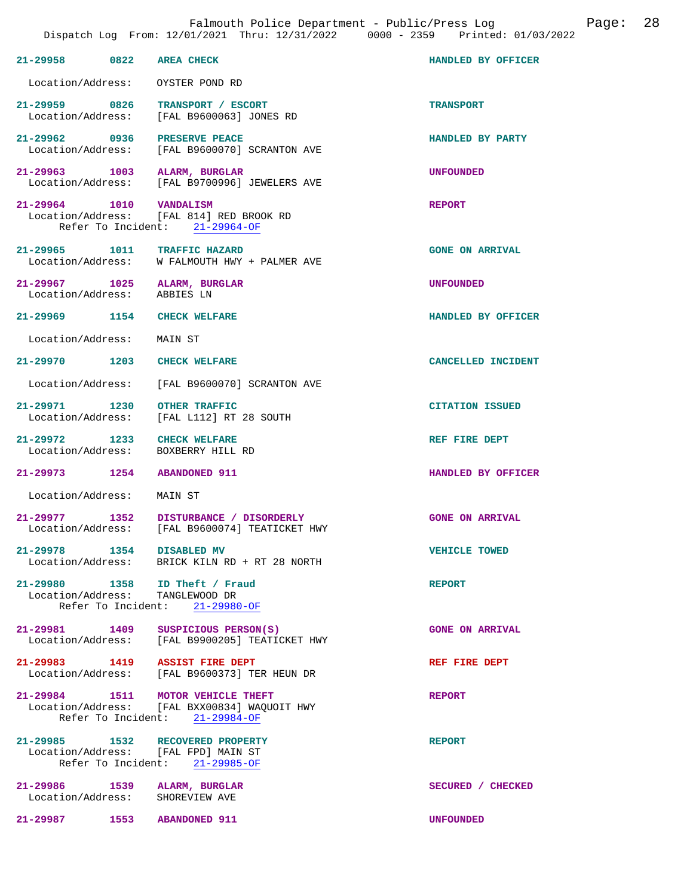| 21-29958 0822 AREA CHECK                                    |                                                                                                                     | HANDLED BY OFFICER     |
|-------------------------------------------------------------|---------------------------------------------------------------------------------------------------------------------|------------------------|
| Location/Address:                                           | OYSTER POND RD                                                                                                      |                        |
| 21-29959 0826                                               | TRANSPORT / ESCORT<br>Location/Address: [FAL B9600063] JONES RD                                                     | <b>TRANSPORT</b>       |
|                                                             | 21-29962 0936 PRESERVE PEACE<br>Location/Address: [FAL B9600070] SCRANTON AVE                                       | HANDLED BY PARTY       |
| 21-29963 1003 ALARM, BURGLAR                                | Location/Address: [FAL B9700996] JEWELERS AVE                                                                       | <b>UNFOUNDED</b>       |
| 21-29964 1010 VANDALISM                                     | Location/Address: [FAL 814] RED BROOK RD<br>Refer To Incident: 21-29964-OF                                          | <b>REPORT</b>          |
|                                                             | 21-29965 1011 TRAFFIC HAZARD<br>Location/Address: W FALMOUTH HWY + PALMER AVE                                       | <b>GONE ON ARRIVAL</b> |
| 21-29967 1025 ALARM, BURGLAR<br>Location/Address: ABBIES LN |                                                                                                                     | <b>UNFOUNDED</b>       |
| 21-29969 1154 CHECK WELFARE                                 |                                                                                                                     | HANDLED BY OFFICER     |
| Location/Address:                                           | MAIN ST                                                                                                             |                        |
| 21-29970 1203 CHECK WELFARE                                 |                                                                                                                     | CANCELLED INCIDENT     |
|                                                             | Location/Address: [FAL B9600070] SCRANTON AVE                                                                       |                        |
| 21-29971 1230                                               | <b>OTHER TRAFFIC</b><br>Location/Address: [FAL L112] RT 28 SOUTH                                                    | <b>CITATION ISSUED</b> |
| 21-29972 1233<br>Location/Address:                          | <b>CHECK WELFARE</b><br>BOXBERRY HILL RD                                                                            | REF FIRE DEPT          |
| 21-29973 1254 ABANDONED 911                                 |                                                                                                                     | HANDLED BY OFFICER     |
| Location/Address:                                           | MAIN ST                                                                                                             |                        |
|                                                             | 21-29977 1352 DISTURBANCE / DISORDERLY<br>Location/Address: [FAL B9600074] TEATICKET HWY                            | <b>GONE ON ARRIVAL</b> |
| 21-29978                                                    | 1354 DISABLED MV<br>Location/Address: BRICK KILN RD + RT 28 NORTH                                                   | <b>VEHICLE TOWED</b>   |
|                                                             | 21-29980 1358 ID Theft / Fraud<br>Location/Address: TANGLEWOOD DR<br>Refer To Incident: 21-29980-OF                 | <b>REPORT</b>          |
| 21-29981 1409                                               | SUSPICIOUS PERSON(S)<br>Location/Address: [FAL B9900205] TEATICKET HWY                                              | <b>GONE ON ARRIVAL</b> |
|                                                             | 21-29983 1419 ASSIST FIRE DEPT<br>Location/Address: [FAL B9600373] TER HEUN DR                                      | REF FIRE DEPT          |
|                                                             | 21-29984 1511 MOTOR VEHICLE THEFT<br>Location/Address: [FAL BXX00834] WAQUOIT HWY<br>Refer To Incident: 21-29984-OF | <b>REPORT</b>          |
|                                                             | 21-29985 1532 RECOVERED PROPERTY<br>Location/Address: [FAL FPD] MAIN ST<br>Refer To Incident: 21-29985-OF           | <b>REPORT</b>          |
| 21-29986 1539 ALARM, BURGLAR<br>Location/Address:           | SHOREVIEW AVE                                                                                                       | SECURED / CHECKED      |
| 21-29987 1553 ABANDONED 911                                 |                                                                                                                     | <b>UNFOUNDED</b>       |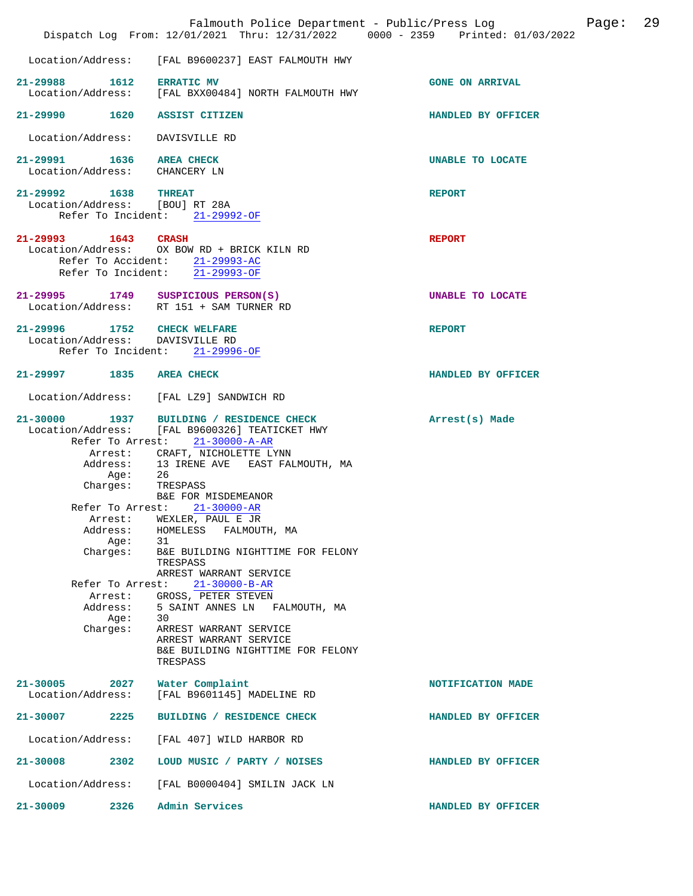|                                                                                                                         | Dispatch Log From: 12/01/2021 Thru: 12/31/2022 0000 - 2359 Printed: 01/03/2022                                                                                                                                                                                                                                                                                                                                                                                                                                                                                                                                             | 29<br>Page:<br>Falmouth Police Department - Public/Press Log |
|-------------------------------------------------------------------------------------------------------------------------|----------------------------------------------------------------------------------------------------------------------------------------------------------------------------------------------------------------------------------------------------------------------------------------------------------------------------------------------------------------------------------------------------------------------------------------------------------------------------------------------------------------------------------------------------------------------------------------------------------------------------|--------------------------------------------------------------|
| Location/Address:                                                                                                       | [FAL B9600237] EAST FALMOUTH HWY                                                                                                                                                                                                                                                                                                                                                                                                                                                                                                                                                                                           |                                                              |
| 21-29988 1612                                                                                                           | <b>ERRATIC MV</b><br>Location/Address: [FAL BXX00484] NORTH FALMOUTH HWY                                                                                                                                                                                                                                                                                                                                                                                                                                                                                                                                                   | <b>GONE ON ARRIVAL</b>                                       |
|                                                                                                                         | 21-29990 1620 ASSIST CITIZEN                                                                                                                                                                                                                                                                                                                                                                                                                                                                                                                                                                                               | HANDLED BY OFFICER                                           |
| Location/Address:                                                                                                       | DAVISVILLE RD                                                                                                                                                                                                                                                                                                                                                                                                                                                                                                                                                                                                              |                                                              |
| 21-29991 1636 AREA CHECK<br>Location/Address: CHANCERY LN                                                               |                                                                                                                                                                                                                                                                                                                                                                                                                                                                                                                                                                                                                            | <b>UNABLE TO LOCATE</b>                                      |
| 21-29992 1638 THREAT                                                                                                    | Location/Address: [BOU] RT 28A<br>Refer To Incident: 21-29992-OF                                                                                                                                                                                                                                                                                                                                                                                                                                                                                                                                                           | <b>REPORT</b>                                                |
| 21-29993 1643 CRASH                                                                                                     | Location/Address: OX BOW RD + BRICK KILN RD<br>Refer To Accident: 21-29993-AC<br>Refer To Incident: 21-29993-OF                                                                                                                                                                                                                                                                                                                                                                                                                                                                                                            | <b>REPORT</b>                                                |
|                                                                                                                         | 21-29995 1749 SUSPICIOUS PERSON(S)<br>Location/Address: RT 151 + SAM TURNER RD                                                                                                                                                                                                                                                                                                                                                                                                                                                                                                                                             | UNABLE TO LOCATE                                             |
|                                                                                                                         | 21-29996 1752 CHECK WELFARE<br>Location/Address: DAVISVILLE RD<br>Refer To Incident: 21-29996-OF                                                                                                                                                                                                                                                                                                                                                                                                                                                                                                                           | <b>REPORT</b>                                                |
| 21-29997 1835 AREA CHECK                                                                                                |                                                                                                                                                                                                                                                                                                                                                                                                                                                                                                                                                                                                                            | HANDLED BY OFFICER                                           |
|                                                                                                                         | Location/Address: [FAL LZ9] SANDWICH RD                                                                                                                                                                                                                                                                                                                                                                                                                                                                                                                                                                                    |                                                              |
| $21 - 30000$<br>Address:<br>Age:<br>Charges:<br>Arrest:<br>Address:<br>Age:<br>Charges:<br>Address:<br>Aqe:<br>Charges: | 1937 BUILDING / RESIDENCE CHECK<br>Location/Address: [FAL B9600326] TEATICKET HWY<br>Refer To Arrest: 21-30000-A-AR<br>Arrest: CRAFT, NICHOLETTE LYNN<br>13 IRENE AVE EAST FALMOUTH, MA<br>26<br>TRESPASS<br>B&E FOR MISDEMEANOR<br>Refer To Arrest: 21-30000-AR<br>WEXLER, PAUL E JR<br>HOMELESS<br>FALMOUTH, MA<br>31<br>B&E BUILDING NIGHTTIME FOR FELONY<br>TRESPASS<br>ARREST WARRANT SERVICE<br>Refer To Arrest:<br>$21 - 30000 - B - AR$<br>Arrest: GROSS, PETER STEVEN<br>5 SAINT ANNES LN FALMOUTH, MA<br>30<br>ARREST WARRANT SERVICE<br>ARREST WARRANT SERVICE<br>B&E BUILDING NIGHTTIME FOR FELONY<br>TRESPASS | Arrest(s) Made                                               |
| $21 - 30005$<br>Location/Address:                                                                                       | 2027<br>Water Complaint<br>[FAL B9601145] MADELINE RD                                                                                                                                                                                                                                                                                                                                                                                                                                                                                                                                                                      | NOTIFICATION MADE                                            |
| 21-30007<br>2225                                                                                                        | BUILDING / RESIDENCE CHECK                                                                                                                                                                                                                                                                                                                                                                                                                                                                                                                                                                                                 | HANDLED BY OFFICER                                           |
| Location/Address:                                                                                                       | [FAL 407] WILD HARBOR RD                                                                                                                                                                                                                                                                                                                                                                                                                                                                                                                                                                                                   |                                                              |
| $21 - 30008$<br>2302                                                                                                    | LOUD MUSIC / PARTY / NOISES                                                                                                                                                                                                                                                                                                                                                                                                                                                                                                                                                                                                | HANDLED BY OFFICER                                           |
| Location/Address:                                                                                                       | [FAL B0000404] SMILIN JACK LN                                                                                                                                                                                                                                                                                                                                                                                                                                                                                                                                                                                              |                                                              |
| 2326<br>$21 - 30009$                                                                                                    | Admin Services                                                                                                                                                                                                                                                                                                                                                                                                                                                                                                                                                                                                             | HANDLED BY OFFICER                                           |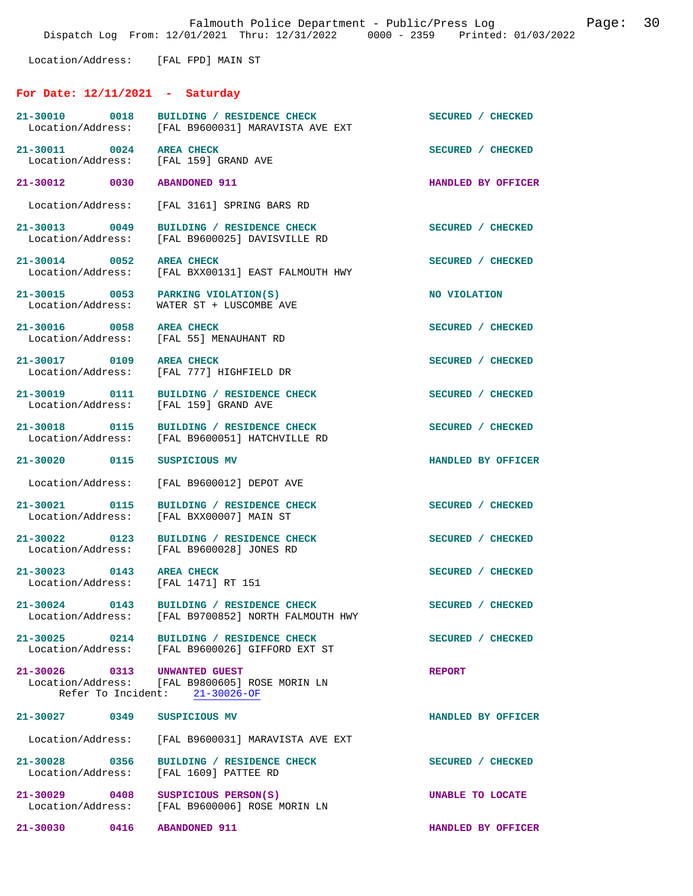Location/Address: [FAL FPD] MAIN ST

## **For Date: 12/11/2021 - Saturday**

| 21-30010 0018                                                     | BUILDING / RESIDENCE CHECK<br>Location/Address: [FAL B9600031] MARAVISTA AVE EXT            | SECURED / CHECKED  |
|-------------------------------------------------------------------|---------------------------------------------------------------------------------------------|--------------------|
| 21-30011 0024 AREA CHECK<br>Location/Address: [FAL 159] GRAND AVE |                                                                                             | SECURED / CHECKED  |
| 21-30012 0030                                                     | <b>ABANDONED 911</b>                                                                        | HANDLED BY OFFICER |
| Location/Address:                                                 | [FAL 3161] SPRING BARS RD                                                                   |                    |
| 21-30013 0049<br>Location/Address:                                | BUILDING / RESIDENCE CHECK<br>[FAL B9600025] DAVISVILLE RD                                  | SECURED / CHECKED  |
| 21-30014 0052 AREA CHECK                                          | Location/Address: [FAL BXX00131] EAST FALMOUTH HWY                                          | SECURED / CHECKED  |
| 21-30015 0053 PARKING VIOLATION(S)                                | Location/Address: WATER ST + LUSCOMBE AVE                                                   | NO VIOLATION       |
| 21-30016 0058 AREA CHECK                                          | Location/Address: [FAL 55] MENAUHANT RD                                                     | SECURED / CHECKED  |
| 21-30017 0109 AREA CHECK                                          | Location/Address: [FAL 777] HIGHFIELD DR                                                    | SECURED / CHECKED  |
| Location/Address: [FAL 159] GRAND AVE                             | 21-30019 0111 BUILDING / RESIDENCE CHECK                                                    | SECURED / CHECKED  |
|                                                                   | 21-30018 0115 BUILDING / RESIDENCE CHECK<br>Location/Address: [FAL B9600051] HATCHVILLE RD  | SECURED / CHECKED  |
| 21-30020 0115 SUSPICIOUS MV                                       |                                                                                             | HANDLED BY OFFICER |
| Location/Address:                                                 | [FAL B9600012] DEPOT AVE                                                                    |                    |
| 21-30021 0115<br>Location/Address:                                | BUILDING / RESIDENCE CHECK<br>[FAL BXX00007] MAIN ST                                        | SECURED / CHECKED  |
|                                                                   | 21-30022 0123 BUILDING / RESIDENCE CHECK<br>Location/Address: [FAL B9600028] JONES RD       | SECURED / CHECKED  |
| 21-30023 0143 AREA CHECK<br>Location/Address: [FAL 1471] RT 151   |                                                                                             | SECURED / CHECKED  |
| $21 - 30024$<br>0143<br>Location/Address:                         | BUILDING / RESIDENCE CHECK<br>[FAL B9700852] NORTH FALMOUTH HWY                             | SECURED / CHECKED  |
|                                                                   | 21-30025 0214 BUILDING / RESIDENCE CHECK<br>Location/Address: [FAL B9600026] GIFFORD EXT ST | SECURED / CHECKED  |
| 21-30026 0313 UNWANTED GUEST                                      | Location/Address: [FAL B9800605] ROSE MORIN LN<br>Refer To Incident: 21-30026-OF            | <b>REPORT</b>      |
| 21-30027 0349                                                     | SUSPICIOUS MV                                                                               | HANDLED BY OFFICER |
|                                                                   | Location/Address: [FAL B9600031] MARAVISTA AVE EXT                                          |                    |
| 21-30028 0356                                                     | BUILDING / RESIDENCE CHECK<br>Location/Address: [FAL 1609] PATTEE RD                        | SECURED / CHECKED  |
| 21-30029 0408 SUSPICIOUS PERSON(S)<br>Location/Address:           | [FAL B9600006] ROSE MORIN LN                                                                | UNABLE TO LOCATE   |
| 21-30030 0416 ABANDONED 911                                       |                                                                                             | HANDLED BY OFFICER |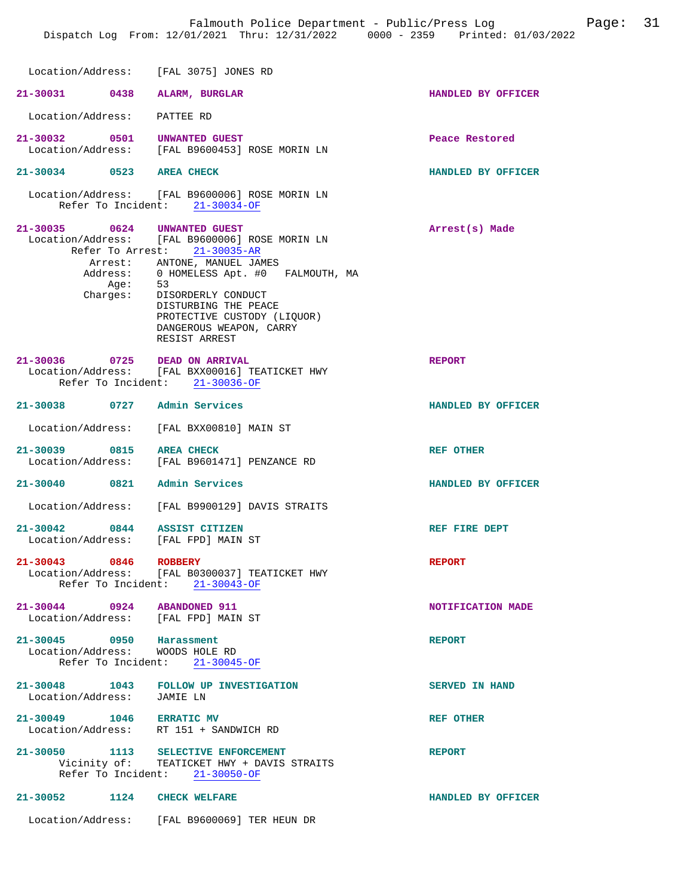| Location/Address: [FAL 3075] JONES RD                               |                                                                                                                                                                                                                                                                                                         |                       |
|---------------------------------------------------------------------|---------------------------------------------------------------------------------------------------------------------------------------------------------------------------------------------------------------------------------------------------------------------------------------------------------|-----------------------|
| 21-30031 0438 ALARM, BURGLAR                                        |                                                                                                                                                                                                                                                                                                         | HANDLED BY OFFICER    |
| Location/Address: PATTEE RD                                         |                                                                                                                                                                                                                                                                                                         |                       |
| 21-30032 0501 UNWANTED GUEST                                        | Location/Address: [FAL B9600453] ROSE MORIN LN                                                                                                                                                                                                                                                          | Peace Restored        |
| 21-30034 0523 AREA CHECK                                            |                                                                                                                                                                                                                                                                                                         | HANDLED BY OFFICER    |
|                                                                     | Location/Address: [FAL B9600006] ROSE MORIN LN<br>Refer To Incident: 21-30034-OF                                                                                                                                                                                                                        |                       |
| 21-30035 0624 UNWANTED GUEST                                        | Location/Address: [FAL B9600006] ROSE MORIN LN<br>Refer To Arrest: 21-30035-AR<br>Arrest: ANTONE, MANUEL JAMES<br>Address: 0 HOMELESS Apt. #0 FALMOUTH, MA<br>Age: 53<br>Charges: DISORDERLY CONDUCT<br>DISTURBING THE PEACE<br>PROTECTIVE CUSTODY (LIQUOR)<br>DANGEROUS WEAPON, CARRY<br>RESIST ARREST | Arrest(s) Made        |
| 21-30036 0725 DEAD ON ARRIVAL                                       | Location/Address: [FAL BXX00016] TEATICKET HWY<br>Refer To Incident: 21-30036-OF                                                                                                                                                                                                                        | <b>REPORT</b>         |
| 21-30038 0727 Admin Services                                        |                                                                                                                                                                                                                                                                                                         | HANDLED BY OFFICER    |
|                                                                     | Location/Address: [FAL BXX00810] MAIN ST                                                                                                                                                                                                                                                                |                       |
| 21-30039 0815 AREA CHECK                                            | Location/Address: [FAL B9601471] PENZANCE RD                                                                                                                                                                                                                                                            | REF OTHER             |
| 21-30040 0821 Admin Services                                        |                                                                                                                                                                                                                                                                                                         | HANDLED BY OFFICER    |
|                                                                     | Location/Address: [FAL B9900129] DAVIS STRAITS                                                                                                                                                                                                                                                          |                       |
| 21-30042 0844 ASSIST CITIZEN<br>Location/Address: [FAL FPD] MAIN ST |                                                                                                                                                                                                                                                                                                         | REF FIRE DEPT         |
| 21-30043 0846 ROBBERY                                               | Location/Address: [FAL B0300037] TEATICKET HWY<br>Refer To Incident: 21-30043-OF                                                                                                                                                                                                                        | <b>REPORT</b>         |
| 21-30044 0924 ABANDONED 911<br>Location/Address: [FAL FPD] MAIN ST  |                                                                                                                                                                                                                                                                                                         | NOTIFICATION MADE     |
| 21-30045 0950 Harassment<br>Location/Address: WOODS HOLE RD         | Refer To Incident: 21-30045-OF                                                                                                                                                                                                                                                                          | <b>REPORT</b>         |
| Location/Address: JAMIE LN                                          | 21-30048 1043 FOLLOW UP INVESTIGATION                                                                                                                                                                                                                                                                   | <b>SERVED IN HAND</b> |
| 21-30049 1046 ERRATIC MV<br>Location/Address: RT 151 + SANDWICH RD  |                                                                                                                                                                                                                                                                                                         | <b>REF OTHER</b>      |
|                                                                     | 21-30050 1113 SELECTIVE ENFORCEMENT<br>Vicinity of: TEATICKET HWY + DAVIS STRAITS<br>Refer To Incident: 21-30050-OF                                                                                                                                                                                     | <b>REPORT</b>         |
| 21-30052 1124 CHECK WELFARE                                         |                                                                                                                                                                                                                                                                                                         | HANDLED BY OFFICER    |
|                                                                     | Location/Address: [FAL B9600069] TER HEUN DR                                                                                                                                                                                                                                                            |                       |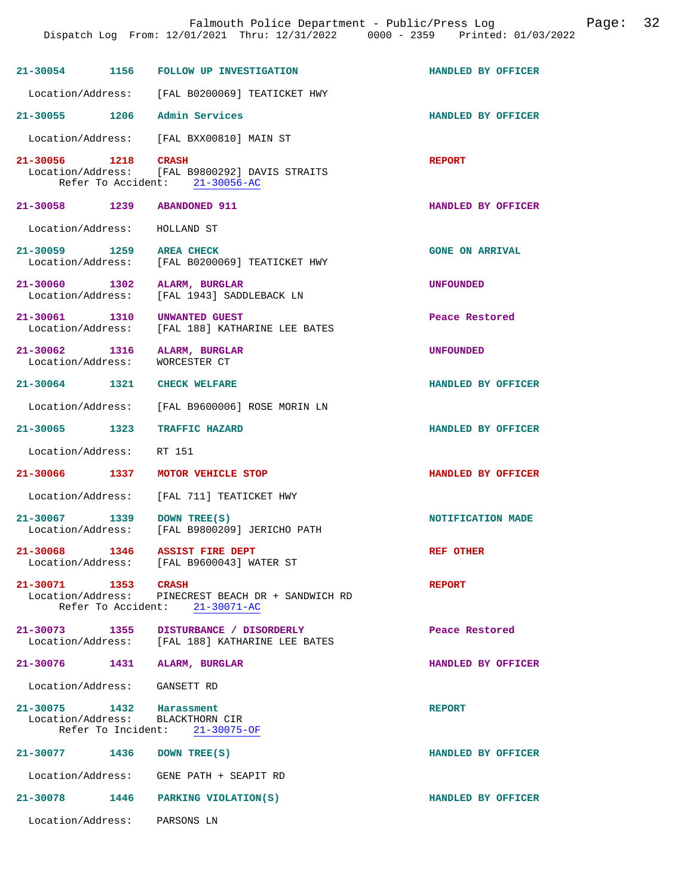|                                               |      | Falmouth Police Department - Public/Press Log<br>Dispatch Log From: 12/01/2021 Thru: 12/31/2022 0000 - 2359 Printed: 01/03/2022 |                        | Page: 32 |  |
|-----------------------------------------------|------|---------------------------------------------------------------------------------------------------------------------------------|------------------------|----------|--|
|                                               |      | 21-30054 1156 FOLLOW UP INVESTIGATION                                                                                           | HANDLED BY OFFICER     |          |  |
|                                               |      | Location/Address: [FAL B0200069] TEATICKET HWY                                                                                  |                        |          |  |
|                                               |      | 21-30055 1206 Admin Services                                                                                                    | HANDLED BY OFFICER     |          |  |
| Location/Address:                             |      | [FAL BXX00810] MAIN ST                                                                                                          |                        |          |  |
| 21-30056 1218 CRASH                           |      | Location/Address: [FAL B9800292] DAVIS STRAITS<br>Refer To Accident: 21-30056-AC                                                | <b>REPORT</b>          |          |  |
|                                               |      | 21-30058 1239 ABANDONED 911                                                                                                     | HANDLED BY OFFICER     |          |  |
| Location/Address: HOLLAND ST                  |      |                                                                                                                                 |                        |          |  |
| 21-30059 1259 AREA CHECK<br>Location/Address: |      | [FAL B0200069] TEATICKET HWY                                                                                                    | <b>GONE ON ARRIVAL</b> |          |  |
|                                               |      | 21-30060 1302 ALARM, BURGLAR<br>Location/Address: [FAL 1943] SADDLEBACK LN                                                      | <b>UNFOUNDED</b>       |          |  |
| Location/Address:                             |      | 21-30061 1310 UNWANTED GUEST<br>[FAL 188] KATHARINE LEE BATES                                                                   | Peace Restored         |          |  |
| 21-30062<br>Location/Address:                 |      | 1316 ALARM, BURGLAR<br>WORCESTER CT                                                                                             | <b>UNFOUNDED</b>       |          |  |
| 21-30064 1321                                 |      | <b>CHECK WELFARE</b>                                                                                                            | HANDLED BY OFFICER     |          |  |
| Location/Address:                             |      | [FAL B9600006] ROSE MORIN LN                                                                                                    |                        |          |  |
|                                               |      | 21-30065 1323 TRAFFIC HAZARD                                                                                                    | HANDLED BY OFFICER     |          |  |
| Location/Address:                             |      | RT 151                                                                                                                          |                        |          |  |
|                                               |      | 21-30066 1337 MOTOR VEHICLE STOP                                                                                                | HANDLED BY OFFICER     |          |  |
|                                               |      | Location/Address: [FAL 711] TEATICKET HWY                                                                                       |                        |          |  |
| 21-30067                                      | 1339 | DOWN TREE(S)<br>Location/Address: [FAL B9800209] JERICHO PATH                                                                   | NOTIFICATION MADE      |          |  |
|                                               |      | 21-30068 1346 ASSIST FIRE DEPT<br>Location/Address: [FAL B9600043] WATER ST                                                     | <b>REF OTHER</b>       |          |  |
| 21-30071 1353 CRASH                           |      | Location/Address: PINECREST BEACH DR + SANDWICH RD<br>Refer To Accident: 21-30071-AC                                            | <b>REPORT</b>          |          |  |
|                                               |      | 21-30073 1355 DISTURBANCE / DISORDERLY<br>Location/Address: [FAL 188] KATHARINE LEE BATES                                       | Peace Restored         |          |  |
|                                               |      | 21-30076 1431 ALARM, BURGLAR                                                                                                    | HANDLED BY OFFICER     |          |  |
| Location/Address: GANSETT RD                  |      |                                                                                                                                 |                        |          |  |
| 21-30075 1432 Harassment                      |      | Location/Address: BLACKTHORN CIR<br>Refer To Incident: 21-30075-OF                                                              | <b>REPORT</b>          |          |  |
|                                               |      | 21-30077 1436 DOWN TREE(S)                                                                                                      | HANDLED BY OFFICER     |          |  |
|                                               |      | Location/Address: GENE PATH + SEAPIT RD                                                                                         |                        |          |  |
|                                               |      | 21-30078 1446 PARKING VIOLATION(S)                                                                                              | HANDLED BY OFFICER     |          |  |
| Location/Address: PARSONS LN                  |      |                                                                                                                                 |                        |          |  |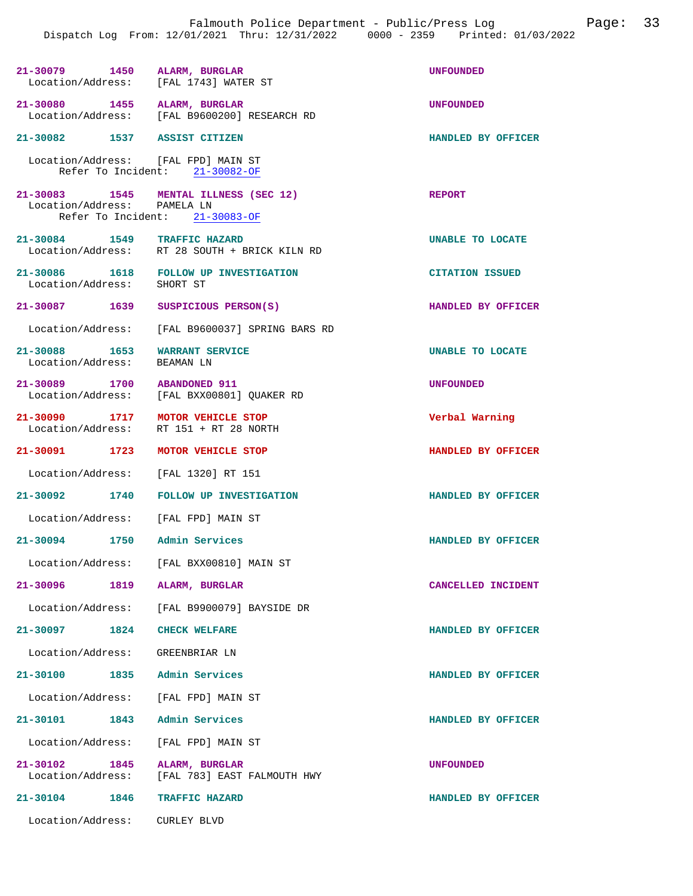| 21-30079 1450 ALARM, BURGLAR<br>Location/Address: [FAL 1743] WATER ST |                                                                         | <b>UNFOUNDED</b>       |
|-----------------------------------------------------------------------|-------------------------------------------------------------------------|------------------------|
| 21-30080 1455<br>Location/Address:                                    | ALARM, BURGLAR<br>[FAL B9600200] RESEARCH RD                            | <b>UNFOUNDED</b>       |
| 21-30082 1537 ASSIST CITIZEN                                          |                                                                         | HANDLED BY OFFICER     |
| Location/Address: [FAL FPD] MAIN ST                                   | Refer To Incident: 21-30082-OF                                          |                        |
| Location/Address: PAMELA LN                                           | 21-30083 1545 MENTAL ILLNESS (SEC 12)<br>Refer To Incident: 21-30083-OF | <b>REPORT</b>          |
| 21-30084 1549 TRAFFIC HAZARD                                          | Location/Address: RT 28 SOUTH + BRICK KILN RD                           | UNABLE TO LOCATE       |
| Location/Address:                                                     | 21-30086 1618 FOLLOW UP INVESTIGATION<br>SHORT ST                       | <b>CITATION ISSUED</b> |
| 21-30087 1639                                                         | SUSPICIOUS PERSON(S)                                                    | HANDLED BY OFFICER     |
| Location/Address:                                                     | [FAL B9600037] SPRING BARS RD                                           |                        |
| 21-30088 1653<br>Location/Address:                                    | <b>WARRANT SERVICE</b><br>BEAMAN LN                                     | UNABLE TO LOCATE       |
| 21-30089 1700<br>Location/Address:                                    | <b>ABANDONED 911</b><br>[FAL BXX00801] QUAKER RD                        | UNFOUNDED              |
| 21-30090 1717<br>Location/Address:                                    | MOTOR VEHICLE STOP<br>RT 151 + RT 28 NORTH                              | Verbal Warning         |
|                                                                       |                                                                         |                        |
| 21-30091 1723 MOTOR VEHICLE STOP                                      |                                                                         | HANDLED BY OFFICER     |
| Location/Address: [FAL 1320] RT 151                                   |                                                                         |                        |
| 21-30092 1740                                                         | <b>FOLLOW UP INVESTIGATION</b>                                          | HANDLED BY OFFICER     |
| Location/Address: [FAL FPD] MAIN ST                                   |                                                                         |                        |
| 21-30094 1750                                                         | Admin Services                                                          | HANDLED BY OFFICER     |
| Location/Address:                                                     | [FAL BXX00810] MAIN ST                                                  |                        |
| 21-30096<br>1819                                                      | ALARM, BURGLAR                                                          | CANCELLED INCIDENT     |
| Location/Address:                                                     | [FAL B9900079] BAYSIDE DR                                               |                        |
| 21-30097 1824                                                         | <b>CHECK WELFARE</b>                                                    | HANDLED BY OFFICER     |
| Location/Address:                                                     | GREENBRIAR LN                                                           |                        |
| $21 - 30100$                                                          | 1835 Admin Services                                                     | HANDLED BY OFFICER     |
| Location/Address: [FAL FPD] MAIN ST                                   |                                                                         |                        |
| 21-30101<br>1843                                                      | Admin Services                                                          | HANDLED BY OFFICER     |
| Location/Address:                                                     | [FAL FPD] MAIN ST                                                       |                        |
| 21-30102 1845<br>Location/Address:                                    | ALARM, BURGLAR<br>[FAL 783] EAST FALMOUTH HWY                           | <b>UNFOUNDED</b>       |
| 21-30104<br>1846                                                      | TRAFFIC HAZARD                                                          | HANDLED BY OFFICER     |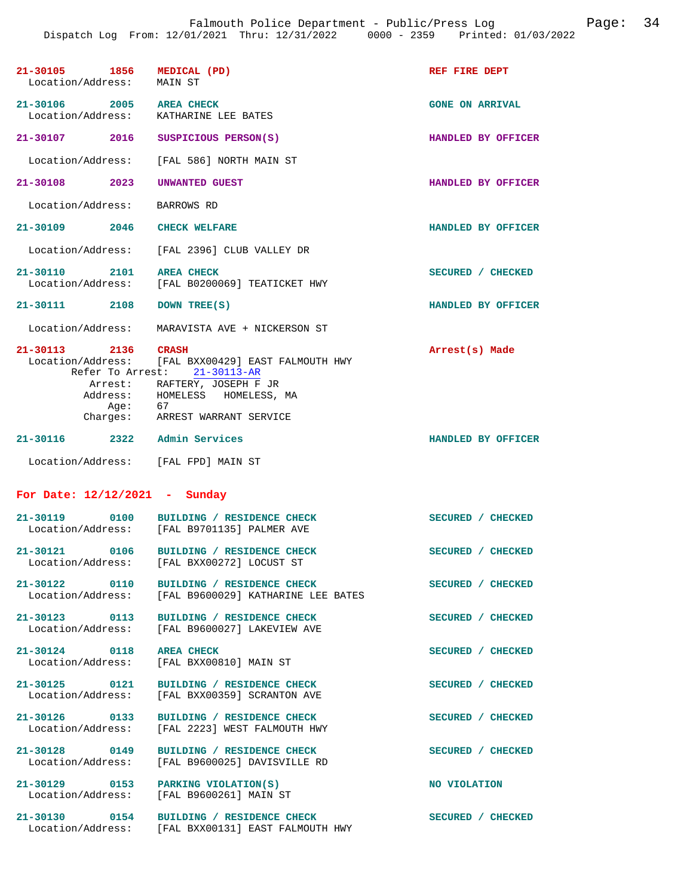| 21-30105 1856 MEDICAL (PD)<br>Location/Address: | MAIN ST                                                                                                                                                                                            | REF FIRE DEPT          |
|-------------------------------------------------|----------------------------------------------------------------------------------------------------------------------------------------------------------------------------------------------------|------------------------|
| 21-30106 2005 AREA CHECK                        | Location/Address: KATHARINE LEE BATES                                                                                                                                                              | <b>GONE ON ARRIVAL</b> |
|                                                 | 21-30107 2016 SUSPICIOUS PERSON(S)                                                                                                                                                                 | HANDLED BY OFFICER     |
|                                                 | Location/Address: [FAL 586] NORTH MAIN ST                                                                                                                                                          |                        |
| 21-30108 2023                                   | UNWANTED GUEST                                                                                                                                                                                     | HANDLED BY OFFICER     |
| Location/Address: BARROWS RD                    |                                                                                                                                                                                                    |                        |
| 21-30109 2046 CHECK WELFARE                     |                                                                                                                                                                                                    | HANDLED BY OFFICER     |
|                                                 | Location/Address: [FAL 2396] CLUB VALLEY DR                                                                                                                                                        |                        |
| 2101 AREA CHECK<br>21-30110                     | Location/Address: [FAL B0200069] TEATICKET HWY                                                                                                                                                     | SECURED / CHECKED      |
| 21-30111 2108                                   | DOWN TREE(S)                                                                                                                                                                                       | HANDLED BY OFFICER     |
|                                                 | Location/Address: MARAVISTA AVE + NICKERSON ST                                                                                                                                                     |                        |
| 21-30113 2136 CRASH                             | Location/Address: [FAL BXX00429] EAST FALMOUTH HWY<br>Refer To Arrest: 21-30113-AR<br>Arrest: RAFTERY, JOSEPH F JR<br>Address: HOMELESS HOMELESS, MA<br>Age: 67<br>Charges: ARREST WARRANT SERVICE | Arrest(s) Made         |
| 21-30116 2322 Admin Services                    |                                                                                                                                                                                                    | HANDLED BY OFFICER     |
| Location/Address: [FAL FPD] MAIN ST             |                                                                                                                                                                                                    |                        |
| For Date: $12/12/2021$ - Sunday                 |                                                                                                                                                                                                    |                        |
|                                                 | 21-30119 0100 BUILDING / RESIDENCE CHECK<br>Location/Address: [FAL B9701135] PALMER AVE                                                                                                            | SECURED / CHECKED      |
| Location/Address:                               | 21-30121 0106 BUILDING / RESIDENCE CHECK<br>[FAL BXX00272] LOCUST ST                                                                                                                               | SECURED / CHECKED      |
|                                                 | 21-30122 0110 BUILDING / RESIDENCE CHECK<br>Location/Address: [FAL B9600029] KATHARINE LEE BATES                                                                                                   | SECURED / CHECKED      |
|                                                 | 21-30123 0113 BUILDING / RESIDENCE CHECK<br>Location/Address: [FAL B9600027] LAKEVIEW AVE                                                                                                          | SECURED / CHECKED      |
| 21-30124 0118 AREA CHECK                        | Location/Address: [FAL BXX00810] MAIN ST                                                                                                                                                           | SECURED / CHECKED      |
|                                                 | 21-30125   0121   BUILDING / RESIDENCE CHECK<br>Location/Address: [FAL BXX00359] SCRANTON AVE                                                                                                      | SECURED / CHECKED      |
|                                                 | 21-30126 0133 BUILDING / RESIDENCE CHECK<br>Location/Address: [FAL 2223] WEST FALMOUTH HWY                                                                                                         | SECURED / CHECKED      |
| 21-30128 0149                                   | BUILDING / RESIDENCE CHECK<br>Location/Address: [FAL B9600025] DAVISVILLE RD                                                                                                                       | SECURED / CHECKED      |
| 21-30129 0153                                   | PARKING VIOLATION(S)<br>Location/Address: [FAL B9600261] MAIN ST                                                                                                                                   | NO VIOLATION           |
| 21-30130 0154<br>Location/Address:              | BUILDING / RESIDENCE CHECK<br>[FAL BXX00131] EAST FALMOUTH HWY                                                                                                                                     | SECURED / CHECKED      |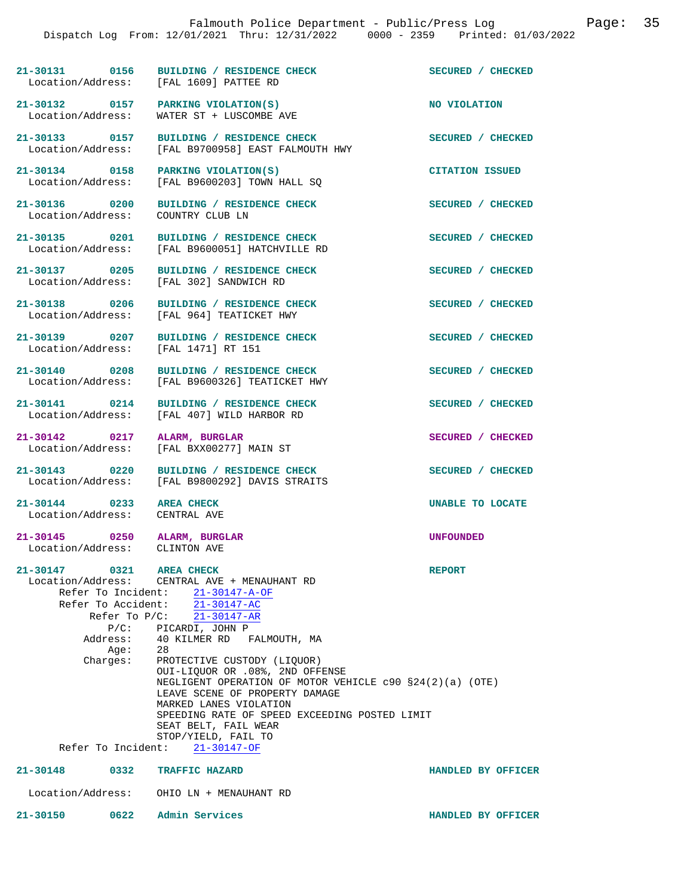**21-30131 0156 BUILDING / RESIDENCE CHECK SECURED / CHECKED**  Location/Address: [FAL 1609] PATTEE RD

WATER ST + LUSCOMBE AVE

[FAL B9600203] TOWN HALL SQ

21-30132 0157 PARKING VIOLATION(S) NO VIOLATION **NO** VIOLATION **NO** 

**21-30133 0157 BUILDING / RESIDENCE CHECK SECURED / CHECKED**  Location/Address: [FAL B9700958] EAST FALMOUTH HWY

**21-30134 0158 PARKING VIOLATION(S) CITATION ISSUED** 

**21-30136 0200 BUILDING / RESIDENCE CHECK SECURED / CHECKED**  Location/Address: COUNTRY CLUB LN

**21-30135 0201 BUILDING / RESIDENCE CHECK SECURED / CHECKED**  Location/Address: [FAL B9600051] HATCHVILLE RD

**21-30137 0205 BUILDING / RESIDENCE CHECK SECURED / CHECKED**  Location/Address: [FAL 302] SANDWICH RD

**21-30138 0206 BUILDING / RESIDENCE CHECK SECURED / CHECKED**  Location/Address: [FAL 964] TEATICKET HWY

**21-30139 0207 BUILDING / RESIDENCE CHECK SECURED / CHECKED**  Location/Address: [FAL 1471] RT 151

**21-30140 0208 BUILDING / RESIDENCE CHECK SECURED / CHECKED**  Location/Address: [FAL B9600326] TEATICKET HWY

**21-30141 0214 BUILDING / RESIDENCE CHECK SECURED / CHECKED**  Location/Address: [FAL 407] WILD HARBOR RD

**21-30142 0217 ALARM, BURGLAR SECURED / CHECKED** 

**21-30143 0220 BUILDING / RESIDENCE CHECK SECURED / CHECKED**  Location/Address: [FAL B9800292] DAVIS STRAITS

**21-30144 0233 AREA CHECK UNABLE TO LOCATE**  Location/Address: CENTRAL AVE

**21-30147 0321 AREA CHECK REPORT** 

**21-30145 0250 ALARM, BURGLAR UNFOUNDED**  Location/Address: CLINTON AVE

[FAL BXX00277] MAIN ST

 Location/Address: CENTRAL AVE + MENAUHANT RD Refer To Incident: 21-30147-A-OF Refer To Accident: 21-30147-AC Refer To P/C: 21-30147-AR P/C: PICARDI, JOHN P<br>Address: 40 KILMER RD FP

40 KILMER RD FALMOUTH, MA<br>28 Age:<br>:Charges PROTECTIVE CUSTODY (LIQUOR) OUI-LIQUOR OR .08%, 2ND OFFENSE NEGLIGENT OPERATION OF MOTOR VEHICLE c90 §24(2)(a) (OTE) LEAVE SCENE OF PROPERTY DAMAGE MARKED LANES VIOLATION SPEEDING RATE OF SPEED EXCEEDING POSTED LIMIT SEAT BELT, FAIL WEAR STOP/YIELD, FAIL TO

**21-30148 0332 TRAFFIC HAZARD HANDLED BY OFFICER** 

Location/Address: OHIO LN + MENAUHANT RD

Refer To Incident: 21-30147-OF

**21-30150 0622 Admin Services HANDLED BY OFFICER**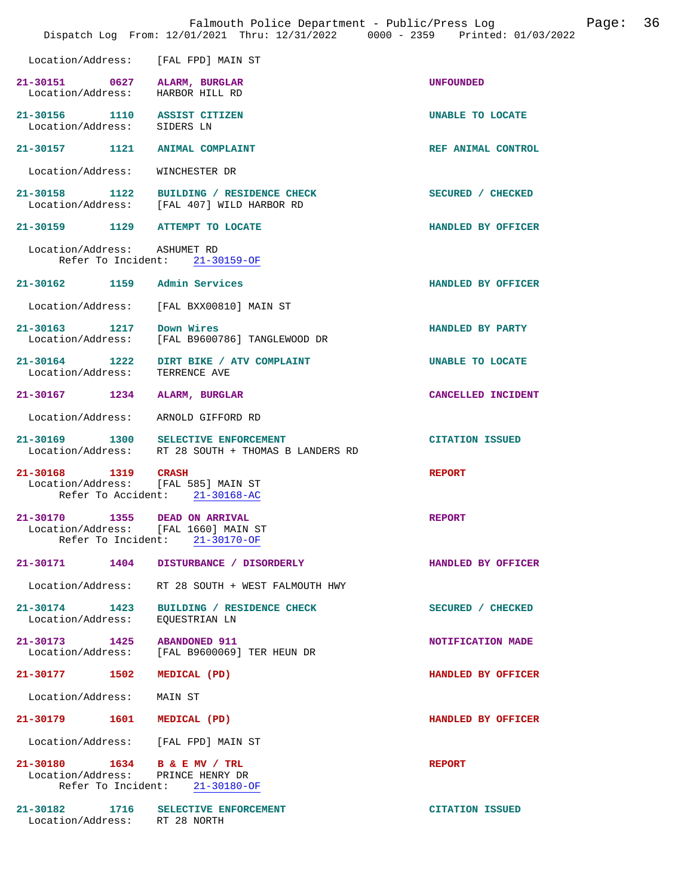|                                                                   | Falmouth Police Department - Public/Press Log<br>Dispatch Log From: 12/01/2021 Thru: 12/31/2022 0000 - 2359 Printed: 01/03/2022 | Page: 36               |
|-------------------------------------------------------------------|---------------------------------------------------------------------------------------------------------------------------------|------------------------|
| Location/Address: [FAL FPD] MAIN ST                               |                                                                                                                                 |                        |
| 21-30151 0627 ALARM, BURGLAR<br>Location/Address: HARBOR HILL RD  |                                                                                                                                 | <b>UNFOUNDED</b>       |
| 21-30156 1110 ASSIST CITIZEN<br>Location/Address: SIDERS LN       |                                                                                                                                 | UNABLE TO LOCATE       |
| 21-30157 1121 ANIMAL COMPLAINT                                    |                                                                                                                                 | REF ANIMAL CONTROL     |
| Location/Address: WINCHESTER DR                                   |                                                                                                                                 |                        |
|                                                                   | 21-30158 1122 BUILDING / RESIDENCE CHECK<br>Location/Address: [FAL 407] WILD HARBOR RD                                          | SECURED / CHECKED      |
| 21-30159 1129 ATTEMPT TO LOCATE                                   |                                                                                                                                 | HANDLED BY OFFICER     |
| Location/Address: ASHUMET RD                                      | Refer To Incident: 21-30159-OF                                                                                                  |                        |
| 21-30162 1159 Admin Services                                      |                                                                                                                                 | HANDLED BY OFFICER     |
|                                                                   | Location/Address: [FAL BXX00810] MAIN ST                                                                                        |                        |
|                                                                   | 21-30163 1217 Down Wires<br>Location/Address: [FAL B9600786] TANGLEWOOD DR                                                      | HANDLED BY PARTY       |
| Location/Address:                                                 | 21-30164 1222 DIRT BIKE / ATV COMPLAINT<br>TERRENCE AVE                                                                         | UNABLE TO LOCATE       |
| 21-30167 1234 ALARM, BURGLAR                                      |                                                                                                                                 | CANCELLED INCIDENT     |
| Location/Address:                                                 | ARNOLD GIFFORD RD                                                                                                               |                        |
|                                                                   | 21-30169 1300 SELECTIVE ENFORCEMENT<br>Location/Address: RT 28 SOUTH + THOMAS B LANDERS RD                                      | <b>CITATION ISSUED</b> |
| 21-30168 1319 CRASH<br>Location/Address: [FAL 585] MAIN ST        | Refer To Accident: 21-30168-AC                                                                                                  | <b>REPORT</b>          |
| 21-30170<br>Location/Address: [FAL 1660] MAIN ST                  | 1355 DEAD ON ARRIVAL<br>Refer To Incident: 21-30170-OF                                                                          | <b>REPORT</b>          |
|                                                                   | 21-30171 1404 DISTURBANCE / DISORDERLY                                                                                          | HANDLED BY OFFICER     |
|                                                                   | Location/Address: RT 28 SOUTH + WEST FALMOUTH HWY                                                                               |                        |
| Location/Address: EQUESTRIAN LN                                   | 21-30174 1423 BUILDING / RESIDENCE CHECK                                                                                        | SECURED / CHECKED      |
| 21-30173 1425 ABANDONED 911                                       | Location/Address: [FAL B9600069] TER HEUN DR                                                                                    | NOTIFICATION MADE      |
| 21-30177 1502                                                     | MEDICAL (PD)                                                                                                                    | HANDLED BY OFFICER     |
| Location/Address:                                                 | MAIN ST                                                                                                                         |                        |
| 21-30179 1601 MEDICAL (PD)                                        |                                                                                                                                 | HANDLED BY OFFICER     |
| Location/Address: [FAL FPD] MAIN ST                               |                                                                                                                                 |                        |
| 21-30180 1634 B & E MV / TRL<br>Location/Address: PRINCE HENRY DR | Refer To Incident: 21-30180-OF                                                                                                  | <b>REPORT</b>          |
| Location/Address: RT 28 NORTH                                     | 21-30182 1716 SELECTIVE ENFORCEMENT                                                                                             | <b>CITATION ISSUED</b> |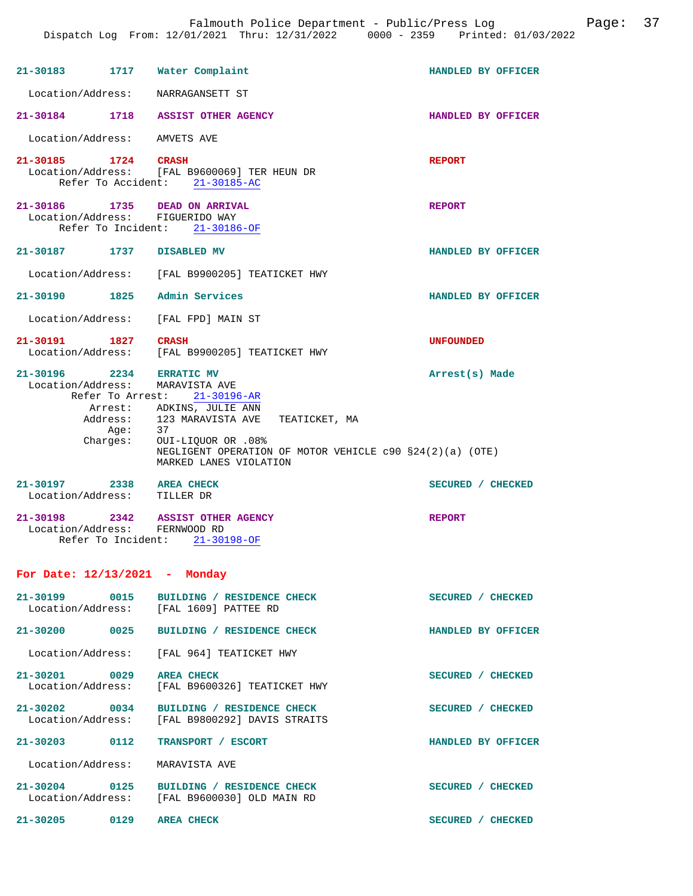| 21-30183 1717 Water Complaint                                    |                                                                                                                                                                                                                                                                                     | HANDLED BY OFFICER |
|------------------------------------------------------------------|-------------------------------------------------------------------------------------------------------------------------------------------------------------------------------------------------------------------------------------------------------------------------------------|--------------------|
| Location/Address: NARRAGANSETT ST                                |                                                                                                                                                                                                                                                                                     |                    |
|                                                                  | 21-30184 1718 ASSIST OTHER AGENCY                                                                                                                                                                                                                                                   | HANDLED BY OFFICER |
| Location/Address: AMVETS AVE                                     |                                                                                                                                                                                                                                                                                     |                    |
| 21-30185 1724 CRASH                                              | Location/Address: [FAL B9600069] TER HEUN DR<br>Refer To Accident: 21-30185-AC                                                                                                                                                                                                      | <b>REPORT</b>      |
| 21-30186 1735 DEAD ON ARRIVAL<br>Location/Address: FIGUERIDO WAY | Refer To Incident: 21-30186-OF                                                                                                                                                                                                                                                      | <b>REPORT</b>      |
| 21-30187 1737 DISABLED MV                                        |                                                                                                                                                                                                                                                                                     | HANDLED BY OFFICER |
|                                                                  | Location/Address: [FAL B9900205] TEATICKET HWY                                                                                                                                                                                                                                      |                    |
| 21-30190 1825 Admin Services                                     |                                                                                                                                                                                                                                                                                     | HANDLED BY OFFICER |
|                                                                  | Location/Address: [FAL FPD] MAIN ST                                                                                                                                                                                                                                                 |                    |
| 21-30191 1827 CRASH                                              | Location/Address: [FAL B9900205] TEATICKET HWY                                                                                                                                                                                                                                      | <b>UNFOUNDED</b>   |
| 21-30196 2234<br>Location/Address: MARAVISTA AVE                 | <b>ERRATIC MV</b><br>Refer To Arrest: 21-30196-AR<br>Arrest: ADKINS, JULIE ANN<br>$\begin{tabular}{lllllll} Address: & 123 MARAVISTA AVE & TEATICKET, MA \\ Age: & 37 & \end{tabular}$<br>Charges: OUI-LIQUOR OR .08%<br>NEGLIGENT OPERATION OF MOTOR VEHICLE $c90 S24(2)(a)$ (OTE) | Arrest(s) Made     |
|                                                                  | MARKED LANES VIOLATION                                                                                                                                                                                                                                                              |                    |
| 21-30197 2338<br>Location/Address: TILLER DR                     | <b>AREA CHECK</b>                                                                                                                                                                                                                                                                   | SECURED / CHECKED  |
| Location/Address: FERNWOOD RD                                    | 21-30198 2342 ASSIST OTHER AGENCY<br>Refer To Incident: 21-30198-OF                                                                                                                                                                                                                 | <b>REPORT</b>      |
| For Date: $12/13/2021$ - Monday                                  |                                                                                                                                                                                                                                                                                     |                    |
|                                                                  | 21-30199 0015 BUILDING / RESIDENCE CHECK<br>Location/Address: [FAL 1609] PATTEE RD                                                                                                                                                                                                  | SECURED / CHECKED  |

**21-30200 0025 BUILDING / RESIDENCE CHECK HANDLED BY OFFICER**  Location/Address: [FAL 964] TEATICKET HWY **21-30201** 0029 AREA CHECK **CHECK AREA CHECKED** SECURED / CHECKED Location/Address: [FAL B9600326] TEATICKET HWY **21-30202 0034 BUILDING / RESIDENCE CHECK SECURED / CHECKED**  Location/Address: [FAL B9800292] DAVIS STRAITS **21-30203 0112 TRANSPORT / ESCORT HANDLED BY OFFICER**  Location/Address: MARAVISTA AVE **21-30204 0125 BUILDING / RESIDENCE CHECK SECURED / CHECKED**  [FAL B9600030] OLD MAIN RD **21-30205 0129 AREA CHECK SECURED / CHECKED**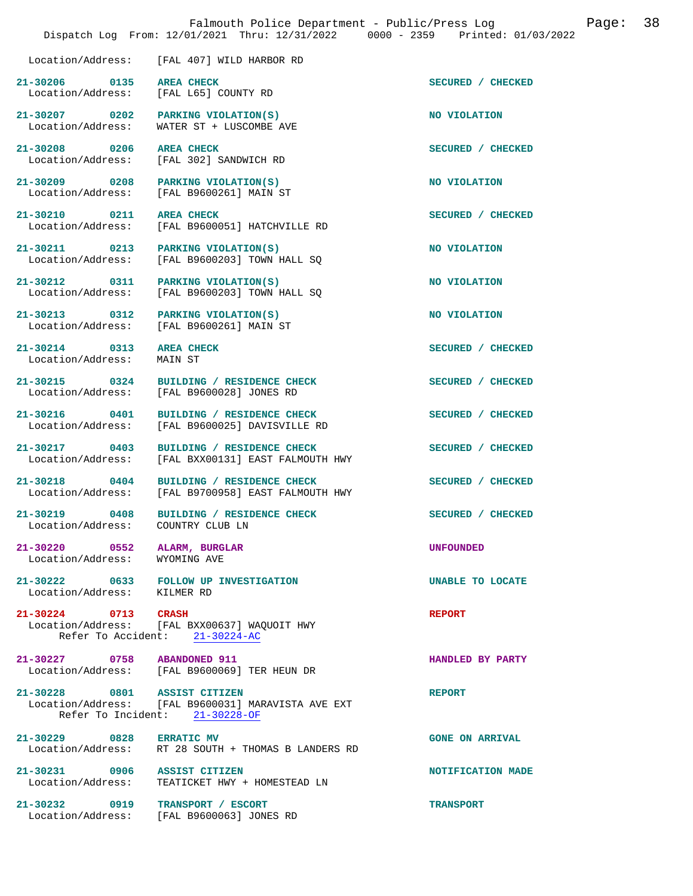|                                                   | Falmouth Police Department - Public/Press Log<br>Dispatch Log From: 12/01/2021 Thru: 12/31/2022 0000 - 2359 Printed: 01/03/2022 | 38<br>Page:            |
|---------------------------------------------------|---------------------------------------------------------------------------------------------------------------------------------|------------------------|
| Location/Address:                                 | [FAL 407] WILD HARBOR RD                                                                                                        |                        |
| 21-30206 0135<br>Location/Address:                | <b>AREA CHECK</b><br>[FAL L65] COUNTY RD                                                                                        | SECURED / CHECKED      |
| 21-30207 0202<br>Location/Address:                | PARKING VIOLATION(S)<br>WATER ST + LUSCOMBE AVE                                                                                 | NO VIOLATION           |
| 21-30208 0206<br>Location/Address:                | <b>AREA CHECK</b><br>[FAL 302] SANDWICH RD                                                                                      | SECURED / CHECKED      |
| 21-30209 0208<br>Location/Address:                | PARKING VIOLATION(S)<br>[FAL B9600261] MAIN ST                                                                                  | NO VIOLATION           |
| 21-30210 0211<br>Location/Address:                | <b>AREA CHECK</b><br>[FAL B9600051] HATCHVILLE RD                                                                               | SECURED / CHECKED      |
| 21-30211 0213<br>Location/Address:                | PARKING VIOLATION(S)<br>[FAL B9600203] TOWN HALL SQ                                                                             | NO VIOLATION           |
| 21-30212 0311<br>Location/Address:                | PARKING VIOLATION(S)<br>[FAL B9600203] TOWN HALL SQ                                                                             | NO VIOLATION           |
| 21-30213 0312<br>Location/Address:                | PARKING VIOLATION(S)<br>[FAL B9600261] MAIN ST                                                                                  | NO VIOLATION           |
| 21-30214 0313<br>Location/Address:                | <b>AREA CHECK</b><br>MAIN ST                                                                                                    | SECURED / CHECKED      |
| 21-30215 0324<br>Location/Address:                | BUILDING / RESIDENCE CHECK<br>[FAL B9600028] JONES RD                                                                           | SECURED / CHECKED      |
| 21-30216 0401<br>Location/Address:                | BUILDING / RESIDENCE CHECK<br>[FAL B9600025] DAVISVILLE RD                                                                      | SECURED / CHECKED      |
| 21-30217 0403<br>Location/Address:                | BUILDING / RESIDENCE CHECK<br>[FAL BXX00131] EAST FALMOUTH HWY                                                                  | SECURED / CHECKED      |
| 21-30218 0404<br>Location/Address:                | BUILDING / RESIDENCE CHECK<br>[FAL B9700958] EAST FALMOUTH HWY                                                                  | SECURED / CHECKED      |
| 21-30219 0408<br>Location/Address:                | BUILDING / RESIDENCE CHECK<br>COUNTRY CLUB LN                                                                                   | SECURED / CHECKED      |
| 21-30220 0552<br>Location/Address:                | ALARM, BURGLAR<br>WYOMING AVE                                                                                                   | <b>UNFOUNDED</b>       |
| Location/Address: KILMER RD                       | 21-30222 0633 FOLLOW UP INVESTIGATION                                                                                           | UNABLE TO LOCATE       |
| 21-30224 0713 CRASH                               | Location/Address: [FAL BXX00637] WAQUOIT HWY<br>Refer To Accident: 21-30224-AC                                                  | <b>REPORT</b>          |
|                                                   |                                                                                                                                 |                        |
| 21-30227 0758 ABANDONED 911                       | Location/Address: [FAL B9600069] TER HEUN DR                                                                                    | HANDLED BY PARTY       |
| 21-30228 0801 ASSIST CITIZEN                      | Location/Address: [FAL B9600031] MARAVISTA AVE EXT<br>Refer To Incident: 21-30228-OF                                            | <b>REPORT</b>          |
| 21-30229 0828 ERRATIC MV<br>Location/Address:     | RT 28 SOUTH + THOMAS B LANDERS RD                                                                                               | <b>GONE ON ARRIVAL</b> |
| 21-30231 0906 ASSIST CITIZEN<br>Location/Address: | TEATICKET HWY + HOMESTEAD LN                                                                                                    | NOTIFICATION MADE      |
| 21-30232 0919 TRANSPORT / ESCORT                  | Location/Address: [FAL B9600063] JONES RD                                                                                       | <b>TRANSPORT</b>       |
|                                                   |                                                                                                                                 |                        |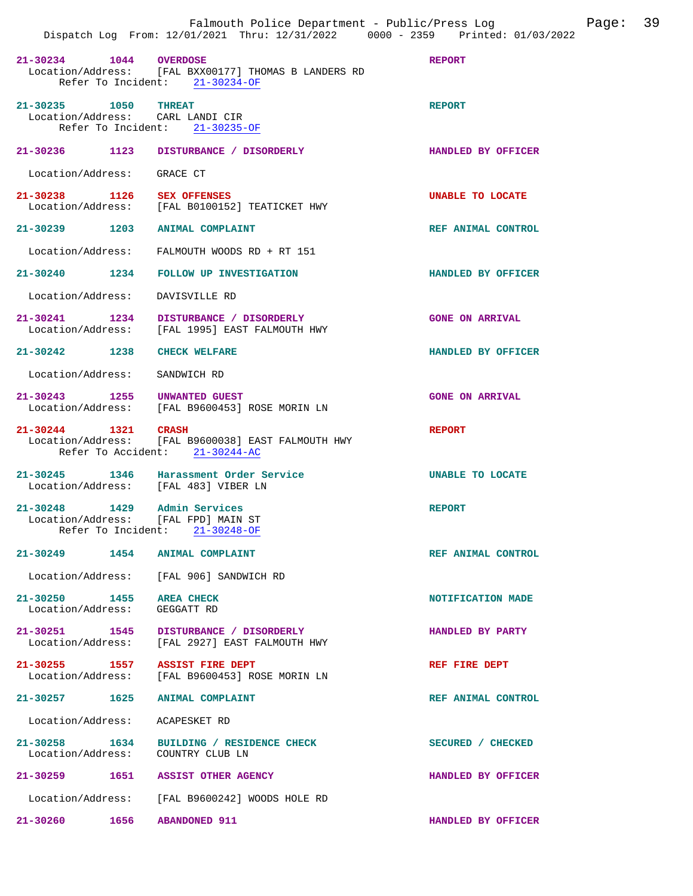|                                                          | Dispatch Log From: 12/01/2021 Thru: 12/31/2022 0000 - 2359 Printed: 01/03/2022                          |                        |
|----------------------------------------------------------|---------------------------------------------------------------------------------------------------------|------------------------|
| 21-30234 1044 OVERDOSE                                   | Location/Address: [FAL BXX00177] THOMAS B LANDERS RD<br>Refer To Incident: 21-30234-OF                  | <b>REPORT</b>          |
| 21-30235 1050 THREAT<br>Refer To Incident:               | Location/Address: CARL LANDI CIR<br>21-30235-OF                                                         | <b>REPORT</b>          |
| 21-30236 1123                                            | DISTURBANCE / DISORDERLY                                                                                | HANDLED BY OFFICER     |
| Location/Address:                                        | GRACE CT                                                                                                |                        |
|                                                          | 21-30238 1126 SEX OFFENSES<br>Location/Address: [FAL B0100152] TEATICKET HWY                            | UNABLE TO LOCATE       |
| 21-30239 1203                                            | <b>ANIMAL COMPLAINT</b>                                                                                 | REF ANIMAL CONTROL     |
|                                                          | Location/Address: FALMOUTH WOODS RD + RT 151                                                            |                        |
| 21-30240 1234                                            | <b>FOLLOW UP INVESTIGATION</b>                                                                          | HANDLED BY OFFICER     |
| Location/Address:                                        | DAVISVILLE RD                                                                                           |                        |
|                                                          | 21-30241 1234 DISTURBANCE / DISORDERLY<br>Location/Address: [FAL 1995] EAST FALMOUTH HWY                | <b>GONE ON ARRIVAL</b> |
|                                                          | 21-30242 1238 CHECK WELFARE                                                                             | HANDLED BY OFFICER     |
| Location/Address:                                        | SANDWICH RD                                                                                             |                        |
| 21-30243 1255                                            | UNWANTED GUEST<br>Location/Address: [FAL B9600453] ROSE MORIN LN                                        | <b>GONE ON ARRIVAL</b> |
| 21-30244 1321 CRASH                                      | Location/Address: [FAL B9600038] EAST FALMOUTH HWY<br>Refer To Accident: 21-30244-AC                    | <b>REPORT</b>          |
|                                                          | 21-30245 1346 Harassment Order Service<br>Location/Address: [FAL 483] VIBER LN                          | UNABLE TO LOCATE       |
|                                                          | $21-30248$ 1429 Admin Services<br>Location/Address: [FAL FPD] MAIN ST<br>Refer To Incident: 21-30248-OF | <b>REPORT</b>          |
|                                                          | 21-30249 1454 ANIMAL COMPLAINT                                                                          | REF ANIMAL CONTROL     |
|                                                          | Location/Address: [FAL 906] SANDWICH RD                                                                 |                        |
| 21-30250 1455 AREA CHECK<br>Location/Address: GEGGATT RD |                                                                                                         | NOTIFICATION MADE      |
|                                                          | 21-30251 1545 DISTURBANCE / DISORDERLY<br>Location/Address: [FAL 2927] EAST FALMOUTH HWY                | HANDLED BY PARTY       |
|                                                          | 21-30255 1557 ASSIST FIRE DEPT<br>Location/Address: [FAL B9600453] ROSE MORIN LN                        | REF FIRE DEPT          |
|                                                          | 21-30257 1625 ANIMAL COMPLAINT                                                                          | REF ANIMAL CONTROL     |
| Location/Address: ACAPESKET RD                           |                                                                                                         |                        |
| 21-30258 1634                                            | BUILDING / RESIDENCE CHECK<br>Location/Address: COUNTRY CLUB LN                                         | SECURED / CHECKED      |
|                                                          | 21-30259 1651 ASSIST OTHER AGENCY                                                                       | HANDLED BY OFFICER     |
|                                                          | Location/Address: [FAL B9600242] WOODS HOLE RD                                                          |                        |
|                                                          | 21-30260 1656 ABANDONED 911                                                                             | HANDLED BY OFFICER     |

Falmouth Police Department - Public/Press Log Page: 39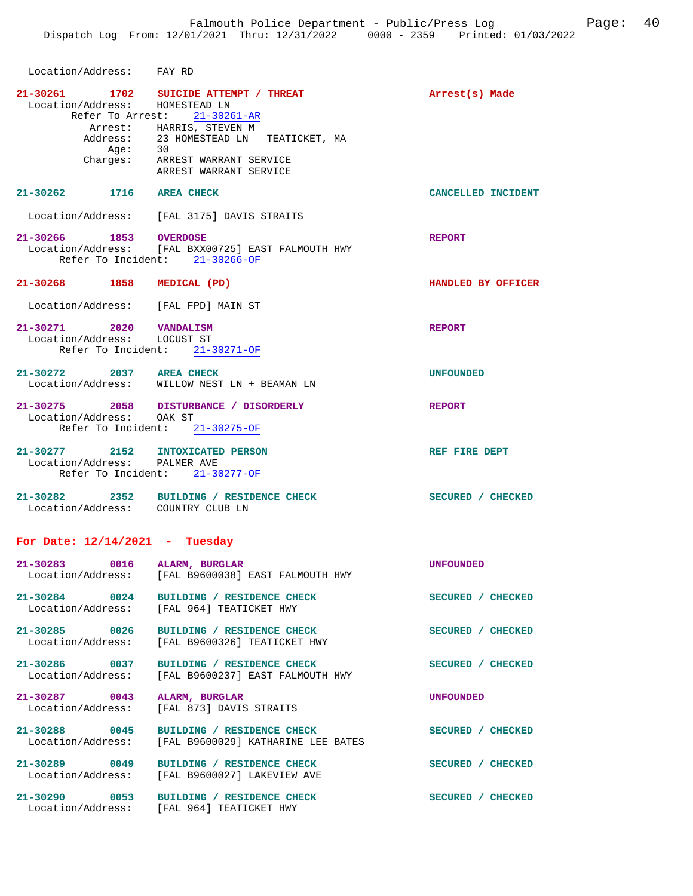| Location/Address: FAY RD                               |                                                                                                                                                                                                                      |                    |
|--------------------------------------------------------|----------------------------------------------------------------------------------------------------------------------------------------------------------------------------------------------------------------------|--------------------|
| Location/Address: HOMESTEAD LN                         | 21-30261 1702 SUICIDE ATTEMPT / THREAT<br>Refer To Arrest: 21-30261-AR<br>Arrest: HARRIS, STEVEN M<br>Address: 23 HOMESTEAD LN TEATICKET, MA<br>Age: 30<br>Charges: ARREST WARRANT SERVICE<br>ARREST WARRANT SERVICE | Arrest(s) Made     |
| 21-30262 1716 AREA CHECK                               |                                                                                                                                                                                                                      | CANCELLED INCIDENT |
|                                                        | Location/Address: [FAL 3175] DAVIS STRAITS                                                                                                                                                                           |                    |
| 21-30266 1853 OVERDOSE                                 | Location/Address: [FAL BXX00725] EAST FALMOUTH HWY<br>Refer To Incident: 21-30266-OF                                                                                                                                 | <b>REPORT</b>      |
| 21-30268 1858 MEDICAL (PD)                             |                                                                                                                                                                                                                      | HANDLED BY OFFICER |
|                                                        | Location/Address: [FAL FPD] MAIN ST                                                                                                                                                                                  |                    |
| 21-30271 2020 VANDALISM<br>Location/Address: LOCUST ST | Refer To Incident: 21-30271-OF                                                                                                                                                                                       | <b>REPORT</b>      |
| 21-30272 2037 AREA CHECK                               | Location/Address: WILLOW NEST LN + BEAMAN LN                                                                                                                                                                         | <b>UNFOUNDED</b>   |
| Location/Address: OAK ST                               | 21-30275 2058 DISTURBANCE / DISORDERLY<br>Refer To Incident: 21-30275-OF                                                                                                                                             | <b>REPORT</b>      |
| Location/Address: PALMER AVE                           | 21-30277 2152 INTOXICATED PERSON<br>Refer To Incident: 21-30277-OF                                                                                                                                                   | REF FIRE DEPT      |
|                                                        | 21-30282 2352 BUILDING / RESIDENCE CHECK<br>Location/Address: COUNTRY CLUB LN                                                                                                                                        | SECURED / CHECKED  |
| For Date: $12/14/2021$ - Tuesday                       |                                                                                                                                                                                                                      |                    |
| 21-30283<br>Location/Address:                          | 0016 ALARM, BURGLAR<br>[FAL B9600038] EAST FALMOUTH HWY                                                                                                                                                              | <b>UNFOUNDED</b>   |
| 21-30284 0024                                          | BUILDING / RESIDENCE CHECK<br>Location/Address: [FAL 964] TEATICKET HWY                                                                                                                                              | SECURED / CHECKED  |
| 21-30285 0026<br>Location/Address:                     | BUILDING / RESIDENCE CHECK<br>[FAL B9600326] TEATICKET HWY                                                                                                                                                           | SECURED / CHECKED  |
| 21-30286 0037                                          | BUILDING / RESIDENCE CHECK<br>Location/Address: [FAL B9600237] EAST FALMOUTH HWY                                                                                                                                     | SECURED / CHECKED  |
| 21-30287 0043<br>Location/Address:                     | ALARM, BURGLAR<br>[FAL 873] DAVIS STRAITS                                                                                                                                                                            | <b>UNFOUNDED</b>   |
| 21-30288 0045                                          | BUILDING / RESIDENCE CHECK<br>Location/Address: [FAL B9600029] KATHARINE LEE BATES                                                                                                                                   | SECURED / CHECKED  |
| 21-30289 0049                                          | BUILDING / RESIDENCE CHECK<br>Location/Address: [FAL B9600027] LAKEVIEW AVE                                                                                                                                          | SECURED / CHECKED  |
|                                                        |                                                                                                                                                                                                                      |                    |

**21-30290 0053 BUILDING / RESIDENCE CHECK SECURED / CHECKED**  Location/Address: [FAL 964] TEATICKET HWY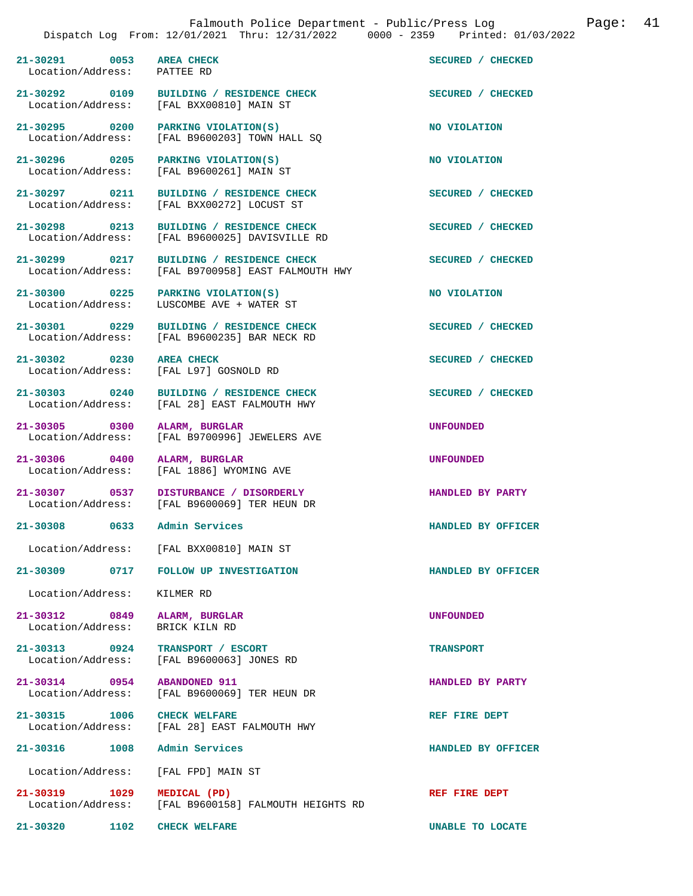21-30291 0053 AREA CHECK SECURED / CHECKED **SECURED** / CHECKED **Location**/Address: PATTEE RD Location/Address: 21-30292 0109 BUILDING / RESIDENCE CHECK SECURED / CHECKED Location/Address: [FAL BXX00810] MAIN ST [FAL BXX00810] MAIN ST 21-30295 0200 PARKING VIOLATION(S) NO VIOLATION Location/Address: [FAL B9600203] TOWN HALL SQ **21-30296 0205 PARKING VIOLATION(S) NO VIOLATION**  Location/Address: [FAL B9600261] MAIN ST 21-30297 0211 BUILDING / RESIDENCE CHECK **SECURED** / CHECKED Location/Address: [FAL BXX00272] LOCUST ST [FAL BXX00272] LOCUST ST 21-30298 0213 BUILDING / RESIDENCE CHECK SECURED / CHECKED Location / Address: [FAL B9600025] DAVISVILLE RD [FAL B9600025] DAVISVILLE RD **21-30299 0217 BUILDING / RESIDENCE CHECK SECURED / CHECKED**  Location/Address: [FAL B9700958] EAST FALMOUTH HWY **21-30300 0225 PARKING VIOLATION(S) NO VIOLATION**  LUSCOMBE AVE + WATER ST **21-30301 0229 BUILDING / RESIDENCE CHECK SECURED / CHECKED**  Location/Address: [FAL B9600235] BAR NECK RD 21-30302 0230 AREA CHECK **Department of the SECURED** / CHECKED Location/Address: [FAL L97] GOSNOLD RD [FAL L97] GOSNOLD RD 21-30303 0240 BUILDING / RESIDENCE CHECK SECURED / CHECKED Location/Address: [FAL 28] EAST FALMOUTH HWY [FAL 28] EAST FALMOUTH HWY **21-30305 0300 ALARM, BURGLAR UNFOUNDED**  Location/Address: [FAL B9700996] JEWELERS AVE **21-30306 0400 ALARM, BURGLAR UNFOUNDED**  Location/Address: [FAL 1886] WYOMING AVE **21-30307 0537 DISTURBANCE / DISORDERLY HANDLED BY PARTY**  Location/Address: [FAL B9600069] TER HEUN DR **21-30308 0633 Admin Services HANDLED BY OFFICER**  Location/Address: [FAL BXX00810] MAIN ST **21-30309 0717 FOLLOW UP INVESTIGATION HANDLED BY OFFICER**  Location/Address: KILMER RD **21-30312 0849 ALARM, BURGLAR UNFOUNDED**  Location/Address: **21-30313 0924 TRANSPORT / ESCORT TRANSPORT**  [FAL B9600063] JONES RD **21-30314 0954 ABANDONED 911 HANDLED BY PARTY HANDLED BY PARTY H**ocation/Address: [FAL B9600069] TER HEUN DR [FAL B9600069] TER HEUN DR **21-30315 1006 CHECK WELFARE 1006 CHECK WELFARE REF FIRE DEPT** Location/Address: [FAL. 28] EAST FALMOUTH HWY [FAL 28] EAST FALMOUTH HWY **21-30316 1008 Admin Services HANDLED BY OFFICER**  Location/Address: [FAL FPD] MAIN ST

**21-30319 1029 MEDICAL (PD) REF FIRE DEPT**  Location/Address: [FAL B9600158] FALMOUTH HEIGHTS RD

**21-30320 1102 CHECK WELFARE UNABLE TO LOCATE**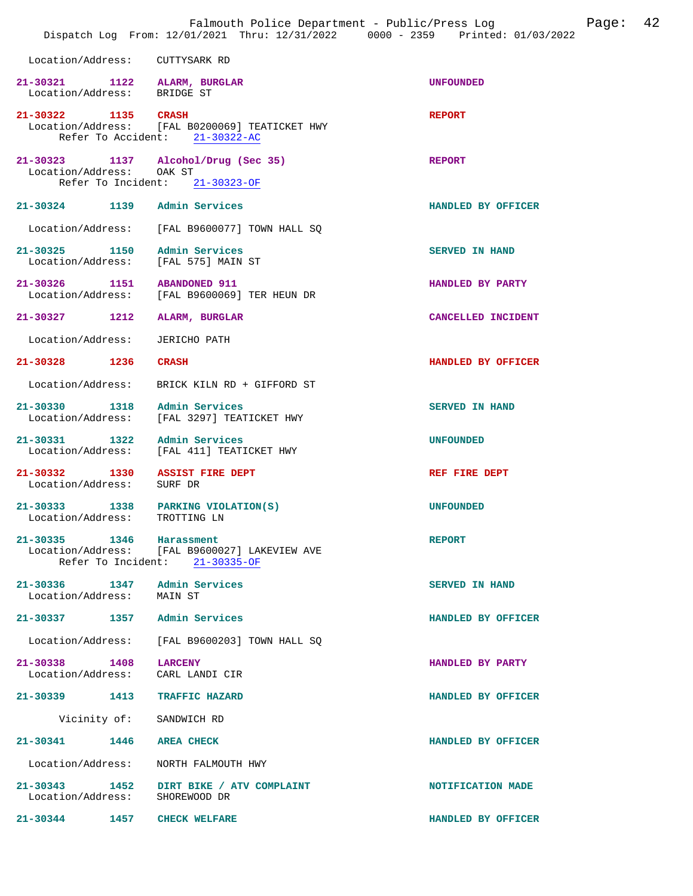|                                    | Falmouth Police Department - Public/Press Log<br>Dispatch Log From: 12/01/2021 Thru: 12/31/2022 0000 - 2359 Printed: 01/03/2022 |                       | Page: | 42 |
|------------------------------------|---------------------------------------------------------------------------------------------------------------------------------|-----------------------|-------|----|
| Location/Address:                  | CUTTYSARK RD                                                                                                                    |                       |       |    |
| Location/Address: BRIDGE ST        | 21-30321 1122 ALARM, BURGLAR                                                                                                    | <b>UNFOUNDED</b>      |       |    |
| 21-30322 1135 CRASH                | Location/Address: [FAL B0200069] TEATICKET HWY<br>Refer To Accident: 21-30322-AC                                                | <b>REPORT</b>         |       |    |
| 21-30323 1137<br>Location/Address: | Alcohol/Drug (Sec 35)<br>OAK ST<br>Refer To Incident: 21-30323-OF                                                               | <b>REPORT</b>         |       |    |
| 21-30324 1139                      | Admin Services                                                                                                                  | HANDLED BY OFFICER    |       |    |
| Location/Address:                  | [FAL B9600077] TOWN HALL SQ                                                                                                     |                       |       |    |
| 21-30325 1150<br>Location/Address: | Admin Services<br>[FAL 575] MAIN ST                                                                                             | <b>SERVED IN HAND</b> |       |    |
| 21-30326 1151<br>Location/Address: | <b>ABANDONED 911</b><br>[FAL B9600069] TER HEUN DR                                                                              | HANDLED BY PARTY      |       |    |
| 21-30327 1212                      | <b>ALARM, BURGLAR</b>                                                                                                           | CANCELLED INCIDENT    |       |    |
| Location/Address:                  | <b>JERICHO PATH</b>                                                                                                             |                       |       |    |
| 21-30328 1236                      | <b>CRASH</b>                                                                                                                    | HANDLED BY OFFICER    |       |    |
| Location/Address:                  | BRICK KILN RD + GIFFORD ST                                                                                                      |                       |       |    |
| 21-30330 1318<br>Location/Address: | Admin Services<br>[FAL 3297] TEATICKET HWY                                                                                      | <b>SERVED IN HAND</b> |       |    |
| 21-30331 1322<br>Location/Address: | Admin Services<br>[FAL 411] TEATICKET HWY                                                                                       | <b>UNFOUNDED</b>      |       |    |
| 21-30332 1330<br>Location/Address: | <b>ASSIST FIRE DEPT</b><br>SURF DR                                                                                              | REF FIRE DEPT         |       |    |
| Location/Address:                  | 21-30333 1338 PARKING VIOLATION(S)<br>TROTTING LN                                                                               | <b>UNFOUNDED</b>      |       |    |
| 21-30335 1346 Harassment           | Location/Address: [FAL B9600027] LAKEVIEW AVE<br>Refer To Incident: 21-30335-OF                                                 | <b>REPORT</b>         |       |    |
| Location/Address: MAIN ST          | 21-30336 1347 Admin Services                                                                                                    | <b>SERVED IN HAND</b> |       |    |
|                                    | 21-30337 1357 Admin Services                                                                                                    | HANDLED BY OFFICER    |       |    |
|                                    | Location/Address: [FAL B9600203] TOWN HALL SQ                                                                                   |                       |       |    |
| 21-30338 1408 LARCENY              | Location/Address: CARL LANDI CIR                                                                                                | HANDLED BY PARTY      |       |    |
|                                    | 21-30339 1413 TRAFFIC HAZARD                                                                                                    | HANDLED BY OFFICER    |       |    |
|                                    | Vicinity of: SANDWICH RD                                                                                                        |                       |       |    |
| 21-30341 1446 AREA CHECK           |                                                                                                                                 | HANDLED BY OFFICER    |       |    |
| Location/Address:                  | NORTH FALMOUTH HWY                                                                                                              |                       |       |    |
| Location/Address: SHOREWOOD DR     | 21-30343 1452 DIRT BIKE / ATV COMPLAINT                                                                                         | NOTIFICATION MADE     |       |    |
| 21-30344 1457                      | <b>CHECK WELFARE</b>                                                                                                            | HANDLED BY OFFICER    |       |    |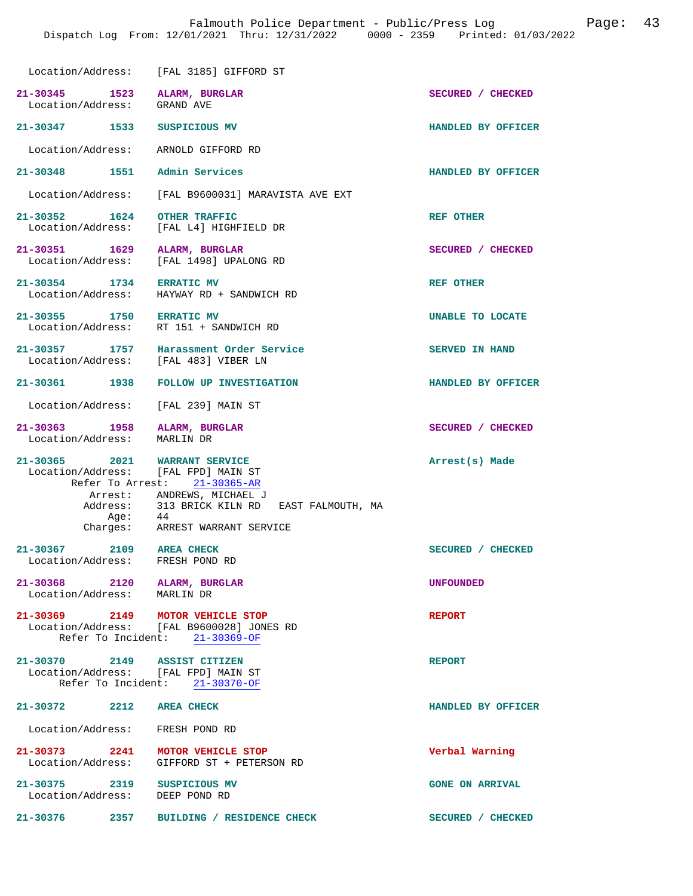|                                                                      | Location/Address: [FAL 3185] GIFFORD ST                                                                         |                         |
|----------------------------------------------------------------------|-----------------------------------------------------------------------------------------------------------------|-------------------------|
| 21-30345 1523<br>Location/Address:                                   | ALARM, BURGLAR<br>GRAND AVE                                                                                     | SECURED / CHECKED       |
| 21-30347 1533                                                        | SUSPICIOUS MV                                                                                                   | HANDLED BY OFFICER      |
| Location/Address:                                                    | ARNOLD GIFFORD RD                                                                                               |                         |
| 21-30348 1551 Admin Services                                         |                                                                                                                 | HANDLED BY OFFICER      |
|                                                                      | Location/Address: [FAL B9600031] MARAVISTA AVE EXT                                                              |                         |
| 21-30352 1624<br>Location/Address:                                   | <b>OTHER TRAFFIC</b><br>[FAL L4] HIGHFIELD DR                                                                   | <b>REF OTHER</b>        |
| 21-30351 1629<br>Location/Address:                                   | ALARM, BURGLAR<br>[FAL 1498] UPALONG RD                                                                         | SECURED / CHECKED       |
| 21-30354 1734<br>Location/Address:                                   | <b>ERRATIC MV</b><br>HAYWAY RD + SANDWICH RD                                                                    | REF OTHER               |
| 21-30355 1750 ERRATIC MV<br>Location/Address: RT 151 + SANDWICH RD   |                                                                                                                 | <b>UNABLE TO LOCATE</b> |
| 21-30357 1757<br>Location/Address: [FAL 483] VIBER LN                | Harassment Order Service                                                                                        | <b>SERVED IN HAND</b>   |
| 21-30361 1938                                                        | FOLLOW UP INVESTIGATION                                                                                         | HANDLED BY OFFICER      |
| Location/Address:                                                    | [FAL 239] MAIN ST                                                                                               |                         |
| 21-30363 1958<br>Location/Address:                                   | ALARM, BURGLAR<br>MARLIN DR                                                                                     | SECURED / CHECKED       |
| 21-30365 2021 WARRANT SERVICE<br>Location/Address: [FAL FPD] MAIN ST | Refer To Arrest: 21-30365-AR                                                                                    | Arrest(s) Made          |
|                                                                      | Arrest: ANDREWS, MICHAEL J<br>Address: 313 BRICK KILN RD EAST FALMOUTH, MA<br>Age: 44                           |                         |
|                                                                      | Charges: ARREST WARRANT SERVICE                                                                                 |                         |
| $21 - 30367$<br>2109<br>Location/Address:                            | <b>AREA CHECK</b><br>FRESH POND RD                                                                              | SECURED / CHECKED       |
| 21-30368 2120 ALARM, BURGLAR<br>Location/Address: MARLIN DR          |                                                                                                                 | <b>UNFOUNDED</b>        |
|                                                                      | 21-30369 2149 MOTOR VEHICLE STOP<br>Location/Address: [FAL B9600028] JONES RD<br>Refer To Incident: 21-30369-OF | <b>REPORT</b>           |
| 21-30370 2149 ASSIST CITIZEN<br>Location/Address: [FAL FPD] MAIN ST  | Refer To Incident: 21-30370-OF                                                                                  | <b>REPORT</b>           |
| 21-30372 2212 AREA CHECK                                             |                                                                                                                 | HANDLED BY OFFICER      |
| Location/Address: FRESH POND RD                                      |                                                                                                                 |                         |
|                                                                      | 21-30373 2241 MOTOR VEHICLE STOP<br>Location/Address: GIFFORD ST + PETERSON RD                                  | Verbal Warning          |
| 21-30375 2319 SUSPICIOUS MV<br>Location/Address: DEEP POND RD        |                                                                                                                 | <b>GONE ON ARRIVAL</b>  |
| 21–30376 2357                                                        | BUILDING / RESIDENCE CHECK                                                                                      | SECURED / CHECKED       |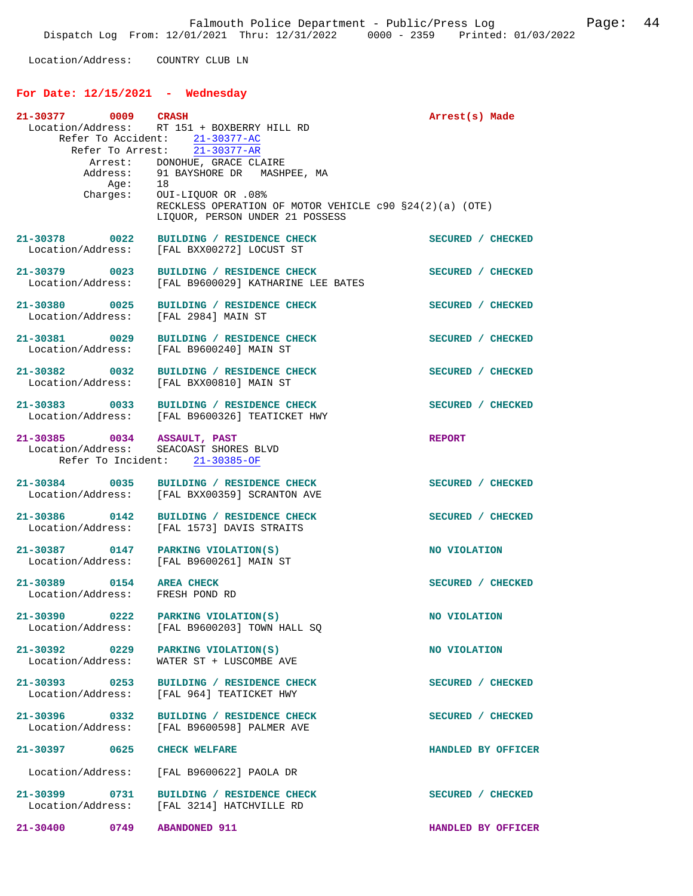Location/Address: COUNTRY CLUB LN

## **For Date: 12/15/2021 - Wednesday**

| 21-30377 0009 CRASH             |      |                                                                         | Arrest(s) Made     |
|---------------------------------|------|-------------------------------------------------------------------------|--------------------|
|                                 |      | Location/Address: RT 151 + BOXBERRY HILL RD                             |                    |
|                                 |      | Refer To Accident: 21-30377-AC                                          |                    |
|                                 |      | Refer To Arrest: $\overline{21-30377-AR}$                               |                    |
|                                 |      | Arrest: DONOHUE, GRACE CLAIRE                                           |                    |
|                                 |      |                                                                         |                    |
|                                 |      | Address: 91 BAYSHORE DR MASHPEE, MA<br>Age: 18                          |                    |
|                                 |      | Charges: OUI-LIQUOR OR .08%                                             |                    |
|                                 |      | RECKLESS OPERATION OF MOTOR VEHICLE $c90 S24(2)(a)$ (OTE)               |                    |
|                                 |      | LIQUOR, PERSON UNDER 21 POSSESS                                         |                    |
|                                 |      |                                                                         |                    |
| 21-30378 0022                   |      | BUILDING / RESIDENCE CHECK                                              | SECURED / CHECKED  |
| Location/Address:               |      | [FAL BXX00272] LOCUST ST                                                |                    |
|                                 |      |                                                                         |                    |
| 21-30379 0023                   |      | BUILDING / RESIDENCE CHECK                                              | SECURED / CHECKED  |
| Location/Address:               |      | [FAL B9600029] KATHARINE LEE BATES                                      |                    |
|                                 |      |                                                                         |                    |
|                                 |      | 21-30380 0025 BUILDING / RESIDENCE CHECK                                | SECURED / CHECKED  |
|                                 |      | Location/Address: [FAL 2984] MAIN ST                                    |                    |
|                                 |      |                                                                         |                    |
| 21-30381 0029                   |      | BUILDING / RESIDENCE CHECK                                              | SECURED / CHECKED  |
|                                 |      | Location/Address: [FAL B9600240] MAIN ST                                |                    |
|                                 |      |                                                                         |                    |
|                                 |      | 21-30382 0032 BUILDING / RESIDENCE CHECK                                | SECURED / CHECKED  |
|                                 |      | Location/Address: [FAL BXX00810] MAIN ST                                |                    |
|                                 |      | 21-30383 0033 BUILDING / RESIDENCE CHECK                                | SECURED / CHECKED  |
|                                 |      | Location/Address: [FAL B9600326] TEATICKET HWY                          |                    |
|                                 |      |                                                                         |                    |
|                                 |      |                                                                         | <b>REPORT</b>      |
|                                 |      | 21-30385 0034 ASSAULT, PAST<br>Location/Address: SEACOAST SHORES BLVD   |                    |
|                                 |      | Refer To Incident: 21-30385-OF                                          |                    |
|                                 |      |                                                                         |                    |
|                                 |      | 21-30384 0035 BUILDING / RESIDENCE CHECK                                | SECURED / CHECKED  |
|                                 |      | Location/Address: [FAL BXX00359] SCRANTON AVE                           |                    |
|                                 |      |                                                                         |                    |
| 21-30386 0142                   |      | BUILDING / RESIDENCE CHECK                                              | SECURED / CHECKED  |
| Location/Address:               |      | [FAL 1573] DAVIS STRAITS                                                |                    |
|                                 |      |                                                                         |                    |
|                                 |      | 21-30387 0147 PARKING VIOLATION(S)                                      | NO VIOLATION       |
|                                 |      | Location/Address: [FAL B9600261] MAIN ST                                |                    |
|                                 |      |                                                                         |                    |
| 21-30389 0154 AREA CHECK        |      |                                                                         | SECURED / CHECKED  |
| Location/Address: FRESH POND RD |      |                                                                         |                    |
|                                 |      |                                                                         |                    |
| 21-30390                        | 0222 | PARKING VIOLATION(S)                                                    | NO VIOLATION       |
|                                 |      | Location/Address: [FAL B9600203] TOWN HALL SQ                           |                    |
|                                 |      |                                                                         |                    |
|                                 |      | 21-30392 0229 PARKING VIOLATION(S)                                      | NO VIOLATION       |
|                                 |      | Location/Address: WATER ST + LUSCOMBE AVE                               |                    |
|                                 |      |                                                                         |                    |
| 21-30393 0253                   |      | BUILDING / RESIDENCE CHECK<br>Location/Address: [FAL 964] TEATICKET HWY | SECURED / CHECKED  |
|                                 |      |                                                                         |                    |
| 21-30396 0332                   |      | BUILDING / RESIDENCE CHECK                                              | SECURED / CHECKED  |
|                                 |      | Location/Address: [FAL B9600598] PALMER AVE                             |                    |
|                                 |      |                                                                         |                    |
| 21-30397 0625 CHECK WELFARE     |      |                                                                         | HANDLED BY OFFICER |
|                                 |      |                                                                         |                    |
|                                 |      | Location/Address: [FAL B9600622] PAOLA DR                               |                    |
|                                 |      |                                                                         |                    |
|                                 |      | 21-30399 0731 BUILDING / RESIDENCE CHECK                                | SECURED / CHECKED  |
|                                 |      | Location/Address: [FAL 3214] HATCHVILLE RD                              |                    |
|                                 |      |                                                                         |                    |
| 21-30400 0749 ABANDONED 911     |      |                                                                         | HANDLED BY OFFICER |
|                                 |      |                                                                         |                    |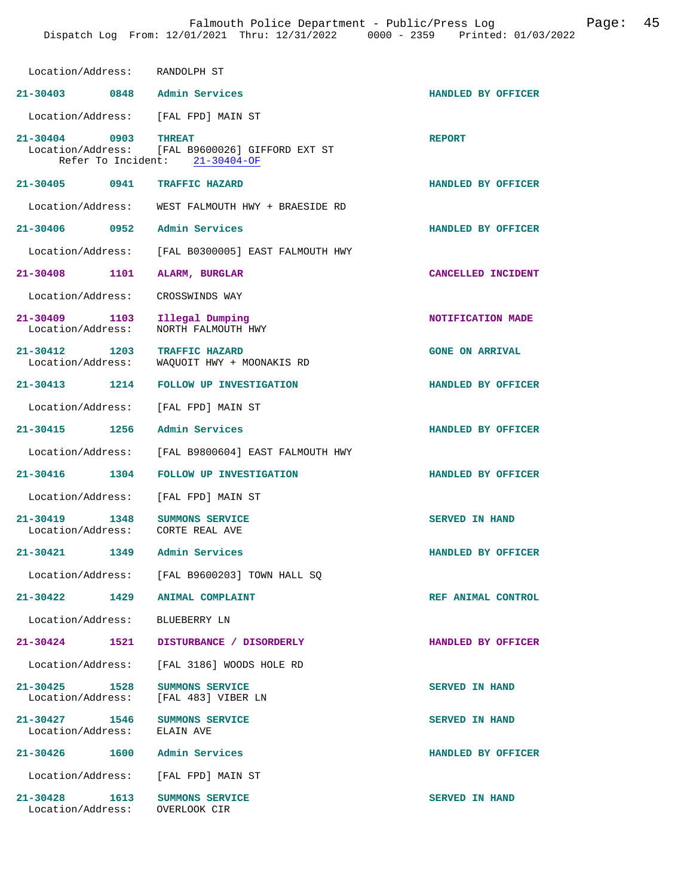| Location/Address: RANDOLPH ST                      |                                                                                                    |                        |
|----------------------------------------------------|----------------------------------------------------------------------------------------------------|------------------------|
| 21-30403 0848 Admin Services                       |                                                                                                    | HANDLED BY OFFICER     |
|                                                    | Location/Address: [FAL FPD] MAIN ST                                                                |                        |
| 21-30404 0903                                      | <b>THREAT</b><br>Location/Address: [FAL B9600026] GIFFORD EXT ST<br>Refer To Incident: 21-30404-OF | <b>REPORT</b>          |
| 21-30405 0941 TRAFFIC HAZARD                       |                                                                                                    | HANDLED BY OFFICER     |
|                                                    | Location/Address: WEST FALMOUTH HWY + BRAESIDE RD                                                  |                        |
| 21-30406 0952 Admin Services                       |                                                                                                    | HANDLED BY OFFICER     |
|                                                    | Location/Address: [FAL B0300005] EAST FALMOUTH HWY                                                 |                        |
| 21-30408 1101 ALARM, BURGLAR                       |                                                                                                    | CANCELLED INCIDENT     |
| Location/Address: CROSSWINDS WAY                   |                                                                                                    |                        |
| 21-30409 1103 Illegal Dumping<br>Location/Address: | NORTH FALMOUTH HWY                                                                                 | NOTIFICATION MADE      |
| 21-30412 1203 TRAFFIC HAZARD                       | Location/Address: WAQUOIT HWY + MOONAKIS RD                                                        | <b>GONE ON ARRIVAL</b> |
|                                                    | 21-30413 1214 FOLLOW UP INVESTIGATION                                                              | HANDLED BY OFFICER     |
| Location/Address: [FAL FPD] MAIN ST                |                                                                                                    |                        |
| 21-30415 1256 Admin Services                       |                                                                                                    | HANDLED BY OFFICER     |
|                                                    | Location/Address: [FAL B9800604] EAST FALMOUTH HWY                                                 |                        |
|                                                    | 21-30416 1304 FOLLOW UP INVESTIGATION                                                              | HANDLED BY OFFICER     |
|                                                    | Location/Address: [FAL FPD] MAIN ST                                                                |                        |
| 21-30419 1348<br>Location/Address:                 | <b>SUMMONS SERVICE</b><br>CORTE REAL AVE                                                           | <b>SERVED IN HAND</b>  |
| 21-30421 1349 Admin Services                       |                                                                                                    | HANDLED BY OFFICER     |
| Location/Address:                                  | [FAL B9600203] TOWN HALL SQ                                                                        |                        |
| 21-30422 1429 ANIMAL COMPLAINT                     |                                                                                                    | REF ANIMAL CONTROL     |
| Location/Address: BLUEBERRY LN                     |                                                                                                    |                        |
| 21-30424                                           | 1521 DISTURBANCE / DISORDERLY                                                                      | HANDLED BY OFFICER     |
|                                                    | Location/Address: [FAL 3186] WOODS HOLE RD                                                         |                        |
| 21-30425 1528<br>Location/Address:                 | SUMMONS SERVICE<br>[FAL 483] VIBER LN                                                              | SERVED IN HAND         |
| 21-30427 1546<br>Location/Address:                 | SUMMONS SERVICE<br>ELAIN AVE                                                                       | <b>SERVED IN HAND</b>  |
| 21-30426 1600 Admin Services                       |                                                                                                    | HANDLED BY OFFICER     |
|                                                    | Location/Address: [FAL FPD] MAIN ST                                                                |                        |
| 21-30428 1613<br>Location/Address: OVERLOOK CIR    | SUMMONS SERVICE                                                                                    | SERVED IN HAND         |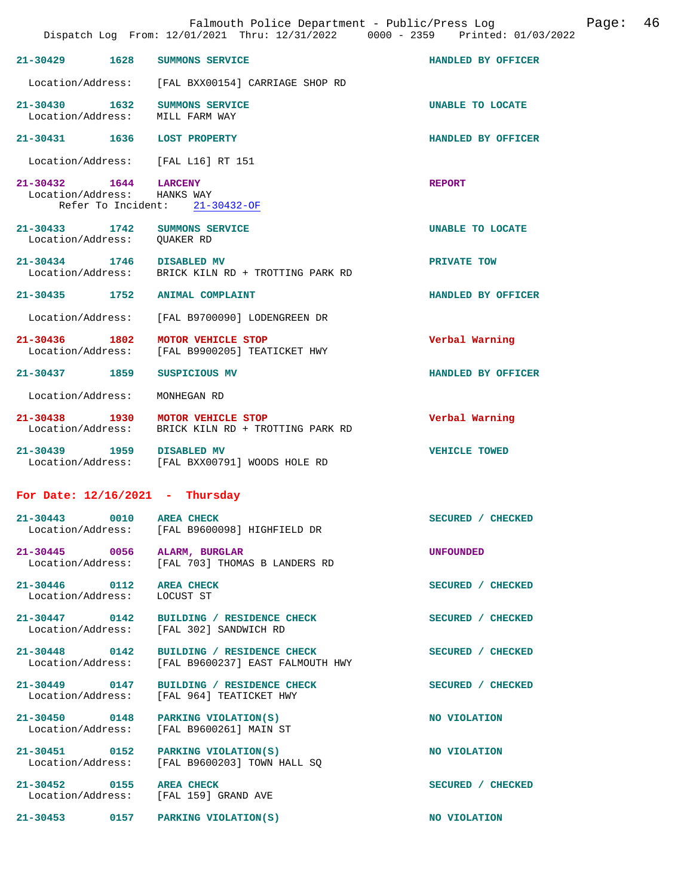|                                                                    |      | Falmouth Police Department - Public/Press Log<br>Dispatch Log From: 12/01/2021 Thru: 12/31/2022 0000 - 2359 Printed: 01/03/2022 |                    | Page: | 46 |
|--------------------------------------------------------------------|------|---------------------------------------------------------------------------------------------------------------------------------|--------------------|-------|----|
| 21-30429                                                           | 1628 | SUMMONS SERVICE                                                                                                                 | HANDLED BY OFFICER |       |    |
|                                                                    |      | Location/Address: [FAL BXX00154] CARRIAGE SHOP RD                                                                               |                    |       |    |
| $21 - 30430$<br>Location/Address:                                  | 1632 | SUMMONS SERVICE<br>MILL FARM WAY                                                                                                | UNABLE TO LOCATE   |       |    |
| 21-30431 1636                                                      |      | <b>LOST PROPERTY</b>                                                                                                            | HANDLED BY OFFICER |       |    |
| Location/Address:                                                  |      | [FAL L16] RT 151                                                                                                                |                    |       |    |
| 21-30432 1644<br>Location/Address: HANKS WAY<br>Refer To Incident: |      | <b>LARCENY</b><br>$21 - 30432 - OF$                                                                                             | <b>REPORT</b>      |       |    |
| 21-30433 1742<br>Location/Address:                                 |      | SUMMONS SERVICE<br>QUAKER RD                                                                                                    | UNABLE TO LOCATE   |       |    |
| 21-30434 1746<br>Location/Address:                                 |      | DISABLED MV<br>BRICK KILN RD + TROTTING PARK RD                                                                                 | PRIVATE TOW        |       |    |
| 21-30435 1752                                                      |      | <b>ANIMAL COMPLAINT</b>                                                                                                         | HANDLED BY OFFICER |       |    |
| Location/Address:                                                  |      | [FAL B9700090] LODENGREEN DR                                                                                                    |                    |       |    |
| 21-30436 1802<br>Location/Address:                                 |      | MOTOR VEHICLE STOP<br>[FAL B9900205] TEATICKET HWY                                                                              | Verbal Warning     |       |    |
| 21-30437 1859                                                      |      | SUSPICIOUS MV                                                                                                                   | HANDLED BY OFFICER |       |    |
| Location/Address:                                                  |      | MONHEGAN RD                                                                                                                     |                    |       |    |
| $21 - 30438$<br>1930<br>Location/Address:                          |      | MOTOR VEHICLE STOP<br>BRICK KILN RD + TROTTING PARK RD                                                                          | Verbal Warning     |       |    |
| 21-30439 1959                                                      |      | <b>DISABLED MV</b><br>Location/Address: [FAL BXX00791] WOODS HOLE RD                                                            | VEHICLE TOWED      |       |    |
| For Date: $12/16/2021$ - Thursday                                  |      |                                                                                                                                 |                    |       |    |
| 21-30443                                                           | 0010 | <b>AREA CHECK</b><br>Location/Address: [FAL B9600098] HIGHFIELD DR                                                              | SECURED / CHECKED  |       |    |
| 21-30445 0056                                                      |      | ALARM, BURGLAR<br>Location/Address: [FAL 703] THOMAS B LANDERS RD                                                               | UNFOUNDED          |       |    |
| 21-30446 0112<br>Location/Address:                                 |      | <b>AREA CHECK</b><br>LOCUST ST                                                                                                  | SECURED / CHECKED  |       |    |
| 21-30447 0142<br>Location/Address:                                 |      | BUILDING / RESIDENCE CHECK<br>[FAL 302] SANDWICH RD                                                                             | SECURED / CHECKED  |       |    |
| 21-30448 0142<br>Location/Address:                                 |      | BUILDING / RESIDENCE CHECK<br>[FAL B9600237] EAST FALMOUTH HWY                                                                  | SECURED / CHECKED  |       |    |
| 21-30449 0147<br>Location/Address:                                 |      | BUILDING / RESIDENCE CHECK<br>[FAL 964] TEATICKET HWY                                                                           | SECURED / CHECKED  |       |    |
| 21-30450 0148<br>Location/Address:                                 |      | PARKING VIOLATION(S)<br>[FAL B9600261] MAIN ST                                                                                  | NO VIOLATION       |       |    |
| 21-30451 0152<br>Location/Address:                                 |      | PARKING VIOLATION(S)<br>[FAL B9600203] TOWN HALL SO                                                                             | NO VIOLATION       |       |    |
| 21-30452 0155                                                      |      | <b>AREA CHECK</b><br>Location/Address: [FAL 159] GRAND AVE                                                                      | SECURED / CHECKED  |       |    |
|                                                                    |      | 21-30453 0157 PARKING VIOLATION(S)                                                                                              | NO VIOLATION       |       |    |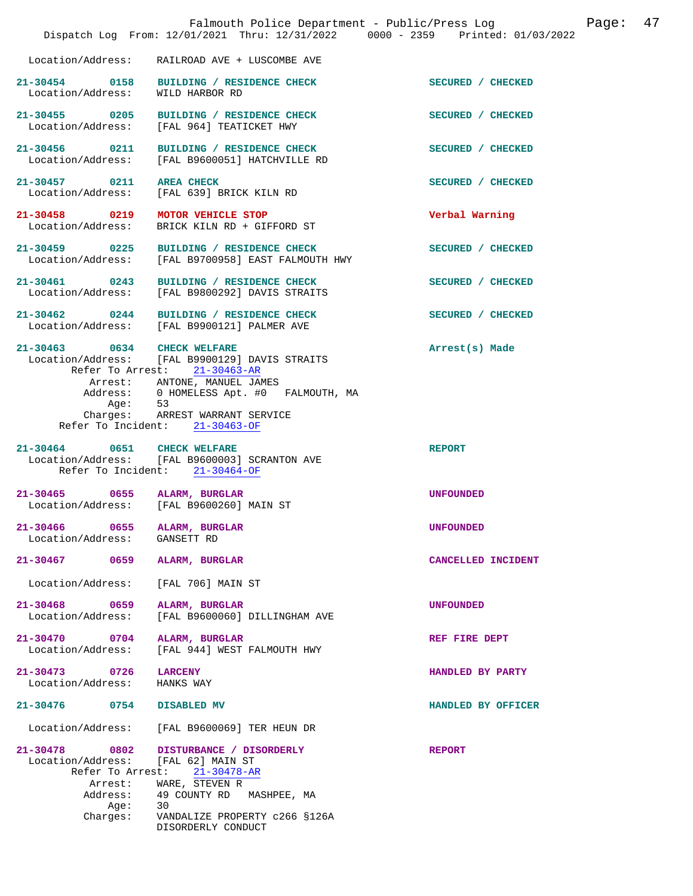|                                                          | Falmouth Police Department - Public/Press Log<br>Dispatch Log From: 12/01/2021 Thru: 12/31/2022 0000 - 2359 Printed: 01/03/2022                                                      |                    | Page: | 47 |
|----------------------------------------------------------|--------------------------------------------------------------------------------------------------------------------------------------------------------------------------------------|--------------------|-------|----|
|                                                          | Location/Address: RAILROAD AVE + LUSCOMBE AVE                                                                                                                                        |                    |       |    |
| Location/Address: WILD HARBOR RD                         | 21-30454 0158 BUILDING / RESIDENCE CHECK                                                                                                                                             | SECURED / CHECKED  |       |    |
| 21-30455 0205<br>Location/Address:                       | BUILDING / RESIDENCE CHECK<br>[FAL 964] TEATICKET HWY                                                                                                                                | SECURED / CHECKED  |       |    |
| 21-30456 0211                                            | BUILDING / RESIDENCE CHECK<br>Location/Address: [FAL B9600051] HATCHVILLE RD                                                                                                         | SECURED / CHECKED  |       |    |
| 21-30457 0211 AREA CHECK<br>Location/Address:            | [FAL 639] BRICK KILN RD                                                                                                                                                              | SECURED / CHECKED  |       |    |
| 21-30458 0219<br>Location/Address:                       | MOTOR VEHICLE STOP<br>BRICK KILN RD + GIFFORD ST                                                                                                                                     | Verbal Warning     |       |    |
| Location/Address:                                        | 21-30459 0225 BUILDING / RESIDENCE CHECK<br>[FAL B9700958] EAST FALMOUTH HWY                                                                                                         | SECURED / CHECKED  |       |    |
| 21-30461 0243<br>Location/Address:                       | BUILDING / RESIDENCE CHECK<br>[FAL B9800292] DAVIS STRAITS                                                                                                                           | SECURED / CHECKED  |       |    |
|                                                          | 21-30462 0244 BUILDING / RESIDENCE CHECK<br>Location/Address: [FAL B9900121] PALMER AVE                                                                                              | SECURED / CHECKED  |       |    |
| 21-30463 0634 CHECK WELFARE<br>Age: 53<br>Charges:       | Location/Address: [FAL B9900129] DAVIS STRAITS<br>Refer To Arrest: 21-30463-AR<br>Arrest: ANTONE, MANUEL JAMES<br>Address: 0 HOMELESS Apt. #0 FALMOUTH, MA<br>ARREST WARRANT SERVICE | Arrest(s) Made     |       |    |
|                                                          | Refer To Incident: 21-30463-OF                                                                                                                                                       |                    |       |    |
| 21-30464 0651 CHECK WELFARE                              | Location/Address: [FAL B9600003] SCRANTON AVE<br>Refer To Incident: 21-30464-OF                                                                                                      | <b>REPORT</b>      |       |    |
| 21-30465 0655 ALARM, BURGLAR                             | Location/Address: [FAL B9600260] MAIN ST                                                                                                                                             | <b>UNFOUNDED</b>   |       |    |
| 0655<br>21-30466<br>Location/Address:                    | ALARM, BURGLAR<br>GANSETT RD                                                                                                                                                         | <b>UNFOUNDED</b>   |       |    |
| 21-30467 0659                                            | ALARM, BURGLAR                                                                                                                                                                       | CANCELLED INCIDENT |       |    |
| Location/Address:                                        | [FAL 706] MAIN ST                                                                                                                                                                    |                    |       |    |
| 21-30468 0659<br>Location/Address:                       | ALARM, BURGLAR<br>[FAL B9600060] DILLINGHAM AVE                                                                                                                                      | <b>UNFOUNDED</b>   |       |    |
| 21-30470 0704<br>Location/Address:                       | ALARM, BURGLAR<br>[FAL 944] WEST FALMOUTH HWY                                                                                                                                        | REF FIRE DEPT      |       |    |
| 21-30473 0726<br>Location/Address:                       | <b>LARCENY</b><br>HANKS WAY                                                                                                                                                          | HANDLED BY PARTY   |       |    |
| 21-30476 0754                                            | DISABLED MV                                                                                                                                                                          | HANDLED BY OFFICER |       |    |
| Location/Address:                                        | [FAL B9600069] TER HEUN DR                                                                                                                                                           |                    |       |    |
| 21-30478<br>$\sim$ 0802<br>Location/Address:<br>Address: | DISTURBANCE / DISORDERLY<br>[FAL 62] MAIN ST<br>Refer To Arrest: 21-30478-AR<br>Arrest: WARE, STEVEN R<br>49 COUNTY RD MASHPEE, MA                                                   | <b>REPORT</b>      |       |    |
| Age:<br>Charges:                                         | 30<br>VANDALIZE PROPERTY c266 §126A<br>DISORDERLY CONDUCT                                                                                                                            |                    |       |    |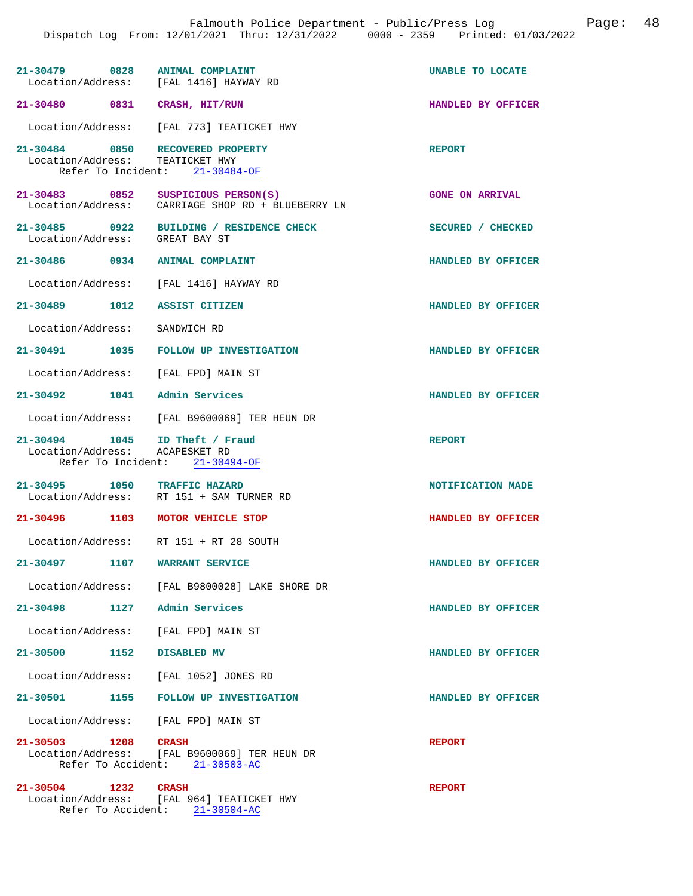| 21-30479 0828 ANIMAL COMPLAINT                                   | Location/Address: [FAL 1416] HAYWAY RD                                         | UNABLE TO LOCATE       |
|------------------------------------------------------------------|--------------------------------------------------------------------------------|------------------------|
| 21-30480 0831 CRASH, HIT/RUN                                     |                                                                                | HANDLED BY OFFICER     |
|                                                                  | Location/Address: [FAL 773] TEATICKET HWY                                      |                        |
| 21-30484 0850 RECOVERED PROPERTY<br>Location/Address:            | TEATICKET HWY<br>Refer To Incident: 21-30484-OF                                | <b>REPORT</b>          |
| 21-30483 0852 SUSPICIOUS PERSON(S)                               | Location/Address: CARRIAGE SHOP RD + BLUEBERRY LN                              | <b>GONE ON ARRIVAL</b> |
| Location/Address: GREAT BAY ST                                   | 21-30485 0922 BUILDING / RESIDENCE CHECK                                       | SECURED / CHECKED      |
| 21-30486 0934 ANIMAL COMPLAINT                                   |                                                                                | HANDLED BY OFFICER     |
|                                                                  | Location/Address: [FAL 1416] HAYWAY RD                                         |                        |
| 21-30489 1012 ASSIST CITIZEN                                     |                                                                                | HANDLED BY OFFICER     |
| Location/Address: SANDWICH RD                                    |                                                                                |                        |
|                                                                  | 21-30491 1035 FOLLOW UP INVESTIGATION                                          | HANDLED BY OFFICER     |
| Location/Address: [FAL FPD] MAIN ST                              |                                                                                |                        |
| 21-30492 1041 Admin Services                                     |                                                                                | HANDLED BY OFFICER     |
|                                                                  | Location/Address: [FAL B9600069] TER HEUN DR                                   |                        |
| 21-30494 1045 ID Theft / Fraud<br>Location/Address: ACAPESKET RD | Refer To Incident: 21-30494-OF                                                 | <b>REPORT</b>          |
| 21-30495 1050 TRAFFIC HAZARD                                     | Location/Address: RT 151 + SAM TURNER RD                                       | NOTIFICATION MADE      |
| 21-30496 1103 MOTOR VEHICLE STOP                                 |                                                                                | HANDLED BY OFFICER     |
|                                                                  | Location/Address: RT 151 + RT 28 SOUTH                                         |                        |
| 21-30497 1107 WARRANT SERVICE                                    |                                                                                | HANDLED BY OFFICER     |
|                                                                  | Location/Address: [FAL B9800028] LAKE SHORE DR                                 |                        |
| 21-30498 1127 Admin Services                                     |                                                                                | HANDLED BY OFFICER     |
| Location/Address: [FAL FPD] MAIN ST                              |                                                                                |                        |
| 21-30500 1152 DISABLED MV                                        |                                                                                | HANDLED BY OFFICER     |
|                                                                  | Location/Address: [FAL 1052] JONES RD                                          |                        |
|                                                                  | 21-30501 1155 FOLLOW UP INVESTIGATION                                          | HANDLED BY OFFICER     |
| Location/Address: [FAL FPD] MAIN ST                              |                                                                                |                        |
| 21-30503 1208 CRASH                                              | Location/Address: [FAL B9600069] TER HEUN DR<br>Refer To Accident: 21-30503-AC | <b>REPORT</b>          |
| 21-30504 1232                                                    | <b>CRASH</b><br>Location/Address: [FAL 964] TEATICKET HWY                      | <b>REPORT</b>          |

Refer To Accident: 21-30504-AC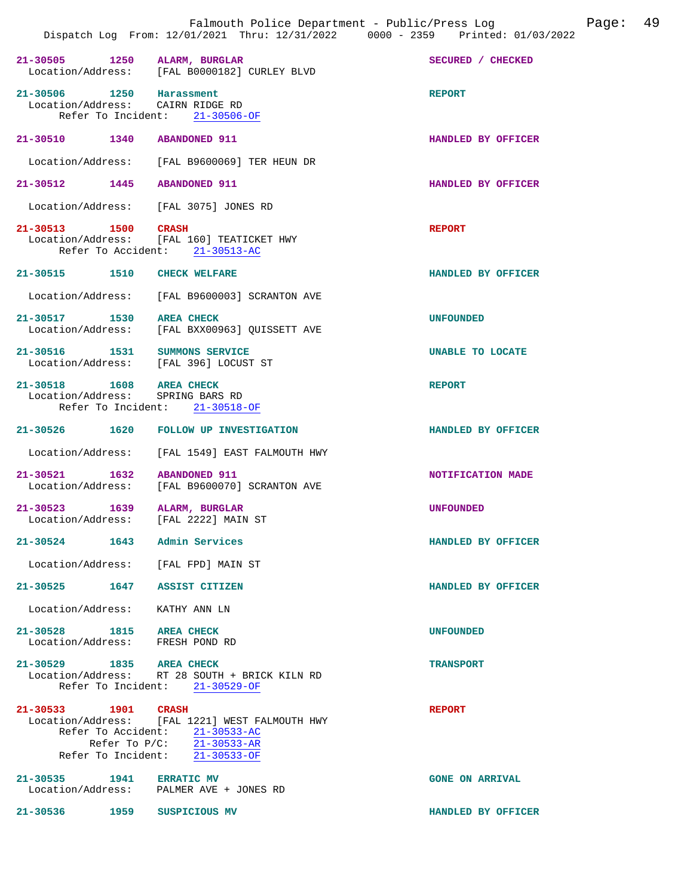| 21-30505 1250 ALARM, BURGLAR                                           | Location/Address: [FAL B0000182] CURLEY BLVD                                                                                                                    | SECURED / CHECKED       |
|------------------------------------------------------------------------|-----------------------------------------------------------------------------------------------------------------------------------------------------------------|-------------------------|
| 21-30506 1250 Harassment<br>Location/Address: CAIRN RIDGE RD           | Refer To Incident: 21-30506-OF                                                                                                                                  | <b>REPORT</b>           |
| 21-30510 1340 ABANDONED 911                                            |                                                                                                                                                                 | HANDLED BY OFFICER      |
|                                                                        | Location/Address: [FAL B9600069] TER HEUN DR                                                                                                                    |                         |
| 21-30512 1445 ABANDONED 911                                            |                                                                                                                                                                 | HANDLED BY OFFICER      |
| Location/Address: [FAL 3075] JONES RD                                  |                                                                                                                                                                 |                         |
| 21-30513 1500 CRASH                                                    | Location/Address: [FAL 160] TEATICKET HWY<br>Refer To Accident: 21-30513-AC                                                                                     | <b>REPORT</b>           |
| 21-30515 1510 CHECK WELFARE                                            |                                                                                                                                                                 | HANDLED BY OFFICER      |
|                                                                        | Location/Address: [FAL B9600003] SCRANTON AVE                                                                                                                   |                         |
| 21-30517 1530 AREA CHECK                                               | Location/Address: [FAL BXX00963] QUISSETT AVE                                                                                                                   | UNFOUNDED               |
| 21-30516 1531 SUMMONS SERVICE<br>Location/Address: [FAL 396] LOCUST ST |                                                                                                                                                                 | <b>UNABLE TO LOCATE</b> |
| 21-30518 1608 AREA CHECK<br>Location/Address: SPRING BARS RD           | Refer To Incident: 21-30518-OF                                                                                                                                  | <b>REPORT</b>           |
|                                                                        | 21-30526 1620 FOLLOW UP INVESTIGATION                                                                                                                           | HANDLED BY OFFICER      |
|                                                                        | Location/Address: [FAL 1549] EAST FALMOUTH HWY                                                                                                                  |                         |
| 21-30521 1632 ABANDONED 911                                            | Location/Address: [FAL B9600070] SCRANTON AVE                                                                                                                   | NOTIFICATION MADE       |
| 21-30523 1639<br>Location/Address: [FAL 2222] MAIN ST                  | ALARM, BURGLAR                                                                                                                                                  | <b>UNFOUNDED</b>        |
| 21-30524                                                               | 1643 Admin Services                                                                                                                                             | HANDLED BY OFFICER      |
| Location/Address: [FAL FPD] MAIN ST                                    |                                                                                                                                                                 |                         |
| 21-30525 1647 ASSIST CITIZEN                                           |                                                                                                                                                                 | HANDLED BY OFFICER      |
| Location/Address: KATHY ANN LN                                         |                                                                                                                                                                 |                         |
| 21-30528 1815 AREA CHECK<br>Location/Address: FRESH POND RD            |                                                                                                                                                                 | <b>UNFOUNDED</b>        |
| 21-30529 1835 AREA CHECK                                               | Location/Address: RT 28 SOUTH + BRICK KILN RD<br>Refer To Incident: 21-30529-OF                                                                                 | <b>TRANSPORT</b>        |
| 21-30533 1901 CRASH                                                    | Location/Address: [FAL 1221] WEST FALMOUTH HWY<br>Refer To Accident: 21-30533-AC<br>Refer To $P/C$ : $\overline{21-30533-AR}$<br>Refer To Incident: 21-30533-OF | <b>REPORT</b>           |
| 21-30535 1941 ERRATIC MV                                               | Location/Address: PALMER AVE + JONES RD                                                                                                                         | <b>GONE ON ARRIVAL</b>  |

**21-30536 1959 SUSPICIOUS MV HANDLED BY OFFICER**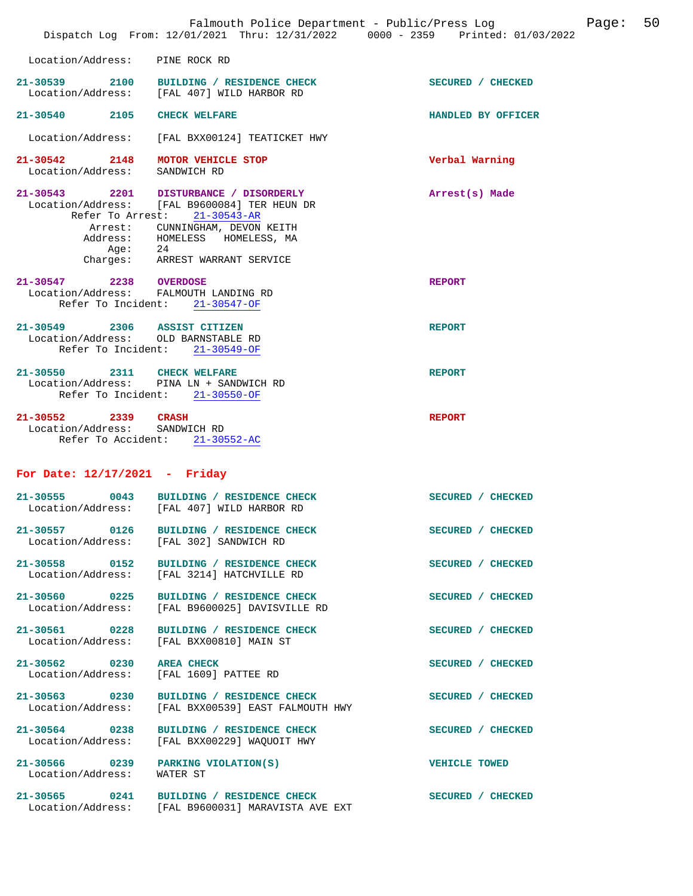|                                                                                           | Falmouth Police Department - Public/Press Log<br>Dispatch Log From: 12/01/2021 Thru: 12/31/2022 0000 - 2359 Printed: 01/03/2022                                                     | 50<br>Page:        |
|-------------------------------------------------------------------------------------------|-------------------------------------------------------------------------------------------------------------------------------------------------------------------------------------|--------------------|
| Location/Address: PINE ROCK RD                                                            |                                                                                                                                                                                     |                    |
|                                                                                           | 21-30539 2100 BUILDING / RESIDENCE CHECK<br>Location/Address: [FAL 407] WILD HARBOR RD                                                                                              | SECURED / CHECKED  |
| 21-30540 2105                                                                             | <b>CHECK WELFARE</b>                                                                                                                                                                | HANDLED BY OFFICER |
| Location/Address:                                                                         | [FAL BXX00124] TEATICKET HWY                                                                                                                                                        |                    |
| 21-30542<br>2148<br>Location/Address:                                                     | MOTOR VEHICLE STOP<br>SANDWICH RD                                                                                                                                                   | Verbal Warning     |
| Refer To Arrest:<br>Arrest:                                                               | 21-30543 2201 DISTURBANCE / DISORDERLY<br>Location/Address: [FAL B9600084] TER HEUN DR<br>$21 - 30543 - AR$<br>CUNNINGHAM, DEVON KEITH<br>Address: HOMELESS HOMELESS, MA<br>Age: 24 | Arrest(s) Made     |
|                                                                                           | Charges: ARREST WARRANT SERVICE                                                                                                                                                     |                    |
| 21-30547 2238 OVERDOSE<br>Location/Address: FALMOUTH LANDING RD                           | Refer To Incident: 21-30547-OF                                                                                                                                                      | <b>REPORT</b>      |
| 21-30549 2306 ASSIST CITIZEN<br>Location/Address: OLD BARNSTABLE RD<br>Refer To Incident: | $21 - 30549 - OF$                                                                                                                                                                   | <b>REPORT</b>      |
| 21-30550 2311 CHECK WELFARE                                                               | Location/Address: PINA LN + SANDWICH RD<br>Refer To Incident: 21-30550-OF                                                                                                           | <b>REPORT</b>      |
| $21 - 30552$<br>2339<br>Location/Address:                                                 | <b>CRASH</b><br>SANDWICH RD<br>Refer To Accident: 21-30552-AC                                                                                                                       | <b>REPORT</b>      |
| For Date: $12/17/2021$ - Friday                                                           |                                                                                                                                                                                     |                    |
| $21 - 30555$<br>0043                                                                      | BUILDING / RESIDENCE CHECK<br>Location/Address: [FAL 407] WILD HARBOR RD                                                                                                            | SECURED / CHECKED  |
| 21-30557 0126<br>Location/Address:                                                        | BUILDING / RESIDENCE CHECK<br>[FAL 302] SANDWICH RD                                                                                                                                 | SECURED / CHECKED  |
|                                                                                           | 21-30558 0152 BUILDING / RESIDENCE CHECK<br>Location/Address: [FAL 3214] HATCHVILLE RD                                                                                              | SECURED / CHECKED  |
| 21-30560 0225<br>Location/Address:                                                        | BUILDING / RESIDENCE CHECK<br>[FAL B9600025] DAVISVILLE RD                                                                                                                          | SECURED / CHECKED  |
| 21-30561 0228<br>Location/Address:                                                        | BUILDING / RESIDENCE CHECK<br>[FAL BXX00810] MAIN ST                                                                                                                                | SECURED / CHECKED  |
| 21-30562 0230<br>Location/Address:                                                        | <b>AREA CHECK</b><br>[FAL 1609] PATTEE RD                                                                                                                                           | SECURED / CHECKED  |
| 21-30563 0230<br>Location/Address:                                                        | BUILDING / RESIDENCE CHECK<br>[FAL BXX00539] EAST FALMOUTH HWY                                                                                                                      | SECURED / CHECKED  |
| 21-30564 0238<br>Location/Address:                                                        | BUILDING / RESIDENCE CHECK<br>[FAL BXX00229] WAQUOIT HWY                                                                                                                            | SECURED / CHECKED  |
| 21-30566 0239<br>Location/Address:                                                        | PARKING VIOLATION(S)<br>WATER ST                                                                                                                                                    | VEHICLE TOWED      |
|                                                                                           | 21-30565 0241 BUILDING / RESIDENCE CHECK<br>Location/Address: [FAL B9600031] MARAVISTA AVE EXT                                                                                      | SECURED / CHECKED  |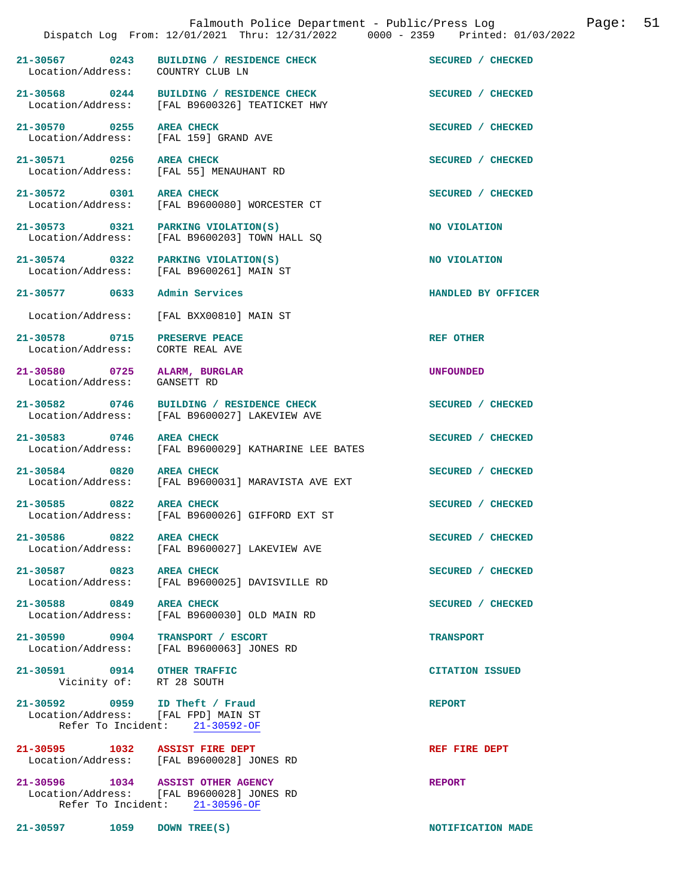|                                                                  | Falmouth Police Department - Public/Press Log (Dage: 51)<br>Dispatch Log From: 12/01/2021 Thru: 12/31/2022 0000 - 2359 Printed: 01/03/2022 |                    |  |
|------------------------------------------------------------------|--------------------------------------------------------------------------------------------------------------------------------------------|--------------------|--|
| Location/Address: COUNTRY CLUB LN                                | 21-30567 0243 BUILDING / RESIDENCE CHECK SECURED / CHECKED                                                                                 |                    |  |
|                                                                  | 21-30568 0244 BUILDING / RESIDENCE CHECK<br>Location/Address: [FAL B9600326] TEATICKET HWY                                                 | SECURED / CHECKED  |  |
| 21-30570 0255 AREA CHECK                                         | Location/Address: [FAL 159] GRAND AVE                                                                                                      | SECURED / CHECKED  |  |
| 21-30571 0256 AREA CHECK                                         | Location/Address: [FAL 55] MENAUHANT RD                                                                                                    | SECURED / CHECKED  |  |
|                                                                  | 21-30572 0301 AREA CHECK<br>Location/Address: [FAL B9600080] WORCESTER CT                                                                  | SECURED / CHECKED  |  |
|                                                                  | 21-30573 0321 PARKING VIOLATION(S)<br>Location/Address: [FAL B9600203] TOWN HALL SQ                                                        | NO VIOLATION       |  |
|                                                                  | 21-30574 0322 PARKING VIOLATION(S)<br>Location/Address: [FAL B9600261] MAIN ST                                                             | NO VIOLATION       |  |
| 21-30577 0633 Admin Services                                     |                                                                                                                                            | HANDLED BY OFFICER |  |
|                                                                  | Location/Address: [FAL BXX00810] MAIN ST                                                                                                   |                    |  |
| 21-30578 0715 PRESERVE PEACE<br>Location/Address: CORTE REAL AVE |                                                                                                                                            | <b>REF OTHER</b>   |  |
| 21-30580 0725 ALARM, BURGLAR<br>Location/Address: GANSETT RD     |                                                                                                                                            | <b>UNFOUNDED</b>   |  |
|                                                                  | 21-30582 0746 BUILDING / RESIDENCE CHECK<br>Location/Address: [FAL B9600027] LAKEVIEW AVE                                                  | SECURED / CHECKED  |  |
|                                                                  | 21-30583 0746 AREA CHECK<br>Location/Address: [FAL B9600029] KATHARINE LEE BATES                                                           | SECURED / CHECKED  |  |
| 21-30584 0820 AREA CHECK                                         | Location/Address: [FAL B9600031] MARAVISTA AVE EXT                                                                                         | SECURED / CHECKED  |  |
| 21-30585 0822 AREA CHECK                                         | Location/Address: [FAL B9600026] GIFFORD EXT ST                                                                                            | SECURED / CHECKED  |  |
| 21-30586 0822<br>Location/Address:                               | <b>AREA CHECK</b><br>[FAL B9600027] LAKEVIEW AVE                                                                                           | SECURED / CHECKED  |  |
| 21-30587 0823<br>Location/Address:                               | <b>AREA CHECK</b><br>[FAL B9600025] DAVISVILLE RD                                                                                          | SECURED / CHECKED  |  |
| 21-30588<br>0849                                                 | <b>AREA CHECK</b>                                                                                                                          | SECURED / CHECKED  |  |

Location/Address: [FAL B9600030] OLD MAIN RD

**21-30590 0904 TRANSPORT / ESCORT TRANSPORT**  Location/Address: [FAL B9600063] JONES RD

**21-30591 0914 OTHER TRAFFIC CITATION ISSUED**  Vicinity of: RT 28 SOUTH

**21-30592 0959 ID Theft / Fraud REPORT**  Location/Address: [FAL FPD] MAIN ST Refer To Incident: 21-30592-OF

**21-30595 1032 ASSIST FIRE DEPT REF FIRE DEPT**  Location/Address: [FAL B9600028] JONES RD

**21-30596 1034 ASSIST OTHER AGENCY REPORT**  Location/Address: [FAL B9600028] JONES RD Refer To Incident: 21-30596-OF

**21-30597 1059 DOWN TREE(S) NOTIFICATION MADE**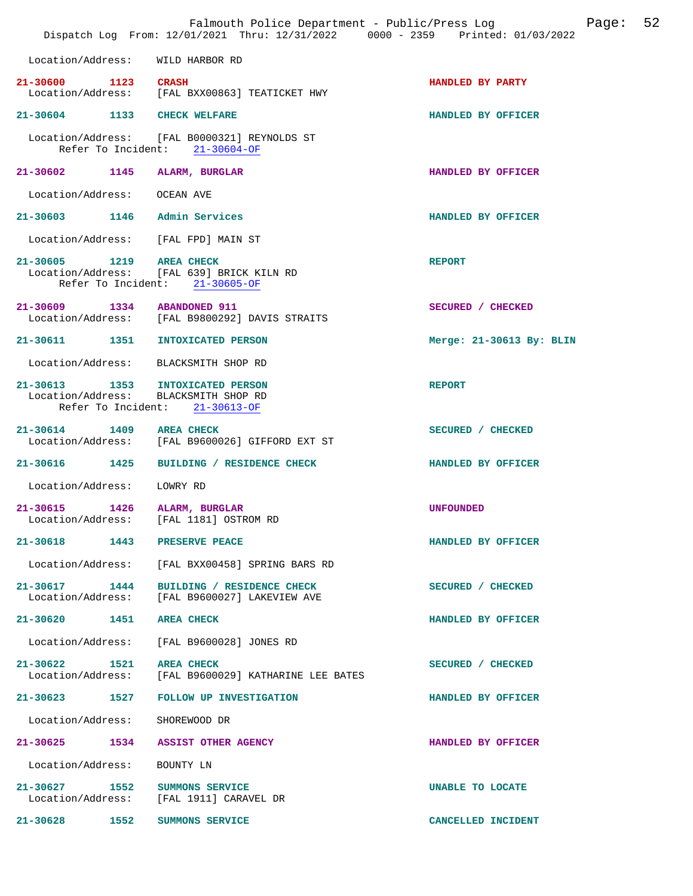|                                    | Falmouth Police Department - Public/Press Log<br>Dispatch Log From: 12/01/2021 Thru: 12/31/2022 0000 - 2359 Printed: 01/03/2022 |                          | Page: | 52 |
|------------------------------------|---------------------------------------------------------------------------------------------------------------------------------|--------------------------|-------|----|
|                                    | Location/Address: WILD HARBOR RD                                                                                                |                          |       |    |
| 21-30600 1123 CRASH                | Location/Address: [FAL BXX00863] TEATICKET HWY                                                                                  | HANDLED BY PARTY         |       |    |
|                                    | 21-30604 1133 CHECK WELFARE                                                                                                     | HANDLED BY OFFICER       |       |    |
|                                    | Location/Address: [FAL B0000321] REYNOLDS ST<br>Refer To Incident: 21-30604-OF                                                  |                          |       |    |
|                                    | 21-30602 1145 ALARM, BURGLAR                                                                                                    | HANDLED BY OFFICER       |       |    |
| Location/Address:                  | OCEAN AVE                                                                                                                       |                          |       |    |
|                                    | 21-30603 1146 Admin Services                                                                                                    | HANDLED BY OFFICER       |       |    |
|                                    | Location/Address: [FAL FPD] MAIN ST                                                                                             |                          |       |    |
| 21-30605 1219 AREA CHECK           | Location/Address: [FAL 639] BRICK KILN RD<br>Refer To Incident: 21-30605-OF                                                     | <b>REPORT</b>            |       |    |
|                                    | 21-30609 1334 ABANDONED 911<br>Location/Address: [FAL B9800292] DAVIS STRAITS                                                   | SECURED / CHECKED        |       |    |
|                                    | 21-30611 1351 INTOXICATED PERSON                                                                                                | Merge: 21-30613 By: BLIN |       |    |
|                                    | Location/Address: BLACKSMITH SHOP RD                                                                                            |                          |       |    |
|                                    | 21-30613 1353 INTOXICATED PERSON<br>Location/Address: BLACKSMITH SHOP RD<br>Refer To Incident: 21-30613-OF                      | <b>REPORT</b>            |       |    |
| 21-30614 1409 AREA CHECK           | Location/Address: [FAL B9600026] GIFFORD EXT ST                                                                                 | SECURED / CHECKED        |       |    |
|                                    | 21-30616 1425 BUILDING / RESIDENCE CHECK                                                                                        | HANDLED BY OFFICER       |       |    |
| Location/Address:                  | LOWRY RD                                                                                                                        |                          |       |    |
| Location/Address:                  | 21-30615 1426 ALARM, BURGLAR<br>[FAL 1181] OSTROM RD                                                                            | <b>UNFOUNDED</b>         |       |    |
|                                    | 21-30618 1443 PRESERVE PEACE                                                                                                    | HANDLED BY OFFICER       |       |    |
|                                    | Location/Address: [FAL BXX00458] SPRING BARS RD                                                                                 |                          |       |    |
| 21-30617 1444                      | BUILDING / RESIDENCE CHECK<br>Location/Address: [FAL B9600027] LAKEVIEW AVE                                                     | SECURED / CHECKED        |       |    |
| 21-30620 1451 AREA CHECK           |                                                                                                                                 | HANDLED BY OFFICER       |       |    |
|                                    | Location/Address: [FAL B9600028] JONES RD                                                                                       |                          |       |    |
| 21-30622 1521                      | AREA CHECK<br>Location/Address: [FAL B9600029] KATHARINE LEE BATES                                                              | SECURED / CHECKED        |       |    |
|                                    | 21-30623 1527 FOLLOW UP INVESTIGATION                                                                                           | HANDLED BY OFFICER       |       |    |
| Location/Address:                  | SHOREWOOD DR                                                                                                                    |                          |       |    |
| 21-30625 1534                      | ASSIST OTHER AGENCY                                                                                                             | HANDLED BY OFFICER       |       |    |
| Location/Address:                  | BOUNTY LN                                                                                                                       |                          |       |    |
| 21-30627 1552<br>Location/Address: | SUMMONS SERVICE<br>[FAL 1911] CARAVEL DR                                                                                        | UNABLE TO LOCATE         |       |    |
| 21-30628 1552                      | SUMMONS SERVICE                                                                                                                 | CANCELLED INCIDENT       |       |    |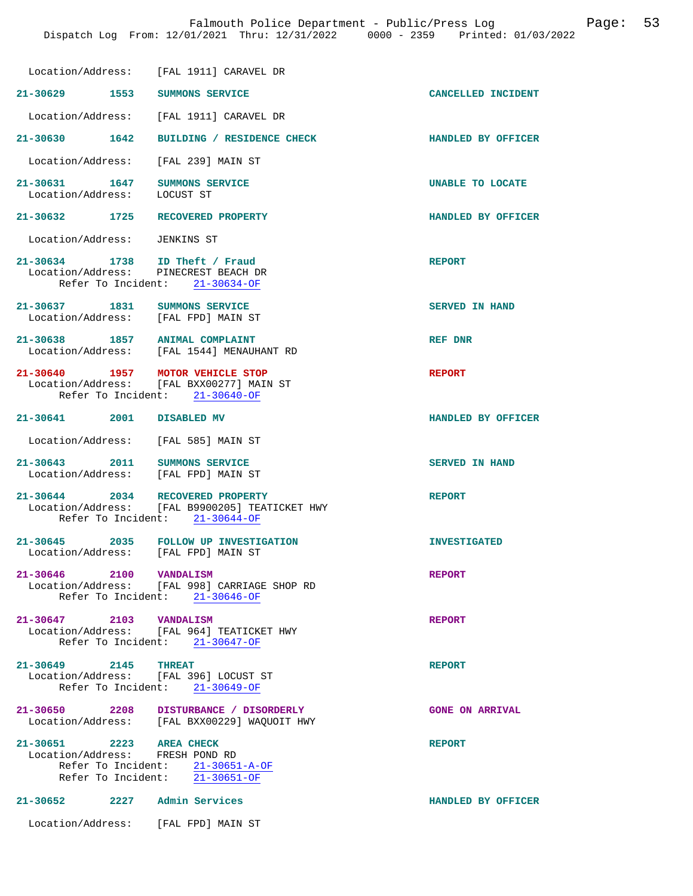|                                                                        | Location/Address: [FAL 1911] CARAVEL DR                                                                |                           |
|------------------------------------------------------------------------|--------------------------------------------------------------------------------------------------------|---------------------------|
| 21-30629 1553                                                          | SUMMONS SERVICE                                                                                        | <b>CANCELLED INCIDENT</b> |
| Location/Address:                                                      | [FAL 1911] CARAVEL DR                                                                                  |                           |
| 21-30630 1642                                                          | BUILDING / RESIDENCE CHECK                                                                             | HANDLED BY OFFICER        |
| Location/Address:                                                      | [FAL 239] MAIN ST                                                                                      |                           |
| 21-30631 1647<br>Location/Address:                                     | SUMMONS SERVICE<br>LOCUST ST                                                                           | UNABLE TO LOCATE          |
| 21-30632 1725                                                          | RECOVERED PROPERTY                                                                                     | <b>HANDLED BY OFFICER</b> |
| Location/Address:                                                      | <b>JENKINS ST</b>                                                                                      |                           |
| 21-30634 1738 ID Theft / Fraud<br>Location/Address: PINECREST BEACH DR | Refer To Incident: 21-30634-OF                                                                         | <b>REPORT</b>             |
| 21-30637 1831<br>Location/Address: [FAL FPD] MAIN ST                   | SUMMONS SERVICE                                                                                        | <b>SERVED IN HAND</b>     |
| 21-30638 1857 ANIMAL COMPLAINT                                         | Location/Address: [FAL 1544] MENAUHANT RD                                                              | REF DNR                   |
| 21-30640 1957 MOTOR VEHICLE STOP                                       | Location/Address: [FAL BXX00277] MAIN ST<br>Refer To Incident: 21-30640-OF                             | <b>REPORT</b>             |
| 21-30641 2001                                                          | DISABLED MV                                                                                            | HANDLED BY OFFICER        |
| Location/Address: [FAL 585] MAIN ST                                    |                                                                                                        |                           |
| 21-30643 2011 SUMMONS SERVICE<br>Location/Address: [FAL FPD] MAIN ST   |                                                                                                        | <b>SERVED IN HAND</b>     |
| $21 - 30644$ 2034                                                      | RECOVERED PROPERTY<br>Location/Address: [FAL B9900205] TEATICKET HWY<br>Refer To Incident: 21-30644-OF | <b>REPORT</b>             |
| Location/Address:                                                      | 21-30645 2035 FOLLOW UP INVESTIGATION<br>[FAL FPD] MAIN ST                                             | <b>INVESTIGATED</b>       |
| 21-30646 2100 VANDALISM                                                | Location/Address: [FAL 998] CARRIAGE SHOP RD<br>Refer To Incident: 21-30646-OF                         | <b>REPORT</b>             |
| 21-30647 2103 VANDALISM                                                | Location/Address: [FAL 964] TEATICKET HWY<br>Refer To Incident: $21-30647-OF$                          | <b>REPORT</b>             |
| 21-30649 2145 THREAT                                                   | Location/Address: [FAL 396] LOCUST ST<br>Refer To Incident: 21-30649-OF                                | <b>REPORT</b>             |
|                                                                        | 21-30650 2208 DISTURBANCE / DISORDERLY<br>Location/Address: [FAL BXX00229] WAQUOIT HWY                 | <b>GONE ON ARRIVAL</b>    |
| 21-30651 2223 AREA CHECK<br>Location/Address: FRESH POND RD            | Refer To Incident: $\frac{21-30651-A-OF}{21-30651-OF}$                                                 | <b>REPORT</b>             |
| 21-30652 2227 Admin Services                                           |                                                                                                        | HANDLED BY OFFICER        |
| Location/Address: [FAL FPD] MAIN ST                                    |                                                                                                        |                           |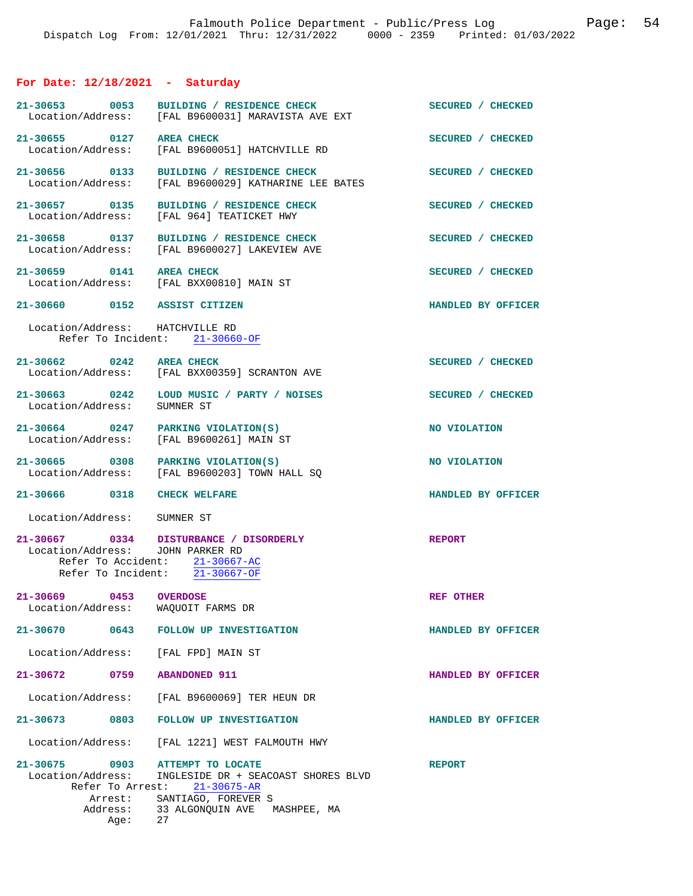## **For Date: 12/18/2021 - Saturday**

| 21-30653 0053<br>Location/Address:                                       | BUILDING / RESIDENCE CHECK<br>[FAL B9600031] MARAVISTA AVE EXT                                                                                | SECURED / CHECKED  |
|--------------------------------------------------------------------------|-----------------------------------------------------------------------------------------------------------------------------------------------|--------------------|
| 21-30655 0127<br>Location/Address:                                       | <b>AREA CHECK</b><br>[FAL B9600051] HATCHVILLE RD                                                                                             | SECURED / CHECKED  |
| 21-30656 0133<br>Location/Address:                                       | BUILDING / RESIDENCE CHECK<br>[FAL B9600029] KATHARINE LEE BATES                                                                              | SECURED / CHECKED  |
| 21-30657 0135<br>Location/Address:                                       | BUILDING / RESIDENCE CHECK<br>[FAL 964] TEATICKET HWY                                                                                         | SECURED / CHECKED  |
| 21-30658 0137<br>Location/Address:                                       | BUILDING / RESIDENCE CHECK<br>[FAL B9600027] LAKEVIEW AVE                                                                                     | SECURED / CHECKED  |
| 21-30659 0141 AREA CHECK                                                 | Location/Address: [FAL BXX00810] MAIN ST                                                                                                      | SECURED / CHECKED  |
| 21-30660 0152 ASSIST CITIZEN                                             |                                                                                                                                               | HANDLED BY OFFICER |
| Location/Address: HATCHVILLE RD                                          | Refer To Incident: 21-30660-OF                                                                                                                |                    |
| $21 - 30662$ 0242                                                        | <b>AREA CHECK</b><br>Location/Address: [FAL BXX00359] SCRANTON AVE                                                                            | SECURED / CHECKED  |
| Location/Address:                                                        | 21-30663 0242 LOUD MUSIC / PARTY / NOISES<br>SUMNER ST                                                                                        | SECURED / CHECKED  |
| 21-30664 0247 PARKING VIOLATION(S)                                       | Location/Address: [FAL B9600261] MAIN ST                                                                                                      | NO VIOLATION       |
|                                                                          | 21-30665 0308 PARKING VIOLATION(S)<br>Location/Address: [FAL B9600203] TOWN HALL SQ                                                           | NO VIOLATION       |
| 21-30666 0318 CHECK WELFARE                                              |                                                                                                                                               | HANDLED BY OFFICER |
| Location/Address: SUMNER ST                                              |                                                                                                                                               |                    |
| Location/Address: JOHN PARKER RD                                         | 21-30667 0334 DISTURBANCE / DISORDERLY<br>Refer To Accident: $21-30667-AC$<br>Refer To Incident: 21-30667-OF                                  | <b>REPORT</b>      |
| 21-30669<br>0453<br>Location/Address:                                    | <b>OVERDOSE</b><br>WAQUOIT FARMS DR                                                                                                           | REF OTHER          |
| 21-30670<br>0643                                                         | FOLLOW UP INVESTIGATION                                                                                                                       | HANDLED BY OFFICER |
| Location/Address: [FAL FPD] MAIN ST                                      |                                                                                                                                               |                    |
| 21-30672 0759 ABANDONED 911                                              |                                                                                                                                               | HANDLED BY OFFICER |
|                                                                          | Location/Address: [FAL B9600069] TER HEUN DR                                                                                                  |                    |
|                                                                          | 21-30673 0803 FOLLOW UP INVESTIGATION                                                                                                         | HANDLED BY OFFICER |
| Location/Address:                                                        | [FAL 1221] WEST FALMOUTH HWY                                                                                                                  |                    |
| $21 - 30675$<br>0903<br>Location/Address:<br>Refer To Arrest:<br>Arrest: | ATTEMPT TO LOCATE<br>INGLESIDE DR + SEACOAST SHORES BLVD<br>$21 - 30675 - AR$<br>SANTIAGO, FOREVER S<br>Address: 33 ALGONQUIN AVE MASHPEE, MA | <b>REPORT</b>      |
| Aqe:                                                                     | 27                                                                                                                                            |                    |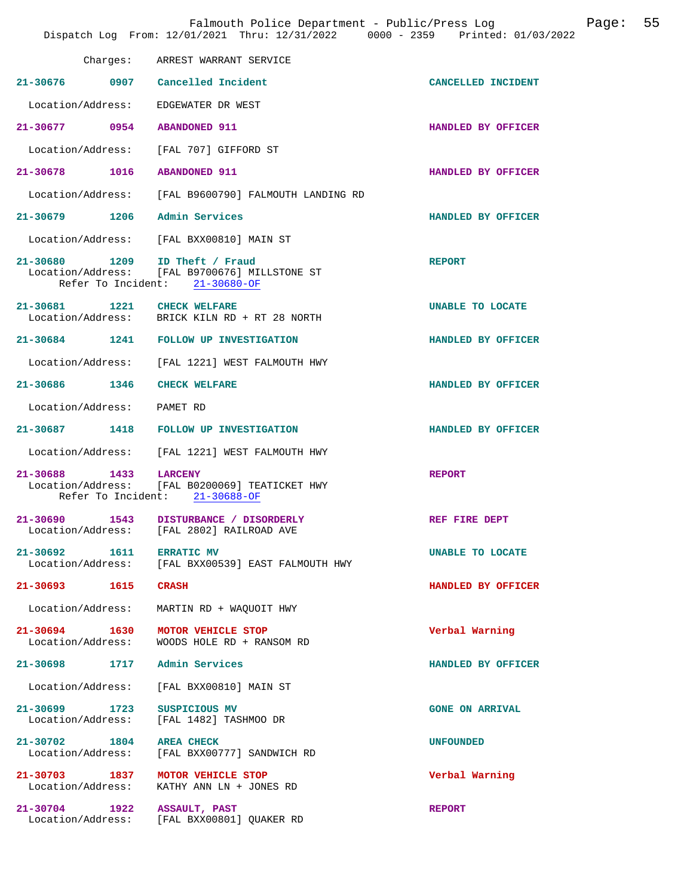|                                       | Falmouth Police Department - Public/Press Log<br>Dispatch Log From: 12/01/2021 Thru: 12/31/2022 0000 - 2359 Printed: 01/03/2022 |                         | Page: | 55 |
|---------------------------------------|---------------------------------------------------------------------------------------------------------------------------------|-------------------------|-------|----|
|                                       | Charges: ARREST WARRANT SERVICE                                                                                                 |                         |       |    |
|                                       | 21-30676 0907 Cancelled Incident                                                                                                | CANCELLED INCIDENT      |       |    |
|                                       | Location/Address: EDGEWATER DR WEST                                                                                             |                         |       |    |
| 21-30677 0954 ABANDONED 911           |                                                                                                                                 | HANDLED BY OFFICER      |       |    |
|                                       | Location/Address: [FAL 707] GIFFORD ST                                                                                          |                         |       |    |
| 21-30678 1016 ABANDONED 911           |                                                                                                                                 | HANDLED BY OFFICER      |       |    |
|                                       | Location/Address: [FAL B9600790] FALMOUTH LANDING RD                                                                            |                         |       |    |
| 21-30679 1206 Admin Services          |                                                                                                                                 | HANDLED BY OFFICER      |       |    |
| Location/Address:                     | [FAL BXX00810] MAIN ST                                                                                                          |                         |       |    |
|                                       | 21-30680 1209 ID Theft / Fraud<br>Location/Address: [FAL B9700676] MILLSTONE ST<br>Refer To Incident: 21-30680-OF               | <b>REPORT</b>           |       |    |
| 21-30681 1221 CHECK WELFARE           | Location/Address: BRICK KILN RD + RT 28 NORTH                                                                                   | UNABLE TO LOCATE        |       |    |
|                                       | 21-30684 1241 FOLLOW UP INVESTIGATION                                                                                           | HANDLED BY OFFICER      |       |    |
|                                       | Location/Address: [FAL 1221] WEST FALMOUTH HWY                                                                                  |                         |       |    |
| 21-30686 1346 CHECK WELFARE           |                                                                                                                                 | HANDLED BY OFFICER      |       |    |
| Location/Address: PAMET RD            |                                                                                                                                 |                         |       |    |
|                                       | 21-30687 1418 FOLLOW UP INVESTIGATION                                                                                           | HANDLED BY OFFICER      |       |    |
| Location/Address:                     | [FAL 1221] WEST FALMOUTH HWY                                                                                                    |                         |       |    |
| 21-30688 1433                         | <b>LARCENY</b><br>Location/Address: [FAL B0200069] TEATICKET HWY<br>Refer To Incident: 21-30688-OF                              | <b>REPORT</b>           |       |    |
| 21-30690<br>1543<br>Location/Address: | DISTURBANCE / DISORDERLY<br>[FAL 2802] RAILROAD AVE                                                                             | REF FIRE DEPT           |       |    |
| 21-30692 1611<br>Location/Address:    | <b>ERRATIC MV</b><br>[FAL BXX00539] EAST FALMOUTH HWY                                                                           | <b>UNABLE TO LOCATE</b> |       |    |
| 21-30693 1615                         | <b>CRASH</b>                                                                                                                    | HANDLED BY OFFICER      |       |    |
| Location/Address:                     | MARTIN RD + WAQUOIT HWY                                                                                                         |                         |       |    |
| 21-30694 1630<br>Location/Address:    | MOTOR VEHICLE STOP<br>WOODS HOLE RD + RANSOM RD                                                                                 | Verbal Warning          |       |    |
| 1717<br>$21 - 30698$                  | Admin Services                                                                                                                  | HANDLED BY OFFICER      |       |    |
| Location/Address:                     | [FAL BXX00810] MAIN ST                                                                                                          |                         |       |    |
| 21-30699 1723<br>Location/Address:    | SUSPICIOUS MV<br>[FAL 1482] TASHMOO DR                                                                                          | <b>GONE ON ARRIVAL</b>  |       |    |
| 21-30702 1804<br>Location/Address:    | <b>AREA CHECK</b><br>[FAL BXX00777] SANDWICH RD                                                                                 | <b>UNFOUNDED</b>        |       |    |
| 21-30703 1837<br>Location/Address:    | MOTOR VEHICLE STOP<br>KATHY ANN LN + JONES RD                                                                                   | Verbal Warning          |       |    |
| 21-30704 1922<br>Location/Address:    | ASSAULT, PAST<br>[FAL BXX00801] QUAKER RD                                                                                       | <b>REPORT</b>           |       |    |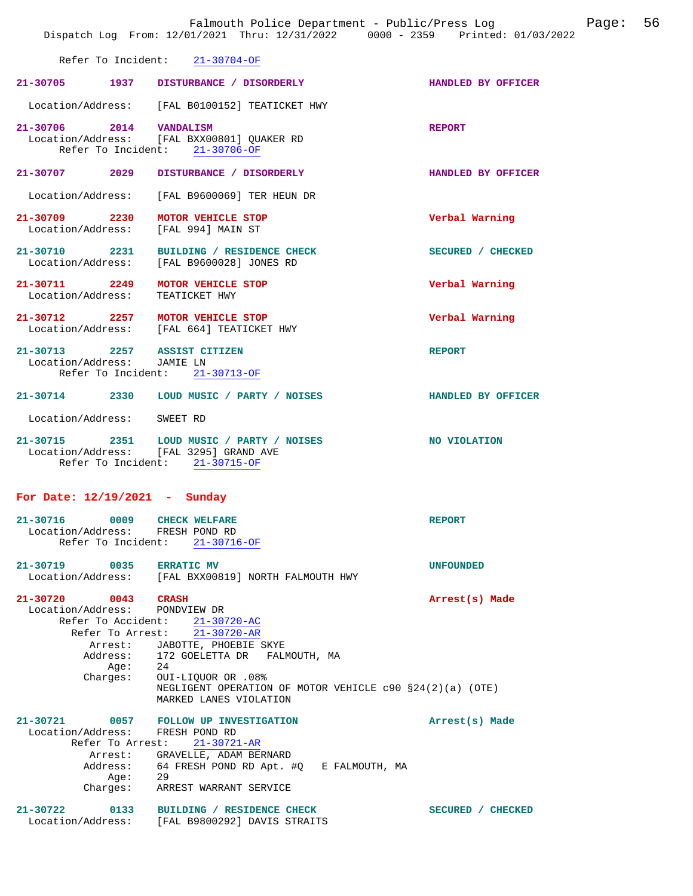|                                                                                  | Dispatch Log From: 12/01/2021 Thru: 12/31/2022 0000 - 2359 Printed: 01/03/2022                                                                                                                                                                                       |                    |
|----------------------------------------------------------------------------------|----------------------------------------------------------------------------------------------------------------------------------------------------------------------------------------------------------------------------------------------------------------------|--------------------|
|                                                                                  | Refer To Incident: 21-30704-OF                                                                                                                                                                                                                                       |                    |
|                                                                                  | 21-30705 1937 DISTURBANCE / DISORDERLY                                                                                                                                                                                                                               | HANDLED BY OFFICER |
|                                                                                  | Location/Address: [FAL B0100152] TEATICKET HWY                                                                                                                                                                                                                       |                    |
| 21-30706 2014 VANDALISM                                                          | Location/Address: [FAL BXX00801] QUAKER RD<br>Refer To Incident: 21-30706-OF                                                                                                                                                                                         | <b>REPORT</b>      |
| 21-30707 2029                                                                    | DISTURBANCE / DISORDERLY                                                                                                                                                                                                                                             | HANDLED BY OFFICER |
|                                                                                  | Location/Address: [FAL B9600069] TER HEUN DR                                                                                                                                                                                                                         |                    |
| 21-30709 2230 MOTOR VEHICLE STOP<br>Location/Address: [FAL 994] MAIN ST          |                                                                                                                                                                                                                                                                      | Verbal Warning     |
|                                                                                  | 21-30710 2231 BUILDING / RESIDENCE CHECK<br>Location/Address: [FAL B9600028] JONES RD                                                                                                                                                                                | SECURED / CHECKED  |
| 21-30711 2249<br>Location/Address: TEATICKET HWY                                 | MOTOR VEHICLE STOP                                                                                                                                                                                                                                                   | Verbal Warning     |
|                                                                                  | 21-30712 2257 MOTOR VEHICLE STOP<br>Location/Address: [FAL 664] TEATICKET HWY                                                                                                                                                                                        | Verbal Warning     |
| 21-30713 2257 ASSIST CITIZEN<br>Location/Address: JAMIE LN<br>Refer To Incident: | $21 - 30713 - OF$                                                                                                                                                                                                                                                    | <b>REPORT</b>      |
|                                                                                  | 21-30714 2330 LOUD MUSIC / PARTY / NOISES                                                                                                                                                                                                                            | HANDLED BY OFFICER |
| Location/Address: SWEET RD                                                       |                                                                                                                                                                                                                                                                      |                    |
|                                                                                  | 21-30715 2351 LOUD MUSIC / PARTY / NOISES<br>Location/Address: [FAL 3295] GRAND AVE<br>Refer To Incident: 21-30715-OF                                                                                                                                                | NO VIOLATION       |
| For Date: $12/19/2021$ - Sunday                                                  |                                                                                                                                                                                                                                                                      |                    |
| 21-30716<br>0009<br>Location/Address: FRESH POND RD<br>Refer To Incident:        | <b>CHECK WELFARE</b><br>$21 - 30716 - OF$                                                                                                                                                                                                                            | <b>REPORT</b>      |
| $21 - 30719$<br>0035                                                             | <b>ERRATIC MV</b><br>Location/Address: [FAL BXX00819] NORTH FALMOUTH HWY                                                                                                                                                                                             | <b>UNFOUNDED</b>   |
| 21-30720 0043 CRASH<br>Location/Address: PONDVIEW DR<br>Age: 24<br>Charges:      | Refer To Accident: 21-30720-AC<br>Refer To Arrest: $\overline{21-30720}$ -AR<br>Arrest: JABOTTE, PHOEBIE SKYE<br>Address: 172 GOELETTA DR FALMOUTH, MA<br>OUI-LIQUOR OR .08%<br>NEGLIGENT OPERATION OF MOTOR VEHICLE $c90 S24(2)(a)$ (OTE)<br>MARKED LANES VIOLATION | Arrest(s) Made     |
| Location/Address:<br>Refer To Arrest:<br>Arrest:<br>Address:<br>Aqe:<br>Charges: | 21-30721 0057 FOLLOW UP INVESTIGATION<br>FRESH POND RD<br>$21 - 30721 - AR$<br>GRAVELLE, ADAM BERNARD<br>64 FRESH POND RD Apt. #Q E FALMOUTH, MA<br>29<br>ARREST WARRANT SERVICE                                                                                     | Arrest(s) Made     |
| $21 - 30722$                                                                     | 0133 BUILDING / RESIDENCE CHECK<br>Location/Address: [FAL B9800292] DAVIS STRAITS                                                                                                                                                                                    | SECURED / CHECKED  |

Falmouth Police Department - Public/Press Log Page: 56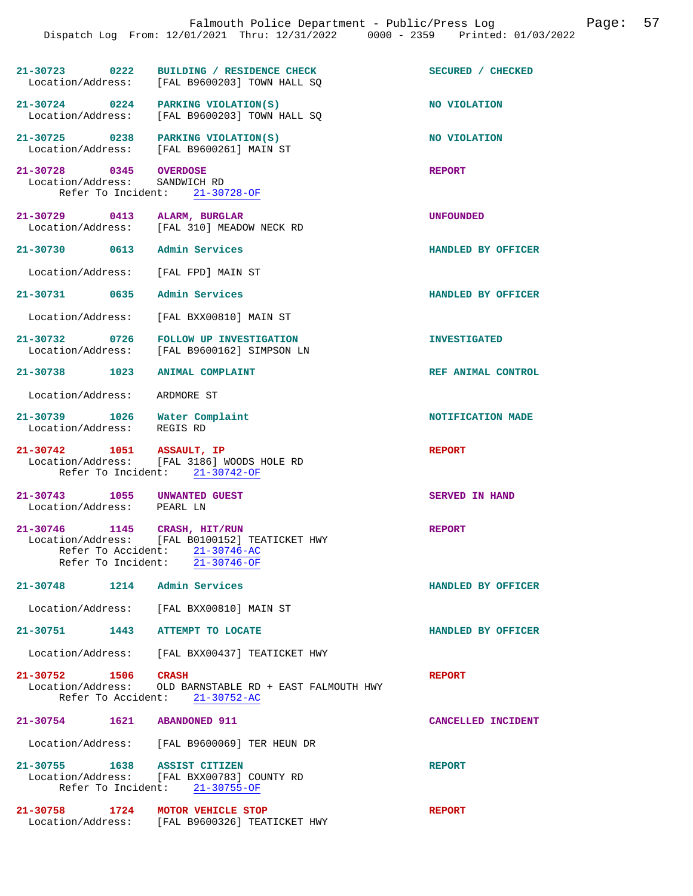|                                                         | Dispatch Log From: 12/01/2021 Thru: 12/31/2022 0000 - 2359 Printed: 01/03/2022                                                                         | Page: 57<br>Falmouth Police Department - Public/Press Log |  |
|---------------------------------------------------------|--------------------------------------------------------------------------------------------------------------------------------------------------------|-----------------------------------------------------------|--|
|                                                         |                                                                                                                                                        |                                                           |  |
|                                                         | 21-30723 0222 BUILDING / RESIDENCE CHECK<br>Location/Address: [FAL B9600203] TOWN HALL SQ                                                              | SECURED / CHECKED                                         |  |
|                                                         | 21-30724 0224 PARKING VIOLATION(S)<br>Location/Address: [FAL B9600203] TOWN HALL SQ                                                                    | NO VIOLATION                                              |  |
|                                                         | 21-30725 0238 PARKING VIOLATION(S)<br>Location/Address: [FAL B9600261] MAIN ST                                                                         | NO VIOLATION                                              |  |
| 21-30728 0345 OVERDOSE<br>Location/Address: SANDWICH RD | Refer To Incident: 21-30728-OF                                                                                                                         | <b>REPORT</b>                                             |  |
|                                                         | 21-30729 0413 ALARM, BURGLAR<br>Location/Address: [FAL 310] MEADOW NECK RD                                                                             | <b>UNFOUNDED</b>                                          |  |
|                                                         | 21-30730 0613 Admin Services                                                                                                                           | HANDLED BY OFFICER                                        |  |
|                                                         | Location/Address: [FAL FPD] MAIN ST                                                                                                                    |                                                           |  |
|                                                         | 21-30731 0635 Admin Services                                                                                                                           | HANDLED BY OFFICER                                        |  |
|                                                         | Location/Address: [FAL BXX00810] MAIN ST                                                                                                               |                                                           |  |
|                                                         | 21-30732 0726 FOLLOW UP INVESTIGATION<br>Location/Address: [FAL B9600162] SIMPSON LN                                                                   | <b>INVESTIGATED</b>                                       |  |
|                                                         | 21-30738 1023 ANIMAL COMPLAINT                                                                                                                         | REF ANIMAL CONTROL                                        |  |
| Location/Address: ARDMORE ST                            |                                                                                                                                                        |                                                           |  |
| Location/Address: REGIS RD                              | 21-30739 1026 Water Complaint                                                                                                                          | NOTIFICATION MADE                                         |  |
|                                                         | 21-30742 1051 ASSAULT, IP<br>Location/Address: [FAL 3186] WOODS HOLE RD<br>Refer To Incident: 21-30742-OF                                              | <b>REPORT</b>                                             |  |
| Location/Address: PEARL LN                              | 21-30743 1055 UNWANTED GUEST                                                                                                                           | SERVED IN HAND                                            |  |
| 21-30746                                                | 1145 CRASH, HIT/RUN<br>Location/Address: [FAL B0100152] TEATICKET HWY<br>Refer To Accident: 21-30746-AC<br>Refer To Incident: $\overline{21-30746-OF}$ | <b>REPORT</b>                                             |  |
|                                                         | 21-30748 1214 Admin Services                                                                                                                           | HANDLED BY OFFICER                                        |  |
| Location/Address:                                       | [FAL BXX00810] MAIN ST                                                                                                                                 |                                                           |  |
| 21-30751<br>1443                                        | <b>ATTEMPT TO LOCATE</b>                                                                                                                               | HANDLED BY OFFICER                                        |  |
| Location/Address:                                       | [FAL BXX00437] TEATICKET HWY                                                                                                                           |                                                           |  |
| 21-30752 1506 CRASH                                     | Location/Address: OLD BARNSTABLE RD + EAST FALMOUTH HWY<br>Refer To Accident: 21-30752-AC                                                              | <b>REPORT</b>                                             |  |
|                                                         | 21-30754 1621 ABANDONED 911                                                                                                                            | CANCELLED INCIDENT                                        |  |
|                                                         | Location/Address: [FAL B9600069] TER HEUN DR                                                                                                           |                                                           |  |
|                                                         | 21-30755 1638 ASSIST CITIZEN<br>Location/Address: [FAL BXX00783] COUNTY RD<br>Refer To Incident: 21-30755-OF                                           | <b>REPORT</b>                                             |  |
| 21-30758                                                | 1724 MOTOR VEHICLE STOP<br>Location/Address: [FAL B9600326] TEATICKET HWY                                                                              | <b>REPORT</b>                                             |  |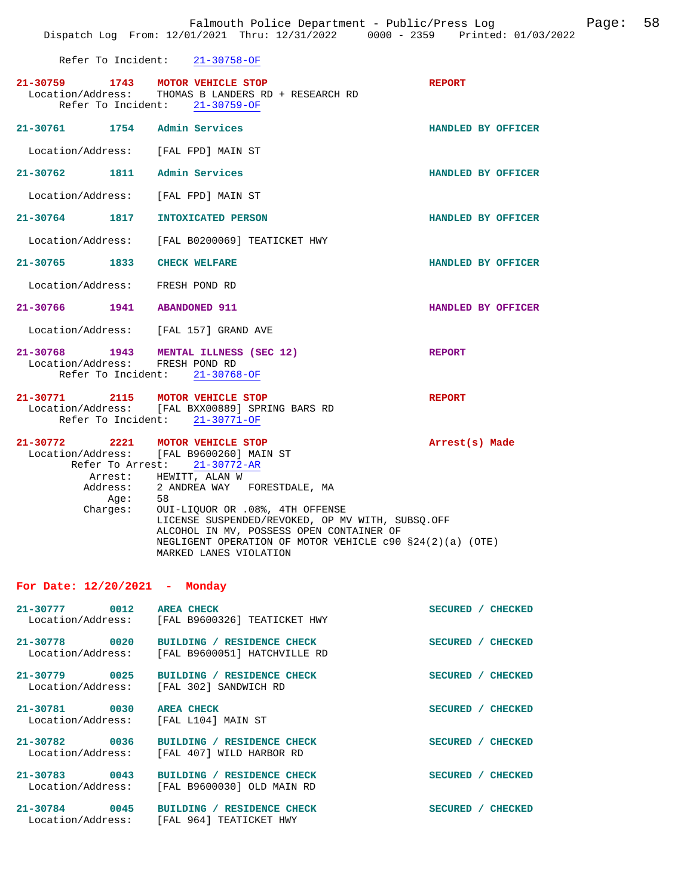|                                       | Refer To Incident: 21-30758-OF |                                                                                                                                                                                                                                                               |                    |
|---------------------------------------|--------------------------------|---------------------------------------------------------------------------------------------------------------------------------------------------------------------------------------------------------------------------------------------------------------|--------------------|
| 21-30759 1743 MOTOR VEHICLE STOP      | Refer To Incident: 21-30759-OF | Location/Address: THOMAS B LANDERS RD + RESEARCH RD                                                                                                                                                                                                           | <b>REPORT</b>      |
| 21-30761 1754 Admin Services          |                                |                                                                                                                                                                                                                                                               | HANDLED BY OFFICER |
| Location/Address: [FAL FPD] MAIN ST   |                                |                                                                                                                                                                                                                                                               |                    |
| 21-30762 1811 Admin Services          |                                |                                                                                                                                                                                                                                                               | HANDLED BY OFFICER |
| Location/Address: [FAL FPD] MAIN ST   |                                |                                                                                                                                                                                                                                                               |                    |
| 21-30764 1817 INTOXICATED PERSON      |                                |                                                                                                                                                                                                                                                               | HANDLED BY OFFICER |
|                                       |                                | Location/Address: [FAL B0200069] TEATICKET HWY                                                                                                                                                                                                                |                    |
| 21-30765 1833 CHECK WELFARE           |                                |                                                                                                                                                                                                                                                               | HANDLED BY OFFICER |
| Location/Address: FRESH POND RD       |                                |                                                                                                                                                                                                                                                               |                    |
| 21-30766 1941 ABANDONED 911           |                                |                                                                                                                                                                                                                                                               | HANDLED BY OFFICER |
| Location/Address: [FAL 157] GRAND AVE |                                |                                                                                                                                                                                                                                                               |                    |
| Location/Address: FRESH POND RD       | Refer To Incident: 21-30768-OF | 21-30768 1943 MENTAL ILLNESS (SEC 12)                                                                                                                                                                                                                         | <b>REPORT</b>      |
| 21-30771 2115 MOTOR VEHICLE STOP      | Refer To Incident: 21-30771-OF | Location/Address: [FAL BXX00889] SPRING BARS RD                                                                                                                                                                                                               | <b>REPORT</b>      |
| 21-30772 2221 MOTOR VEHICLE STOP      | Refer To Arrest: 21-30772-AR   | Location/Address: [FAL B9600260] MAIN ST                                                                                                                                                                                                                      | Arrest(s) Made     |
| Charges:                              | Age: 58                        | Arrest: HEWITT, ALAN W<br>Address: 2 ANDREA WAY FORESTDALE, MA<br>OUI-LIQUOR OR .08%, 4TH OFFENSE<br>LICENSE SUSPENDED/REVOKED, OP MV WITH, SUBSQ.OFF<br>ALCOHOL IN MV, POSSESS OPEN CONTAINER OF<br>NEGLIGENT OPERATION OF MOTOR VEHICLE c90 §24(2)(a) (OTE) |                    |

## **For Date: 12/20/2021 - Monday**

MARKED LANES VIOLATION

| 21-30777<br>0012     | <b>AREA CHECK</b>                         | <b>SECURED</b><br><b>CHECKED</b> |
|----------------------|-------------------------------------------|----------------------------------|
| Location/Address:    | [FAL B9600326] TEATICKET HWY              |                                  |
| 21-30778<br>0020     | BUILDING / RESIDENCE CHECK                | <b>SECURED</b><br><b>CHECKED</b> |
| Location/Address:    | [FAL B9600051] HATCHVILLE RD              |                                  |
| $21 - 30779$<br>0025 | BUILDING / RESIDENCE CHECK                | <b>SECURED</b><br><b>CHECKED</b> |
| Location/Address:    | [FAL 302] SANDWICH RD                     |                                  |
| $21 - 30781$<br>0030 | <b>AREA CHECK</b>                         | <b>SECURED</b><br><b>CHECKED</b> |
| Location/Address:    | [FAL L104] MAIN ST                        |                                  |
| 0036<br>$21 - 30782$ | <b>RESIDENCE CHECK</b><br><b>BUILDING</b> | <b>SECURED</b><br><b>CHECKED</b> |
| Location/Address:    | FAL 4071 WILD HARBOR RD                   |                                  |
| $21 - 30783$<br>0043 | BUILDING / RESIDENCE CHECK                | <b>SECURED</b><br><b>CHECKED</b> |
| Location/Address:    | [FAL B9600030] OLD MAIN RD                |                                  |
| $21 - 30784$<br>0045 | <b>RESIDENCE CHECK</b><br><b>BUILDING</b> | <b>SECURED</b><br><b>CHECKED</b> |
| Location/Address:    | [FAL 964] TEATICKET HWY                   |                                  |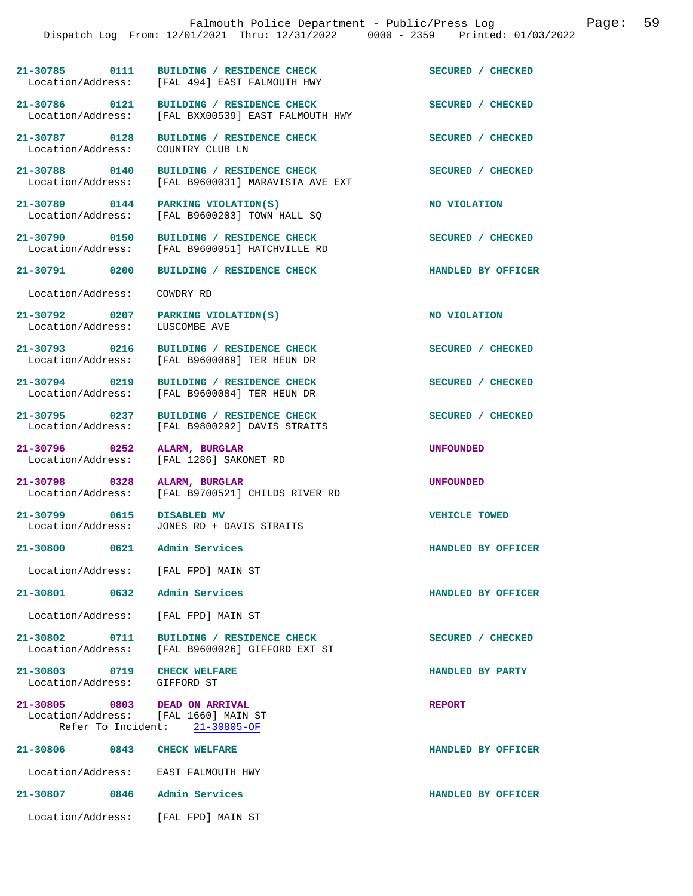|                                                             | Dispatch Log From: 12/01/2021 Thru: 12/31/2022 0000 - 2359 Printed: 01/03/2022              |                    |
|-------------------------------------------------------------|---------------------------------------------------------------------------------------------|--------------------|
|                                                             | 21-30785 0111 BUILDING / RESIDENCE CHECK<br>Location/Address: [FAL 494] EAST FALMOUTH HWY   | SECURED / CHECKED  |
| Location/Address:                                           | 21-30786 0121 BUILDING / RESIDENCE CHECK<br>[FAL BXX00539] EAST FALMOUTH HWY                | SECURED / CHECKED  |
| 21-30787 0128<br>Location/Address:                          | BUILDING / RESIDENCE CHECK<br>COUNTRY CLUB LN                                               | SECURED / CHECKED  |
| Location/Address:                                           | 21-30788 0140 BUILDING / RESIDENCE CHECK<br>[FAL B9600031] MARAVISTA AVE EXT                | SECURED / CHECKED  |
| Location/Address:                                           | 21-30789 0144 PARKING VIOLATION(S)<br>[FAL B9600203] TOWN HALL SQ                           | NO VIOLATION       |
|                                                             | 21-30790 0150 BUILDING / RESIDENCE CHECK<br>Location/Address: [FAL B9600051] HATCHVILLE RD  | SECURED / CHECKED  |
| 21-30791 0200                                               | BUILDING / RESIDENCE CHECK                                                                  | HANDLED BY OFFICER |
| Location/Address:                                           | COWDRY RD                                                                                   |                    |
| Location/Address:                                           | 21-30792 0207 PARKING VIOLATION(S)<br>LUSCOMBE AVE                                          | NO VIOLATION       |
| Location/Address:                                           | 21-30793 0216 BUILDING / RESIDENCE CHECK<br>[FAL B9600069] TER HEUN DR                      | SECURED / CHECKED  |
| 21-30794 0219<br>Location/Address:                          | BUILDING / RESIDENCE CHECK<br>[FAL B9600084] TER HEUN DR                                    | SECURED / CHECKED  |
| 21-30795 0237<br>Location/Address:                          | BUILDING / RESIDENCE CHECK<br>[FAL B9800292] DAVIS STRAITS                                  | SECURED / CHECKED  |
| 21-30796 0252<br>Location/Address:                          | ALARM, BURGLAR<br>[FAL 1286] SAKONET RD                                                     | <b>UNFOUNDED</b>   |
| 21-30798 0328                                               | ALARM, BURGLAR<br>Location/Address: [FAL B9700521] CHILDS RIVER RD                          | <b>UNFOUNDED</b>   |
| 21-30799 0615 DISABLED MV                                   | Location/Address: JONES RD + DAVIS STRAITS                                                  | VEHICLE TOWED      |
| 21-30800 0621 Admin Services                                |                                                                                             | HANDLED BY OFFICER |
|                                                             | Location/Address: [FAL FPD] MAIN ST                                                         |                    |
| 21-30801 0632 Admin Services                                |                                                                                             | HANDLED BY OFFICER |
|                                                             | Location/Address: [FAL FPD] MAIN ST                                                         |                    |
|                                                             | 21-30802 0711 BUILDING / RESIDENCE CHECK<br>Location/Address: [FAL B9600026] GIFFORD EXT ST | SECURED / CHECKED  |
| 21-30803 0719 CHECK WELFARE<br>Location/Address: GIFFORD ST |                                                                                             | HANDLED BY PARTY   |
| 21-30805 0803 DEAD ON ARRIVAL                               | Location/Address: [FAL 1660] MAIN ST<br>Refer To Incident: 21-30805-OF                      | <b>REPORT</b>      |
| 21-30806 0843 CHECK WELFARE                                 |                                                                                             | HANDLED BY OFFICER |
|                                                             | Location/Address: EAST FALMOUTH HWY                                                         |                    |
| 21-30807 0846 Admin Services                                |                                                                                             | HANDLED BY OFFICER |
|                                                             | Location/Address: [FAL FPD] MAIN ST                                                         |                    |

Falmouth Police Department - Public/Press Log Page: 59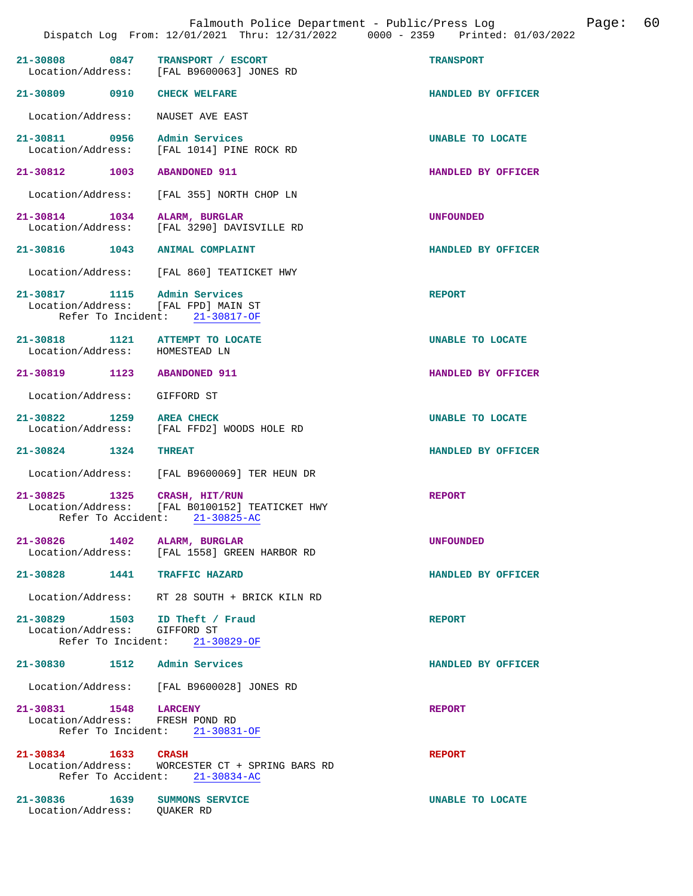| 21-30808 0847 TRANSPORT / ESCORT                                    | Location/Address: [FAL B9600063] JONES RD                                           | <b>TRANSPORT</b>   |
|---------------------------------------------------------------------|-------------------------------------------------------------------------------------|--------------------|
| 21-30809 0910 CHECK WELFARE                                         |                                                                                     | HANDLED BY OFFICER |
| Location/Address: NAUSET AVE EAST                                   |                                                                                     |                    |
| 21-30811 0956 Admin Services                                        | Location/Address: [FAL 1014] PINE ROCK RD                                           | UNABLE TO LOCATE   |
| 21-30812 1003                                                       | <b>ABANDONED 911</b>                                                                | HANDLED BY OFFICER |
|                                                                     | Location/Address: [FAL 355] NORTH CHOP LN                                           |                    |
| 21-30814 1034 ALARM, BURGLAR                                        | Location/Address: [FAL 3290] DAVISVILLE RD                                          | UNFOUNDED          |
| 21-30816 1043 ANIMAL COMPLAINT                                      |                                                                                     | HANDLED BY OFFICER |
|                                                                     | Location/Address: [FAL 860] TEATICKET HWY                                           |                    |
| 21-30817 1115 Admin Services<br>Location/Address: [FAL FPD] MAIN ST | Refer To Incident: 21-30817-OF                                                      | <b>REPORT</b>      |
| 21-30818 1121 ATTEMPT TO LOCATE<br>Location/Address: HOMESTEAD LN   |                                                                                     | UNABLE TO LOCATE   |
| 21-30819 1123 ABANDONED 911                                         |                                                                                     | HANDLED BY OFFICER |
| Location/Address: GIFFORD ST                                        |                                                                                     |                    |
| 21-30822 1259 AREA CHECK                                            | Location/Address: [FAL FFD2] WOODS HOLE RD                                          | UNABLE TO LOCATE   |
| 21-30824 1324                                                       | <b>THREAT</b>                                                                       | HANDLED BY OFFICER |
|                                                                     | Location/Address: [FAL B9600069] TER HEUN DR                                        |                    |
| 21-30825 1325 CRASH, HIT/RUN                                        | Location/Address: [FAL B0100152] TEATICKET HWY<br>Refer To Accident: 21-30825-AC    | REPORT             |
| 21-30826 1402 ALARM, BURGLAR<br>Location/Address:                   | [FAL 1558] GREEN HARBOR RD                                                          | <b>UNFOUNDED</b>   |
| 21-30828 1441 TRAFFIC HAZARD                                        |                                                                                     | HANDLED BY OFFICER |
|                                                                     | Location/Address: RT 28 SOUTH + BRICK KILN RD                                       |                    |
| 21-30829 1503 ID Theft / Fraud<br>Location/Address: GIFFORD ST      | Refer To Incident: 21-30829-OF                                                      | <b>REPORT</b>      |
| 21-30830 1512 Admin Services                                        |                                                                                     | HANDLED BY OFFICER |
|                                                                     | Location/Address: [FAL B9600028] JONES RD                                           |                    |
| 21-30831 1548 LARCENY<br>Location/Address: FRESH POND RD            | Refer To Incident: 21-30831-OF                                                      | <b>REPORT</b>      |
| 21-30834 1633 CRASH                                                 | Location/Address: WORCESTER CT + SPRING BARS RD<br>Refer To Accident: $21-30834-AC$ | <b>REPORT</b>      |
| 21-30836 1639 SUMMONS SERVICE                                       |                                                                                     | UNABLE TO LOCATE   |

Location/Address: QUAKER RD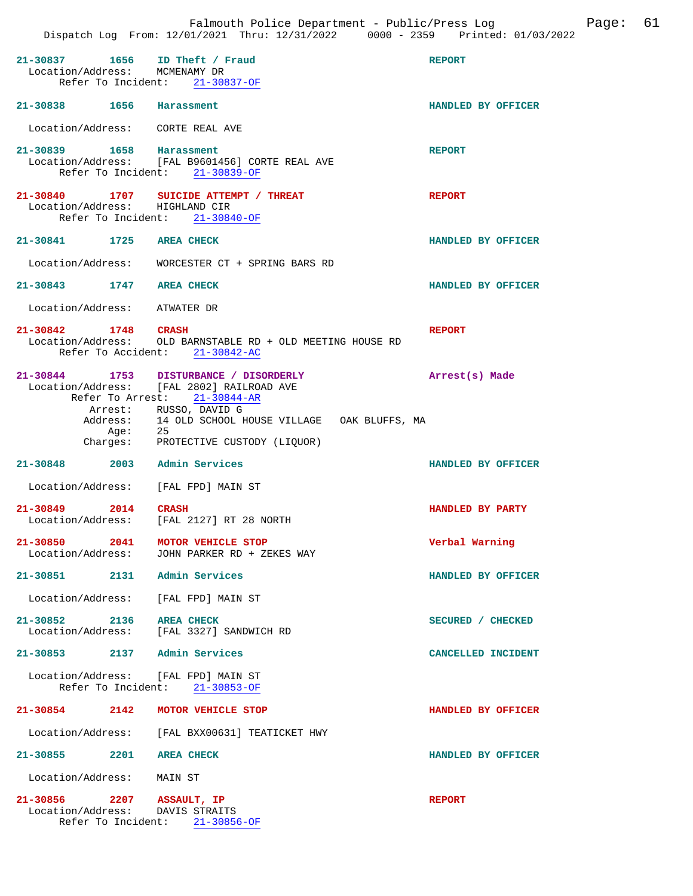|                                                                 |                                                                                                                               | Falmouth Police Department - Public/Press Log<br>Dispatch Log From: 12/01/2021 Thru: 12/31/2022 0000 - 2359 Printed: 01/03/2022 | Page: 61 |  |
|-----------------------------------------------------------------|-------------------------------------------------------------------------------------------------------------------------------|---------------------------------------------------------------------------------------------------------------------------------|----------|--|
| 21-30837 1656 ID Theft / Fraud<br>Location/Address: MCMENAMY DR | Refer To Incident: 21-30837-OF                                                                                                | <b>REPORT</b>                                                                                                                   |          |  |
| 21-30838 1656 Harassment                                        |                                                                                                                               | HANDLED BY OFFICER                                                                                                              |          |  |
| Location/Address: CORTE REAL AVE                                |                                                                                                                               |                                                                                                                                 |          |  |
| 21-30839 1658 Harassment                                        | Location/Address: [FAL B9601456] CORTE REAL AVE<br>Refer To Incident: 21-30839-OF                                             | <b>REPORT</b>                                                                                                                   |          |  |
| Refer To Incident: 21-30840-OF                                  | 21-30840 1707 SUICIDE ATTEMPT / THREAT<br>Location/Address: HIGHLAND CIR                                                      | <b>REPORT</b>                                                                                                                   |          |  |
| 21-30841 1725 AREA CHECK                                        |                                                                                                                               | HANDLED BY OFFICER                                                                                                              |          |  |
|                                                                 | Location/Address: WORCESTER CT + SPRING BARS RD                                                                               |                                                                                                                                 |          |  |
| 21-30843 1747 AREA CHECK                                        |                                                                                                                               | HANDLED BY OFFICER                                                                                                              |          |  |
| Location/Address: ATWATER DR                                    |                                                                                                                               |                                                                                                                                 |          |  |
| 21-30842 1748 CRASH                                             | Location/Address: OLD BARNSTABLE RD + OLD MEETING HOUSE RD<br>Refer To Accident: 21-30842-AC                                  | <b>REPORT</b>                                                                                                                   |          |  |
|                                                                 | 21-30844 1753 DISTURBANCE / DISORDERLY<br>Location/Address: [FAL 2802] RAILROAD AVE<br>Refer To Arrest: 21-30844-AR           | Arrest(s) Made                                                                                                                  |          |  |
| Age:                                                            | Arrest: RUSSO, DAVID G<br>Address: 14 OLD SCHOOL HOUSE VILLAGE OAK BLUFFS, MA<br>- 25<br>Charges: PROTECTIVE CUSTODY (LIQUOR) |                                                                                                                                 |          |  |
| 21-30848 2003 Admin Services                                    |                                                                                                                               | HANDLED BY OFFICER                                                                                                              |          |  |
| Location/Address: [FAL FPD] MAIN ST                             |                                                                                                                               |                                                                                                                                 |          |  |
| 21-30849<br>2014                                                | <b>CRASH</b><br>Location/Address: [FAL 2127] RT 28 NORTH                                                                      | HANDLED BY PARTY                                                                                                                |          |  |
| 21-30850 2041<br>Location/Address:                              | MOTOR VEHICLE STOP<br>JOHN PARKER RD + ZEKES WAY                                                                              | Verbal Warning                                                                                                                  |          |  |
| 21-30851 2131 Admin Services                                    |                                                                                                                               | HANDLED BY OFFICER                                                                                                              |          |  |
| Location/Address: [FAL FPD] MAIN ST                             |                                                                                                                               |                                                                                                                                 |          |  |
| 21-30852 2136 AREA CHECK                                        | Location/Address: [FAL 3327] SANDWICH RD                                                                                      | SECURED / CHECKED                                                                                                               |          |  |
| 21-30853 2137 Admin Services                                    |                                                                                                                               | CANCELLED INCIDENT                                                                                                              |          |  |
| Location/Address: [FAL FPD] MAIN ST                             | Refer To Incident: 21-30853-OF                                                                                                |                                                                                                                                 |          |  |
|                                                                 | 21-30854 2142 MOTOR VEHICLE STOP                                                                                              | HANDLED BY OFFICER                                                                                                              |          |  |
|                                                                 | Location/Address: [FAL BXX00631] TEATICKET HWY                                                                                |                                                                                                                                 |          |  |
| 21-30855 2201 AREA CHECK                                        |                                                                                                                               | HANDLED BY OFFICER                                                                                                              |          |  |
| Location/Address: MAIN ST                                       |                                                                                                                               |                                                                                                                                 |          |  |
| 21-30856 2207 ASSAULT, IP<br>Location/Address: DAVIS STRAITS    | Refer To Incident: 21-30856-OF                                                                                                | <b>REPORT</b>                                                                                                                   |          |  |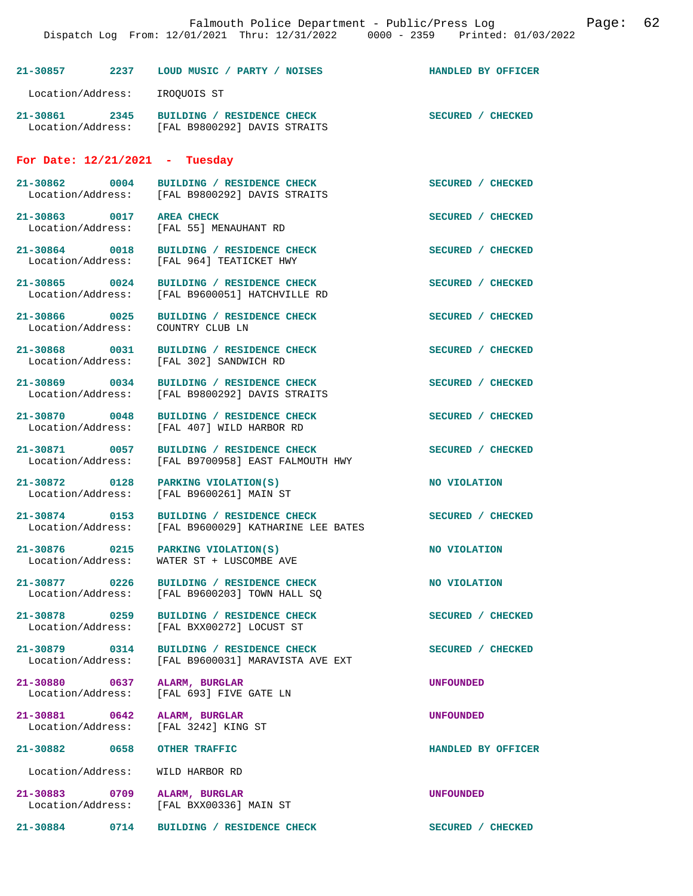| Falmouth Police Department - Public/Press Log<br>Dispatch Log From: 12/01/2021 Thru: 12/31/2022 0000 - 2359 Printed: 01/03/2022 |      |                                                                                            |                    | Page: | 62 |
|---------------------------------------------------------------------------------------------------------------------------------|------|--------------------------------------------------------------------------------------------|--------------------|-------|----|
| $21 - 30857$                                                                                                                    | 2237 | LOUD MUSIC / PARTY / NOISES                                                                | HANDLED BY OFFICER |       |    |
| Location/Address:                                                                                                               |      | IROOUOIS ST                                                                                |                    |       |    |
|                                                                                                                                 |      | 21-30861 2345 BUILDING / RESIDENCE CHECK<br>Location/Address: [FAL B9800292] DAVIS STRAITS | SECURED / CHECKED  |       |    |
| For Date: $12/21/2021$ - Tuesday                                                                                                |      |                                                                                            |                    |       |    |
| 21-30862 0004                                                                                                                   |      | BUILDING / RESIDENCE CHECK<br>Location/Address: [FAL B9800292] DAVIS STRAITS               | SECURED / CHECKED  |       |    |
| 21-30863 0017                                                                                                                   |      | <b>AREA CHECK</b><br>Location/Address: [FAL 55] MENAUHANT RD                               | SECURED / CHECKED  |       |    |
| 21-30864 0018                                                                                                                   |      | BUILDING / RESIDENCE CHECK<br>Location/Address: [FAL 964] TEATICKET HWY                    | SECURED / CHECKED  |       |    |
| 21-30865 0024<br>Location/Address:                                                                                              |      | BUILDING / RESIDENCE CHECK<br>[FAL B9600051] HATCHVILLE RD                                 | SECURED / CHECKED  |       |    |
| 21-30866 0025<br>Location/Address:                                                                                              |      | BUILDING / RESIDENCE CHECK<br>COUNTRY CLUB LN                                              | SECURED / CHECKED  |       |    |
| 21-30868 0031<br>Location/Address:                                                                                              |      | BUILDING / RESIDENCE CHECK<br>[FAL 302] SANDWICH RD                                        | SECURED / CHECKED  |       |    |
| 21-30869 0034                                                                                                                   |      | BUILDING / RESIDENCE CHECK<br>Location/Address: [FAL B9800292] DAVIS STRAITS               | SECURED / CHECKED  |       |    |
| 21-30870 0048<br>Location/Address:                                                                                              |      | BUILDING / RESIDENCE CHECK<br>[FAL 407] WILD HARBOR RD                                     | SECURED / CHECKED  |       |    |
| 21-30871 0057                                                                                                                   |      | BUILDING / RESIDENCE CHECK<br>Location/Address: [FAL B9700958] EAST FALMOUTH HWY           | SECURED / CHECKED  |       |    |
| 21-30872 0128<br>Location/Address:                                                                                              |      | PARKING VIOLATION(S)<br>[FAL B9600261] MAIN ST                                             | NO VIOLATION       |       |    |
| $21 - 30874$<br>Location/Address:                                                                                               | 0153 | BUILDING / RESIDENCE CHECK<br>[FAL B9600029] KATHARINE LEE BATES                           | SECURED / CHECKED  |       |    |
| 21-30876 0215<br>Location/Address:                                                                                              |      | PARKING VIOLATION(S)<br>WATER ST + LUSCOMBE AVE                                            | NO VIOLATION       |       |    |
| 21-30877 0226<br>Location/Address:                                                                                              |      | BUILDING / RESIDENCE CHECK<br>[FAL B9600203] TOWN HALL SO                                  | NO VIOLATION       |       |    |
| 21-30878 0259<br>Location/Address:                                                                                              |      | BUILDING / RESIDENCE CHECK<br>[FAL BXX00272] LOCUST ST                                     | SECURED / CHECKED  |       |    |
| 21-30879 0314<br>Location/Address:                                                                                              |      | BUILDING / RESIDENCE CHECK<br>[FAL B9600031] MARAVISTA AVE EXT                             | SECURED / CHECKED  |       |    |
| 21-30880 0637<br>Location/Address:                                                                                              |      | ALARM, BURGLAR<br>[FAL 693] FIVE GATE LN                                                   | <b>UNFOUNDED</b>   |       |    |
| 21-30881 0642<br>Location/Address:                                                                                              |      | ALARM, BURGLAR<br>[FAL 3242] KING ST                                                       | <b>UNFOUNDED</b>   |       |    |
| 21-30882 0658                                                                                                                   |      | OTHER TRAFFIC                                                                              | HANDLED BY OFFICER |       |    |
| Location/Address:                                                                                                               |      | WILD HARBOR RD                                                                             |                    |       |    |
| 21-30883 0709<br>Location/Address:                                                                                              |      | ALARM, BURGLAR<br>[FAL BXX00336] MAIN ST                                                   | <b>UNFOUNDED</b>   |       |    |
| 21-30884                                                                                                                        | 0714 | BUILDING / RESIDENCE CHECK                                                                 | SECURED / CHECKED  |       |    |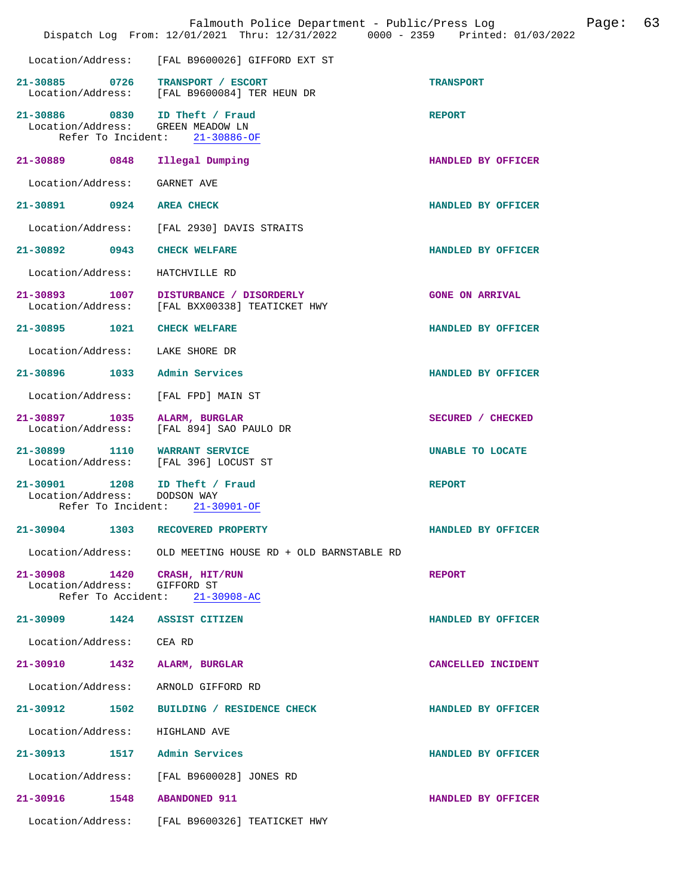|                                 |      | Falmouth Police Department - Public/Press Log<br>Dispatch Log From: 12/01/2021 Thru: 12/31/2022 0000 - 2359 Printed: 01/03/2022 |                         | Page: | 63 |
|---------------------------------|------|---------------------------------------------------------------------------------------------------------------------------------|-------------------------|-------|----|
|                                 |      | Location/Address: [FAL B9600026] GIFFORD EXT ST                                                                                 |                         |       |    |
|                                 |      | 21-30885 0726 TRANSPORT / ESCORT<br>Location/Address: [FAL B9600084] TER HEUN DR                                                | <b>TRANSPORT</b>        |       |    |
|                                 |      | 21-30886 0830 ID Theft / Fraud<br>Location/Address: GREEN MEADOW LN<br>Refer To Incident: 21-30886-OF                           | <b>REPORT</b>           |       |    |
|                                 |      | 21-30889 0848 Illegal Dumping                                                                                                   | HANDLED BY OFFICER      |       |    |
| Location/Address: GARNET AVE    |      |                                                                                                                                 |                         |       |    |
| 21-30891 0924 AREA CHECK        |      |                                                                                                                                 | HANDLED BY OFFICER      |       |    |
|                                 |      | Location/Address: [FAL 2930] DAVIS STRAITS                                                                                      |                         |       |    |
| 21-30892 0943 CHECK WELFARE     |      |                                                                                                                                 | HANDLED BY OFFICER      |       |    |
| Location/Address:               |      | HATCHVILLE RD                                                                                                                   |                         |       |    |
|                                 |      | 21-30893 1007 DISTURBANCE / DISORDERLY<br>Location/Address: [FAL BXX00338] TEATICKET HWY                                        | <b>GONE ON ARRIVAL</b>  |       |    |
| 21-30895 1021                   |      | <b>CHECK WELFARE</b>                                                                                                            | HANDLED BY OFFICER      |       |    |
| Location/Address: LAKE SHORE DR |      |                                                                                                                                 |                         |       |    |
|                                 |      | 21-30896 1033 Admin Services                                                                                                    | HANDLED BY OFFICER      |       |    |
| Location/Address:               |      | [FAL FPD] MAIN ST                                                                                                               |                         |       |    |
|                                 |      | 21-30897 1035 ALARM, BURGLAR<br>Location/Address: [FAL 894] SAO PAULO DR                                                        | SECURED / CHECKED       |       |    |
|                                 |      | 21-30899 1110 WARRANT SERVICE<br>Location/Address: [FAL 396] LOCUST ST                                                          | <b>UNABLE TO LOCATE</b> |       |    |
| Location/Address: DODSON WAY    |      | 21-30901 1208 ID Theft / Fraud<br>Refer To Incident: 21-30901-OF                                                                | <b>REPORT</b>           |       |    |
| 21-30904                        | 1303 | RECOVERED PROPERTY                                                                                                              | HANDLED BY OFFICER      |       |    |
|                                 |      | Location/Address: OLD MEETING HOUSE RD + OLD BARNSTABLE RD                                                                      |                         |       |    |
| Location/Address:               |      | 21-30908 1420 CRASH, HIT/RUN<br>GIFFORD ST<br>Refer To Accident: 21-30908-AC                                                    | <b>REPORT</b>           |       |    |
|                                 |      | 21-30909 1424 ASSIST CITIZEN                                                                                                    | HANDLED BY OFFICER      |       |    |
| Location/Address: CEA RD        |      |                                                                                                                                 |                         |       |    |
|                                 |      | 21-30910 1432 ALARM, BURGLAR                                                                                                    | CANCELLED INCIDENT      |       |    |
| Location/Address:               |      | ARNOLD GIFFORD RD                                                                                                               |                         |       |    |
|                                 |      | 21-30912 1502 BUILDING / RESIDENCE CHECK                                                                                        | HANDLED BY OFFICER      |       |    |
| Location/Address:               |      | HIGHLAND AVE                                                                                                                    |                         |       |    |
|                                 |      | 21-30913 1517 Admin Services                                                                                                    | HANDLED BY OFFICER      |       |    |
|                                 |      | Location/Address: [FAL B9600028] JONES RD                                                                                       |                         |       |    |
| 21-30916 1548 ABANDONED 911     |      |                                                                                                                                 | HANDLED BY OFFICER      |       |    |
|                                 |      | Location/Address: [FAL B9600326] TEATICKET HWY                                                                                  |                         |       |    |
|                                 |      |                                                                                                                                 |                         |       |    |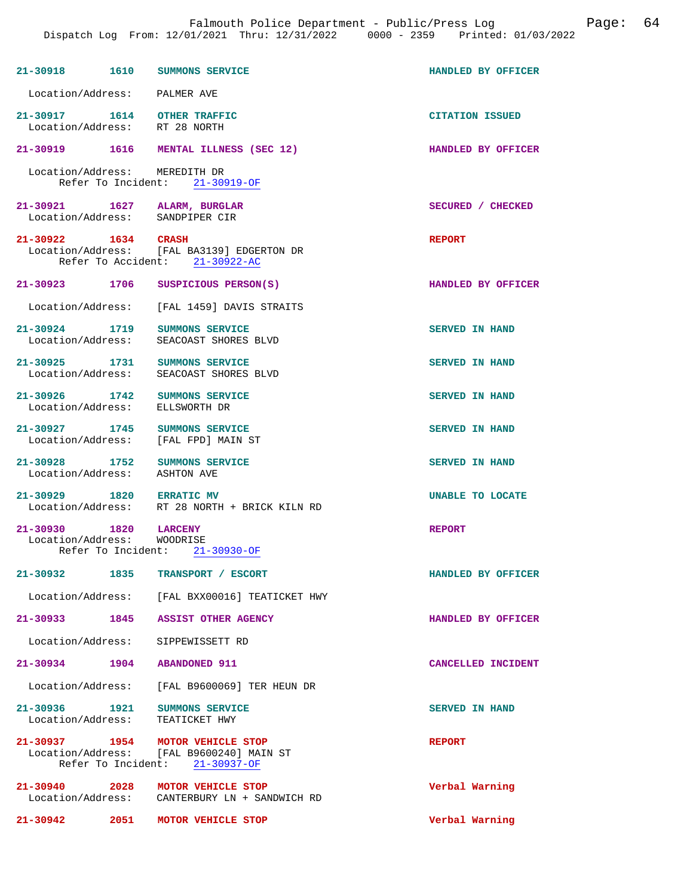| 21-30918                                                         | 1610 SUMMONS SERVICE                                                                                           | HANDLED BY OFFICER     |
|------------------------------------------------------------------|----------------------------------------------------------------------------------------------------------------|------------------------|
| Location/Address: PALMER AVE                                     |                                                                                                                |                        |
| 21-30917   1614   OTHER TRAFFIC<br>Location/Address: RT 28 NORTH |                                                                                                                | <b>CITATION ISSUED</b> |
|                                                                  | 21-30919 1616 MENTAL ILLNESS (SEC 12)                                                                          | HANDLED BY OFFICER     |
| Location/Address: MEREDITH DR                                    | Refer To Incident: 21-30919-OF                                                                                 |                        |
|                                                                  | 21-30921 1627 ALARM, BURGLAR<br>Location/Address: SANDPIPER CIR                                                | SECURED / CHECKED      |
| 21-30922 1634 CRASH                                              | Location/Address: [FAL BA3139] EDGERTON DR<br>Refer To Accident: 21-30922-AC                                   | <b>REPORT</b>          |
| 21-30923 1706                                                    | SUSPICIOUS PERSON(S)                                                                                           | HANDLED BY OFFICER     |
| Location/Address:                                                | [FAL 1459] DAVIS STRAITS                                                                                       |                        |
| 21-30924 1719<br>Location/Address:                               | SUMMONS SERVICE<br>SEACOAST SHORES BLVD                                                                        | <b>SERVED IN HAND</b>  |
| 21-30925 1731<br>Location/Address:                               | SUMMONS SERVICE<br>SEACOAST SHORES BLVD                                                                        | <b>SERVED IN HAND</b>  |
| 21-30926 1742<br>Location/Address:                               | SUMMONS SERVICE<br>ELLSWORTH DR                                                                                | <b>SERVED IN HAND</b>  |
| 21-30927 1745<br>Location/Address:                               | SUMMONS SERVICE<br>[FAL FPD] MAIN ST                                                                           | <b>SERVED IN HAND</b>  |
| 21-30928 1752<br>Location/Address: ASHTON AVE                    | SUMMONS SERVICE                                                                                                | <b>SERVED IN HAND</b>  |
| 21-30929 1820 ERRATIC MV                                         | Location/Address: RT 28 NORTH + BRICK KILN RD                                                                  | UNABLE TO LOCATE       |
| 21-30930 1820 LARCENY<br>Location/Address: WOODRISE              | Refer To Incident: 21-30930-OF                                                                                 | <b>REPORT</b>          |
| 21-30932                                                         | 1835<br>TRANSPORT / ESCORT                                                                                     | HANDLED BY OFFICER     |
|                                                                  | Location/Address: [FAL BXX00016] TEATICKET HWY                                                                 |                        |
| $21 - 30933$                                                     | 1845 ASSIST OTHER AGENCY                                                                                       | HANDLED BY OFFICER     |
| Location/Address:                                                | SIPPEWISSETT RD                                                                                                |                        |
| 21-30934                                                         | 1904<br><b>ABANDONED 911</b>                                                                                   | CANCELLED INCIDENT     |
|                                                                  | Location/Address: [FAL B9600069] TER HEUN DR                                                                   |                        |
| 21-30936 1921<br>Location/Address:                               | SUMMONS SERVICE<br>TEATICKET HWY                                                                               | <b>SERVED IN HAND</b>  |
|                                                                  | 21-30937 1954 MOTOR VEHICLE STOP<br>Location/Address: [FAL B9600240] MAIN ST<br>Refer To Incident: 21-30937-OF | <b>REPORT</b>          |
|                                                                  | 21-30940 2028 MOTOR VEHICLE STOP<br>Location/Address: CANTERBURY LN + SANDWICH RD                              | Verbal Warning         |

**21-30942 2051 MOTOR VEHICLE STOP Verbal Warning**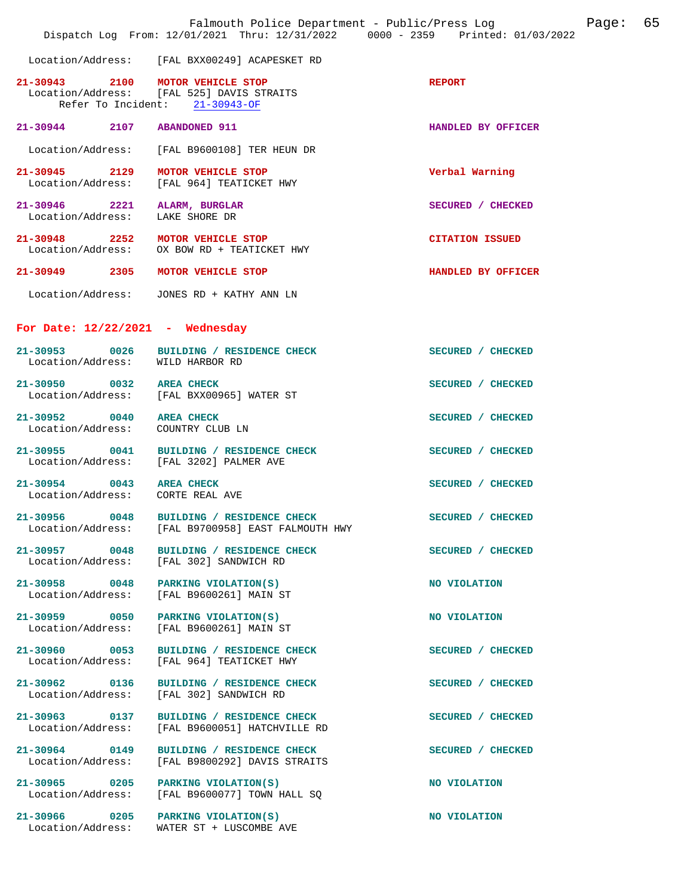|                                                                 | Falmouth Police Department - Public/Press Log<br>Dispatch Log From: 12/01/2021 Thru: 12/31/2022 0000 - 2359 Printed: 01/03/2022 |                        | Page: | 65 |
|-----------------------------------------------------------------|---------------------------------------------------------------------------------------------------------------------------------|------------------------|-------|----|
|                                                                 | Location/Address: [FAL BXX00249] ACAPESKET RD                                                                                   |                        |       |    |
|                                                                 | 21-30943 2100 MOTOR VEHICLE STOP<br>Location/Address: [FAL 525] DAVIS STRAITS<br>Refer To Incident: 21-30943-OF                 | <b>REPORT</b>          |       |    |
| 21-30944 2107                                                   | <b>ABANDONED 911</b>                                                                                                            | HANDLED BY OFFICER     |       |    |
|                                                                 | Location/Address: [FAL B9600108] TER HEUN DR                                                                                    |                        |       |    |
| 21-30945 2129                                                   | MOTOR VEHICLE STOP<br>Location/Address: [FAL 964] TEATICKET HWY                                                                 | Verbal Warning         |       |    |
| 21-30946 2221 ALARM, BURGLAR<br>Location/Address: LAKE SHORE DR |                                                                                                                                 | SECURED / CHECKED      |       |    |
|                                                                 | 21-30948 2252 MOTOR VEHICLE STOP<br>Location/Address: OX BOW RD + TEATICKET HWY                                                 | <b>CITATION ISSUED</b> |       |    |
|                                                                 | 21-30949 2305 MOTOR VEHICLE STOP                                                                                                | HANDLED BY OFFICER     |       |    |
|                                                                 | Location/Address: JONES RD + KATHY ANN LN                                                                                       |                        |       |    |
| For Date: $12/22/2021$ - Wednesday                              |                                                                                                                                 |                        |       |    |
| 21-30953 0026<br>Location/Address: WILD HARBOR RD               | BUILDING / RESIDENCE CHECK                                                                                                      | SECURED / CHECKED      |       |    |
| 21-30950 0032 AREA CHECK                                        | Location/Address: [FAL BXX00965] WATER ST                                                                                       | SECURED / CHECKED      |       |    |
| 21-30952 0040 AREA CHECK<br>Location/Address: COUNTRY CLUB LN   |                                                                                                                                 | SECURED / CHECKED      |       |    |
|                                                                 | 21-30955 0041 BUILDING / RESIDENCE CHECK<br>Location/Address: [FAL 3202] PALMER AVE                                             | SECURED / CHECKED      |       |    |
| 21-30954 0043 AREA CHECK<br>Location/Address: CORTE REAL AVE    |                                                                                                                                 | SECURED / CHECKED      |       |    |
| $21 - 30956$<br>0048<br>Location/Address:                       | BUILDING / RESIDENCE CHECK<br>[FAL B9700958] EAST FALMOUTH HWY                                                                  | SECURED / CHECKED      |       |    |
| 21-30957 0048<br>Location/Address:                              | BUILDING / RESIDENCE CHECK<br>[FAL 302] SANDWICH RD                                                                             | SECURED / CHECKED      |       |    |
| 21-30958 0048<br>Location/Address:                              | PARKING VIOLATION(S)<br>[FAL B9600261] MAIN ST                                                                                  | NO VIOLATION           |       |    |
| 21-30959 0050<br>Location/Address:                              | PARKING VIOLATION(S)<br>[FAL B9600261] MAIN ST                                                                                  | NO VIOLATION           |       |    |
| 21-30960 0053<br>Location/Address:                              | BUILDING / RESIDENCE CHECK<br>[FAL 964] TEATICKET HWY                                                                           | SECURED / CHECKED      |       |    |
| 21-30962 0136<br>Location/Address:                              | BUILDING / RESIDENCE CHECK<br>[FAL 302] SANDWICH RD                                                                             | SECURED / CHECKED      |       |    |
| 21-30963 0137<br>Location/Address:                              | BUILDING / RESIDENCE CHECK<br>[FAL B9600051] HATCHVILLE RD                                                                      | SECURED / CHECKED      |       |    |
| 21-30964 0149<br>Location/Address:                              | BUILDING / RESIDENCE CHECK<br>[FAL B9800292] DAVIS STRAITS                                                                      | SECURED / CHECKED      |       |    |
| 21-30965 0205<br>Location/Address:                              | PARKING VIOLATION(S)<br>[FAL B9600077] TOWN HALL SO                                                                             | NO VIOLATION           |       |    |
|                                                                 | 21-30966 0205 PARKING VIOLATION(S)<br>Location/Address: WATER ST + LUSCOMBE AVE                                                 | NO VIOLATION           |       |    |
|                                                                 |                                                                                                                                 |                        |       |    |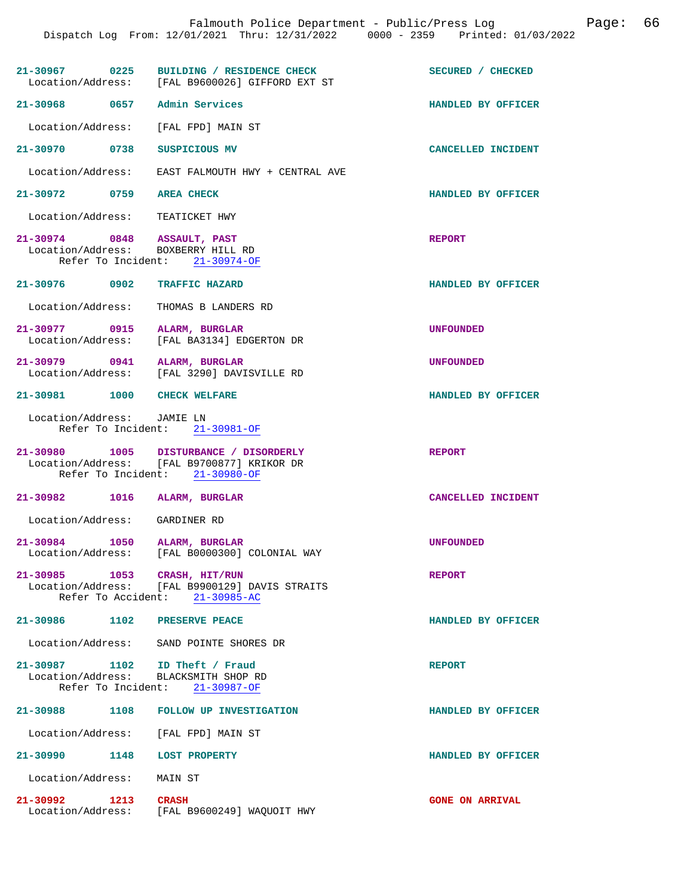|                                                                   | 21-30967 0225 BUILDING / RESIDENCE CHECK<br>Location/Address: [FAL B9600026] GIFFORD EXT ST                            | SECURED / CHECKED      |
|-------------------------------------------------------------------|------------------------------------------------------------------------------------------------------------------------|------------------------|
| 21-30968 0657 Admin Services                                      |                                                                                                                        | HANDLED BY OFFICER     |
| Location/Address:                                                 | [FAL FPD] MAIN ST                                                                                                      |                        |
| 21-30970 0738                                                     | SUSPICIOUS MV                                                                                                          | CANCELLED INCIDENT     |
|                                                                   | Location/Address: EAST FALMOUTH HWY + CENTRAL AVE                                                                      |                        |
| 21-30972 0759 AREA CHECK                                          |                                                                                                                        | HANDLED BY OFFICER     |
| Location/Address: TEATICKET HWY                                   |                                                                                                                        |                        |
| 21-30974 0848 ASSAULT, PAST<br>Location/Address: BOXBERRY HILL RD | Refer To Incident: 21-30974-OF                                                                                         | <b>REPORT</b>          |
| 21-30976 0902 TRAFFIC HAZARD                                      |                                                                                                                        | HANDLED BY OFFICER     |
| Location/Address:                                                 | THOMAS B LANDERS RD                                                                                                    |                        |
| 21–30977 0915<br>Location/Address:                                | ALARM, BURGLAR<br>[FAL BA3134] EDGERTON DR                                                                             | <b>UNFOUNDED</b>       |
|                                                                   | 21-30979 0941 ALARM, BURGLAR<br>Location/Address: [FAL 3290] DAVISVILLE RD                                             | <b>UNFOUNDED</b>       |
| 21-30981 1000 CHECK WELFARE                                       |                                                                                                                        | HANDLED BY OFFICER     |
| Location/Address: JAMIE LN                                        | Refer To Incident: 21-30981-OF                                                                                         |                        |
|                                                                   | 21-30980 1005 DISTURBANCE / DISORDERLY<br>Location/Address: [FAL B9700877] KRIKOR DR<br>Refer To Incident: 21-30980-OF | <b>REPORT</b>          |
| 21-30982 1016 ALARM, BURGLAR                                      |                                                                                                                        | CANCELLED INCIDENT     |
| Location/Address: GARDINER RD                                     |                                                                                                                        |                        |
| 21-30984 1050 ALARM, BURGLAR<br>Location/Address:                 | [FAL B0000300] COLONIAL WAY                                                                                            | <b>UNFOUNDED</b>       |
| 21-30985 1053 CRASH, HIT/RUN                                      | Location/Address: [FAL B9900129] DAVIS STRAITS<br>Refer To Accident: 21-30985-AC                                       | <b>REPORT</b>          |
| 21-30986 1102 PRESERVE PEACE                                      |                                                                                                                        | HANDLED BY OFFICER     |
|                                                                   | Location/Address: SAND POINTE SHORES DR                                                                                |                        |
| 21-30987 1102 ID Theft / Fraud                                    | Location/Address: BLACKSMITH SHOP RD<br>Refer To Incident: 21-30987-OF                                                 | <b>REPORT</b>          |
|                                                                   | 21-30988 1108 FOLLOW UP INVESTIGATION                                                                                  | HANDLED BY OFFICER     |
|                                                                   | Location/Address: [FAL FPD] MAIN ST                                                                                    |                        |
| 21-30990 1148 LOST PROPERTY                                       |                                                                                                                        | HANDLED BY OFFICER     |
| Location/Address: MAIN ST                                         |                                                                                                                        |                        |
| 21-30992 1213 CRASH                                               | Location/Address: [FAL B9600249] WAQUOIT HWY                                                                           | <b>GONE ON ARRIVAL</b> |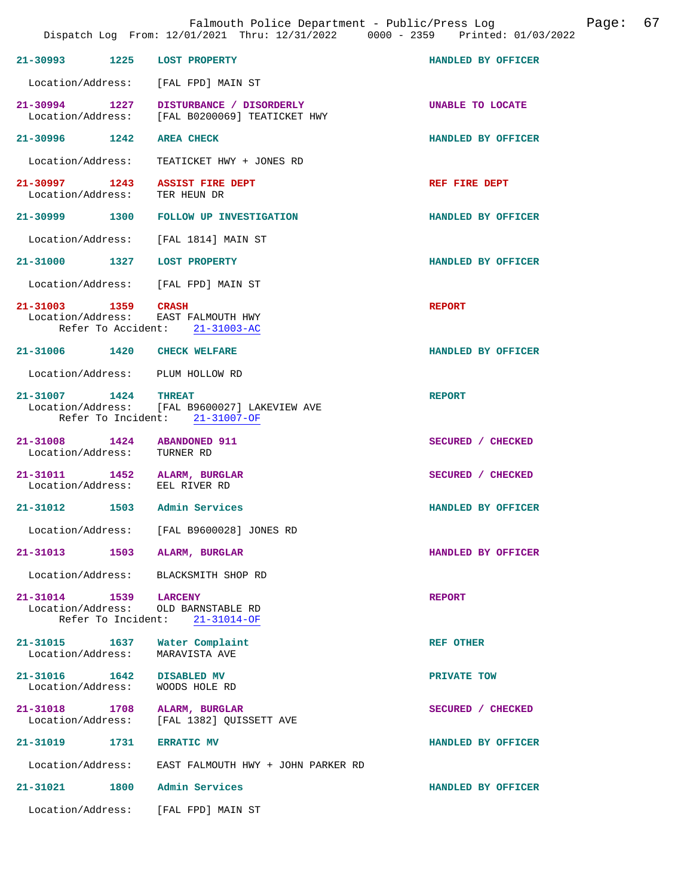|                                                                |      | Falmouth Police Department - Public/Press Log Fage: 67<br>Dispatch Log From: 12/01/2021 Thru: 12/31/2022 0000 - 2359 Printed: 01/03/2022 |                    |  |
|----------------------------------------------------------------|------|------------------------------------------------------------------------------------------------------------------------------------------|--------------------|--|
| 21-30993 1225 LOST PROPERTY                                    |      |                                                                                                                                          | HANDLED BY OFFICER |  |
|                                                                |      | Location/Address: [FAL FPD] MAIN ST                                                                                                      |                    |  |
|                                                                |      | 21-30994 1227 DISTURBANCE / DISORDERLY<br>Location/Address: [FAL B0200069] TEATICKET HWY                                                 | UNABLE TO LOCATE   |  |
| 21-30996 1242 AREA CHECK                                       |      |                                                                                                                                          | HANDLED BY OFFICER |  |
|                                                                |      | Location/Address: TEATICKET HWY + JONES RD                                                                                               |                    |  |
| 21-30997 1243<br>Location/Address:                             |      | <b>ASSIST FIRE DEPT</b><br>TER HEUN DR                                                                                                   | REF FIRE DEPT      |  |
|                                                                |      | 21-30999 1300 FOLLOW UP INVESTIGATION                                                                                                    | HANDLED BY OFFICER |  |
|                                                                |      | Location/Address: [FAL 1814] MAIN ST                                                                                                     |                    |  |
| 21-31000 1327 LOST PROPERTY                                    |      |                                                                                                                                          | HANDLED BY OFFICER |  |
|                                                                |      | Location/Address: [FAL FPD] MAIN ST                                                                                                      |                    |  |
| 21-31003 1359 CRASH                                            |      | Location/Address: EAST FALMOUTH HWY<br>Refer To Accident: 21-31003-AC                                                                    | <b>REPORT</b>      |  |
| 21-31006 1420 CHECK WELFARE                                    |      |                                                                                                                                          | HANDLED BY OFFICER |  |
| Location/Address: PLUM HOLLOW RD                               |      |                                                                                                                                          |                    |  |
|                                                                |      | 21-31007 1424 THREAT<br>Location/Address: [FAL B9600027] LAKEVIEW AVE<br>Refer To Incident: 21-31007-OF                                  | <b>REPORT</b>      |  |
| 21-31008 1424 ABANDONED 911<br>Location/Address:               |      | TURNER RD                                                                                                                                | SECURED / CHECKED  |  |
| 21-31011 1452 ALARM, BURGLAR<br>Location/Address: EEL RIVER RD |      |                                                                                                                                          | SECURED / CHECKED  |  |
| 21-31012 1503 Admin Services                                   |      |                                                                                                                                          | HANDLED BY OFFICER |  |
| Location/Address:                                              |      | [FAL B9600028] JONES RD                                                                                                                  |                    |  |
| 21-31013                                                       |      | 1503 ALARM, BURGLAR                                                                                                                      | HANDLED BY OFFICER |  |
|                                                                |      | Location/Address: BLACKSMITH SHOP RD                                                                                                     |                    |  |
| 21-31014 1539<br>Refer To Incident:                            |      | <b>LARCENY</b><br>Location/Address: OLD BARNSTABLE RD<br>21-31014-OF                                                                     | <b>REPORT</b>      |  |
| 21-31015 1637<br>Location/Address:                             |      | Water Complaint<br>MARAVISTA AVE                                                                                                         | <b>REF OTHER</b>   |  |
| 21-31016 1642<br>Location/Address:                             |      | <b>DISABLED MV</b><br>WOODS HOLE RD                                                                                                      | PRIVATE TOW        |  |
| 21-31018 1708<br>Location/Address:                             |      | ALARM, BURGLAR<br>[FAL 1382] QUISSETT AVE                                                                                                | SECURED / CHECKED  |  |
| 21-31019                                                       | 1731 | <b>ERRATIC MV</b>                                                                                                                        | HANDLED BY OFFICER |  |
|                                                                |      | Location/Address: EAST FALMOUTH HWY + JOHN PARKER RD                                                                                     |                    |  |
| 21-31021 1800 Admin Services                                   |      |                                                                                                                                          | HANDLED BY OFFICER |  |
| Location/Address:                                              |      | [FAL FPD] MAIN ST                                                                                                                        |                    |  |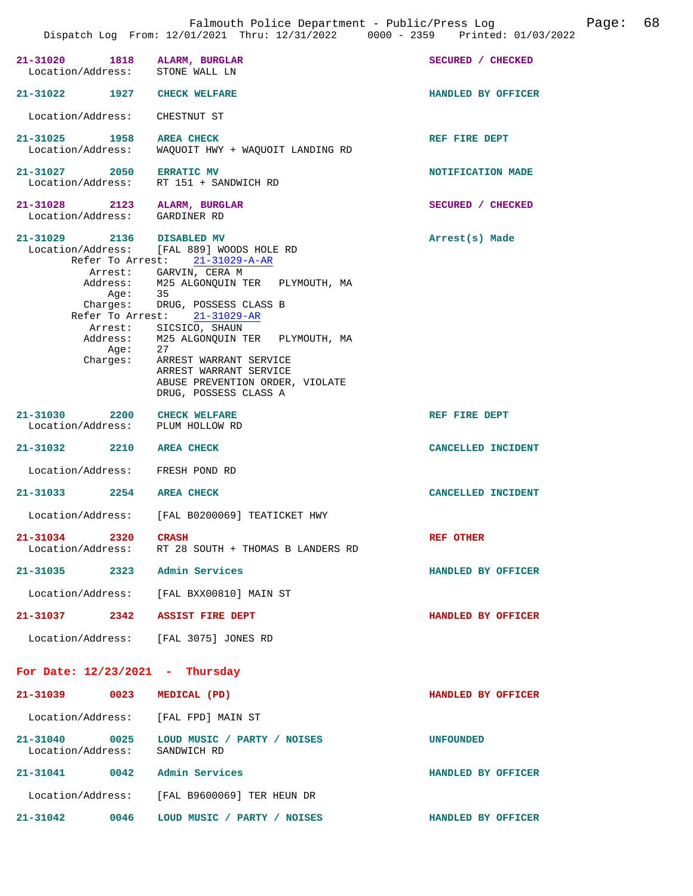| 21-31020 1818 ALARM, BURGLAR<br>Location/Address:             | STONE WALL LN                                                                                                                                  | SECURED / CHECKED  |
|---------------------------------------------------------------|------------------------------------------------------------------------------------------------------------------------------------------------|--------------------|
| 21-31022 1927 CHECK WELFARE                                   |                                                                                                                                                | HANDLED BY OFFICER |
| Location/Address:                                             | CHESTNUT ST                                                                                                                                    |                    |
| 21-31025 1958<br>Location/Address:                            | <b>AREA CHECK</b><br>WAQUOIT HWY + WAQUOIT LANDING RD                                                                                          | REF FIRE DEPT      |
| 21-31027 2050                                                 | <b>ERRATIC MV</b><br>Location/Address: RT 151 + SANDWICH RD                                                                                    | NOTIFICATION MADE  |
| 21-31028 2123 ALARM, BURGLAR<br>Location/Address: GARDINER RD |                                                                                                                                                | SECURED / CHECKED  |
| 21-31029 2136 DISABLED MV                                     | Location/Address: [FAL 889] WOODS HOLE RD<br>Refer To Arrest: 21-31029-A-AR                                                                    | Arrest(s) Made     |
|                                                               | Arrest: GARVIN, CERA M<br>Address: M25 ALGONQUIN TER PLYMOUTH, MA<br>Age: 35<br>Charges: DRUG, POSSESS CLASS B<br>Refer To Arrest: 21-31029-AR |                    |
| Age:<br>Charges:                                              | Arrest: SICSICO, SHAUN<br>Address: M25 ALGONQUIN TER PLYMOUTH, MA<br>27                                                                        |                    |
|                                                               | ARREST WARRANT SERVICE<br>ARREST WARRANT SERVICE<br>ABUSE PREVENTION ORDER, VIOLATE<br>DRUG, POSSESS CLASS A                                   |                    |
| 21-31030 2200<br>Location/Address:                            | <b>CHECK WELFARE</b><br>PLUM HOLLOW RD                                                                                                         | REF FIRE DEPT      |
| 21-31032 2210 AREA CHECK                                      |                                                                                                                                                | CANCELLED INCIDENT |
| Location/Address: FRESH POND RD                               |                                                                                                                                                |                    |
| 21-31033 2254                                                 | <b>AREA CHECK</b>                                                                                                                              | CANCELLED INCIDENT |
|                                                               | Location/Address: [FAL B0200069] TEATICKET HWY                                                                                                 |                    |
| 21-31034<br>2320                                              | <b>CRASH</b><br>Location/Address: RT 28 SOUTH + THOMAS B LANDERS RD                                                                            | <b>REF OTHER</b>   |
| 21-31035 2323 Admin Services                                  |                                                                                                                                                | HANDLED BY OFFICER |
|                                                               | Location/Address: [FAL BXX00810] MAIN ST                                                                                                       |                    |
| 21-31037 2342 ASSIST FIRE DEPT                                |                                                                                                                                                | HANDLED BY OFFICER |
| Location/Address: [FAL 3075] JONES RD                         |                                                                                                                                                |                    |
| For Date: $12/23/2021$ - Thursday                             |                                                                                                                                                |                    |
| 21-31039 0023                                                 | MEDICAL (PD)                                                                                                                                   | HANDLED BY OFFICER |
| Location/Address: [FAL FPD] MAIN ST                           |                                                                                                                                                |                    |
| Location/Address: SANDWICH RD                                 | 21-31040 0025 LOUD MUSIC / PARTY / NOISES                                                                                                      | <b>UNFOUNDED</b>   |
| 21-31041 0042 Admin Services                                  |                                                                                                                                                | HANDLED BY OFFICER |
|                                                               | Location/Address: [FAL B9600069] TER HEUN DR                                                                                                   |                    |
| 21-31042 0046                                                 | LOUD MUSIC / PARTY / NOISES                                                                                                                    | HANDLED BY OFFICER |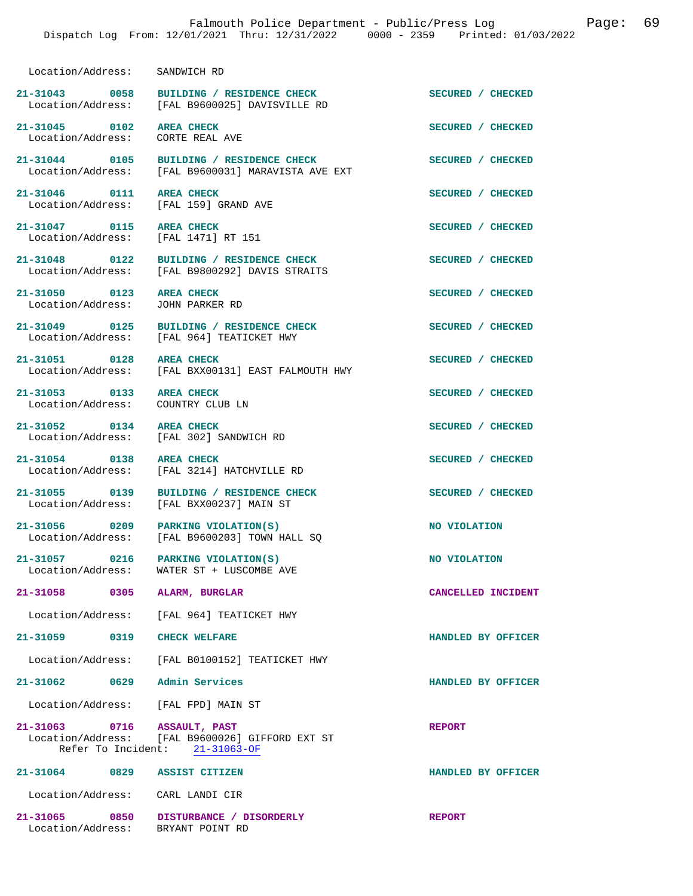Location/Address: SANDWICH RD

21-31043 0058 BUILDING / RESIDENCE CHECK **SECURED** / CHECKED Location/Address: [FAL B9600025] DAVISVILLE RD [FAL B9600025] DAVISVILLE RD

21-31045 0102 AREA CHECK **SECURED** / CHECKED Location/Address: CORTE REAL AVE Location/Address:

21-31046 0111 AREA CHECK **CHECK SECURED** / CHECKED Location / Address: [FAL 159] GRAND AVE

**21-31047 0115 AREA CHECK SECURED / CHECKED** 

21-31053 0133 AREA CHECK **SECURED** / CHECKED Location/Address: COUNTRY CLUB LN Location/Address:

**21-31052 0134 AREA CHECK SECURED / CHECKED** 

**21-31054 0138 AREA CHECK SECURED / CHECKED** 

Location/Address: [FAL FPD] MAIN ST

**21-31063 0716 ASSAULT, PAST REPORT**  Location/Address: [FAL B9600026] GIFFORD EXT ST Refer To Incident: 21-31063-OF

**21-31064 0829 ASSIST CITIZEN HANDLED BY OFFICER**  Location/Address: CARL LANDI CIR

**21-31065 0850 DISTURBANCE / DISORDERLY REPORT**  Location/Address:

21-31044 0105 BUILDING / RESIDENCE CHECK **SECURED** / CHECKED Location/Address: [FAL B9600031] MARAVISTA AVE EXT [FAL B9600031] MARAVISTA AVE EXT

[FAL 159] GRAND AVE

Location/Address: [FAL 1471] RT 151

**21-31048 0122 BUILDING / RESIDENCE CHECK SECURED / CHECKED**  Location/Address: [FAL B9800292] DAVIS STRAITS

21-31050 0123 AREA CHECK **DEALL ASSECURED** / CHECKED Location/Address: JOHN PARKER RD Location/Address:

**21-31049 0125 BUILDING / RESIDENCE CHECK SECURED / CHECKED**  Location/Address: [FAL 964] TEATICKET HWY

21-31051 0128 AREA CHECK **Depart of SECURED** / CHECKED 1028 AREA CHECK SECURED 100011 AND 100011 BAST FALMOUTH HWY [FAL BXX00131] EAST FALMOUTH HWY

Location/Address: [FAL 302] SANDWICH RD

Location/Address: [FAL 3214] HATCHVILLE RD

**21-31055 0139 BUILDING / RESIDENCE CHECK SECURED / CHECKED**  Location/Address: [FAL BXX00237] MAIN ST

**21-31056** 0209 PARKING VIOLATION(S) **NO VIOLATION NO** VIOLATION Location/Address: [FAL B9600203] TOWN HALL SQ [FAL B9600203] TOWN HALL SQ

**21-31057** 0216 PARKING VIOLATION(S) NO VIOLATION Location/Address: WATER ST + LUSCOMBE AVE WATER ST + LUSCOMBE AVE

**21-31058 0305 ALARM, BURGLAR CANCELLED INCIDENT** 

Location/Address: [FAL 964] TEATICKET HWY

**21-31059 0319 CHECK WELFARE HANDLED BY OFFICER** 

Location/Address: [FAL B0100152] TEATICKET HWY

**21-31062 0629 Admin Services HANDLED BY OFFICER**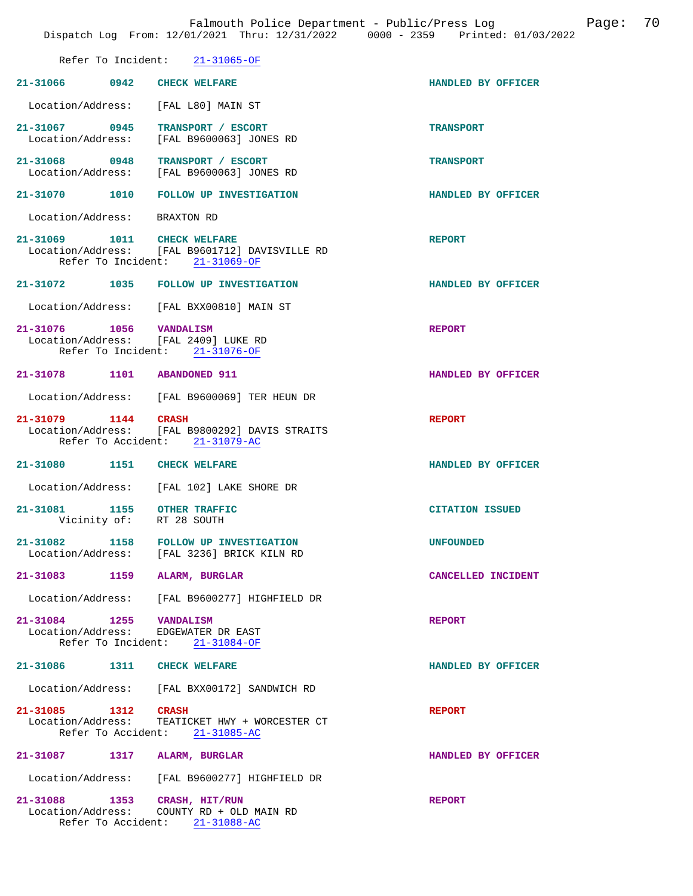|                                                                                      | Refer To Incident: 21-31065-OF                                                      |                        |
|--------------------------------------------------------------------------------------|-------------------------------------------------------------------------------------|------------------------|
| 21-31066 0942 CHECK WELFARE                                                          |                                                                                     | HANDLED BY OFFICER     |
| Location/Address: [FAL L80] MAIN ST                                                  |                                                                                     |                        |
| 21-31067 0945 TRANSPORT / ESCORT                                                     | Location/Address: [FAL B9600063] JONES RD                                           | <b>TRANSPORT</b>       |
|                                                                                      | 21-31068 0948 TRANSPORT / ESCORT<br>Location/Address: [FAL B9600063] JONES RD       | <b>TRANSPORT</b>       |
|                                                                                      | 21-31070 1010 FOLLOW UP INVESTIGATION                                               | HANDLED BY OFFICER     |
| Location/Address: BRAXTON RD                                                         |                                                                                     |                        |
| 21-31069 1011 CHECK WELFARE                                                          | Location/Address: [FAL B9601712] DAVISVILLE RD<br>Refer To Incident: 21-31069-OF    | <b>REPORT</b>          |
|                                                                                      | 21-31072 1035 FOLLOW UP INVESTIGATION                                               | HANDLED BY OFFICER     |
|                                                                                      | Location/Address: [FAL BXX00810] MAIN ST                                            |                        |
| 21-31076 1056 VANDALISM<br>Location/Address: [FAL 2409] LUKE RD                      | Refer To Incident: 21-31076-OF                                                      | <b>REPORT</b>          |
| 21-31078 1101 ABANDONED 911                                                          |                                                                                     | HANDLED BY OFFICER     |
|                                                                                      | Location/Address: [FAL B9600069] TER HEUN DR                                        |                        |
| 21-31079 1144 CRASH                                                                  | Location/Address: [FAL B9800292] DAVIS STRAITS<br>Refer To Accident: 21-31079-AC    | <b>REPORT</b>          |
| 21-31080 1151 CHECK WELFARE                                                          |                                                                                     | HANDLED BY OFFICER     |
|                                                                                      | Location/Address: [FAL 102] LAKE SHORE DR                                           |                        |
| 21-31081 1155 OTHER TRAFFIC<br>Vicinity of: RT 28 SOUTH                              |                                                                                     | <b>CITATION ISSUED</b> |
|                                                                                      | 21-31082 1158 FOLLOW UP INVESTIGATION<br>Location/Address: [FAL 3236] BRICK KILN RD | <b>UNFOUNDED</b>       |
| 21-31083                                                                             | 1159 ALARM, BURGLAR                                                                 | CANCELLED INCIDENT     |
|                                                                                      | Location/Address: [FAL B9600277] HIGHFIELD DR                                       |                        |
| 21-31084 1255 VANDALISM<br>Location/Address: EDGEWATER DR EAST<br>Refer To Incident: | $21 - 31084 - OF$                                                                   | <b>REPORT</b>          |
| 21-31086 1311 CHECK WELFARE                                                          |                                                                                     | HANDLED BY OFFICER     |
|                                                                                      | Location/Address: [FAL BXX00172] SANDWICH RD                                        |                        |
| 21-31085 1312 CRASH                                                                  | Location/Address: TEATICKET HWY + WORCESTER CT<br>Refer To Accident: 21-31085-AC    | <b>REPORT</b>          |
| 21-31087 1317 ALARM, BURGLAR                                                         |                                                                                     | HANDLED BY OFFICER     |
|                                                                                      | Location/Address: [FAL B9600277] HIGHFIELD DR                                       |                        |
| 21-31088 1353 CRASH, HIT/RUN                                                         | Location/Address: COUNTY RD + OLD MAIN RD<br>Refer To Accident: 21-31088-AC         | <b>REPORT</b>          |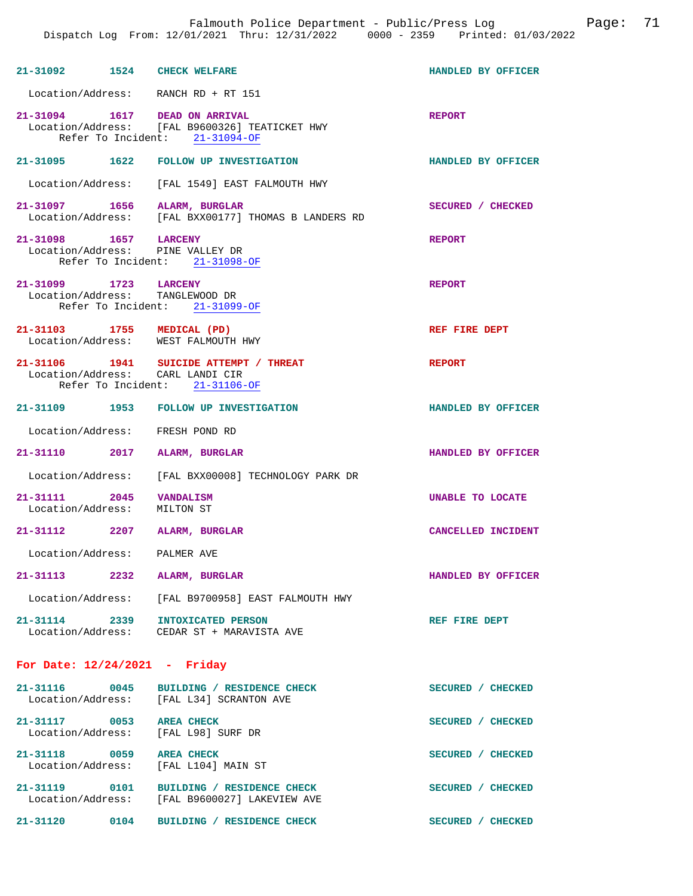| 21-31092 1524 CHECK WELFARE                                       |                                                                                           | HANDLED BY OFFICER        |
|-------------------------------------------------------------------|-------------------------------------------------------------------------------------------|---------------------------|
| Location/Address: RANCH RD + RT 151                               |                                                                                           |                           |
| 21-31094 1617 DEAD ON ARRIVAL                                     | Location/Address: [FAL B9600326] TEATICKET HWY<br>Refer To Incident: 21-31094-OF          | <b>REPORT</b>             |
|                                                                   | 21-31095 1622 FOLLOW UP INVESTIGATION                                                     | HANDLED BY OFFICER        |
|                                                                   | Location/Address: [FAL 1549] EAST FALMOUTH HWY                                            |                           |
| 21-31097 1656 ALARM, BURGLAR                                      | Location/Address: [FAL BXX00177] THOMAS B LANDERS RD                                      | SECURED / CHECKED         |
| 21-31098 1657 LARCENY<br>Location/Address: PINE VALLEY DR         | Refer To Incident: 21-31098-OF                                                            | <b>REPORT</b>             |
| 21-31099 1723 LARCENY<br>Location/Address: TANGLEWOOD DR          | Refer To Incident: 21-31099-OF                                                            | <b>REPORT</b>             |
| 21-31103 1755 MEDICAL (PD)<br>Location/Address: WEST FALMOUTH HWY |                                                                                           | REF FIRE DEPT             |
| Location/Address: CARL LANDI CIR                                  | 21-31106 1941 SUICIDE ATTEMPT / THREAT<br>Refer To Incident: 21-31106-OF                  | <b>REPORT</b>             |
|                                                                   | 21-31109 1953 FOLLOW UP INVESTIGATION                                                     | HANDLED BY OFFICER        |
| Location/Address: FRESH POND RD                                   |                                                                                           |                           |
| 21-31110 2017 ALARM, BURGLAR                                      |                                                                                           | HANDLED BY OFFICER        |
|                                                                   | Location/Address: [FAL BXX00008] TECHNOLOGY PARK DR                                       |                           |
| 21-31111 2045<br>Location/Address:                                | <b>VANDALISM</b><br>MILTON ST                                                             | UNABLE TO LOCATE          |
| 21-31112 2207 ALARM, BURGLAR                                      |                                                                                           | <b>CANCELLED INCIDENT</b> |
| Location/Address:                                                 | PALMER AVE                                                                                |                           |
| $21 - 31113$                                                      | 2232 ALARM, BURGLAR                                                                       | HANDLED BY OFFICER        |
|                                                                   | Location/Address: [FAL B9700958] EAST FALMOUTH HWY                                        |                           |
| 21-31114 2339                                                     | INTOXICATED PERSON<br>Location/Address: CEDAR ST + MARAVISTA AVE                          | REF FIRE DEPT             |
| For Date: $12/24/2021$ - Friday                                   |                                                                                           |                           |
|                                                                   | 21-31116 0045 BUILDING / RESIDENCE CHECK<br>Location/Address: [FAL L34] SCRANTON AVE      | SECURED / CHECKED         |
| 21-31117 0053 AREA CHECK<br>Location/Address: [FAL L98] SURF DR   |                                                                                           | SECURED / CHECKED         |
| 21-31118 0059 AREA CHECK<br>Location/Address: [FAL L104] MAIN ST  |                                                                                           | SECURED / CHECKED         |
|                                                                   | 21-31119 0101 BUILDING / RESIDENCE CHECK<br>Location/Address: [FAL B9600027] LAKEVIEW AVE | SECURED / CHECKED         |

**21-31120 0104 BUILDING / RESIDENCE CHECK SECURED / CHECKED**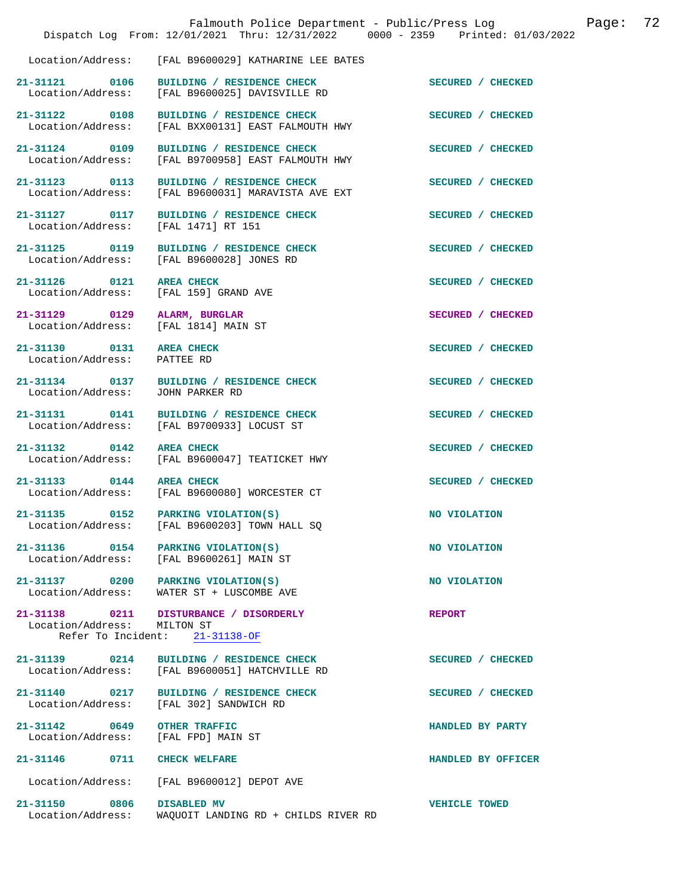|                                                          | Falmouth Police Department - Public/Press Log<br>Dispatch Log From: 12/01/2021 Thru: 12/31/2022 0000 - 2359 Printed: 01/03/2022 |                      | Page: | 72 |
|----------------------------------------------------------|---------------------------------------------------------------------------------------------------------------------------------|----------------------|-------|----|
| Location/Address:                                        | [FAL B9600029] KATHARINE LEE BATES                                                                                              |                      |       |    |
| 21-31121 0106<br>Location/Address:                       | BUILDING / RESIDENCE CHECK<br>[FAL B9600025] DAVISVILLE RD                                                                      | SECURED / CHECKED    |       |    |
| 21-31122 0108<br>Location/Address:                       | BUILDING / RESIDENCE CHECK<br>[FAL BXX00131] EAST FALMOUTH HWY                                                                  | SECURED / CHECKED    |       |    |
| 21-31124 0109<br>Location/Address:                       | BUILDING / RESIDENCE CHECK<br>[FAL B9700958] EAST FALMOUTH HWY                                                                  | SECURED / CHECKED    |       |    |
| 21-31123 0113<br>Location/Address:                       | BUILDING / RESIDENCE CHECK<br>[FAL B9600031] MARAVISTA AVE EXT                                                                  | SECURED / CHECKED    |       |    |
| 21-31127 0117<br>Location/Address:                       | BUILDING / RESIDENCE CHECK<br>[FAL 1471] RT 151                                                                                 | SECURED / CHECKED    |       |    |
| 21-31125 0119                                            | BUILDING / RESIDENCE CHECK<br>Location/Address: [FAL B9600028] JONES RD                                                         | SECURED / CHECKED    |       |    |
| 21-31126 0121<br>Location/Address:                       | <b>AREA CHECK</b><br>[FAL 159] GRAND AVE                                                                                        | SECURED / CHECKED    |       |    |
| 21-31129 0129<br>Location/Address: [FAL 1814] MAIN ST    | ALARM, BURGLAR                                                                                                                  | SECURED / CHECKED    |       |    |
| 21-31130 0131<br>Location/Address:                       | <b>AREA CHECK</b><br>PATTEE RD                                                                                                  | SECURED / CHECKED    |       |    |
| Location/Address:                                        | 21-31134 0137 BUILDING / RESIDENCE CHECK<br>JOHN PARKER RD                                                                      | SECURED / CHECKED    |       |    |
| 21-31131 0141<br>Location/Address:                       | BUILDING / RESIDENCE CHECK<br>[FAL B9700933] LOCUST ST                                                                          | SECURED / CHECKED    |       |    |
| 21-31132 0142<br>Location/Address:                       | <b>AREA CHECK</b><br>[FAL B9600047] TEATICKET HWY                                                                               | SECURED / CHECKED    |       |    |
| 21-31133 0144 AREA CHECK                                 | Location/Address: [FAL B9600080] WORCESTER CT                                                                                   | SECURED / CHECKED    |       |    |
| 21-31135 0152<br>Location/Address:                       | PARKING VIOLATION(S)<br>[FAL B9600203] TOWN HALL SQ                                                                             | NO VIOLATION         |       |    |
| 21-31136 0154<br>Location/Address:                       | PARKING VIOLATION(S)<br>[FAL B9600261] MAIN ST                                                                                  | NO VIOLATION         |       |    |
| 21-31137 0200<br>Location/Address:                       | PARKING VIOLATION(S)<br>WATER ST + LUSCOMBE AVE                                                                                 | NO VIOLATION         |       |    |
| 21-31138 0211<br>Location/Address:<br>Refer To Incident: | DISTURBANCE / DISORDERLY<br>MILTON ST<br>$21 - 31138 - OF$                                                                      | <b>REPORT</b>        |       |    |
| 21-31139 0214<br>Location/Address:                       | BUILDING / RESIDENCE CHECK<br>[FAL B9600051] HATCHVILLE RD                                                                      | SECURED / CHECKED    |       |    |
| $21 - 31140$<br>0217<br>Location/Address:                | BUILDING / RESIDENCE CHECK<br>[FAL 302] SANDWICH RD                                                                             | SECURED / CHECKED    |       |    |
| 21-31142 0649<br>Location/Address:                       | <b>OTHER TRAFFIC</b><br>[FAL FPD] MAIN ST                                                                                       | HANDLED BY PARTY     |       |    |
| 21-31146 0711                                            | <b>CHECK WELFARE</b>                                                                                                            | HANDLED BY OFFICER   |       |    |
| Location/Address:                                        | [FAL B9600012] DEPOT AVE                                                                                                        |                      |       |    |
| 21-31150<br>0806<br>Location/Address:                    | DISABLED MV<br>WAQUOIT LANDING RD + CHILDS RIVER RD                                                                             | <b>VEHICLE TOWED</b> |       |    |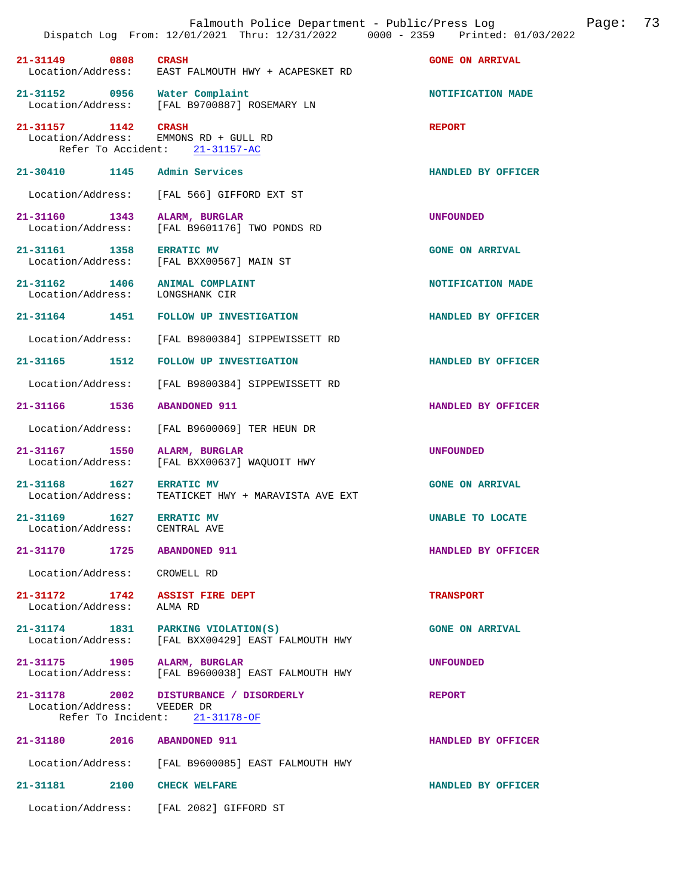|                                                           | Dispatch Log From: 12/01/2021 Thru: 12/31/2022 0000 - 2359 Printed: 01/03/2022           |                           |
|-----------------------------------------------------------|------------------------------------------------------------------------------------------|---------------------------|
| 21-31149 0808                                             | <b>CRASH</b><br>Location/Address: EAST FALMOUTH HWY + ACAPESKET RD                       | <b>GONE ON ARRIVAL</b>    |
|                                                           | 21-31152 0956 Water Complaint<br>Location/Address: [FAL B9700887] ROSEMARY LN            | NOTIFICATION MADE         |
| 21-31157 1142 CRASH                                       | Location/Address: EMMONS RD + GULL RD<br>Refer To Accident: 21-31157-AC                  | <b>REPORT</b>             |
| 21-30410 1145 Admin Services                              |                                                                                          | HANDLED BY OFFICER        |
| Location/Address:                                         | FAL 5661 GIFFORD EXT ST                                                                  |                           |
| 21-31160 1343<br>Location/Address:                        | ALARM, BURGLAR<br>[FAL B9601176] TWO PONDS RD                                            | <b>UNFOUNDED</b>          |
| 21-31161 1358 ERRATIC MV                                  | Location/Address: [FAL BXX00567] MAIN ST                                                 | <b>GONE ON ARRIVAL</b>    |
| Location/Address: LONGSHANK CIR                           | 21-31162 1406 ANIMAL COMPLAINT                                                           | NOTIFICATION MADE         |
|                                                           | 21-31164 1451 FOLLOW UP INVESTIGATION                                                    | HANDLED BY OFFICER        |
| Location/Address:                                         | [FAL B9800384] SIPPEWISSETT RD                                                           |                           |
| 21-31165 1512                                             | FOLLOW UP INVESTIGATION                                                                  | <b>HANDLED BY OFFICER</b> |
| Location/Address:                                         | [FAL B9800384] SIPPEWISSETT RD                                                           |                           |
| 21-31166 1536                                             | <b>ABANDONED 911</b>                                                                     | HANDLED BY OFFICER        |
| Location/Address:                                         | [FAL B9600069] TER HEUN DR                                                               |                           |
| 21-31167 1550<br>Location/Address:                        | ALARM, BURGLAR<br>[FAL BXX00637] WAQUOIT HWY                                             | UNFOUNDED                 |
| 21-31168 1627<br>Location/Address:                        | <b>ERRATIC MV</b><br>TEATICKET HWY + MARAVISTA AVE EXT                                   | <b>GONE ON ARRIVAL</b>    |
| 21-31169 1627 ERRATIC MV<br>Location/Address: CENTRAL AVE |                                                                                          | UNABLE TO LOCATE          |
| 21-31170 1725 ABANDONED 911                               |                                                                                          | HANDLED BY OFFICER        |
| Location/Address: CROWELL RD                              |                                                                                          |                           |
| Location/Address: ALMA RD                                 | 21-31172 1742 ASSIST FIRE DEPT                                                           | <b>TRANSPORT</b>          |
|                                                           | 21-31174 1831 PARKING VIOLATION(S)<br>Location/Address: [FAL BXX00429] EAST FALMOUTH HWY | <b>GONE ON ARRIVAL</b>    |
| 21-31175 1905 ALARM, BURGLAR                              | Location/Address: [FAL B9600038] EAST FALMOUTH HWY                                       | <b>UNFOUNDED</b>          |
| Location/Address: VEEDER DR                               | 21-31178 2002 DISTURBANCE / DISORDERLY<br>Refer To Incident: 21-31178-OF                 | <b>REPORT</b>             |
| 21-31180 2016 ABANDONED 911                               |                                                                                          | HANDLED BY OFFICER        |
|                                                           | Location/Address: [FAL B9600085] EAST FALMOUTH HWY                                       |                           |
| 2100<br>21-31181                                          | <b>CHECK WELFARE</b>                                                                     | HANDLED BY OFFICER        |
|                                                           | Location/Address: [FAL 2082] GIFFORD ST                                                  |                           |

Falmouth Police Department - Public/Press Log Page: 73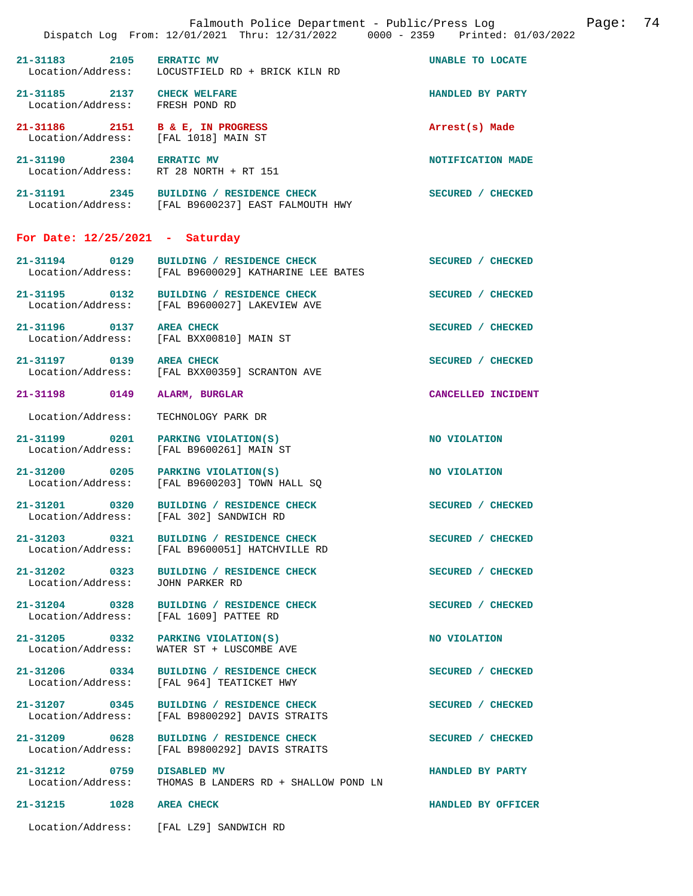|                                                                          | Falmouth Police Department - Public/Press Log<br>Dispatch Log From: 12/01/2021 Thru: 12/31/2022 0000 - 2359 Printed: 01/03/2022 | 74<br>Page:        |
|--------------------------------------------------------------------------|---------------------------------------------------------------------------------------------------------------------------------|--------------------|
| 21-31183 2105 ERRATIC MV                                                 | Location/Address: LOCUSTFIELD RD + BRICK KILN RD                                                                                | UNABLE TO LOCATE   |
| 21-31185 2137 CHECK WELFARE<br>Location/Address: FRESH POND RD           |                                                                                                                                 | HANDLED BY PARTY   |
| 21-31186 2151 B & E, IN PROGRESS<br>Location/Address: [FAL 1018] MAIN ST |                                                                                                                                 | Arrest(s) Made     |
| 21-31190 2304 ERRATIC MV                                                 | Location/Address: RT 28 NORTH + RT 151                                                                                          | NOTIFICATION MADE  |
|                                                                          | 21-31191 2345 BUILDING / RESIDENCE CHECK<br>Location/Address: [FAL B9600237] EAST FALMOUTH HWY                                  | SECURED / CHECKED  |
| For Date: $12/25/2021$ - Saturday                                        |                                                                                                                                 |                    |
| 21-31194 0129                                                            | BUILDING / RESIDENCE CHECK<br>Location/Address: [FAL B9600029] KATHARINE LEE BATES                                              | SECURED / CHECKED  |
|                                                                          | 21-31195 0132 BUILDING / RESIDENCE CHECK<br>Location/Address: [FAL B9600027] LAKEVIEW AVE                                       | SECURED / CHECKED  |
| 21-31196 0137 AREA CHECK                                                 | Location/Address: [FAL BXX00810] MAIN ST                                                                                        | SECURED / CHECKED  |
| 21-31197 0139 AREA CHECK<br>Location/Address:                            | [FAL BXX00359] SCRANTON AVE                                                                                                     | SECURED / CHECKED  |
| 21-31198 0149                                                            | ALARM, BURGLAR                                                                                                                  | CANCELLED INCIDENT |
| Location/Address:                                                        | TECHNOLOGY PARK DR                                                                                                              |                    |
| 21-31199 0201                                                            | PARKING VIOLATION(S)<br>Location/Address: [FAL B9600261] MAIN ST                                                                | NO VIOLATION       |
| 21-31200 0205 PARKING VIOLATION(S)                                       | Location/Address: [FAL B9600203] TOWN HALL SQ                                                                                   | NO VIOLATION       |
|                                                                          | 21-31201 0320 BUILDING / RESIDENCE CHECK<br>Location/Address: [FAL 302] SANDWICH RD                                             | SECURED / CHECKED  |
|                                                                          | 21-31203 0321 BUILDING / RESIDENCE CHECK<br>Location/Address: [FAL B9600051] HATCHVILLE RD                                      | SECURED / CHECKED  |
| 21-31202 0323<br>Location/Address:                                       | BUILDING / RESIDENCE CHECK<br>JOHN PARKER RD                                                                                    | SECURED / CHECKED  |
|                                                                          | 21-31204 0328 BUILDING / RESIDENCE CHECK<br>Location/Address: [FAL 1609] PATTEE RD                                              | SECURED / CHECKED  |
| Location/Address:                                                        | 21-31205 0332 PARKING VIOLATION(S)<br>WATER ST + LUSCOMBE AVE                                                                   | NO VIOLATION       |
| 21-31206 0334<br>Location/Address:                                       | BUILDING / RESIDENCE CHECK<br>[FAL 964] TEATICKET HWY                                                                           | SECURED / CHECKED  |
| 21-31207 0345                                                            | <b>BUILDING / RESIDENCE CHECK</b><br>Location/Address: [FAL B9800292] DAVIS STRAITS                                             | SECURED / CHECKED  |
| 21-31209 0628<br>Location/Address:                                       | BUILDING / RESIDENCE CHECK<br>[FAL B9800292] DAVIS STRAITS                                                                      | SECURED / CHECKED  |
| 21-31212 0759<br>Location/Address:                                       | <b>DISABLED MV</b><br>THOMAS B LANDERS RD + SHALLOW POND LN                                                                     | HANDLED BY PARTY   |
| 21-31215 1028 AREA CHECK                                                 |                                                                                                                                 | HANDLED BY OFFICER |
|                                                                          | Location/Address: [FAL LZ9] SANDWICH RD                                                                                         |                    |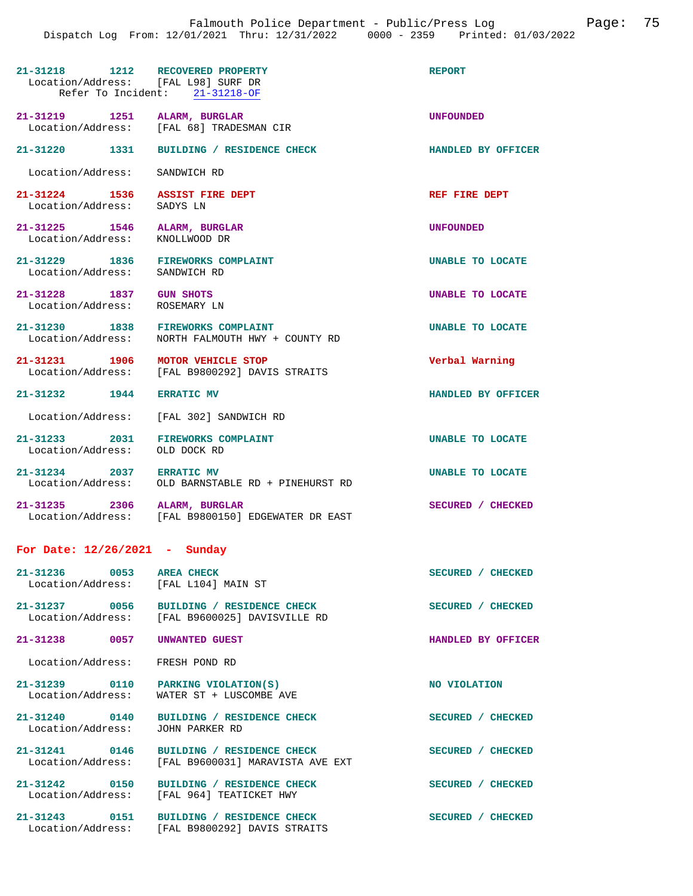| 21-31218 1212 RECOVERED PROPERTY<br>Location/Address: [FAL L98] SURF DR | Refer To Incident: 21-31218-OF                                                                 | <b>REPORT</b>           |
|-------------------------------------------------------------------------|------------------------------------------------------------------------------------------------|-------------------------|
| 21-31219 1251 ALARM, BURGLAR                                            | Location/Address: [FAL 68] TRADESMAN CIR                                                       | <b>UNFOUNDED</b>        |
|                                                                         | 21-31220 1331 BUILDING / RESIDENCE CHECK                                                       | HANDLED BY OFFICER      |
| Location/Address:                                                       | SANDWICH RD                                                                                    |                         |
| 21-31224 1536 ASSIST FIRE DEPT<br>Location/Address:                     | SADYS LN                                                                                       | REF FIRE DEPT           |
| 21-31225 1546 ALARM, BURGLAR<br>Location/Address:                       | KNOLLWOOD DR                                                                                   | <b>UNFOUNDED</b>        |
| 21-31229 1836 FIREWORKS COMPLAINT<br>Location/Address:                  | SANDWICH RD                                                                                    | UNABLE TO LOCATE        |
| 21-31228 1837 GUN SHOTS<br>Location/Address:                            | ROSEMARY LN                                                                                    | <b>UNABLE TO LOCATE</b> |
| 21-31230 1838 FIREWORKS COMPLAINT<br>Location/Address:                  | NORTH FALMOUTH HWY + COUNTY RD                                                                 | UNABLE TO LOCATE        |
| 21-31231 1906 MOTOR VEHICLE STOP                                        | Location/Address: [FAL B9800292] DAVIS STRAITS                                                 | Verbal Warning          |
| 21-31232 1944 ERRATIC MV                                                |                                                                                                | HANDLED BY OFFICER      |
|                                                                         | Location/Address: [FAL 302] SANDWICH RD                                                        |                         |
| 21-31233 2031 FIREWORKS COMPLAINT<br>Location/Address:                  | OLD DOCK RD                                                                                    | UNABLE TO LOCATE        |
| 21-31234 2037 ERRATIC MV<br>Location/Address:                           | OLD BARNSTABLE RD + PINEHURST RD                                                               | <b>UNABLE TO LOCATE</b> |
| 21-31235 2306 ALARM, BURGLAR                                            | Location/Address: [FAL B9800150] EDGEWATER DR EAST                                             | SECURED / CHECKED       |
| For Date: $12/26/2021$ - Sunday                                         |                                                                                                |                         |
| 21-31236 0053 AREA CHECK<br>Location/Address: [FAL L104] MAIN ST        |                                                                                                | SECURED / CHECKED       |
|                                                                         | 21-31237 0056 BUILDING / RESIDENCE CHECK<br>Location/Address: [FAL B9600025] DAVISVILLE RD     | SECURED / CHECKED       |
| 21-31238 0057                                                           | UNWANTED GUEST                                                                                 | HANDLED BY OFFICER      |
| Location/Address: FRESH POND RD                                         |                                                                                                |                         |
| 21-31239 0110 PARKING VIOLATION(S)<br>Location/Address:                 | WATER ST + LUSCOMBE AVE                                                                        | <b>NO VIOLATION</b>     |
| Location/Address:                                                       | 21-31240 0140 BUILDING / RESIDENCE CHECK<br>JOHN PARKER RD                                     | SECURED / CHECKED       |
|                                                                         | 21-31241 0146 BUILDING / RESIDENCE CHECK<br>Location/Address: [FAL B9600031] MARAVISTA AVE EXT | SECURED / CHECKED       |
| Location/Address:                                                       | 21-31242 0150 BUILDING / RESIDENCE CHECK<br>[FAL 964] TEATICKET HWY                            | SECURED / CHECKED       |
|                                                                         | 21-31243 0151 BUILDING / RESIDENCE CHECK<br>Location/Address: [FAL B9800292] DAVIS STRAITS     | SECURED / CHECKED       |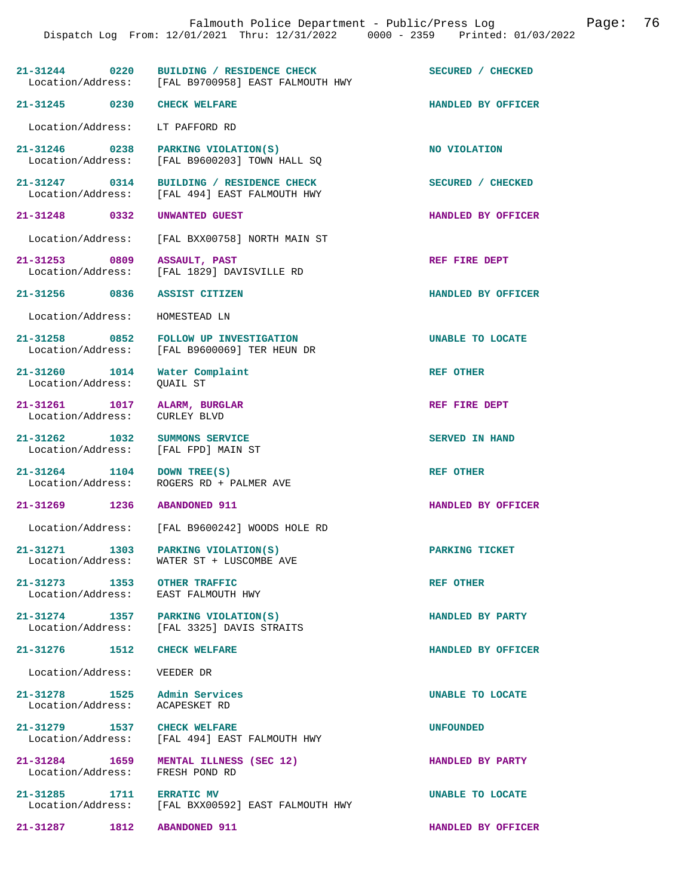|                                                                      | 21-31244 0220 BUILDING / RESIDENCE CHECK<br>Location/Address: [FAL B9700958] EAST FALMOUTH HWY | SECURED / CHECKED       |
|----------------------------------------------------------------------|------------------------------------------------------------------------------------------------|-------------------------|
| 21-31245 0230 CHECK WELFARE                                          |                                                                                                | HANDLED BY OFFICER      |
| Location/Address: LT PAFFORD RD                                      |                                                                                                |                         |
|                                                                      | 21-31246 0238 PARKING VIOLATION(S)<br>Location/Address: [FAL B9600203] TOWN HALL SQ            | NO VIOLATION            |
|                                                                      | 21-31247 0314 BUILDING / RESIDENCE CHECK<br>Location/Address: [FAL 494] EAST FALMOUTH HWY      | SECURED / CHECKED       |
| 21-31248 0332 UNWANTED GUEST                                         |                                                                                                | HANDLED BY OFFICER      |
|                                                                      | Location/Address: [FAL BXX00758] NORTH MAIN ST                                                 |                         |
| 21-31253 0809 ASSAULT, PAST                                          | Location/Address: [FAL 1829] DAVISVILLE RD                                                     | REF FIRE DEPT           |
| 21-31256 0836 ASSIST CITIZEN                                         |                                                                                                | HANDLED BY OFFICER      |
| Location/Address: HOMESTEAD LN                                       |                                                                                                |                         |
|                                                                      | 21-31258 0852 FOLLOW UP INVESTIGATION<br>Location/Address: [FAL B9600069] TER HEUN DR          | <b>UNABLE TO LOCATE</b> |
| 21-31260 1014 Water Complaint<br>Location/Address: QUAIL ST          |                                                                                                | <b>REF OTHER</b>        |
| 21-31261 1017 ALARM, BURGLAR<br>Location/Address: CURLEY BLVD        |                                                                                                | REF FIRE DEPT           |
| 21-31262 1032 SUMMONS SERVICE<br>Location/Address: [FAL FPD] MAIN ST |                                                                                                | SERVED IN HAND          |
| 21-31264 1104 DOWN TREE(S)                                           | Location/Address: ROGERS RD + PALMER AVE                                                       | <b>REF OTHER</b>        |
| 21-31269 1236 ABANDONED 911                                          |                                                                                                | HANDLED BY OFFICER      |
|                                                                      | Location/Address: [FAL B9600242] WOODS HOLE RD                                                 |                         |
| Location/Address:                                                    | 21-31271 1303 PARKING VIOLATION(S)<br>WATER ST + LUSCOMBE AVE                                  | PARKING TICKET          |
| 21-31273 1353 OTHER TRAFFIC<br>Location/Address: EAST FALMOUTH HWY   |                                                                                                | <b>REF OTHER</b>        |
|                                                                      | 21-31274 1357 PARKING VIOLATION(S)<br>Location/Address: [FAL 3325] DAVIS STRAITS               | HANDLED BY PARTY        |
| 21-31276 1512 CHECK WELFARE                                          |                                                                                                | HANDLED BY OFFICER      |
| Location/Address: VEEDER DR                                          |                                                                                                |                         |
| 21-31278 1525 Admin Services<br>Location/Address:                    | ACAPESKET RD                                                                                   | UNABLE TO LOCATE        |
|                                                                      | 21-31279 1537 CHECK WELFARE<br>Location/Address: [FAL 494] EAST FALMOUTH HWY                   | <b>UNFOUNDED</b>        |
| Location/Address: FRESH POND RD                                      | 21-31284 1659 MENTAL ILLNESS (SEC 12)                                                          | HANDLED BY PARTY        |
| 21-31285 1711                                                        | <b>ERRATIC MV</b><br>Location/Address: [FAL BXX00592] EAST FALMOUTH HWY                        | UNABLE TO LOCATE        |

**21-31287 1812 ABANDONED 911 HANDLED BY OFFICER**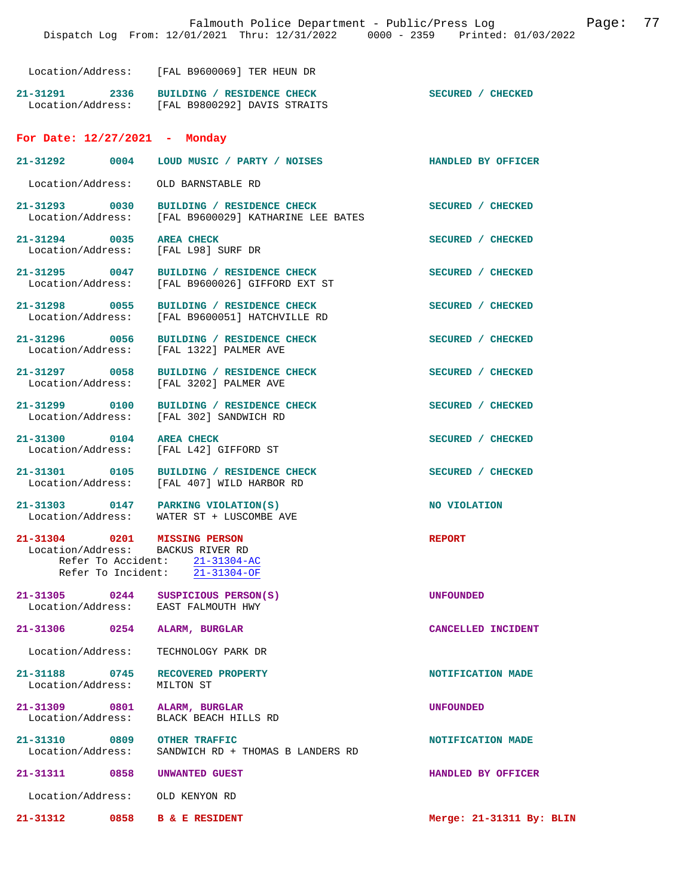Location/Address: [FAL B9600069] TER HEUN DR

**21-31291 2336 BUILDING / RESIDENCE CHECK SECURED / CHECKED**  Location/Address: [FAL B9800292] DAVIS STRAITS

## **For Date: 12/27/2021 - Monday**

| $21 - 31292$      | 0004 | LOUD MUSIC / PARTY / NOISES |  | HANDLED BY OFFICER |
|-------------------|------|-----------------------------|--|--------------------|
| Location/Address: |      | OLD BARNSTABLE RD           |  |                    |

**21-31293 0030 BUILDING / RESIDENCE CHECK SECURED / CHECKED**  Location/Address: [FAL B9600029] KATHARINE LEE BATES 21-31294 0035 AREA CHECK **SECURED** / CHECKED Location / Address: [FAL L98] SURF DR

Location/Address:

**21-31295 0047 BUILDING / RESIDENCE CHECK SECURED / CHECKED**  Location/Address: [FAL B9600026] GIFFORD EXT ST

[FAL 1322] PALMER AVE

[FAL L42] GIFFORD ST

**21-31298 0055 BUILDING / RESIDENCE CHECK SECURED / CHECKED**  Location/Address: [FAL B9600051] HATCHVILLE RD

21-31296 0056 BUILDING / RESIDENCE CHECK **SECURED** / CHECKED Location/Address: [FAL 1322] PALMER AVE

**21-31297 0058 BUILDING / RESIDENCE CHECK SECURED / CHECKED**  Location/Address: [FAL 3202] PALMER AVE

**21-31299 0100 BUILDING / RESIDENCE CHECK SECURED / CHECKED** 

Location/Address: [FAL 302] SANDWICH RD

21-31300 0104 AREA CHECK **SECURED** / CHECKED **DOCALL** OCALLOCALL **SECURED** / CHECKED

**21-31301 0105 BUILDING / RESIDENCE CHECK SECURED / CHECKED**  Location/Address: [FAL 407] WILD HARBOR RD

**21-31303** 0147 PARKING VIOLATION(S) NO VIOLATION Location/Address: WATER ST + LUSCOMBE AVE WATER ST + LUSCOMBE AVE

**21-31304 0201 MISSING PERSON REPORT**  Location/Address: BACKUS RIVER RD Refer To Accident: 21-31304-AC

Refer To Incident: 21-31304-OF

**21-31305 0244 SUSPICIOUS PERSON(S) CONSUMED LOCALLO UNFOUNDED**<br>
Location/Address: EAST FALMOUTH HWY Location/Address:

**21-31306 0254 ALARM, BURGLAR CANCELLED INCIDENT** 

Location/Address: TECHNOLOGY PARK DR

Location/Address:

21-31188 0745 RECOVERED PROPERTY **NOTIFICATION MADE Location/Address:** MILTON ST

**21-31309 0801 ALARM, BURGLAR UNFOUNDED**  Location/Address:

21-31310 0809 OTHER TRAFFIC **DEALL ASSESS AND ADE LOCATION OF A SANDWICH RD** + THOMAS B LANDERS RD SANDWICH RD + THOMAS B LANDERS RD

**21-31311 0858 UNWANTED GUEST HANDLED BY OFFICER** 

Location/Address: OLD KENYON RD

**21-31312 0858 B & E RESIDENT Merge: 21-31311 By: BLIN**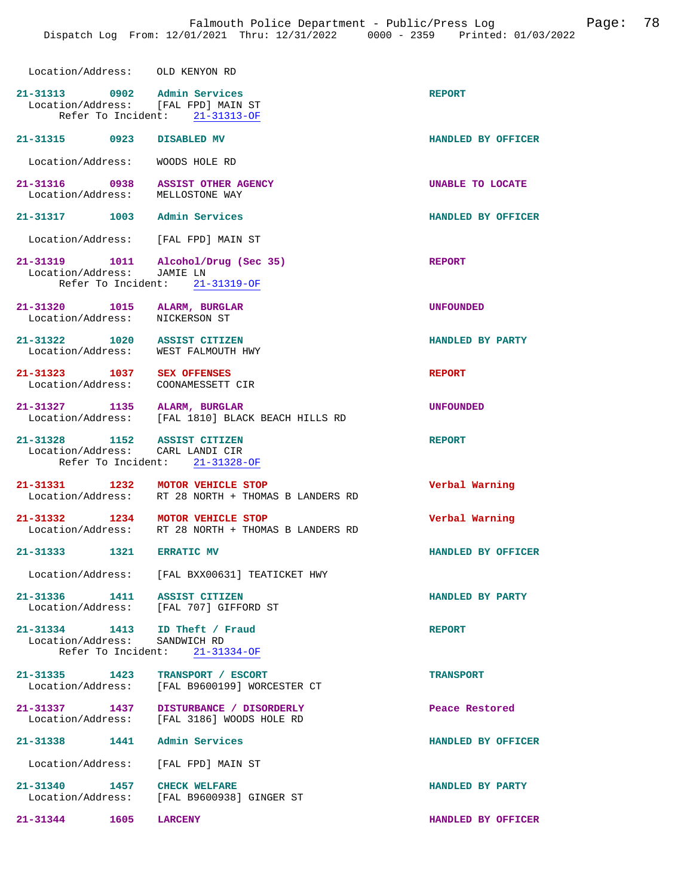| Location/Address: OLD KENYON RD                                     |                                                                             |                    |
|---------------------------------------------------------------------|-----------------------------------------------------------------------------|--------------------|
| 21-31313 0902 Admin Services<br>Location/Address: [FAL FPD] MAIN ST | Refer To Incident: 21-31313-OF                                              | <b>REPORT</b>      |
| 21-31315 0923 DISABLED MV                                           |                                                                             | HANDLED BY OFFICER |
| Location/Address: WOODS HOLE RD                                     |                                                                             |                    |
| 21-31316 0938<br>Location/Address: MELLOSTONE WAY                   | <b>ASSIST OTHER AGENCY</b>                                                  | UNABLE TO LOCATE   |
| 21-31317 1003 Admin Services                                        |                                                                             | HANDLED BY OFFICER |
| Location/Address: [FAL FPD] MAIN ST                                 |                                                                             |                    |
| Location/Address: JAMIE LN                                          | 21-31319    1011    Alcohol/Drug (Sec 35)<br>Refer To Incident: 21-31319-OF | <b>REPORT</b>      |
| 21-31320 1015 ALARM, BURGLAR<br>Location/Address: NICKERSON ST      |                                                                             | <b>UNFOUNDED</b>   |
| 21-31322 1020 ASSIST CITIZEN<br>Location/Address: WEST FALMOUTH HWY |                                                                             | HANDLED BY PARTY   |
| 21-31323 1037 SEX OFFENSES<br>Location/Address: COONAMESSETT CIR    |                                                                             | <b>REPORT</b>      |
| 21-31327 1135                                                       | ALARM, BURGLAR<br>Location/Address: [FAL 1810] BLACK BEACH HILLS RD         | <b>UNFOUNDED</b>   |
| 21-31328 1152 ASSIST CITIZEN<br>Location/Address: CARL LANDI CIR    | Refer To Incident: 21-31328-OF                                              | <b>REPORT</b>      |
| 21-31331 1232 MOTOR VEHICLE STOP                                    | Location/Address: RT 28 NORTH + THOMAS B LANDERS RD                         | Verbal Warning     |
| 21-31332 1234 MOTOR VEHICLE STOP                                    | Location/Address: RT 28 NORTH + THOMAS B LANDERS RD                         | Verbal Warning     |
| 21-31333 1321 ERRATIC MV                                            |                                                                             | HANDLED BY OFFICER |
|                                                                     | Location/Address: [FAL BXX00631] TEATICKET HWY                              |                    |
| 21-31336 1411 ASSIST CITIZEN                                        | Location/Address: [FAL 707] GIFFORD ST                                      | HANDLED BY PARTY   |
| 21-31334 1413 ID Theft / Fraud<br>Location/Address: SANDWICH RD     | Refer To Incident: 21-31334-OF                                              | <b>REPORT</b>      |
| 21-31335 1423                                                       | TRANSPORT / ESCORT<br>Location/Address: [FAL B9600199] WORCESTER CT         | <b>TRANSPORT</b>   |
| 21-31337 1437                                                       | DISTURBANCE / DISORDERLY<br>Location/Address: [FAL 3186] WOODS HOLE RD      | Peace Restored     |
| 21-31338                                                            | 1441 Admin Services                                                         | HANDLED BY OFFICER |
|                                                                     | Location/Address: [FAL FPD] MAIN ST                                         |                    |
| 21-31340 1457                                                       | <b>CHECK WELFARE</b><br>Location/Address: [FAL B9600938] GINGER ST          | HANDLED BY PARTY   |
| $21 - 31344$<br>1605                                                | <b>LARCENY</b>                                                              | HANDLED BY OFFICER |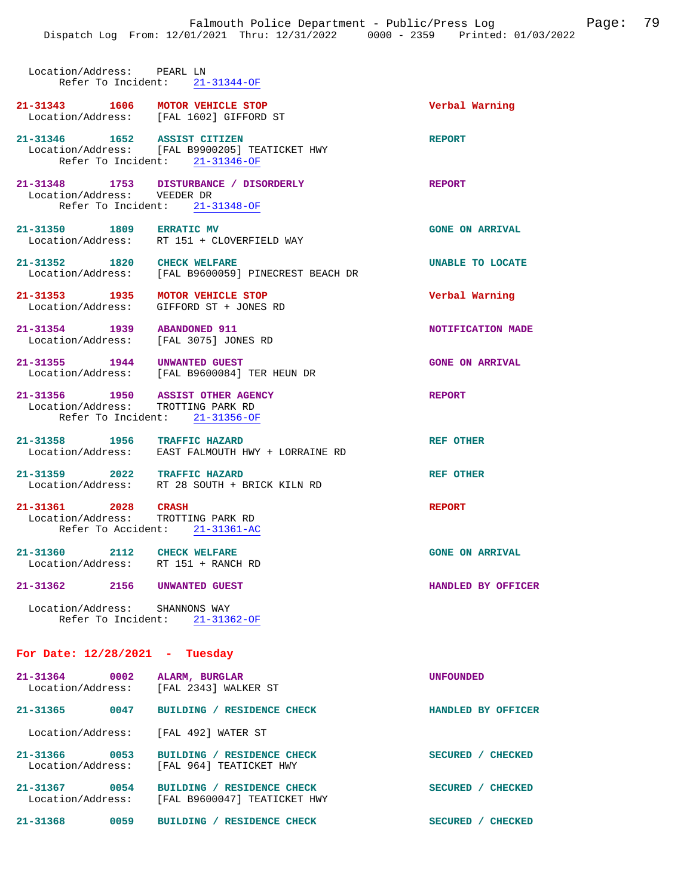Location/Address: PEARL LN Refer To Incident: 21-31344-OF **21-31343 1606 MOTOR VEHICLE STOP Verbal Warning**  Location/Address: [FAL 1602] GIFFORD ST **21-31346 1652 ASSIST CITIZEN REPORT**  Location/Address: [FAL B9900205] TEATICKET HWY Refer To Incident: 21-31346-OF **21-31348 1753 DISTURBANCE / DISORDERLY REPORT**  Location/Address: VEEDER DR Refer To Incident: 21-31348-OF 21-31350 1809 ERRATIC MV **GONE ON ARRIVAL**<br>
Location/Address: RT 151 + CLOVERFIELD WAY RT 151 + CLOVERFIELD WAY 21-31352 1820 CHECK WELFARE **Interpreterably CONTE** UNABLE TO LOCATE Location/Address: [FAL B9600059] PINECREST BEACH DR [FAL B9600059] PINECREST BEACH DR **21-31353 1935 MOTOR VEHICLE STOP Verbal Warning**  Location/Address: GIFFORD ST + JONES RD **21-31354 1939 ABANDONED 911 NOTIFICATION MADE**  Location/Address: [FAL 3075] JONES RD **21-31355 1944 UNWANTED GUEST GONE ON ARRIVAL**  [FAL B9600084] TER HEUN DR **21-31356 1950 ASSIST OTHER AGENCY REPORT**  Location/Address: TROTTING PARK RD Refer To Incident: 21-31356-OF **21-31358 1956 TRAFFIC HAZARD REF OTHER**  EAST FALMOUTH HWY + LORRAINE RD **21-31359 2022 TRAFFIC HAZARD REF OTHER**  Location/Address: RT 28 SOUTH + BRICK KILN RD **21-31361 2028 CRASH REPORT**  Location/Address: TROTTING PARK RD Refer To Accident: 21-31361-AC 21-31360 2112 CHECK WELFARE GONE ON ARRIVAL Location/Address: RT 151 + RANCH RD Location/Address: **21-31362 2156 UNWANTED GUEST HANDLED BY OFFICER**  Location/Address: SHANNONS WAY Refer To Incident: 21-31362-OF **For Date: 12/28/2021 - Tuesday 21-31364 0002 ALARM, BURGLAR UNFOUNDED** 

| 41-31304<br>uuuz<br>Location/Address:     | ALARM, DURGLAR<br>[FAL 2343] WALKER ST                                    | UNF OUNDED                          |
|-------------------------------------------|---------------------------------------------------------------------------|-------------------------------------|
| $21 - 31365$<br>0047                      | <b>RESIDENCE CHECK</b><br><b>BUILDING</b>                                 | <b>HANDLED BY</b><br><b>OFFICER</b> |
| Location/Address:                         | FAL 4921 WATER ST                                                         |                                     |
| $21 - 31366$<br>0053<br>Location/Address: | <b>RESIDENCE CHECK</b><br><b>BUILDING</b><br>[FAL 964] TEATICKET HWY      | <b>SECURED</b><br><b>CHECKED</b>    |
| $21 - 31367$<br>0054<br>Location/Address: | <b>RESIDENCE CHECK</b><br><b>BUILDING</b><br>[FAL B9600047] TEATICKET HWY | <b>SECURED</b><br><b>CHECKED</b>    |
| $21 - 31368$<br>0059                      | <b>RESIDENCE</b><br><b>BUILDING</b><br><b>CHECK</b>                       | <b>CHECKED</b><br><b>SECURED</b>    |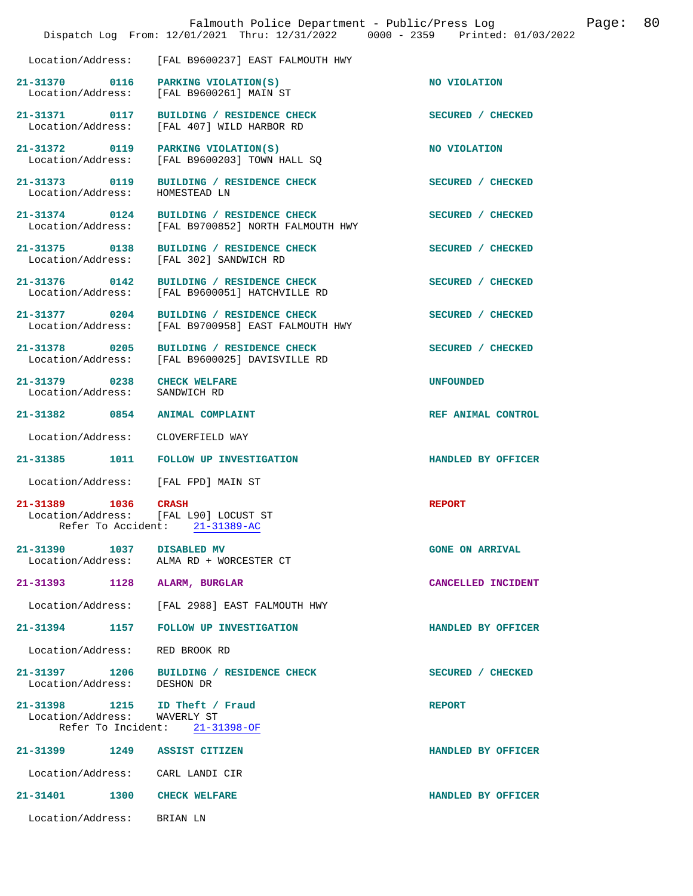|                                                                | Falmouth Police Department - Public/Press Log<br>Dispatch Log From: 12/01/2021 Thru: 12/31/2022 0000 - 2359 Printed: 01/03/2022 |                        | Page: | 80 |
|----------------------------------------------------------------|---------------------------------------------------------------------------------------------------------------------------------|------------------------|-------|----|
| Location/Address:                                              | [FAL B9600237] EAST FALMOUTH HWY                                                                                                |                        |       |    |
|                                                                | 21-31370 0116 PARKING VIOLATION(S)<br>Location/Address: [FAL B9600261] MAIN ST                                                  | NO VIOLATION           |       |    |
| Location/Address:                                              | 21-31371 0117 BUILDING / RESIDENCE CHECK<br>[FAL 407] WILD HARBOR RD                                                            | SECURED / CHECKED      |       |    |
| 21-31372 0119 PARKING VIOLATION(S)<br>Location/Address:        | [FAL B9600203] TOWN HALL SQ                                                                                                     | NO VIOLATION           |       |    |
| 21-31373 0119<br>Location/Address:                             | BUILDING / RESIDENCE CHECK<br>HOMESTEAD LN                                                                                      | SECURED / CHECKED      |       |    |
| 21-31374 0124<br>Location/Address:                             | BUILDING / RESIDENCE CHECK<br>[FAL B9700852] NORTH FALMOUTH HWY                                                                 | SECURED / CHECKED      |       |    |
| 21-31375 0138<br>Location/Address:                             | BUILDING / RESIDENCE CHECK<br>[FAL 302] SANDWICH RD                                                                             | SECURED / CHECKED      |       |    |
| 21-31376 0142<br>Location/Address:                             | BUILDING / RESIDENCE CHECK<br>[FAL B9600051] HATCHVILLE RD                                                                      | SECURED / CHECKED      |       |    |
| 21-31377 0204                                                  | BUILDING / RESIDENCE CHECK<br>Location/Address: [FAL B9700958] EAST FALMOUTH HWY                                                | SECURED / CHECKED      |       |    |
| 21-31378 0205                                                  | BUILDING / RESIDENCE CHECK<br>Location/Address: [FAL B9600025] DAVISVILLE RD                                                    | SECURED / CHECKED      |       |    |
| 21-31379 0238 CHECK WELFARE<br>Location/Address: SANDWICH RD   |                                                                                                                                 | UNFOUNDED              |       |    |
| 21-31382 0854                                                  | <b>ANIMAL COMPLAINT</b>                                                                                                         | REF ANIMAL CONTROL     |       |    |
| Location/Address:                                              | CLOVERFIELD WAY                                                                                                                 |                        |       |    |
|                                                                | 21-31385 1011 FOLLOW UP INVESTIGATION                                                                                           | HANDLED BY OFFICER     |       |    |
| Location/Address:                                              | [FAL FPD] MAIN ST                                                                                                               |                        |       |    |
| 21-31389 1036 CRASH<br>Location/Address: [FAL L90] LOCUST ST   | Refer To Accident: 21-31389-AC                                                                                                  | <b>REPORT</b>          |       |    |
| 21-31390 1037 DISABLED MV                                      | Location/Address: ALMA RD + WORCESTER CT                                                                                        | <b>GONE ON ARRIVAL</b> |       |    |
| 21-31393 1128 ALARM, BURGLAR                                   |                                                                                                                                 | CANCELLED INCIDENT     |       |    |
| Location/Address:                                              | [FAL 2988] EAST FALMOUTH HWY                                                                                                    |                        |       |    |
|                                                                | 21-31394 1157 FOLLOW UP INVESTIGATION                                                                                           | HANDLED BY OFFICER     |       |    |
| Location/Address: RED BROOK RD                                 |                                                                                                                                 |                        |       |    |
| Location/Address: DESHON DR                                    | 21-31397 1206 BUILDING / RESIDENCE CHECK                                                                                        | SECURED / CHECKED      |       |    |
| 21-31398 1215 ID Theft / Fraud<br>Location/Address: WAVERLY ST | Refer To Incident: $21-31398-OF$                                                                                                | <b>REPORT</b>          |       |    |
| 21-31399 1249 ASSIST CITIZEN                                   |                                                                                                                                 | HANDLED BY OFFICER     |       |    |
| Location/Address: CARL LANDI CIR                               |                                                                                                                                 |                        |       |    |
| 21-31401 1300                                                  | <b>CHECK WELFARE</b>                                                                                                            | HANDLED BY OFFICER     |       |    |
| Location/Address: BRIAN LN                                     |                                                                                                                                 |                        |       |    |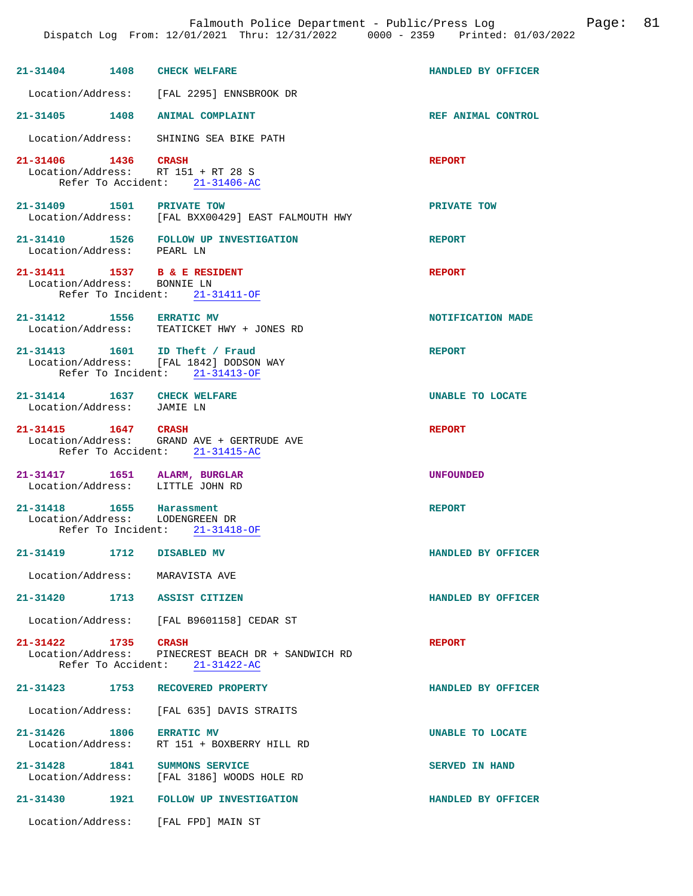| 21-31404 1408 CHECK WELFARE                                      |                                                                                      | HANDLED BY OFFICER      |
|------------------------------------------------------------------|--------------------------------------------------------------------------------------|-------------------------|
|                                                                  | Location/Address: [FAL 2295] ENNSBROOK DR                                            |                         |
| 21-31405 1408 ANIMAL COMPLAINT                                   |                                                                                      | REF ANIMAL CONTROL      |
|                                                                  | Location/Address: SHINING SEA BIKE PATH                                              |                         |
| 21-31406 1436 CRASH<br>Location/Address: RT 151 + RT 28 S        | Refer To Accident: 21-31406-AC                                                       | <b>REPORT</b>           |
| 21-31409 1501 PRIVATE TOW                                        | Location/Address: [FAL BXX00429] EAST FALMOUTH HWY                                   | PRIVATE TOW             |
|                                                                  | 21-31410   1526   FOLLOW UP INVESTIGATION   Location/Address:   PEARL LN             | <b>REPORT</b>           |
| 21-31411 1537 B & E RESIDENT<br>Location/Address: BONNIE LN      | Refer To Incident: 21-31411-OF                                                       | <b>REPORT</b>           |
| 21-31412 1556 ERRATIC MV                                         | Location/Address: TEATICKET HWY + JONES RD                                           | NOTIFICATION MADE       |
| 21-31413    1601    ID Theft / Fraud                             | Location/Address: [FAL 1842] DODSON WAY<br>Refer To Incident: 21-31413-OF            | <b>REPORT</b>           |
| 21-31414 1637 CHECK WELFARE<br>Location/Address: JAMIE LN        |                                                                                      | <b>UNABLE TO LOCATE</b> |
| 21-31415 1647 CRASH                                              | Location/Address: GRAND AVE + GERTRUDE AVE<br>Refer To Accident: 21-31415-AC         | <b>REPORT</b>           |
| 21-31417 1651 ALARM, BURGLAR<br>Location/Address: LITTLE JOHN RD |                                                                                      | <b>UNFOUNDED</b>        |
| 21-31418 1655 Harassment<br>Location/Address: LODENGREEN DR      | Refer To Incident: $21-31418-OF$                                                     | <b>REPORT</b>           |
| 21-31419<br>1712                                                 | DISABLED MV                                                                          | HANDLED BY OFFICER      |
| Location/Address: MARAVISTA AVE                                  |                                                                                      |                         |
| 21-31420 1713 ASSIST CITIZEN                                     |                                                                                      | HANDLED BY OFFICER      |
|                                                                  | Location/Address: [FAL B9601158] CEDAR ST                                            |                         |
| 21-31422 1735 CRASH                                              | Location/Address: PINECREST BEACH DR + SANDWICH RD<br>Refer To Accident: 21-31422-AC | <b>REPORT</b>           |
| 21-31423 1753                                                    | RECOVERED PROPERTY                                                                   | HANDLED BY OFFICER      |
|                                                                  | Location/Address: [FAL 635] DAVIS STRAITS                                            |                         |
| 21-31426 1806                                                    | <b>ERRATIC MV</b><br>Location/Address: RT 151 + BOXBERRY HILL RD                     | UNABLE TO LOCATE        |
| 21-31428 1841 SUMMONS SERVICE                                    | Location/Address: [FAL 3186] WOODS HOLE RD                                           | <b>SERVED IN HAND</b>   |
|                                                                  | 21-31430 1921 FOLLOW UP INVESTIGATION                                                | HANDLED BY OFFICER      |
| Location/Address: [FAL FPD] MAIN ST                              |                                                                                      |                         |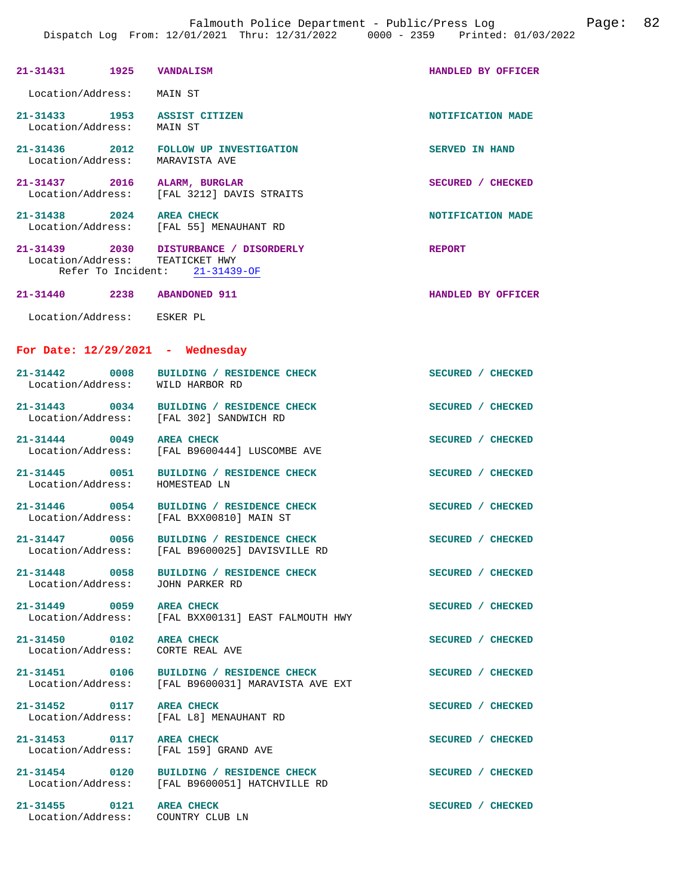| 21-31431 1925 VANDALISM                           |      |                                                                                                | HANDLED BY OFFICER    |  |
|---------------------------------------------------|------|------------------------------------------------------------------------------------------------|-----------------------|--|
| Location/Address: MAIN ST                         |      |                                                                                                |                       |  |
| 21-31433 1953 ASSIST CITIZEN<br>Location/Address: |      | MAIN ST                                                                                        | NOTIFICATION MADE     |  |
| Location/Address: MARAVISTA AVE                   |      | 21-31436 2012 FOLLOW UP INVESTIGATION                                                          | <b>SERVED IN HAND</b> |  |
| 21-31437 2016 ALARM, BURGLAR                      |      | Location/Address: [FAL 3212] DAVIS STRAITS                                                     | SECURED / CHECKED     |  |
| 21-31438 2024 AREA CHECK                          |      | Location/Address: [FAL 55] MENAUHANT RD                                                        | NOTIFICATION MADE     |  |
| Location/Address: TEATICKET HWY                   |      | 21-31439 2030 DISTURBANCE / DISORDERLY<br>Refer To Incident: 21-31439-OF                       | <b>REPORT</b>         |  |
| 21-31440 2238 ABANDONED 911                       |      |                                                                                                | HANDLED BY OFFICER    |  |
| Location/Address: ESKER PL                        |      |                                                                                                |                       |  |
| For Date: $12/29/2021$ - Wednesday                |      |                                                                                                |                       |  |
|                                                   |      | 21-31442 0008 BUILDING / RESIDENCE CHECK<br>Location/Address: WILD HARBOR RD                   | SECURED / CHECKED     |  |
|                                                   |      | 21-31443 0034 BUILDING / RESIDENCE CHECK<br>Location/Address: [FAL 302] SANDWICH RD            | SECURED / CHECKED     |  |
| 21-31444 0049 AREA CHECK<br>Location/Address:     |      | [FAL B9600444] LUSCOMBE AVE                                                                    | SECURED / CHECKED     |  |
| Location/Address:                                 |      | 21-31445 0051 BUILDING / RESIDENCE CHECK<br>HOMESTEAD LN                                       | SECURED / CHECKED     |  |
|                                                   |      | 21-31446 0054 BUILDING / RESIDENCE CHECK<br>Location/Address: [FAL BXX00810] MAIN ST           | SECURED / CHECKED     |  |
|                                                   |      | 21-31447 0056 BUILDING / RESIDENCE CHECK<br>Location/Address: [FAL B9600025] DAVISVILLE RD     | SECURED / CHECKED     |  |
| 21-31448 0058<br>Location/Address:                |      | BUILDING / RESIDENCE CHECK<br>JOHN PARKER RD                                                   | SECURED / CHECKED     |  |
| 21-31449 0059                                     |      | <b>AREA CHECK</b><br>Location/Address: [FAL BXX00131] EAST FALMOUTH HWY                        | SECURED / CHECKED     |  |
| 21-31450 0102 AREA CHECK<br>Location/Address:     |      | CORTE REAL AVE                                                                                 | SECURED / CHECKED     |  |
|                                                   |      | 21-31451 0106 BUILDING / RESIDENCE CHECK<br>Location/Address: [FAL B9600031] MARAVISTA AVE EXT | SECURED / CHECKED     |  |
| 21-31452 0117 AREA CHECK                          |      | Location/Address: [FAL L8] MENAUHANT RD                                                        | SECURED / CHECKED     |  |
| 21-31453 0117 AREA CHECK                          |      | Location/Address: [FAL 159] GRAND AVE                                                          | SECURED / CHECKED     |  |
|                                                   |      | 21-31454 0120 BUILDING / RESIDENCE CHECK<br>Location/Address: [FAL B9600051] HATCHVILLE RD     | SECURED / CHECKED     |  |
| 21-31455                                          | 0121 | <b>AREA CHECK</b>                                                                              | SECURED / CHECKED     |  |

Location/Address: COUNTRY CLUB LN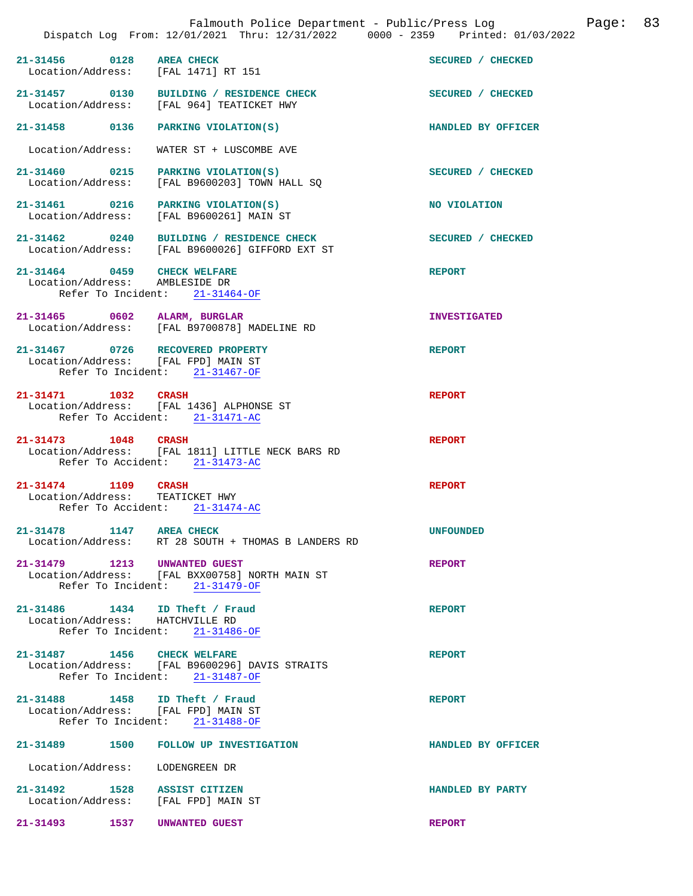**21-31456 0128 AREA CHECK SECURED / CHECKED**  Location/Address: [FAL 1471] RT 151 **21-31457 0130 BUILDING / RESIDENCE CHECK SECURED / CHECKED**  Location/Address: [FAL 964] TEATICKET HWY **21-31458 0136 PARKING VIOLATION(S) HANDLED BY OFFICER**  Location/Address: WATER ST + LUSCOMBE AVE **21-31460 0215 PARKING VIOLATION(S) SECURED / CHECKED**  Location/Address: [FAL B9600203] TOWN HALL SQ **21-31461 0216 PARKING VIOLATION(S) NO VIOLATION**  Location/Address: [FAL B9600261] MAIN ST **21-31462 0240 BUILDING / RESIDENCE CHECK SECURED / CHECKED**  Location/Address: [FAL B9600026] GIFFORD EXT ST **21-31464 0459 CHECK WELFARE REPORT**  Location/Address: AMBLESIDE DR Refer To Incident: 21-31464-OF **21-31465 0602 ALARM, BURGLAR INVESTIGATED**  Location/Address: [FAL B9700878] MADELINE RD **21-31467 0726 RECOVERED PROPERTY REPORT**  Location/Address: [FAL FPD] MAIN ST Refer To Incident: 21-31467-OF **21-31471 1032 CRASH REPORT**  Location/Address: [FAL 1436] ALPHONSE ST Refer To Accident: 21-31471-AC **21-31473 1048 CRASH REPORT**  Location/Address: [FAL 1811] LITTLE NECK BARS RD Refer To Accident: 21-31473-AC **21-31474 1109 CRASH REPORT**  Location/Address: TEATICKET HWY Refer To Accident: 21-31474-AC **21-31478 1147 AREA CHECK UNFOUNDED**  Location/Address: RT 28 SOUTH + THOMAS B LANDERS RD **21-31479 1213 UNWANTED GUEST REPORT**  Location/Address: [FAL BXX00758] NORTH MAIN ST Refer To Incident: 21-31479-OF **21-31486 1434 ID Theft / Fraud REPORT**  Location/Address: HATCHVILLE RD Refer To Incident: 21-31486-OF **21-31487 1456 CHECK WELFARE REPORT**  Location/Address: [FAL B9600296] DAVIS STRAITS Refer To Incident: 21-31487-OF **21-31488 1458 ID Theft / Fraud REPORT**  Location/Address: [FAL FPD] MAIN ST Refer To Incident: 21-31488-OF **21-31489 1500 FOLLOW UP INVESTIGATION HANDLED BY OFFICER** 

Location/Address: LODENGREEN DR

**21-31492 1528 ASSIST CITIZEN HANDLED BY PARTY**  Location/Address:

**21-31493 1537 UNWANTED GUEST REPORT**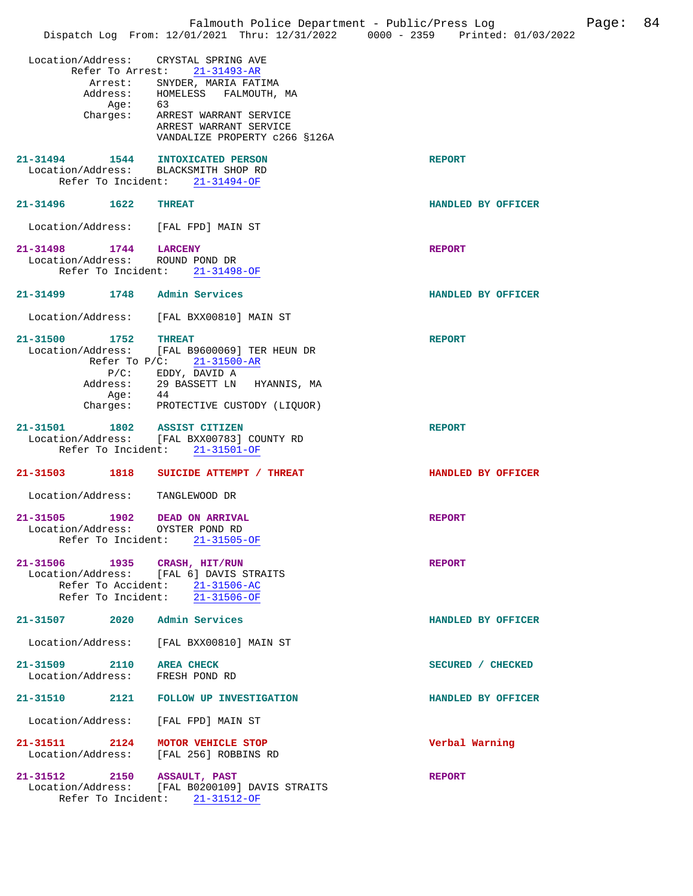|                                                                          |                                                                                                                                                                                            | Falmouth Police Department - Public/Press Log<br>Page:<br>Dispatch Log From: 12/01/2021 Thru: 12/31/2022 0000 - 2359 Printed: 01/03/2022 | 84 |
|--------------------------------------------------------------------------|--------------------------------------------------------------------------------------------------------------------------------------------------------------------------------------------|------------------------------------------------------------------------------------------------------------------------------------------|----|
| Location/Address:<br>Age:                                                | CRYSTAL SPRING AVE<br>Refer To Arrest: 21-31493-AR<br>Arrest: SNYDER, MARIA FATIMA<br>Address: HOMELESS<br>FALMOUTH, MA<br>63<br>Charges: ARREST WARRANT SERVICE<br>ARREST WARRANT SERVICE |                                                                                                                                          |    |
| 21-31494 1544 INTOXICATED PERSON<br>Location/Address: BLACKSMITH SHOP RD | VANDALIZE PROPERTY c266 §126A<br>Refer To Incident: 21-31494-OF                                                                                                                            | <b>REPORT</b>                                                                                                                            |    |
| 21-31496 1622 THREAT                                                     |                                                                                                                                                                                            | HANDLED BY OFFICER                                                                                                                       |    |
| Location/Address: [FAL FPD] MAIN ST                                      |                                                                                                                                                                                            |                                                                                                                                          |    |
| 21-31498 1744 LARCENY<br>Location/Address: ROUND POND DR                 | Refer To Incident: 21-31498-OF                                                                                                                                                             | <b>REPORT</b>                                                                                                                            |    |
| 21-31499 1748 Admin Services                                             |                                                                                                                                                                                            | HANDLED BY OFFICER                                                                                                                       |    |
| Location/Address:                                                        | [FAL BXX00810] MAIN ST                                                                                                                                                                     |                                                                                                                                          |    |
| 1752<br>21-31500<br>$P/C$ :<br>Address:<br>Aqe:                          | <b>THREAT</b><br>Location/Address: [FAL B9600069] TER HEUN DR<br>Refer To $P/C: 21-31500-AR$<br>EDDY, DAVID A<br>29 BASSETT LN HYANNIS, MA<br>44                                           | <b>REPORT</b>                                                                                                                            |    |
| 21-31501                                                                 | Charges: PROTECTIVE CUSTODY (LIQUOR)<br>1802 ASSIST CITIZEN<br>Location/Address: [FAL BXX00783] COUNTY RD<br>Refer To Incident: 21-31501-OF                                                | <b>REPORT</b>                                                                                                                            |    |
|                                                                          | 21-31503 1818 SUICIDE ATTEMPT / THREAT                                                                                                                                                     | HANDLED BY OFFICER                                                                                                                       |    |
| Location/Address:                                                        | TANGLEWOOD DR                                                                                                                                                                              |                                                                                                                                          |    |
| 1902<br>21-31505<br>Location/Address: OYSTER POND RD                     | DEAD ON ARRIVAL<br>Refer To Incident: 21-31505-OF                                                                                                                                          | <b>REPORT</b>                                                                                                                            |    |
| 21-31506 1935 CRASH, HIT/RUN                                             | Location/Address: [FAL 6] DAVIS STRAITS<br>Refer To Accident: 21-31506-AC<br>Refer To Incident: 21-31506-OF                                                                                | <b>REPORT</b>                                                                                                                            |    |
| 21-31507 2020 Admin Services                                             |                                                                                                                                                                                            | HANDLED BY OFFICER                                                                                                                       |    |
|                                                                          | Location/Address: [FAL BXX00810] MAIN ST                                                                                                                                                   |                                                                                                                                          |    |
| 21-31509 2110 AREA CHECK<br>Location/Address: FRESH POND RD              |                                                                                                                                                                                            | SECURED / CHECKED                                                                                                                        |    |
|                                                                          | 21-31510 2121 FOLLOW UP INVESTIGATION                                                                                                                                                      | HANDLED BY OFFICER                                                                                                                       |    |
| Location/Address: [FAL FPD] MAIN ST                                      |                                                                                                                                                                                            |                                                                                                                                          |    |
| 21-31511 2124 MOTOR VEHICLE STOP                                         | Location/Address: [FAL 256] ROBBINS RD                                                                                                                                                     | Verbal Warning                                                                                                                           |    |
| 21-31512 2150 ASSAULT, PAST                                              | Location/Address: [FAL B0200109] DAVIS STRAITS<br>Refer To Incident: 21-31512-OF                                                                                                           | <b>REPORT</b>                                                                                                                            |    |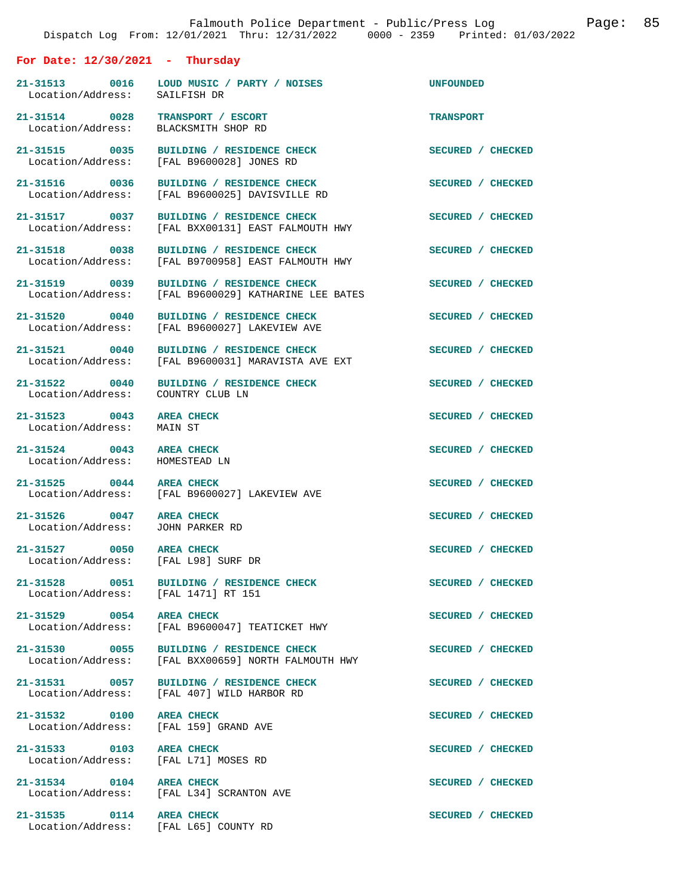|                                                                   | Dispatch Log From: 12/01/2021 Thru: 12/31/2022 0000 - 2359 Printed: 01/03/2022                  |                   |
|-------------------------------------------------------------------|-------------------------------------------------------------------------------------------------|-------------------|
| For Date: $12/30/2021$ - Thursday                                 |                                                                                                 |                   |
| Location/Address: SAILFISH DR                                     |                                                                                                 | UNFOUNDED         |
| 21-31514 0028 TRANSPORT / ESCORT<br>Location/Address:             | BLACKSMITH SHOP RD                                                                              | <b>TRANSPORT</b>  |
| 21-31515 0035                                                     | BUILDING / RESIDENCE CHECK<br>Location/Address: [FAL B9600028] JONES RD                         | SECURED / CHECKED |
| Location/Address:                                                 | 21-31516 0036 BUILDING / RESIDENCE CHECK<br>[FAL B9600025] DAVISVILLE RD                        | SECURED / CHECKED |
| Location/Address:                                                 | 21-31517 0037 BUILDING / RESIDENCE CHECK<br>[FAL BXX00131] EAST FALMOUTH HWY                    | SECURED / CHECKED |
| Location/Address:                                                 | 21-31518 0038 BUILDING / RESIDENCE CHECK<br>[FAL B9700958] EAST FALMOUTH HWY                    | SECURED / CHECKED |
| 21-31519 0039<br>Location/Address:                                | BUILDING / RESIDENCE CHECK<br>[FAL B9600029] KATHARINE LEE BATES                                | SECURED / CHECKED |
| 21-31520 0040                                                     | BUILDING / RESIDENCE CHECK<br>Location/Address: [FAL B9600027] LAKEVIEW AVE                     | SECURED / CHECKED |
| Location/Address:                                                 | 21-31521 0040 BUILDING / RESIDENCE CHECK<br>[FAL B9600031] MARAVISTA AVE EXT                    | SECURED / CHECKED |
| Location/Address: COUNTRY CLUB LN                                 | 21-31522 0040 BUILDING / RESIDENCE CHECK                                                        | SECURED / CHECKED |
| 21-31523 0043<br>Location/Address:                                | <b>AREA CHECK</b><br>MAIN ST                                                                    | SECURED / CHECKED |
| 21-31524 0043 AREA CHECK<br>Location/Address: HOMESTEAD LN        |                                                                                                 | SECURED / CHECKED |
| 21-31525 0044 AREA CHECK                                          | Location/Address: [FAL B9600027] LAKEVIEW AVE                                                   | SECURED / CHECKED |
| 21-31526 0047 AREA CHECK<br>Location/Address: JOHN PARKER RD      |                                                                                                 | SECURED / CHECKED |
| 21-31527 0050 AREA CHECK<br>Location/Address: [FAL L98] SURF DR   |                                                                                                 | SECURED / CHECKED |
| Location/Address: [FAL 1471] RT 151                               | 21-31528 0051 BUILDING / RESIDENCE CHECK                                                        | SECURED / CHECKED |
| 21-31529 0054 AREA CHECK                                          | Location/Address: [FAL B9600047] TEATICKET HWY                                                  | SECURED / CHECKED |
|                                                                   | 21-31530 0055 BUILDING / RESIDENCE CHECK<br>Location/Address: [FAL BXX00659] NORTH FALMOUTH HWY | SECURED / CHECKED |
|                                                                   | 21-31531 0057 BUILDING / RESIDENCE CHECK<br>Location/Address: [FAL 407] WILD HARBOR RD          | SECURED / CHECKED |
| 21-31532 0100 AREA CHECK<br>Location/Address: [FAL 159] GRAND AVE |                                                                                                 | SECURED / CHECKED |
| 21-31533 0103 AREA CHECK<br>Location/Address: [FAL L71] MOSES RD  |                                                                                                 | SECURED / CHECKED |
| 21-31534 0104 AREA CHECK                                          | Location/Address: [FAL L34] SCRANTON AVE                                                        | SECURED / CHECKED |
| 21-31535 0114 AREA CHECK<br>Location/Address: [FAL L65] COUNTY RD |                                                                                                 | SECURED / CHECKED |

Falmouth Police Department - Public/Press Log Page: 85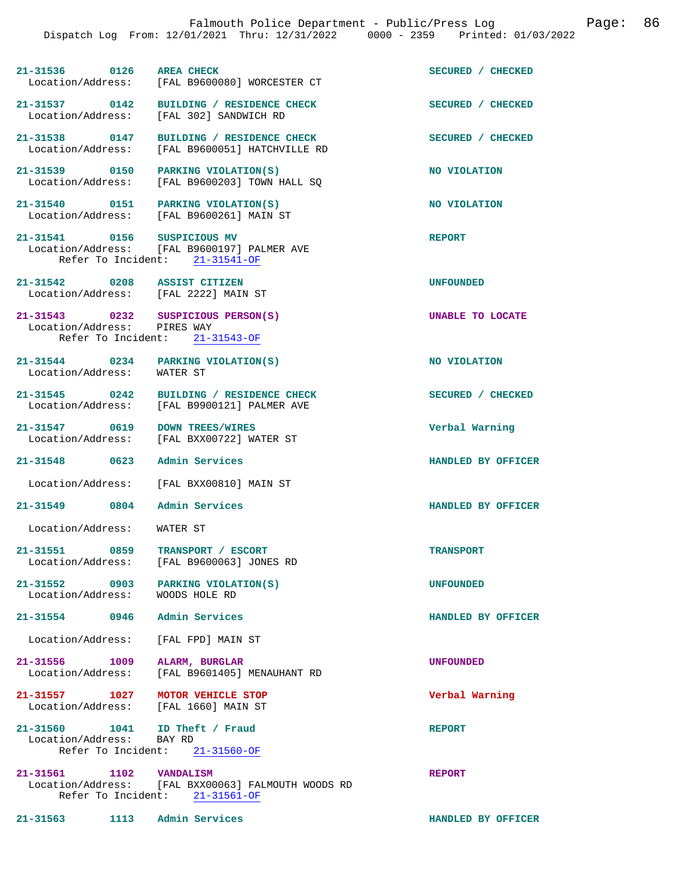| 21-31536          | 0126 | <b>AREA CHECK</b>           | SECURED / CHECKED |
|-------------------|------|-----------------------------|-------------------|
| Location/Address: |      | [FAL B9600080] WORCESTER CT |                   |

21-31537 0142 BUILDING / RESIDENCE CHECK<br>
Location/Address: [FAL 302] SANDWICH RD

21-31538 0147 BUILDING / RESIDENCE CHECK **SECURED** / CHECKED Location/Address: [FAL B9600051] HATCHVILLE RD [FAL B9600051] HATCHVILLE RD

[FAL 302] SANDWICH RD

**21-31539 0150 PARKING VIOLATION(S) NO VIOLATION**  Location/Address: [FAL B9600203] TOWN HALL SQ

**21-31540** 0151 PARKING VIOLATION(S) NO VIOLATION Location/Address: [FAL B9600261] MAIN ST Location/Address: [FAL B9600261] MAIN ST

**21-31541 0156 SUSPICIOUS MV REPORT**  Location/Address: [FAL B9600197] PALMER AVE<br>Refer To Incident: 21-31541-OF Refer To Incident:

**21-31542 0208 ASSIST CITIZEN UNFOUNDED** 

Location/Address: [FAL 2222] MAIN ST

**21-31543 0232 SUSPICIOUS PERSON(S) UNABLE TO LOCATE**  Location/Address: PIRES WAY Refer To Incident: 21-31543-OF

**21-31544 0234 PARKING VIOLATION(S) NO VIOLATION**  Location/Address: WATER ST

**21-31545 0242 BUILDING / RESIDENCE CHECK SECURED / CHECKED**  Location/Address: [FAL B9900121] PALMER AVE

**21-31547 0619 DOWN TREES/WIRES Verbal Warning**  [FAL BXX00722] WATER ST

**21-31548 0623 Admin Services HANDLED BY OFFICER** 

Location/Address: [FAL BXX00810] MAIN ST

**21-31549 0804 Admin Services HANDLED BY OFFICER** 

Location/Address: WATER ST

**21-31551 0859 TRANSPORT / ESCORT TRANSPORT**  [FAL B9600063] JONES RD

**21-31552 0903 PARKING VIOLATION(S) UNFOUNDED** 

**21-31554 0946 Admin Services HANDLED BY OFFICER** 

Location/Address: [FAL FPD] MAIN ST

Location/Address:

**21-31556 1009 ALARM, BURGLAR UNFOUNDED**  [FAL B9601405] MENAUHANT RD

**21-31557 1027 MOTOR VEHICLE STOP Verbal Warning**  Location/Address:

**21-31560 1041 ID Theft / Fraud REPORT**  Location/Address: Refer To Incident: 21-31560-OF

**21-31561 1102 VANDALISM REPORT**  Location/Address: [FAL BXX00063] FALMOUTH WOODS RD Refer To Incident: 21-31561-OF

**21-31563 1113 Admin Services HANDLED BY OFFICER**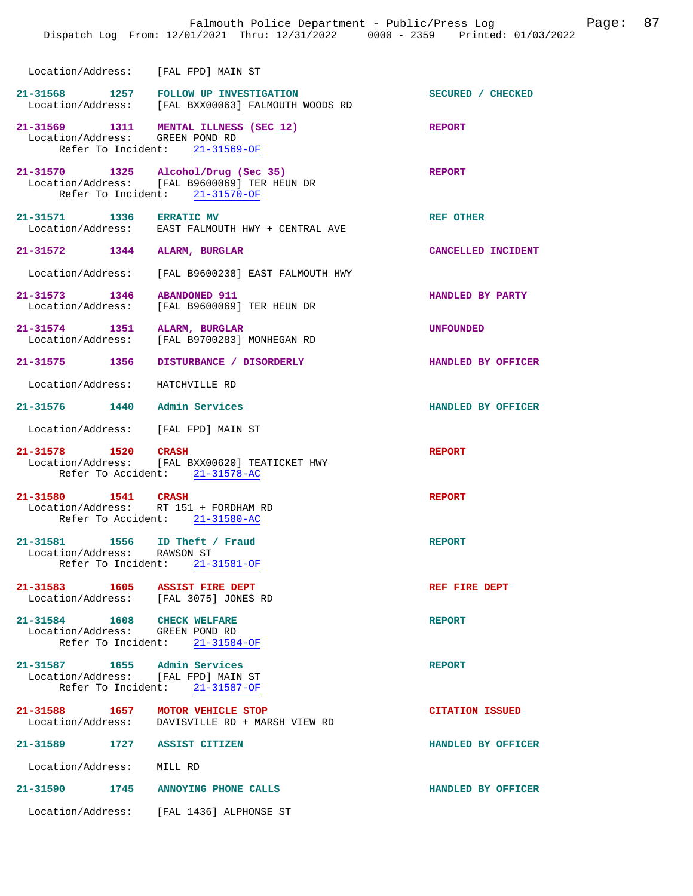|                                                                                                | Dispatch Log From: 12/01/2021 Thru: 12/31/2022 0000 - 2359 Printed: 01/03/2022                                        | Falmouth Police Department - Public/Press Log<br>Page: | 87 |
|------------------------------------------------------------------------------------------------|-----------------------------------------------------------------------------------------------------------------------|--------------------------------------------------------|----|
| Location/Address: [FAL FPD] MAIN ST                                                            |                                                                                                                       |                                                        |    |
|                                                                                                | 21-31568 1257 FOLLOW UP INVESTIGATION<br>Location/Address: [FAL BXX00063] FALMOUTH WOODS RD                           | SECURED / CHECKED                                      |    |
| Location/Address: GREEN POND RD                                                                | 21-31569 1311 MENTAL ILLNESS (SEC 12)<br>Refer To Incident: 21-31569-OF                                               | <b>REPORT</b>                                          |    |
|                                                                                                | 21-31570 1325 Alcohol/Drug (Sec 35)<br>Location/Address: [FAL B9600069] TER HEUN DR<br>Refer To Incident: 21-31570-OF | <b>REPORT</b>                                          |    |
| 21-31571 1336 ERRATIC MV                                                                       | Location/Address: EAST FALMOUTH HWY + CENTRAL AVE                                                                     | <b>REF OTHER</b>                                       |    |
| 21-31572 1344 ALARM, BURGLAR                                                                   |                                                                                                                       | CANCELLED INCIDENT                                     |    |
|                                                                                                | Location/Address: [FAL B9600238] EAST FALMOUTH HWY                                                                    |                                                        |    |
| 21-31573 1346 ABANDONED 911                                                                    | Location/Address: [FAL B9600069] TER HEUN DR                                                                          | HANDLED BY PARTY                                       |    |
| 21-31574 1351 ALARM, BURGLAR                                                                   | Location/Address: [FAL B9700283] MONHEGAN RD                                                                          | <b>UNFOUNDED</b>                                       |    |
|                                                                                                | 21-31575 1356 DISTURBANCE / DISORDERLY                                                                                | HANDLED BY OFFICER                                     |    |
| Location/Address: HATCHVILLE RD                                                                |                                                                                                                       |                                                        |    |
| 21-31576 1440 Admin Services                                                                   |                                                                                                                       | HANDLED BY OFFICER                                     |    |
| Location/Address: [FAL FPD] MAIN ST                                                            |                                                                                                                       |                                                        |    |
| 21-31578 1520 CRASH                                                                            | Location/Address: [FAL BXX00620] TEATICKET HWY<br>Refer To Accident: 21-31578-AC                                      | <b>REPORT</b>                                          |    |
| 21-31580 1541 CRASH<br>Location/Address: RT 151 + FORDHAM RD<br>Refer To Accident: 21-31580-AC |                                                                                                                       | <b>REPORT</b>                                          |    |
| 21-31581 1556 ID Theft / Fraud<br>Location/Address: RAWSON ST                                  | Refer To Incident: 21-31581-OF                                                                                        | <b>REPORT</b>                                          |    |
| 21-31583 1605 ASSIST FIRE DEPT<br>Location/Address: [FAL 3075] JONES RD                        |                                                                                                                       | REF FIRE DEPT                                          |    |
| 21-31584 1608 CHECK WELFARE<br>Location/Address: GREEN POND RD                                 | Refer To Incident: 21-31584-OF                                                                                        | <b>REPORT</b>                                          |    |
| 21-31587 1655 Admin Services<br>Location/Address: [FAL FPD] MAIN ST                            | Refer To Incident: 21-31587-OF                                                                                        | <b>REPORT</b>                                          |    |
| 21-31588 1657 MOTOR VEHICLE STOP                                                               | Location/Address: DAVISVILLE RD + MARSH VIEW RD                                                                       | <b>CITATION ISSUED</b>                                 |    |
| 21-31589 1727 ASSIST CITIZEN                                                                   |                                                                                                                       | HANDLED BY OFFICER                                     |    |
| Location/Address: MILL RD                                                                      |                                                                                                                       |                                                        |    |
| 21-31590 1745 ANNOYING PHONE CALLS                                                             |                                                                                                                       | HANDLED BY OFFICER                                     |    |
|                                                                                                | Location/Address: [FAL 1436] ALPHONSE ST                                                                              |                                                        |    |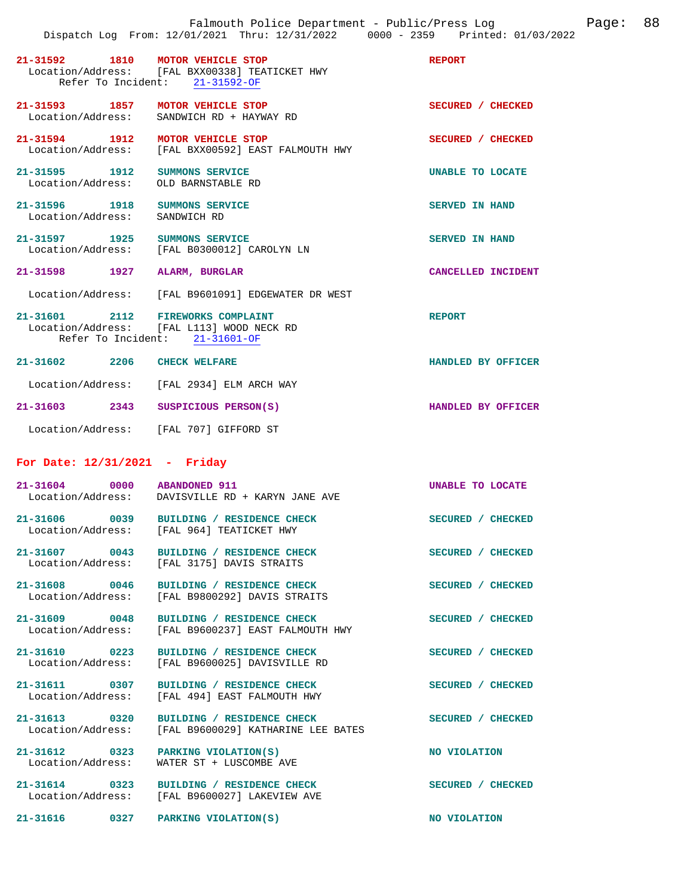|                                                    | 21-31592 1810 MOTOR VEHICLE STOP<br>Location/Address: [FAL BXX00338] TEATICKET HWY<br>Refer To Incident: 21-31592-OF | <b>REPORT</b>           |
|----------------------------------------------------|----------------------------------------------------------------------------------------------------------------------|-------------------------|
|                                                    | 21-31593 1857 MOTOR VEHICLE STOP<br>Location/Address: SANDWICH RD + HAYWAY RD                                        | SECURED / CHECKED       |
| 21-31594 1912                                      | MOTOR VEHICLE STOP<br>Location/Address: [FAL BXX00592] EAST FALMOUTH HWY                                             | SECURED / CHECKED       |
| 21-31595 1912 SUMMONS SERVICE                      | Location/Address: OLD BARNSTABLE RD                                                                                  | <b>UNABLE TO LOCATE</b> |
| 21-31596 1918 SUMMONS SERVICE<br>Location/Address: | SANDWICH RD                                                                                                          | <b>SERVED IN HAND</b>   |
| 21-31597 1925 SUMMONS SERVICE                      | Location/Address: [FAL B0300012] CAROLYN LN                                                                          | <b>SERVED IN HAND</b>   |
| 21-31598 1927                                      | <b>ALARM, BURGLAR</b>                                                                                                | CANCELLED INCIDENT      |
|                                                    | Location/Address: [FAL B9601091] EDGEWATER DR WEST                                                                   |                         |
|                                                    | 21-31601 2112 FIREWORKS COMPLAINT<br>Location/Address: [FAL L113] WOOD NECK RD<br>Refer To Incident: 21-31601-OF     | <b>REPORT</b>           |
| 21-31602 2206 CHECK WELFARE                        |                                                                                                                      | HANDLED BY OFFICER      |
|                                                    | Location/Address: [FAL 2934] ELM ARCH WAY                                                                            |                         |
| 21-31603 2343                                      | SUSPICIOUS PERSON(S)                                                                                                 | HANDLED BY OFFICER      |
|                                                    | Location/Address: [FAL 707] GIFFORD ST                                                                               |                         |

## **For Date: 12/31/2021 - Friday**

| Location/Address:<br>[FAL 3175] DAVIS STRAITS                                                                        | <b>CHECKED</b>   |
|----------------------------------------------------------------------------------------------------------------------|------------------|
| 21-31607<br>0043<br>BUILDING / RESIDENCE CHECK<br><b>SECURED</b>                                                     |                  |
| $21 - 31606$<br>0039<br>BUILDING / RESIDENCE CHECK<br><b>SECURED</b><br>Location/Address:<br>[FAL 964] TEATICKET HWY | <b>CHECKED</b>   |
| $21 - 31604$<br>0000<br><b>ABANDONED 911</b><br>Location/Address:<br>DAVISVILLE RD + KARYN JANE AVE                  | UNABLE TO LOCATE |

**21-31608 0046 BUILDING / RESIDENCE CHECK SECURED / CHECKED**  Location/Address: [FAL B9800292] DAVIS STRAITS

**21-31609 0048 BUILDING / RESIDENCE CHECK SECURED / CHECKED**  Location/Address: [FAL B9600237] EAST FALMOUTH HWY

**21-31610 0223 BUILDING / RESIDENCE CHECK SECURED / CHECKED**  Location/Address: [FAL B9600025] DAVISVILLE RD

**21-31611 0307 BUILDING / RESIDENCE CHECK SECURED / CHECKED**  Location/Address: [FAL 494] EAST FALMOUTH HWY

**21-31613 0320 BUILDING / RESIDENCE CHECK SECURED / CHECKED** 

Location/Address: WATER ST + LUSCOMBE AVE

Location/Address: [FAL B9600029] KATHARINE LEE BATES

**21-31612** 0323 PARKING VIOLATION(S) NO VIOLATION

**21-31614 0323 BUILDING / RESIDENCE CHECK SECURED / CHECKED**  [FAL B9600027] LAKEVIEW AVE

**21-31616 0327 PARKING VIOLATION(S) NO VIOLATION**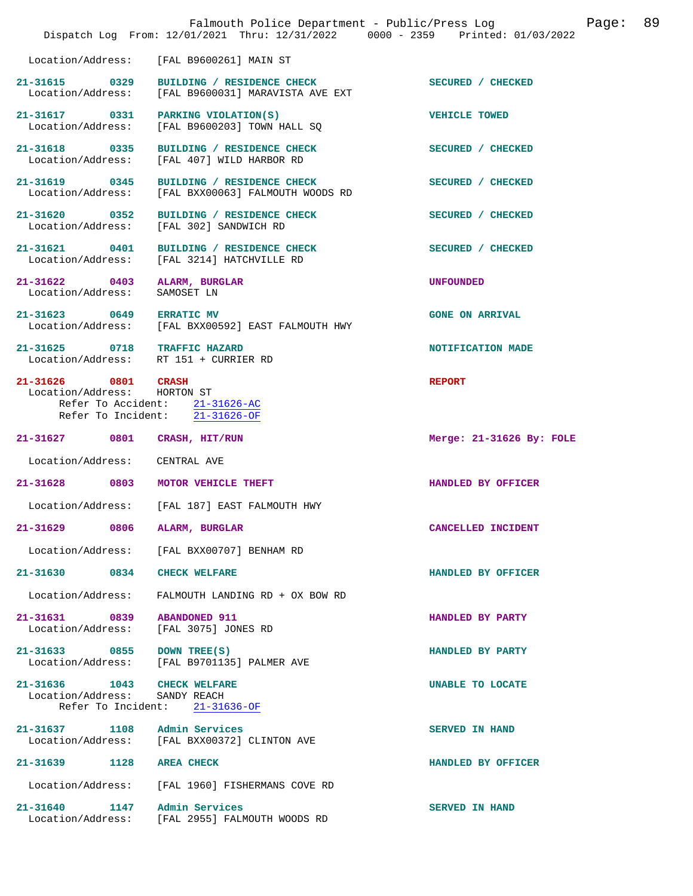|                                                                       | Falmouth Police Department - Public/Press Log<br>Dispatch Log From: 12/01/2021 Thru: 12/31/2022 0000 - 2359 Printed: 01/03/2022 | 89<br>Page:              |
|-----------------------------------------------------------------------|---------------------------------------------------------------------------------------------------------------------------------|--------------------------|
| Location/Address:                                                     | [FAL B9600261] MAIN ST                                                                                                          |                          |
| 21-31615 0329<br>Location/Address:                                    | BUILDING / RESIDENCE CHECK<br>[FAL B9600031] MARAVISTA AVE EXT                                                                  | SECURED / CHECKED        |
| 21-31617 0331<br>Location/Address:                                    | PARKING VIOLATION(S)<br>[FAL B9600203] TOWN HALL SQ                                                                             | <b>VEHICLE TOWED</b>     |
| 21-31618 0335<br>Location/Address:                                    | BUILDING / RESIDENCE CHECK<br>[FAL 407] WILD HARBOR RD                                                                          | SECURED / CHECKED        |
| 21-31619 0345<br>Location/Address:                                    | BUILDING / RESIDENCE CHECK<br>[FAL BXX00063] FALMOUTH WOODS RD                                                                  | SECURED / CHECKED        |
| 21-31620 0352<br>Location/Address:                                    | BUILDING / RESIDENCE CHECK<br>[FAL 302] SANDWICH RD                                                                             | SECURED / CHECKED        |
| 21-31621 0401<br>Location/Address:                                    | BUILDING / RESIDENCE CHECK<br>[FAL 3214] HATCHVILLE RD                                                                          | SECURED / CHECKED        |
| 21-31622 0403<br>Location/Address:                                    | ALARM, BURGLAR<br>SAMOSET LN                                                                                                    | <b>UNFOUNDED</b>         |
| 21-31623 0649                                                         | <b>ERRATIC MV</b><br>Location/Address: [FAL BXX00592] EAST FALMOUTH HWY                                                         | <b>GONE ON ARRIVAL</b>   |
| 21-31625 0718 TRAFFIC HAZARD<br>Location/Address: RT 151 + CURRIER RD |                                                                                                                                 | NOTIFICATION MADE        |
| 21-31626 0801<br>Location/Address: HORTON ST                          | <b>CRASH</b><br>Refer To Accident: 21-31626-AC<br>Refer To Incident: 21-31626-OF                                                | <b>REPORT</b>            |
| 21-31627<br>0801                                                      | CRASH, HIT/RUN                                                                                                                  | Merge: 21-31626 By: FOLE |
| Location/Address:                                                     | CENTRAL AVE                                                                                                                     |                          |
| 21-31628 0803                                                         | MOTOR VEHICLE THEFT                                                                                                             | HANDLED BY OFFICER       |
|                                                                       | Location/Address: [FAL 187] EAST FALMOUTH HWY                                                                                   |                          |
| 21-31629<br>0806                                                      | <b>ALARM, BURGLAR</b>                                                                                                           | CANCELLED INCIDENT       |
| Location/Address:                                                     | [FAL BXX00707] BENHAM RD                                                                                                        |                          |
| 0834<br>$21 - 31630$                                                  | <b>CHECK WELFARE</b>                                                                                                            | HANDLED BY OFFICER       |
| Location/Address:                                                     | FALMOUTH LANDING RD + OX BOW RD                                                                                                 |                          |
| 21-31631 0839<br>Location/Address:                                    | <b>ABANDONED 911</b><br>[FAL 3075] JONES RD                                                                                     | HANDLED BY PARTY         |
| 21-31633 0855<br>Location/Address:                                    | DOWN TREE(S)<br>[FAL B9701135] PALMER AVE                                                                                       | HANDLED BY PARTY         |
| 21-31636 1043<br>Location/Address:<br>Refer To Incident:              | <b>CHECK WELFARE</b><br>SANDY REACH<br>$21 - 31636 - OF$                                                                        | UNABLE TO LOCATE         |
| 21-31637 1108                                                         | Admin Services<br>Location/Address: [FAL BXX00372] CLINTON AVE                                                                  | SERVED IN HAND           |
| 21-31639 1128                                                         | <b>AREA CHECK</b>                                                                                                               | HANDLED BY OFFICER       |
| Location/Address:                                                     | [FAL 1960] FISHERMANS COVE RD                                                                                                   |                          |
| 21-31640<br>1147                                                      | Admin Services<br>Location/Address: [FAL 2955] FALMOUTH WOODS RD                                                                | <b>SERVED IN HAND</b>    |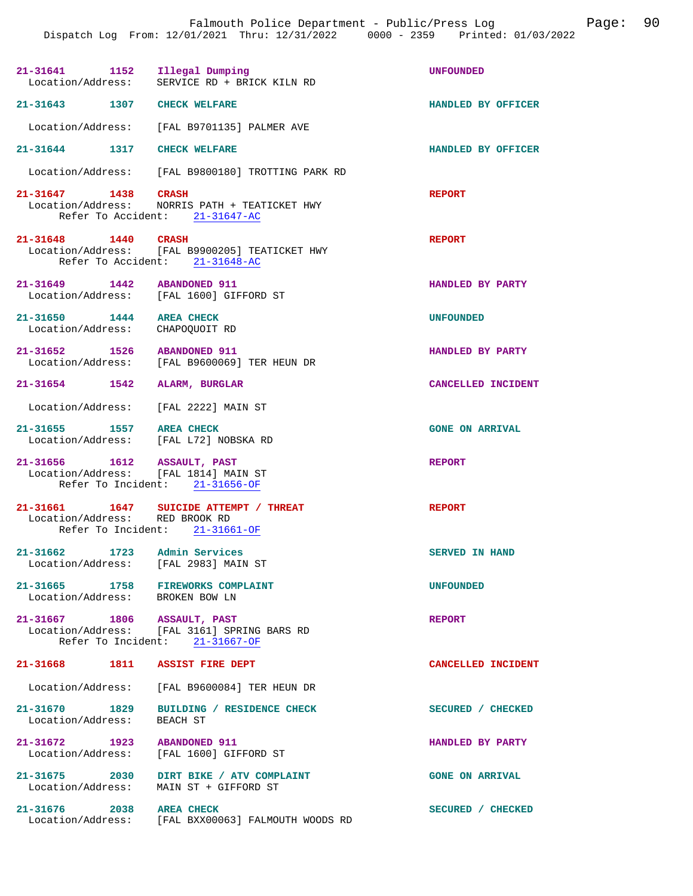| 21-31641 1152 Illegal Dumping                                          | Location/Address: SERVICE RD + BRICK KILN RD                                      | <b>UNFOUNDED</b>       |
|------------------------------------------------------------------------|-----------------------------------------------------------------------------------|------------------------|
| 21-31643 1307 CHECK WELFARE                                            |                                                                                   | HANDLED BY OFFICER     |
|                                                                        | Location/Address: [FAL B9701135] PALMER AVE                                       |                        |
| 21-31644 1317 CHECK WELFARE                                            |                                                                                   | HANDLED BY OFFICER     |
|                                                                        | Location/Address: [FAL B9800180] TROTTING PARK RD                                 |                        |
| 21-31647 1438 CRASH                                                    | Location/Address: NORRIS PATH + TEATICKET HWY<br>Refer To Accident: 21-31647-AC   | <b>REPORT</b>          |
| 21-31648 1440 CRASH                                                    | Location/Address: [FAL B9900205] TEATICKET HWY<br>Refer To Accident: 21-31648-AC  | <b>REPORT</b>          |
| 21-31649 1442 ABANDONED 911                                            | Location/Address: [FAL 1600] GIFFORD ST                                           | HANDLED BY PARTY       |
| 21-31650 1444 AREA CHECK<br>Location/Address: CHAPOQUOIT RD            |                                                                                   | <b>UNFOUNDED</b>       |
| 21-31652 1526 ABANDONED 911                                            | Location/Address: [FAL B9600069] TER HEUN DR                                      | HANDLED BY PARTY       |
| 21-31654 1542 ALARM, BURGLAR                                           |                                                                                   | CANCELLED INCIDENT     |
| Location/Address: [FAL 2222] MAIN ST                                   |                                                                                   |                        |
| 21-31655 1557 AREA CHECK<br>Location/Address: [FAL L72] NOBSKA RD      |                                                                                   | <b>GONE ON ARRIVAL</b> |
| 21-31656 1612 ASSAULT, PAST<br>Location/Address: [FAL 1814] MAIN ST    | Refer To Incident: 21-31656-OF                                                    | <b>REPORT</b>          |
| Location/Address: RED BROOK RD                                         | 21-31661  1647  SUICIDE ATTEMPT / THREAT<br>Refer To Incident: 21-31661-OF        | <b>REPORT</b>          |
| $21 - 31662$<br>Location/Address: [FAL 2983] MAIN ST                   | 1723 Admin Services                                                               | <b>SERVED IN HAND</b>  |
| 21-31665 1758 FIREWORKS COMPLAINT<br>Location/Address: BROKEN BOW LN   |                                                                                   | <b>UNFOUNDED</b>       |
| 21-31667 1806 ASSAULT, PAST                                            | Location/Address: [FAL 3161] SPRING BARS RD<br>Refer To Incident: 21-31667-OF     | <b>REPORT</b>          |
| 21-31668 1811 ASSIST FIRE DEPT                                         |                                                                                   | CANCELLED INCIDENT     |
|                                                                        | Location/Address: [FAL B9600084] TER HEUN DR                                      |                        |
| Location/Address: BEACH ST                                             | 21-31670 1829 BUILDING / RESIDENCE CHECK                                          | SECURED / CHECKED      |
| 21-31672 1923 ABANDONED 911<br>Location/Address: [FAL 1600] GIFFORD ST |                                                                                   | HANDLED BY PARTY       |
|                                                                        | 21-31675 2030 DIRT BIKE / ATV COMPLAINT<br>Location/Address: MAIN ST + GIFFORD ST | <b>GONE ON ARRIVAL</b> |
| 21-31676 2038                                                          | <b>AREA CHECK</b><br>Location/Address: [FAL BXX00063] FALMOUTH WOODS RD           | SECURED / CHECKED      |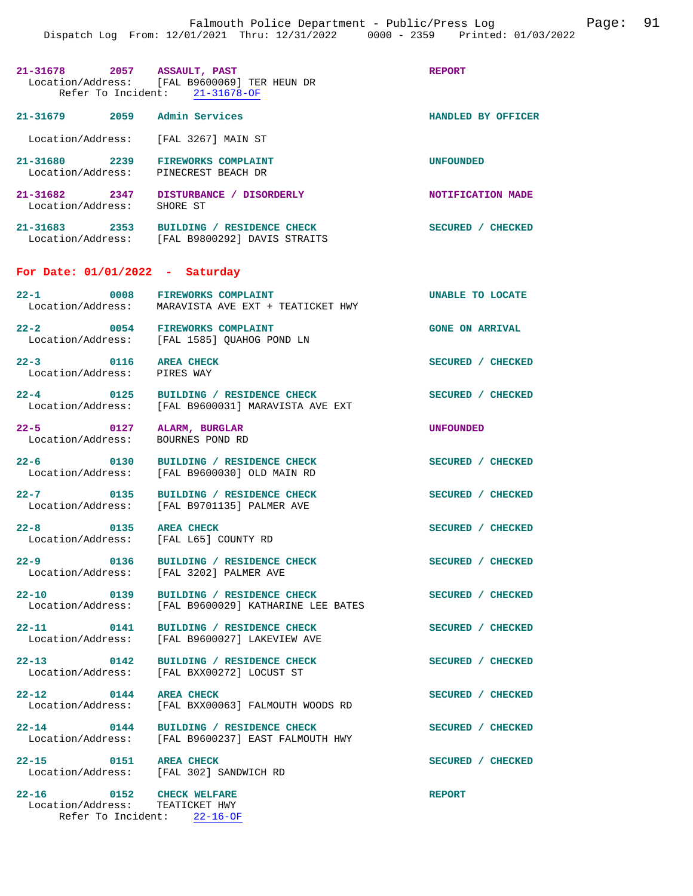|                                                               | 21-31678 2057 ASSAULT, PAST<br>Location/Address: [FAL B9600069] TER HEUN DR<br>Refer To Incident: 21-31678-OF | <b>REPORT</b>           |
|---------------------------------------------------------------|---------------------------------------------------------------------------------------------------------------|-------------------------|
| 21-31679 2059 Admin Services                                  |                                                                                                               | HANDLED BY OFFICER      |
| Location/Address: [FAL 3267] MAIN ST                          |                                                                                                               |                         |
| 21-31680 2239 FIREWORKS COMPLAINT<br>Location/Address:        | PINECREST BEACH DR                                                                                            | <b>UNFOUNDED</b>        |
| Location/Address:                                             | 21-31682 2347 DISTURBANCE / DISORDERLY<br>SHORE ST                                                            | NOTIFICATION MADE       |
|                                                               | 21-31683 2353 BUILDING / RESIDENCE CHECK<br>Location/Address: [FAL B9800292] DAVIS STRAITS                    | SECURED / CHECKED       |
| For Date: $01/01/2022 - Saturday$                             |                                                                                                               |                         |
| 22-1 0008 FIREWORKS COMPLAINT                                 | Location/Address: MARAVISTA AVE EXT + TEATICKET HWY                                                           | <b>UNABLE TO LOCATE</b> |
| $22 - 2$ 0054                                                 | <b>FIREWORKS COMPLAINT</b><br>Location/Address: [FAL 1585] QUAHOG POND LN                                     | <b>GONE ON ARRIVAL</b>  |
| 22-3 0116 AREA CHECK<br>Location/Address: PIRES WAY           |                                                                                                               | SECURED / CHECKED       |
| Location/Address:                                             | 22-4 0125 BUILDING / RESIDENCE CHECK<br>[FAL B9600031] MARAVISTA AVE EXT                                      | SECURED / CHECKED       |
| $22 - 5$ 0127<br>Location/Address:                            | ALARM, BURGLAR<br>BOURNES POND RD                                                                             | <b>UNFOUNDED</b>        |
| $22 - 6$ 0130<br>Location/Address:                            | BUILDING / RESIDENCE CHECK<br>[FAL B9600030] OLD MAIN RD                                                      | SECURED / CHECKED       |
| $22 - 7$ 0135                                                 | BUILDING / RESIDENCE CHECK<br>Location/Address: [FAL B9701135] PALMER AVE                                     | SECURED / CHECKED       |
| 22-8 0135 AREA CHECK<br>Location/Address: [FAL L65] COUNTY RD |                                                                                                               | SECURED / CHECKED       |
|                                                               | 22-9 0136 BUILDING / RESIDENCE CHECK<br>Location/Address: [FAL 3202] PALMER AVE                               | SECURED / CHECKED       |
|                                                               | 22-10 0139 BUILDING / RESIDENCE CHECK<br>Location/Address: [FAL B9600029] KATHARINE LEE BATES                 | SECURED / CHECKED       |
| $22 - 11$                                                     | 0141 BUILDING / RESIDENCE CHECK<br>Location/Address: [FAL B9600027] LAKEVIEW AVE                              | SECURED / CHECKED       |
| $22 - 13$ 0142                                                | <b>BUILDING / RESIDENCE CHECK</b><br>Location/Address: [FAL BXX00272] LOCUST ST                               | SECURED / CHECKED       |
| $22 - 12$<br>0144                                             | <b>AREA CHECK</b><br>Location/Address: [FAL BXX00063] FALMOUTH WOODS RD                                       | SECURED / CHECKED       |
| $22 - 14$ 0144<br>Location/Address:                           | BUILDING / RESIDENCE CHECK<br>[FAL B9600237] EAST FALMOUTH HWY                                                | SECURED / CHECKED       |
| 22-15 0151 AREA CHECK                                         | Location/Address: [FAL 302] SANDWICH RD                                                                       | SECURED / CHECKED       |
| 22-16 0152 CHECK WELFARE<br>Location/Address:                 | TEATICKET HWY                                                                                                 | <b>REPORT</b>           |

Refer To Incident: 22-16-OF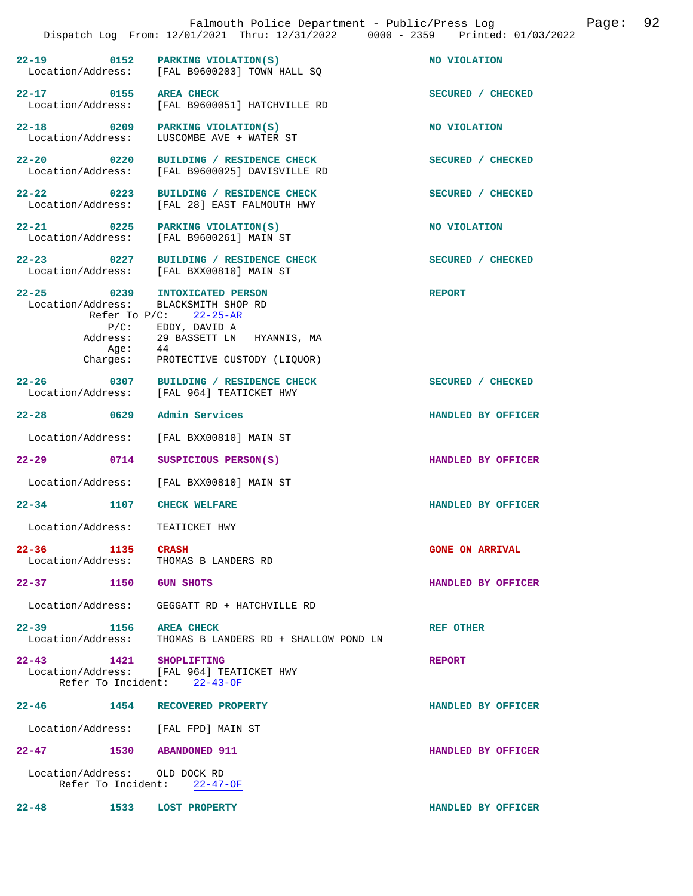|                                            |                  | Falmouth Police Department - Public/Press Log<br>Dispatch Log From: 12/01/2021 Thru: 12/31/2022 0000 - 2359 Printed: 01/03/2022                                                             |                        | Page: | 92 |
|--------------------------------------------|------------------|---------------------------------------------------------------------------------------------------------------------------------------------------------------------------------------------|------------------------|-------|----|
| 22-19 0152                                 |                  | PARKING VIOLATION(S)<br>Location/Address: [FAL B9600203] TOWN HALL SQ                                                                                                                       | NO VIOLATION           |       |    |
| 22-17 0155 AREA CHECK                      |                  | Location/Address: [FAL B9600051] HATCHVILLE RD                                                                                                                                              | SECURED / CHECKED      |       |    |
| 22-18 0209<br>Location/Address:            |                  | PARKING VIOLATION(S)<br>LUSCOMBE AVE + WATER ST                                                                                                                                             | NO VIOLATION           |       |    |
| $22 - 20$ 0220                             |                  | BUILDING / RESIDENCE CHECK<br>Location/Address: [FAL B9600025] DAVISVILLE RD                                                                                                                | SECURED / CHECKED      |       |    |
| $22 - 22$ 0223<br>Location/Address:        |                  | BUILDING / RESIDENCE CHECK<br>[FAL 28] EAST FALMOUTH HWY                                                                                                                                    | SECURED / CHECKED      |       |    |
|                                            |                  | 22-21 0225 PARKING VIOLATION(S)<br>Location/Address: [FAL B9600261] MAIN ST                                                                                                                 | NO VIOLATION           |       |    |
| $22 - 23$ 0227                             |                  | BUILDING / RESIDENCE CHECK<br>Location/Address: [FAL BXX00810] MAIN ST                                                                                                                      | SECURED / CHECKED      |       |    |
| $22 - 25$ 0239                             | Aqe:<br>Charges: | INTOXICATED PERSON<br>Location/Address: BLACKSMITH SHOP RD<br>Refer To $P/C$ : 22-25-AR<br>$P/C$ : EDDY, DAVID A<br>Address: 29 BASSETT LN HYANNIS, MA<br>44<br>PROTECTIVE CUSTODY (LIQUOR) | <b>REPORT</b>          |       |    |
| $22 - 26$                                  |                  | 0307 BUILDING / RESIDENCE CHECK<br>Location/Address: [FAL 964] TEATICKET HWY                                                                                                                | SECURED / CHECKED      |       |    |
| $22 - 28$ 0629                             |                  | Admin Services                                                                                                                                                                              | HANDLED BY OFFICER     |       |    |
| Location/Address:                          |                  | [FAL BXX00810] MAIN ST                                                                                                                                                                      |                        |       |    |
| $22 - 29$                                  | 0714             | SUSPICIOUS PERSON(S)                                                                                                                                                                        | HANDLED BY OFFICER     |       |    |
| Location/Address:                          |                  | [FAL BXX00810] MAIN ST                                                                                                                                                                      |                        |       |    |
| $22 - 34$                                  | 1107             | <b>CHECK WELFARE</b>                                                                                                                                                                        | HANDLED BY OFFICER     |       |    |
| Location/Address:                          |                  | TEATICKET HWY                                                                                                                                                                               |                        |       |    |
| 22-36 1135 CRASH<br>Location/Address:      |                  | THOMAS B LANDERS RD                                                                                                                                                                         | <b>GONE ON ARRIVAL</b> |       |    |
| 22-37 1150 GUN SHOTS                       |                  |                                                                                                                                                                                             | HANDLED BY OFFICER     |       |    |
| Location/Address:                          |                  | GEGGATT RD + HATCHVILLE RD                                                                                                                                                                  |                        |       |    |
| 22-39 1156 AREA CHECK<br>Location/Address: |                  | THOMAS B LANDERS RD + SHALLOW POND LN                                                                                                                                                       | <b>REF OTHER</b>       |       |    |
| 22-43 1421 SHOPLIFTING                     |                  | Location/Address: [FAL 964] TEATICKET HWY<br>Refer To Incident: 22-43-OF                                                                                                                    | <b>REPORT</b>          |       |    |
| $22 - 46$ 1454                             |                  | RECOVERED PROPERTY                                                                                                                                                                          | HANDLED BY OFFICER     |       |    |
|                                            |                  | Location/Address: [FAL FPD] MAIN ST                                                                                                                                                         |                        |       |    |
| $22 - 47$                                  |                  | 1530 ABANDONED 911                                                                                                                                                                          | HANDLED BY OFFICER     |       |    |
| Location/Address: OLD DOCK RD              |                  | Refer To Incident: 22-47-OF                                                                                                                                                                 |                        |       |    |
| $22 - 48$<br>1533                          |                  | <b>LOST PROPERTY</b>                                                                                                                                                                        | HANDLED BY OFFICER     |       |    |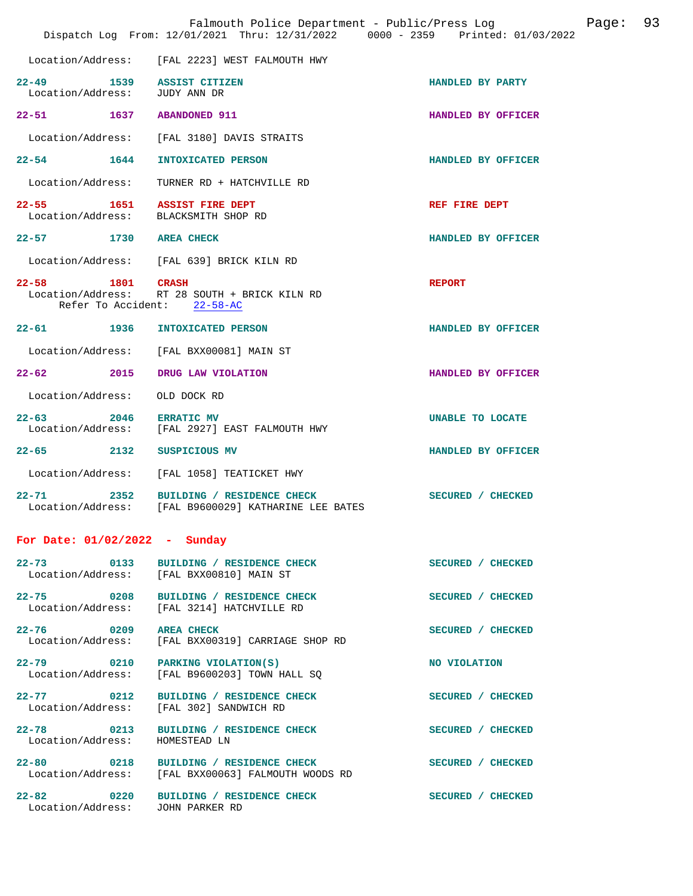| Falmouth Police Department - Public/Press Log<br>Page:<br>Dispatch Log From: 12/01/2021 Thru: 12/31/2022 0000 - 2359 Printed: 01/03/2022 |                                                                                             |                    |  | 93 |
|------------------------------------------------------------------------------------------------------------------------------------------|---------------------------------------------------------------------------------------------|--------------------|--|----|
|                                                                                                                                          | Location/Address: [FAL 2223] WEST FALMOUTH HWY                                              |                    |  |    |
| $22 - 49$<br>Location/Address: JUDY ANN DR                                                                                               | 1539 ASSIST CITIZEN                                                                         | HANDLED BY PARTY   |  |    |
| 22-51 1637 ABANDONED 911                                                                                                                 |                                                                                             | HANDLED BY OFFICER |  |    |
| Location/Address:                                                                                                                        | [FAL 3180] DAVIS STRAITS                                                                    |                    |  |    |
| $22 - 54$ 1644                                                                                                                           | INTOXICATED PERSON                                                                          | HANDLED BY OFFICER |  |    |
| Location/Address:                                                                                                                        | TURNER RD + HATCHVILLE RD                                                                   |                    |  |    |
| $22 - 55$                                                                                                                                | 1651 ASSIST FIRE DEPT<br>Location/Address: BLACKSMITH SHOP RD                               | REF FIRE DEPT      |  |    |
| 22-57 1730 AREA CHECK                                                                                                                    |                                                                                             | HANDLED BY OFFICER |  |    |
|                                                                                                                                          | Location/Address: [FAL 639] BRICK KILN RD                                                   |                    |  |    |
| 1801 CRASH<br>$22 - 58$                                                                                                                  | Location/Address: RT 28 SOUTH + BRICK KILN RD<br>Refer To Accident: 22-58-AC                | <b>REPORT</b>      |  |    |
| 22-61 1936                                                                                                                               | INTOXICATED PERSON                                                                          | HANDLED BY OFFICER |  |    |
|                                                                                                                                          | Location/Address: [FAL BXX00081] MAIN ST                                                    |                    |  |    |
|                                                                                                                                          | 22-62 2015 DRUG LAW VIOLATION                                                               | HANDLED BY OFFICER |  |    |
| Location/Address:                                                                                                                        | OLD DOCK RD                                                                                 |                    |  |    |
| 2046<br>$22 - 63$                                                                                                                        | <b>ERRATIC MV</b><br>Location/Address: [FAL 2927] EAST FALMOUTH HWY                         | UNABLE TO LOCATE   |  |    |
| $22 - 65$ 2132                                                                                                                           | SUSPICIOUS MV                                                                               | HANDLED BY OFFICER |  |    |
| Location/Address:                                                                                                                        | [FAL 1058] TEATICKET HWY                                                                    |                    |  |    |
| $22 - 71$ 2352                                                                                                                           | BUILDING / RESIDENCE CHECK<br>Location/Address: [FAL B9600029] KATHARINE LEE BATES          | SECURED / CHECKED  |  |    |
| For Date: $01/02/2022 -$ Sunday                                                                                                          |                                                                                             |                    |  |    |
|                                                                                                                                          | 22-73 0133 BUILDING / RESIDENCE CHECK<br>Location/Address: [FAL BXX00810] MAIN ST           | SECURED / CHECKED  |  |    |
| Location/Address:                                                                                                                        | 22-75 0208 BUILDING / RESIDENCE CHECK<br>[FAL 3214] HATCHVILLE RD                           | SECURED / CHECKED  |  |    |
| 22-76 0209 AREA CHECK                                                                                                                    | Location/Address: [FAL BXX00319] CARRIAGE SHOP RD                                           | SECURED / CHECKED  |  |    |
|                                                                                                                                          | 22-79 0210 PARKING VIOLATION(S)<br>Location/Address: [FAL B9600203] TOWN HALL SQ            | NO VIOLATION       |  |    |
| 22-77 0212                                                                                                                               | BUILDING / RESIDENCE CHECK<br>Location/Address: [FAL 302] SANDWICH RD                       | SECURED / CHECKED  |  |    |
| Location/Address:                                                                                                                        | 22-78 0213 BUILDING / RESIDENCE CHECK<br>HOMESTEAD LN                                       | SECURED / CHECKED  |  |    |
|                                                                                                                                          | 22-80 0218 BUILDING / RESIDENCE CHECK<br>Location/Address: [FAL BXX00063] FALMOUTH WOODS RD | SECURED / CHECKED  |  |    |
| Location/Address: JOHN PARKER RD                                                                                                         | 22-82 0220 BUILDING / RESIDENCE CHECK                                                       | SECURED / CHECKED  |  |    |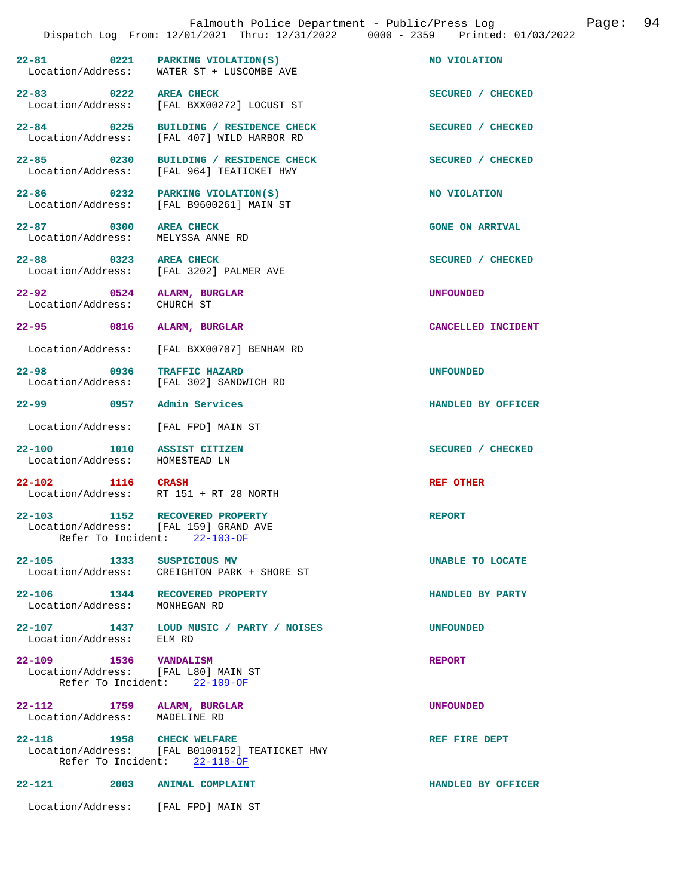**22-81** 0221 PARKING VIOLATION(S) NO VIOLATION Location/Address: WATER ST + LUSCOMBE AVE WATER ST + LUSCOMBE AVE **22-83** 0222 AREA CHECK **DEALL AND SECURED** / CHECKED Location/Address: [FAL BXX00272] LOCUST ST Location/Address: [FAL BXX00272] LOCUST ST **22-84 0225 BUILDING / RESIDENCE CHECK SECURED / CHECKED**  Location/Address: [FAL 407] WILD HARBOR RD **22-85 0230 BUILDING / RESIDENCE CHECK SECURED / CHECKED**  Location/Address: [FAL 964] TEATICKET HWY **22-86** 0232 PARKING VIOLATION(S) NO VIOLATION Location/Address: [FAL B9600261] MAIN ST [FAL B9600261] MAIN ST **22-87** 0300 AREA CHECK **DEAPLE ON ARRIVAL** GONE ON ARRIVAL Location/Address: MELYSSA ANNE RD Location/Address: **22-88 0323 AREA CHECK SECURED / CHECKED**  Location/Address: [FAL 3202] PALMER AVE **22-92 0524 ALARM, BURGLAR UNFOUNDED**  Location/Address: **22-95 0816 ALARM, BURGLAR CANCELLED INCIDENT**  Location/Address: [FAL BXX00707] BENHAM RD **22-98 0936 TRAFFIC HAZARD UNFOUNDED**  Location/Address: [FAL 302] SANDWICH RD **22-99 0957 Admin Services HANDLED BY OFFICER**  Location/Address: [FAL FPD] MAIN ST **22-100** 1010 ASSIST CITIZEN SECURED / CHECKED LOCALION / CHECKED LOCALION / CHECKED LN Location/Address: **22-102** 1116 CRASH REF OTHER Location/Address: RT 151 + RT 28 NORTH **22-103 1152 RECOVERED PROPERTY REPORT**  [FAL 159] GRAND AVE<br>ent: 22-103-OF Refer To Incident: **22-105 1333 SUSPICIOUS MV UNABLE TO LOCATE**  CREIGHTON PARK + SHORE ST **22-106 1344 RECOVERED PROPERTY HANDLED BY PARTY**  Location/Address: MONHEGAN RD **22-107 1437 LOUD MUSIC / PARTY / NOISES UNFOUNDED**  Location/Address: ELM RD **22-109 1536 VANDALISM REPORT**  Location/Address: [FAL L80] MAIN ST<br>Refer To Incident: 22-109-OF Refer To Incident: **22-112 1759 ALARM, BURGLAR UNFOUNDED**  Location/Address: **22-118** 1958 CHECK WELFARE **REF FIRE DEPT** Location/Address: [FAL B0100152] TEATICKET HWY [FAL B0100152] TEATICKET HWY<br>ent:  $22-118-OF$ Refer To Incident:

**22-121 2003 ANIMAL COMPLAINT HANDLED BY OFFICER** 

Location/Address: [FAL FPD] MAIN ST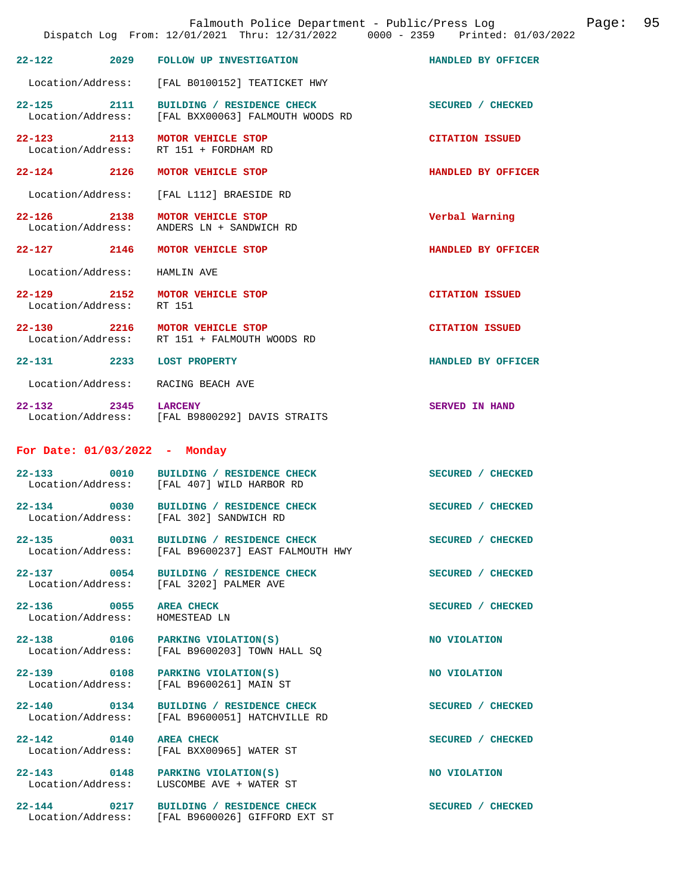| Falmouth Police Department - Public/Press Log<br>Dispatch Log From: 12/01/2021 Thru: 12/31/2022 0000 - 2359 Printed: 01/03/2022 |      |                                                                                  |                        | Page: | 95 |
|---------------------------------------------------------------------------------------------------------------------------------|------|----------------------------------------------------------------------------------|------------------------|-------|----|
| $22 - 122$                                                                                                                      | 2029 | FOLLOW UP INVESTIGATION                                                          | HANDLED BY OFFICER     |       |    |
| Location/Address:                                                                                                               |      | [FAL B0100152] TEATICKET HWY                                                     |                        |       |    |
| $22 - 125$                                                                                                                      | 2111 | BUILDING / RESIDENCE CHECK<br>Location/Address: [FAL BXX00063] FALMOUTH WOODS RD | SECURED / CHECKED      |       |    |
| 22-123 2113<br>Location/Address:                                                                                                |      | MOTOR VEHICLE STOP<br>RT 151 + FORDHAM RD                                        | <b>CITATION ISSUED</b> |       |    |
| 22-124 2126                                                                                                                     |      | MOTOR VEHICLE STOP                                                               | HANDLED BY OFFICER     |       |    |
| Location/Address:                                                                                                               |      | [FAL L112] BRAESIDE RD                                                           |                        |       |    |
| 22-126 2138<br>Location/Address:                                                                                                |      | MOTOR VEHICLE STOP<br>ANDERS LN + SANDWICH RD                                    | Verbal Warning         |       |    |
| 22-127 2146                                                                                                                     |      | MOTOR VEHICLE STOP                                                               | HANDLED BY OFFICER     |       |    |
| Location/Address:                                                                                                               |      | HAMLIN AVE                                                                       |                        |       |    |
| 22-129 2152<br>Location/Address:                                                                                                |      | MOTOR VEHICLE STOP<br>RT 151                                                     | <b>CITATION ISSUED</b> |       |    |
| 22-130 2216                                                                                                                     |      | MOTOR VEHICLE STOP<br>Location/Address: RT 151 + FALMOUTH WOODS RD               | <b>CITATION ISSUED</b> |       |    |
| 22-131 2233                                                                                                                     |      | <b>LOST PROPERTY</b>                                                             | HANDLED BY OFFICER     |       |    |
| Location/Address:                                                                                                               |      | RACING BEACH AVE                                                                 |                        |       |    |
| 22–132 2345                                                                                                                     |      | <b>LARCENY</b><br>Location/Address: [FAL B9800292] DAVIS STRAITS                 | SERVED IN HAND         |       |    |
| For Date: 01/03/2022 - Monday                                                                                                   |      |                                                                                  |                        |       |    |
| $22 - 133$<br>0010                                                                                                              |      | BUILDING / RESIDENCE CHECK<br>Location/Address: [FAL 407] WILD HARBOR RD         | SECURED / CHECKED      |       |    |
| 22-134 0030<br>Location/Address:                                                                                                |      | BUILDING / RESIDENCE CHECK<br>[FAL 302] SANDWICH RD                              | SECURED / CHECKED      |       |    |
| 22-135 0031                                                                                                                     |      | BUILDING / RESIDENCE CHECK<br>Location/Address: [FAL B9600237] EAST FALMOUTH HWY | SECURED / CHECKED      |       |    |
| 22-137 0054<br>Location/Address:                                                                                                |      | BUILDING / RESIDENCE CHECK<br>[FAL 3202] PALMER AVE                              | SECURED / CHECKED      |       |    |
| 22-136 0055<br>Location/Address:                                                                                                |      | AREA CHECK<br>HOMESTEAD LN                                                       | SECURED / CHECKED      |       |    |
| 22-138 0106<br>Location/Address:                                                                                                |      | PARKING VIOLATION(S)<br>[FAL B9600203] TOWN HALL SQ                              | NO VIOLATION           |       |    |
| 22-139 0108<br>Location/Address:                                                                                                |      | PARKING VIOLATION(S)<br>[FAL B9600261] MAIN ST                                   | NO VIOLATION           |       |    |
| 22-140 0134<br>Location/Address:                                                                                                |      | BUILDING / RESIDENCE CHECK<br>[FAL B9600051] HATCHVILLE RD                       | SECURED / CHECKED      |       |    |
| 22-142 0140<br>Location/Address:                                                                                                |      | <b>AREA CHECK</b><br>[FAL BXX00965] WATER ST                                     | SECURED / CHECKED      |       |    |
| 22-143 0148<br>Location/Address:                                                                                                |      | PARKING VIOLATION(S)<br>LUSCOMBE AVE + WATER ST                                  | NO VIOLATION           |       |    |
| $22 - 144$ 0217                                                                                                                 |      | BUILDING / RESIDENCE CHECK<br>Location/Address: [FAL B9600026] GIFFORD EXT ST    | SECURED / CHECKED      |       |    |